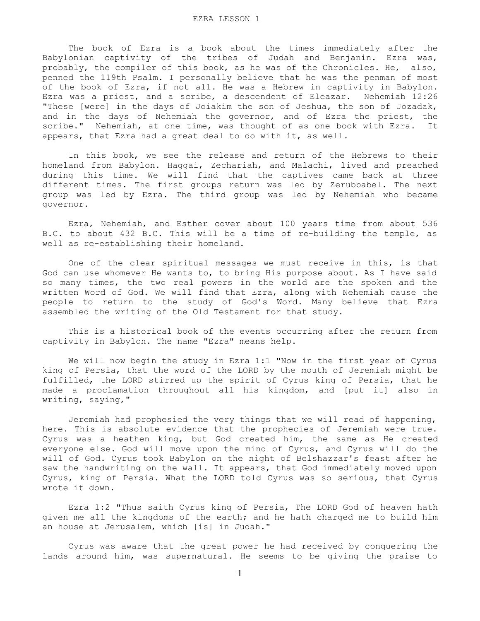The book of Ezra is a book about the times immediately after the Babylonian captivity of the tribes of Judah and Benjanin. Ezra was, probably, the compiler of this book, as he was of the Chronicles. He, also, penned the 119th Psalm. I personally believe that he was the penman of most of the book of Ezra, if not all. He was a Hebrew in captivity in Babylon. Ezra was a priest, and a scribe, a descendent of Eleazar. Nehemiah 12:26 "These [were] in the days of Joiakim the son of Jeshua, the son of Jozadak, and in the days of Nehemiah the governor, and of Ezra the priest, the scribe." Nehemiah, at one time, was thought of as one book with Ezra. It appears, that Ezra had a great deal to do with it, as well.

 In this book, we see the release and return of the Hebrews to their homeland from Babylon. Haggai, Zechariah, and Malachi, lived and preached during this time. We will find that the captives came back at three different times. The first groups return was led by Zerubbabel. The next group was led by Ezra. The third group was led by Nehemiah who became governor.

 Ezra, Nehemiah, and Esther cover about 100 years time from about 536 B.C. to about 432 B.C. This will be a time of re-building the temple, as well as re-establishing their homeland.

 One of the clear spiritual messages we must receive in this, is that God can use whomever He wants to, to bring His purpose about. As I have said so many times, the two real powers in the world are the spoken and the written Word of God. We will find that Ezra, along with Nehemiah cause the people to return to the study of God's Word. Many believe that Ezra assembled the writing of the Old Testament for that study.

 This is a historical book of the events occurring after the return from captivity in Babylon. The name "Ezra" means help.

 We will now begin the study in Ezra 1:1 "Now in the first year of Cyrus king of Persia, that the word of the LORD by the mouth of Jeremiah might be fulfilled, the LORD stirred up the spirit of Cyrus king of Persia, that he made a proclamation throughout all his kingdom, and [put it] also in writing, saying,"

 Jeremiah had prophesied the very things that we will read of happening, here. This is absolute evidence that the prophecies of Jeremiah were true. Cyrus was a heathen king, but God created him, the same as He created everyone else. God will move upon the mind of Cyrus, and Cyrus will do the will of God. Cyrus took Babylon on the night of Belshazzar's feast after he saw the handwriting on the wall. It appears, that God immediately moved upon Cyrus, king of Persia. What the LORD told Cyrus was so serious, that Cyrus wrote it down.

 Ezra 1:2 "Thus saith Cyrus king of Persia, The LORD God of heaven hath given me all the kingdoms of the earth; and he hath charged me to build him an house at Jerusalem, which [is] in Judah."

 Cyrus was aware that the great power he had received by conquering the lands around him, was supernatural. He seems to be giving the praise to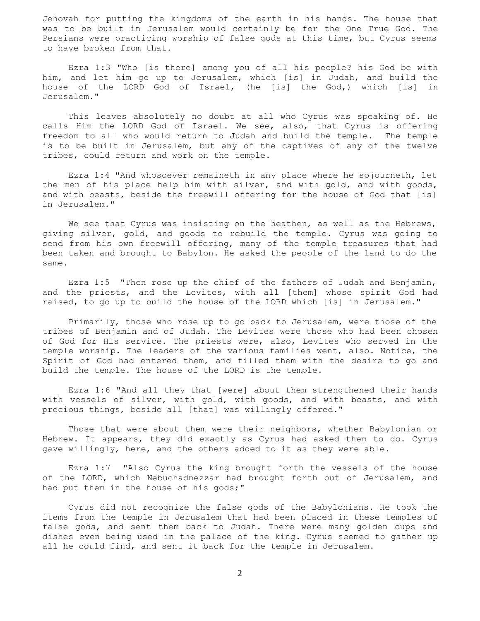Jehovah for putting the kingdoms of the earth in his hands. The house that was to be built in Jerusalem would certainly be for the One True God. The Persians were practicing worship of false gods at this time, but Cyrus seems to have broken from that.

 Ezra 1:3 "Who [is there] among you of all his people? his God be with him, and let him go up to Jerusalem, which [is] in Judah, and build the house of the LORD God of Israel, (he [is] the God,) which [is] in Jerusalem."

 This leaves absolutely no doubt at all who Cyrus was speaking of. He calls Him the LORD God of Israel. We see, also, that Cyrus is offering freedom to all who would return to Judah and build the temple. The temple is to be built in Jerusalem, but any of the captives of any of the twelve tribes, could return and work on the temple.

 Ezra 1:4 "And whosoever remaineth in any place where he sojourneth, let the men of his place help him with silver, and with gold, and with goods, and with beasts, beside the freewill offering for the house of God that [is] in Jerusalem."

We see that Cyrus was insisting on the heathen, as well as the Hebrews, giving silver, gold, and goods to rebuild the temple. Cyrus was going to send from his own freewill offering, many of the temple treasures that had been taken and brought to Babylon. He asked the people of the land to do the same.

 Ezra 1:5 "Then rose up the chief of the fathers of Judah and Benjamin, and the priests, and the Levites, with all [them] whose spirit God had raised, to go up to build the house of the LORD which [is] in Jerusalem."

 Primarily, those who rose up to go back to Jerusalem, were those of the tribes of Benjamin and of Judah. The Levites were those who had been chosen of God for His service. The priests were, also, Levites who served in the temple worship. The leaders of the various families went, also. Notice, the Spirit of God had entered them, and filled them with the desire to go and build the temple. The house of the LORD is the temple.

 Ezra 1:6 "And all they that [were] about them strengthened their hands with vessels of silver, with gold, with goods, and with beasts, and with precious things, beside all [that] was willingly offered."

 Those that were about them were their neighbors, whether Babylonian or Hebrew. It appears, they did exactly as Cyrus had asked them to do. Cyrus gave willingly, here, and the others added to it as they were able.

 Ezra 1:7 "Also Cyrus the king brought forth the vessels of the house of the LORD, which Nebuchadnezzar had brought forth out of Jerusalem, and had put them in the house of his gods;"

 Cyrus did not recognize the false gods of the Babylonians. He took the items from the temple in Jerusalem that had been placed in these temples of false gods, and sent them back to Judah. There were many golden cups and dishes even being used in the palace of the king. Cyrus seemed to gather up all he could find, and sent it back for the temple in Jerusalem.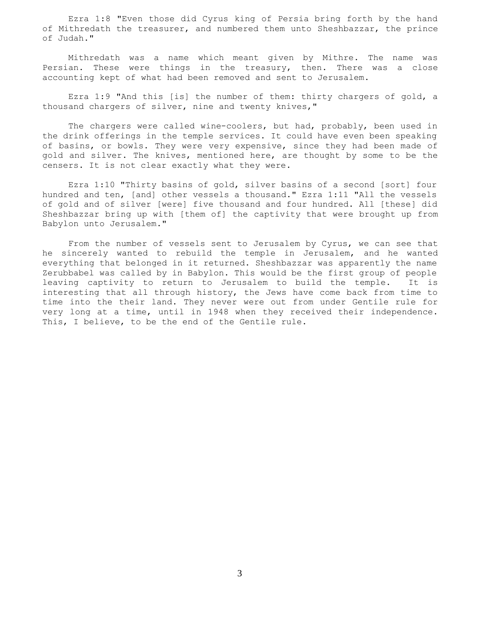Ezra 1:8 "Even those did Cyrus king of Persia bring forth by the hand of Mithredath the treasurer, and numbered them unto Sheshbazzar, the prince of Judah."

 Mithredath was a name which meant given by Mithre. The name was Persian. These were things in the treasury, then. There was a close accounting kept of what had been removed and sent to Jerusalem.

 Ezra 1:9 "And this [is] the number of them: thirty chargers of gold, a thousand chargers of silver, nine and twenty knives,"

The chargers were called wine-coolers, but had, probably, been used in the drink offerings in the temple services. It could have even been speaking of basins, or bowls. They were very expensive, since they had been made of gold and silver. The knives, mentioned here, are thought by some to be the censers. It is not clear exactly what they were.

 Ezra 1:10 "Thirty basins of gold, silver basins of a second [sort] four hundred and ten, [and] other vessels a thousand." Ezra 1:11 "All the vessels of gold and of silver [were] five thousand and four hundred. All [these] did Sheshbazzar bring up with [them of] the captivity that were brought up from Babylon unto Jerusalem."

 From the number of vessels sent to Jerusalem by Cyrus, we can see that he sincerely wanted to rebuild the temple in Jerusalem, and he wanted everything that belonged in it returned. Sheshbazzar was apparently the name Zerubbabel was called by in Babylon. This would be the first group of people leaving captivity to return to Jerusalem to build the temple. It is interesting that all through history, the Jews have come back from time to time into the their land. They never were out from under Gentile rule for very long at a time, until in 1948 when they received their independence. This, I believe, to be the end of the Gentile rule.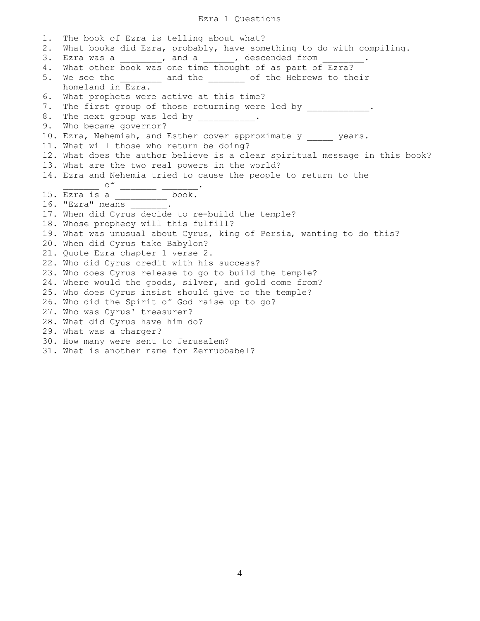# Ezra 1 Questions

| 1.       | The book of Ezra is telling about what?                                                                                         |
|----------|---------------------------------------------------------------------------------------------------------------------------------|
| 2.<br>3. | What books did Ezra, probably, have something to do with compiling.<br>Ezra was a ________, and a _____, descended from ______. |
| 4.       | What other book was one time thought of as part of Ezra?                                                                        |
| 5.       | We see the ________ and the _______ of the Hebrews to their                                                                     |
|          | homeland in Ezra.                                                                                                               |
| 6.       | What prophets were active at this time?                                                                                         |
| 7.       | The first group of those returning were led by __________.                                                                      |
| 8.       | The next group was led by ___________.                                                                                          |
| 9.       | Who became governor?                                                                                                            |
|          | 10. Ezra, Nehemiah, and Esther cover approximately years.                                                                       |
|          | 11. What will those who return be doing?                                                                                        |
|          | 12. What does the author believe is a clear spiritual message in this book?                                                     |
|          | 13. What are the two real powers in the world?                                                                                  |
|          | 14. Ezra and Nehemia tried to cause the people to return to the                                                                 |
|          | 15. $\frac{\text{of}}{\text{Ezra is a}}$ $\frac{\text{of}}{\text{f} + \text{fao}}$ book.                                        |
|          |                                                                                                                                 |
|          | 16. "Ezra" means $\frac{1}{2}$ .                                                                                                |
|          | 17. When did Cyrus decide to re-build the temple?                                                                               |
|          | 18. Whose prophecy will this fulfill?                                                                                           |
|          | 19. What was unusual about Cyrus, king of Persia, wanting to do this?                                                           |
|          | 20. When did Cyrus take Babylon?                                                                                                |
|          | 21. Quote Ezra chapter 1 verse 2.                                                                                               |
|          | 22. Who did Cyrus credit with his success?                                                                                      |
|          | 23. Who does Cyrus release to go to build the temple?                                                                           |
|          | 24. Where would the goods, silver, and gold come from?                                                                          |
|          | 25. Who does Cyrus insist should give to the temple?                                                                            |
|          | 26. Who did the Spirit of God raise up to go?                                                                                   |
|          | 27. Who was Cyrus' treasurer?                                                                                                   |
|          | 28. What did Cyrus have him do?                                                                                                 |
|          | 29. What was a charger?                                                                                                         |
|          | 30. How many were sent to Jerusalem?                                                                                            |
|          | 31. What is another name for Zerrubbabel?                                                                                       |
|          |                                                                                                                                 |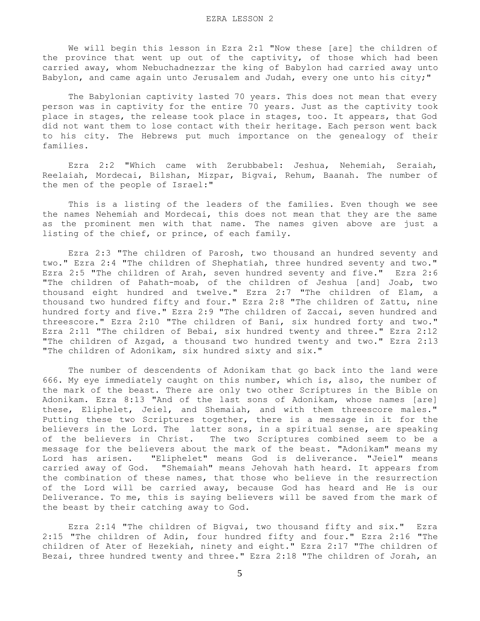We will begin this lesson in Ezra 2:1 "Now these [are] the children of the province that went up out of the captivity, of those which had been carried away, whom Nebuchadnezzar the king of Babylon had carried away unto Babylon, and came again unto Jerusalem and Judah, every one unto his city;"

 The Babylonian captivity lasted 70 years. This does not mean that every person was in captivity for the entire 70 years. Just as the captivity took place in stages, the release took place in stages, too. It appears, that God did not want them to lose contact with their heritage. Each person went back to his city. The Hebrews put much importance on the genealogy of their families.

 Ezra 2:2 "Which came with Zerubbabel: Jeshua, Nehemiah, Seraiah, Reelaiah, Mordecai, Bilshan, Mizpar, Bigvai, Rehum, Baanah. The number of the men of the people of Israel:"

 This is a listing of the leaders of the families. Even though we see the names Nehemiah and Mordecai, this does not mean that they are the same as the prominent men with that name. The names given above are just a listing of the chief, or prince, of each family.

 Ezra 2:3 "The children of Parosh, two thousand an hundred seventy and two." Ezra 2:4 "The children of Shephatiah, three hundred seventy and two." Ezra 2:5 "The children of Arah, seven hundred seventy and five." Ezra 2:6 "The children of Pahath-moab, of the children of Jeshua [and] Joab, two thousand eight hundred and twelve." Ezra 2:7 "The children of Elam, a thousand two hundred fifty and four." Ezra 2:8 "The children of Zattu, nine hundred forty and five." Ezra 2:9 "The children of Zaccai, seven hundred and threescore." Ezra 2:10 "The children of Bani, six hundred forty and two." Ezra 2:11 "The children of Bebai, six hundred twenty and three." Ezra 2:12 "The children of Azgad, a thousand two hundred twenty and two." Ezra 2:13 "The children of Adonikam, six hundred sixty and six."

 The number of descendents of Adonikam that go back into the land were 666. My eye immediately caught on this number, which is, also, the number of the mark of the beast. There are only two other Scriptures in the Bible on Adonikam. Ezra 8:13 "And of the last sons of Adonikam, whose names [are] these, Eliphelet, Jeiel, and Shemaiah, and with them threescore males." Putting these two Scriptures together, there is a message in it for the believers in the Lord. The latter sons, in a spiritual sense, are speaking of the believers in Christ. The two Scriptures combined seem to be a message for the believers about the mark of the beast. "Adonikam" means my Lord has arisen. "Eliphelet" means God is deliverance. "Jeiel" means carried away of God. "Shemaiah" means Jehovah hath heard. It appears from the combination of these names, that those who believe in the resurrection of the Lord will be carried away, because God has heard and He is our Deliverance. To me, this is saying believers will be saved from the mark of the beast by their catching away to God.

 Ezra 2:14 "The children of Bigvai, two thousand fifty and six." Ezra 2:15 "The children of Adin, four hundred fifty and four." Ezra 2:16 "The children of Ater of Hezekiah, ninety and eight." Ezra 2:17 "The children of Bezai, three hundred twenty and three." Ezra 2:18 "The children of Jorah, an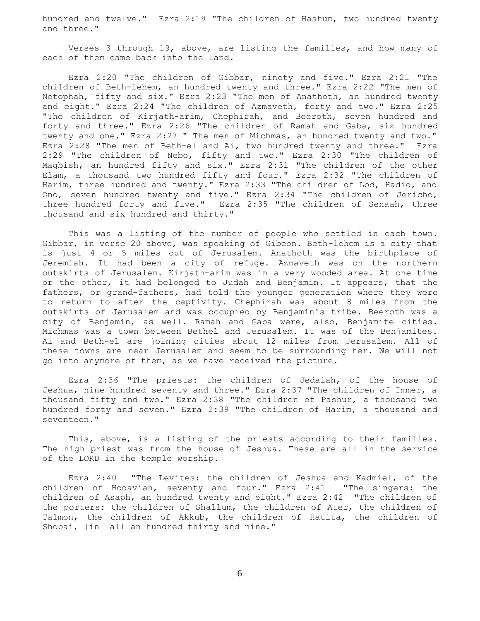hundred and twelve." Ezra 2:19 "The children of Hashum, two hundred twenty and three."

 Verses 3 through 19, above, are listing the families, and how many of each of them came back into the land.

 Ezra 2:20 "The children of Gibbar, ninety and five." Ezra 2:21 "The children of Beth-lehem, an hundred twenty and three." Ezra 2:22 "The men of Netophah, fifty and six." Ezra 2:23 "The men of Anathoth, an hundred twenty and eight." Ezra 2:24 "The children of Azmaveth, forty and two." Ezra 2:25 "The children of Kirjath-arim, Chephirah, and Beeroth, seven hundred and forty and three." Ezra 2:26 "The children of Ramah and Gaba, six hundred twenty and one." Ezra 2:27 " The men of Michmas, an hundred twenty and two." Ezra 2:28 "The men of Beth-el and Ai, two hundred twenty and three." Ezra 2:29 "The children of Nebo, fifty and two." Ezra 2:30 "The children of Magbish, an hundred fifty and six." Ezra 2:31 "The children of the other Elam, a thousand two hundred fifty and four." Ezra 2:32 "The children of Harim, three hundred and twenty." Ezra 2:33 "The children of Lod, Hadid, and Ono, seven hundred twenty and five." Ezra 2:34 "The children of Jericho, three hundred forty and five." Ezra 2:35 "The children of Senaah, three thousand and six hundred and thirty."

 This was a listing of the number of people who settled in each town. Gibbar, in verse 20 above, was speaking of Gibeon. Beth-lehem is a city that is just 4 or 5 miles out of Jerusalem. Anathoth was the birthplace of Jeremiah. It had been a city of refuge. Azmaveth was on the northern outskirts of Jerusalem. Kirjath-arim was in a very wooded area. At one time or the other, it had belonged to Judah and Benjamin. It appears, that the fathers, or grand-fathers, had told the younger generation where they were to return to after the captivity. Chephirah was about 8 miles from the outskirts of Jerusalem and was occupied by Benjamin's tribe. Beeroth was a city of Benjamin, as well. Ramah and Gaba were, also, Benjamite cities. Michmas was a town between Bethel and Jerusalem. It was of the Benjamites. Ai and Beth-el are joining cities about 12 miles from Jerusalem. All of these towns are near Jerusalem and seem to be surrounding her. We will not go into anymore of them, as we have received the picture.

 Ezra 2:36 "The priests: the children of Jedaiah, of the house of Jeshua, nine hundred seventy and three." Ezra 2:37 "The children of Immer, a thousand fifty and two." Ezra 2:38 "The children of Pashur, a thousand two hundred forty and seven." Ezra 2:39 "The children of Harim, a thousand and seventeen."

This, above, is a listing of the priests according to their families. The high priest was from the house of Jeshua. These are all in the service of the LORD in the temple worship.

 Ezra 2:40 "The Levites: the children of Jeshua and Kadmiel, of the children of Hodaviah, seventy and four." Ezra 2:41 "The singers: the children of Asaph, an hundred twenty and eight." Ezra 2:42 "The children of the porters: the children of Shallum, the children of Ater, the children of Talmon, the children of Akkub, the children of Hatita, the children of Shobai, [in] all an hundred thirty and nine."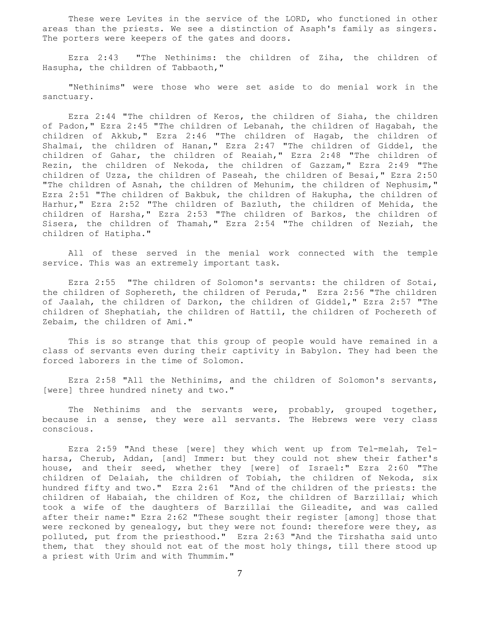These were Levites in the service of the LORD, who functioned in other areas than the priests. We see a distinction of Asaph's family as singers. The porters were keepers of the gates and doors.

 Ezra 2:43 "The Nethinims: the children of Ziha, the children of Hasupha, the children of Tabbaoth,"

 "Nethinims" were those who were set aside to do menial work in the sanctuary.

 Ezra 2:44 "The children of Keros, the children of Siaha, the children of Padon," Ezra 2:45 "The children of Lebanah, the children of Hagabah, the children of Akkub," Ezra 2:46 "The children of Hagab, the children of Shalmai, the children of Hanan," Ezra 2:47 "The children of Giddel, the children of Gahar, the children of Reaiah," Ezra 2:48 "The children of Rezin, the children of Nekoda, the children of Gazzam," Ezra 2:49 "The children of Uzza, the children of Paseah, the children of Besai," Ezra 2:50 "The children of Asnah, the children of Mehunim, the children of Nephusim," Ezra 2:51 "The children of Bakbuk, the children of Hakupha, the children of Harhur," Ezra 2:52 "The children of Bazluth, the children of Mehida, the children of Harsha," Ezra 2:53 "The children of Barkos, the children of Sisera, the children of Thamah," Ezra 2:54 "The children of Neziah, the children of Hatipha."

 All of these served in the menial work connected with the temple service. This was an extremely important task.

 Ezra 2:55 "The children of Solomon's servants: the children of Sotai, the children of Sophereth, the children of Peruda," Ezra 2:56 "The children of Jaalah, the children of Darkon, the children of Giddel," Ezra 2:57 "The children of Shephatiah, the children of Hattil, the children of Pochereth of Zebaim, the children of Ami."

 This is so strange that this group of people would have remained in a class of servants even during their captivity in Babylon. They had been the forced laborers in the time of Solomon.

 Ezra 2:58 "All the Nethinims, and the children of Solomon's servants, [were] three hundred ninety and two."

The Nethinims and the servants were, probably, grouped together, because in a sense, they were all servants. The Hebrews were very class conscious.

 Ezra 2:59 "And these [were] they which went up from Tel-melah, Telharsa, Cherub, Addan, [and] Immer: but they could not shew their father's house, and their seed, whether they [were] of Israel:" Ezra 2:60 "The children of Delaiah, the children of Tobiah, the children of Nekoda, six hundred fifty and two." Ezra 2:61 "And of the children of the priests: the children of Habaiah, the children of Koz, the children of Barzillai; which took a wife of the daughters of Barzillai the Gileadite, and was called after their name:" Ezra 2:62 "These sought their register [among] those that were reckoned by genealogy, but they were not found: therefore were they, as polluted, put from the priesthood." Ezra 2:63 "And the Tirshatha said unto them, that they should not eat of the most holy things, till there stood up a priest with Urim and with Thummim."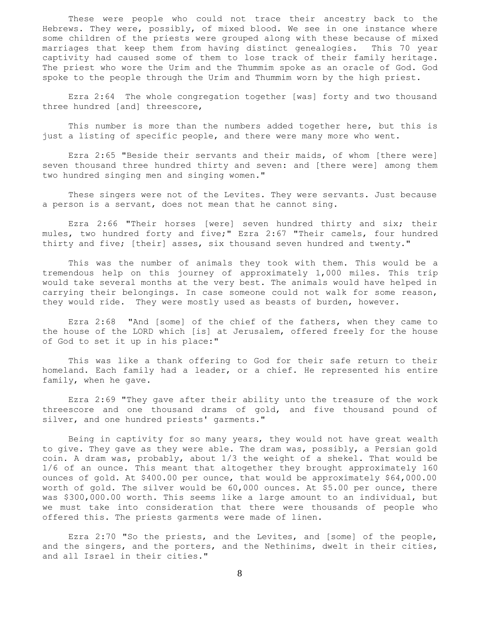These were people who could not trace their ancestry back to the Hebrews. They were, possibly, of mixed blood. We see in one instance where some children of the priests were grouped along with these because of mixed marriages that keep them from having distinct genealogies. This 70 year captivity had caused some of them to lose track of their family heritage. The priest who wore the Urim and the Thummim spoke as an oracle of God. God spoke to the people through the Urim and Thummim worn by the high priest.

 Ezra 2:64 The whole congregation together [was] forty and two thousand three hundred [and] threescore,

 This number is more than the numbers added together here, but this is just a listing of specific people, and there were many more who went.

 Ezra 2:65 "Beside their servants and their maids, of whom [there were] seven thousand three hundred thirty and seven: and [there were] among them two hundred singing men and singing women."

 These singers were not of the Levites. They were servants. Just because a person is a servant, does not mean that he cannot sing.

 Ezra 2:66 "Their horses [were] seven hundred thirty and six; their mules, two hundred forty and five;" Ezra 2:67 "Their camels, four hundred thirty and five; [their] asses, six thousand seven hundred and twenty."

 This was the number of animals they took with them. This would be a tremendous help on this journey of approximately 1,000 miles. This trip would take several months at the very best. The animals would have helped in carrying their belongings. In case someone could not walk for some reason, they would ride. They were mostly used as beasts of burden, however.

 Ezra 2:68 "And [some] of the chief of the fathers, when they came to the house of the LORD which [is] at Jerusalem, offered freely for the house of God to set it up in his place:"

 This was like a thank offering to God for their safe return to their homeland. Each family had a leader, or a chief. He represented his entire family, when he gave.

 Ezra 2:69 "They gave after their ability unto the treasure of the work threescore and one thousand drams of gold, and five thousand pound of silver, and one hundred priests' garments."

 Being in captivity for so many years, they would not have great wealth to give. They gave as they were able. The dram was, possibly, a Persian gold coin. A dram was, probably, about 1/3 the weight of a shekel. That would be 1/6 of an ounce. This meant that altogether they brought approximately 160 ounces of gold. At \$400.00 per ounce, that would be approximately \$64,000.00 worth of gold. The silver would be 60,000 ounces. At \$5.00 per ounce, there was \$300,000.00 worth. This seems like a large amount to an individual, but we must take into consideration that there were thousands of people who offered this. The priests garments were made of linen.

 Ezra 2:70 "So the priests, and the Levites, and [some] of the people, and the singers, and the porters, and the Nethinims, dwelt in their cities, and all Israel in their cities."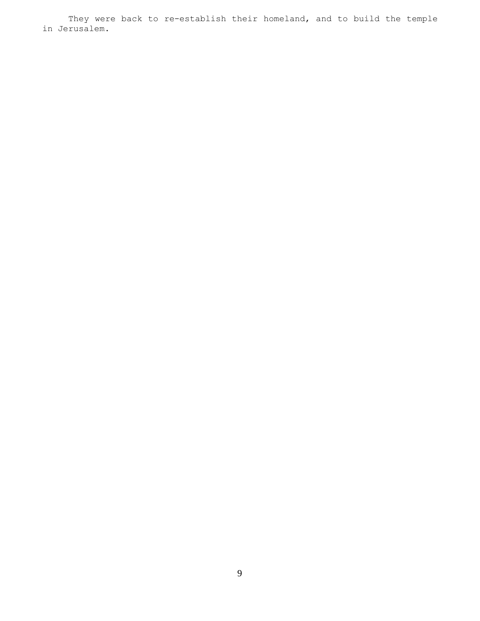They were back to re-establish their homeland, and to build the temple in Jerusalem.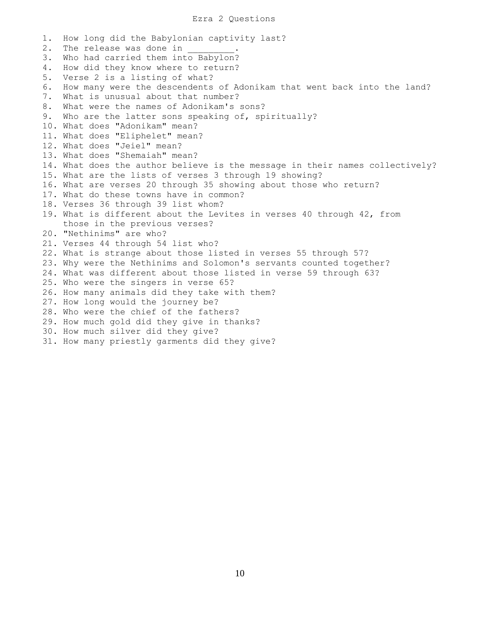## Ezra 2 Questions

1. How long did the Babylonian captivity last? 2. The release was done in 3. Who had carried them into Babylon? 4. How did they know where to return? 5. Verse 2 is a listing of what? 6. How many were the descendents of Adonikam that went back into the land? 7. What is unusual about that number? 8. What were the names of Adonikam's sons? 9. Who are the latter sons speaking of, spiritually? 10. What does "Adonikam" mean? 11. What does "Eliphelet" mean? 12. What does "Jeiel" mean? 13. What does "Shemaiah" mean? 14. What does the author believe is the message in their names collectively? 15. What are the lists of verses 3 through 19 showing? 16. What are verses 20 through 35 showing about those who return? 17. What do these towns have in common? 18. Verses 36 through 39 list whom? 19. What is different about the Levites in verses 40 through 42, from those in the previous verses? 20. "Nethinims" are who? 21. Verses 44 through 54 list who? 22. What is strange about those listed in verses 55 through 57? 23. Why were the Nethinims and Solomon's servants counted together? 24. What was different about those listed in verse 59 through 63? 25. Who were the singers in verse 65? 26. How many animals did they take with them? 27. How long would the journey be? 28. Who were the chief of the fathers? 29. How much gold did they give in thanks? 30. How much silver did they give? 31. How many priestly garments did they give?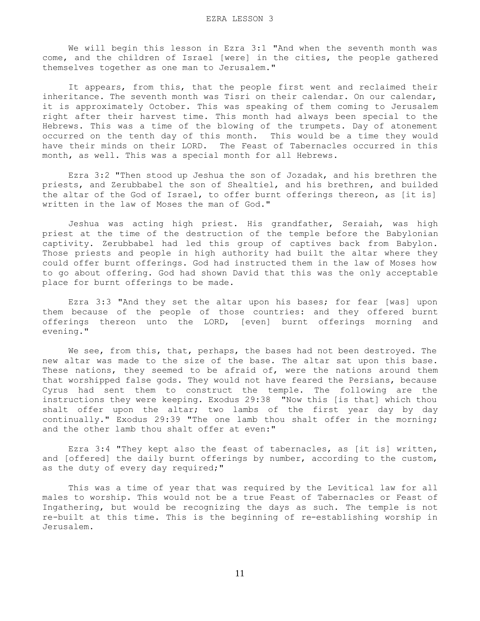We will begin this lesson in Ezra 3:1 "And when the seventh month was come, and the children of Israel [were] in the cities, the people gathered themselves together as one man to Jerusalem."

 It appears, from this, that the people first went and reclaimed their inheritance. The seventh month was Tisri on their calendar. On our calendar, it is approximately October. This was speaking of them coming to Jerusalem right after their harvest time. This month had always been special to the Hebrews. This was a time of the blowing of the trumpets. Day of atonement occurred on the tenth day of this month. This would be a time they would have their minds on their LORD. The Feast of Tabernacles occurred in this month, as well. This was a special month for all Hebrews.

 Ezra 3:2 "Then stood up Jeshua the son of Jozadak, and his brethren the priests, and Zerubbabel the son of Shealtiel, and his brethren, and builded the altar of the God of Israel, to offer burnt offerings thereon, as [it is] written in the law of Moses the man of God."

 Jeshua was acting high priest. His grandfather, Seraiah, was high priest at the time of the destruction of the temple before the Babylonian captivity. Zerubbabel had led this group of captives back from Babylon. Those priests and people in high authority had built the altar where they could offer burnt offerings. God had instructed them in the law of Moses how to go about offering. God had shown David that this was the only acceptable place for burnt offerings to be made.

 Ezra 3:3 "And they set the altar upon his bases; for fear [was] upon them because of the people of those countries: and they offered burnt offerings thereon unto the LORD, [even] burnt offerings morning and evening."

 We see, from this, that, perhaps, the bases had not been destroyed. The new altar was made to the size of the base. The altar sat upon this base. These nations, they seemed to be afraid of, were the nations around them that worshipped false gods. They would not have feared the Persians, because Cyrus had sent them to construct the temple. The following are the instructions they were keeping. Exodus 29:38 "Now this [is that] which thou shalt offer upon the altar; two lambs of the first year day by day continually." Exodus 29:39 "The one lamb thou shalt offer in the morning; and the other lamb thou shalt offer at even:"

 Ezra 3:4 "They kept also the feast of tabernacles, as [it is] written, and [offered] the daily burnt offerings by number, according to the custom, as the duty of every day required;"

 This was a time of year that was required by the Levitical law for all males to worship. This would not be a true Feast of Tabernacles or Feast of Ingathering, but would be recognizing the days as such. The temple is not re-built at this time. This is the beginning of re-establishing worship in Jerusalem.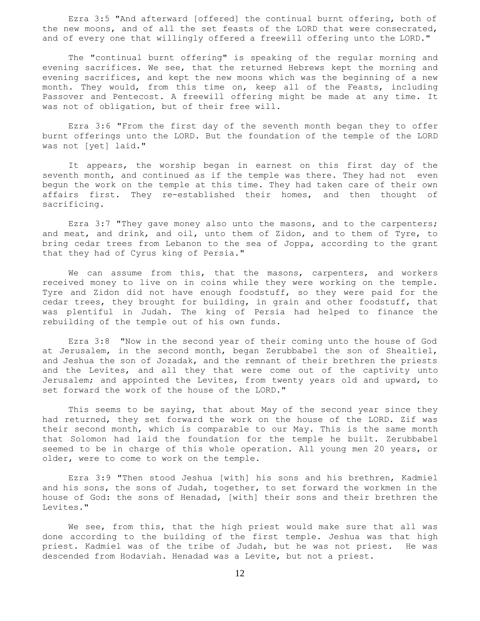Ezra 3:5 "And afterward [offered] the continual burnt offering, both of the new moons, and of all the set feasts of the LORD that were consecrated, and of every one that willingly offered a freewill offering unto the LORD."

 The "continual burnt offering" is speaking of the regular morning and evening sacrifices. We see, that the returned Hebrews kept the morning and evening sacrifices, and kept the new moons which was the beginning of a new month. They would, from this time on, keep all of the Feasts, including Passover and Pentecost. A freewill offering might be made at any time. It was not of obligation, but of their free will.

 Ezra 3:6 "From the first day of the seventh month began they to offer burnt offerings unto the LORD. But the foundation of the temple of the LORD was not [yet] laid."

 It appears, the worship began in earnest on this first day of the seventh month, and continued as if the temple was there. They had not even begun the work on the temple at this time. They had taken care of their own affairs first. They re-established their homes, and then thought of sacrificing.

 Ezra 3:7 "They gave money also unto the masons, and to the carpenters; and meat, and drink, and oil, unto them of Zidon, and to them of Tyre, to bring cedar trees from Lebanon to the sea of Joppa, according to the grant that they had of Cyrus king of Persia."

 We can assume from this, that the masons, carpenters, and workers received money to live on in coins while they were working on the temple. Tyre and Zidon did not have enough foodstuff, so they were paid for the cedar trees, they brought for building, in grain and other foodstuff, that was plentiful in Judah. The king of Persia had helped to finance the rebuilding of the temple out of his own funds.

 Ezra 3:8 "Now in the second year of their coming unto the house of God at Jerusalem, in the second month, began Zerubbabel the son of Shealtiel, and Jeshua the son of Jozadak, and the remnant of their brethren the priests and the Levites, and all they that were come out of the captivity unto Jerusalem; and appointed the Levites, from twenty years old and upward, to set forward the work of the house of the LORD."

This seems to be saying, that about May of the second year since they had returned, they set forward the work on the house of the LORD. Zif was their second month, which is comparable to our May. This is the same month that Solomon had laid the foundation for the temple he built. Zerubbabel seemed to be in charge of this whole operation. All young men 20 years, or older, were to come to work on the temple.

 Ezra 3:9 "Then stood Jeshua [with] his sons and his brethren, Kadmiel and his sons, the sons of Judah, together, to set forward the workmen in the house of God: the sons of Henadad, [with] their sons and their brethren the Levites."

We see, from this, that the high priest would make sure that all was done according to the building of the first temple. Jeshua was that high priest. Kadmiel was of the tribe of Judah, but he was not priest. He was descended from Hodaviah. Henadad was a Levite, but not a priest.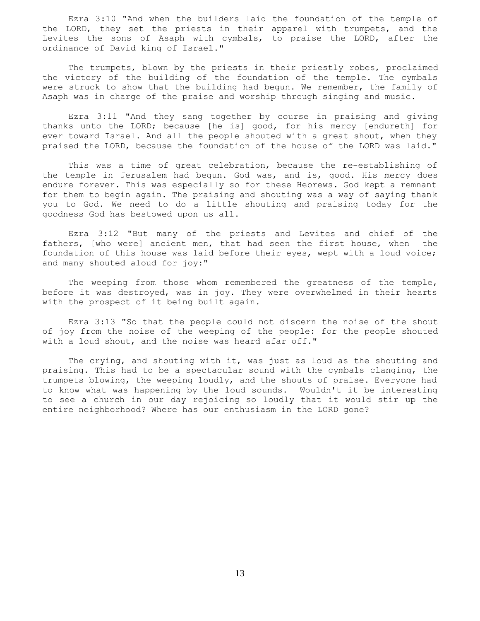Ezra 3:10 "And when the builders laid the foundation of the temple of the LORD, they set the priests in their apparel with trumpets, and the Levites the sons of Asaph with cymbals, to praise the LORD, after the ordinance of David king of Israel."

 The trumpets, blown by the priests in their priestly robes, proclaimed the victory of the building of the foundation of the temple. The cymbals were struck to show that the building had begun. We remember, the family of Asaph was in charge of the praise and worship through singing and music.

 Ezra 3:11 "And they sang together by course in praising and giving thanks unto the LORD; because [he is] good, for his mercy [endureth] for ever toward Israel. And all the people shouted with a great shout, when they praised the LORD, because the foundation of the house of the LORD was laid."

 This was a time of great celebration, because the re-establishing of the temple in Jerusalem had begun. God was, and is, good. His mercy does endure forever. This was especially so for these Hebrews. God kept a remnant for them to begin again. The praising and shouting was a way of saying thank you to God. We need to do a little shouting and praising today for the goodness God has bestowed upon us all.

 Ezra 3:12 "But many of the priests and Levites and chief of the fathers, [who were] ancient men, that had seen the first house, when the foundation of this house was laid before their eyes, wept with a loud voice; and many shouted aloud for joy:"

 The weeping from those whom remembered the greatness of the temple, before it was destroyed, was in joy. They were overwhelmed in their hearts with the prospect of it being built again.

 Ezra 3:13 "So that the people could not discern the noise of the shout of joy from the noise of the weeping of the people: for the people shouted with a loud shout, and the noise was heard afar off."

 The crying, and shouting with it, was just as loud as the shouting and praising. This had to be a spectacular sound with the cymbals clanging, the trumpets blowing, the weeping loudly, and the shouts of praise. Everyone had to know what was happening by the loud sounds. Wouldn't it be interesting to see a church in our day rejoicing so loudly that it would stir up the entire neighborhood? Where has our enthusiasm in the LORD gone?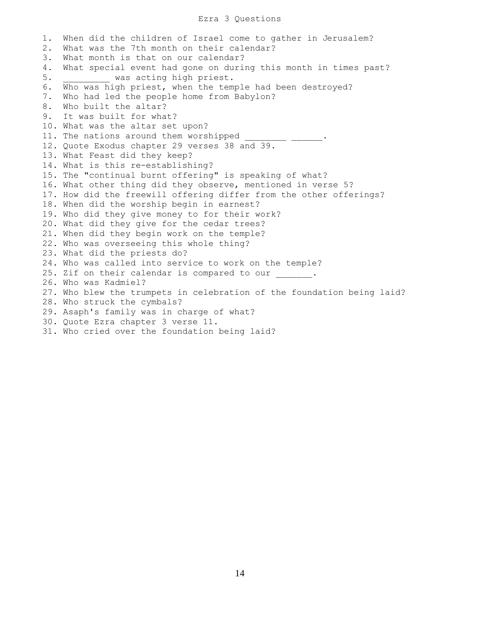## Ezra 3 Questions

1. When did the children of Israel come to gather in Jerusalem? 2. What was the 7th month on their calendar? 3. What month is that on our calendar? 4. What special event had gone on during this month in times past? 5. **WAS acting high priest.** 6. Who was high priest, when the temple had been destroyed? 7. Who had led the people home from Babylon? 8. Who built the altar? 9. It was built for what? 10. What was the altar set upon? 11. The nations around them worshipped 12. Quote Exodus chapter 29 verses 38 and 39. 13. What Feast did they keep? 14. What is this re-establishing? 15. The "continual burnt offering" is speaking of what? 16. What other thing did they observe, mentioned in verse 5? 17. How did the freewill offering differ from the other offerings? 18. When did the worship begin in earnest? 19. Who did they give money to for their work? 20. What did they give for the cedar trees? 21. When did they begin work on the temple? 22. Who was overseeing this whole thing? 23. What did the priests do? 24. Who was called into service to work on the temple? 25. Zif on their calendar is compared to our . 26. Who was Kadmiel? 27. Who blew the trumpets in celebration of the foundation being laid? 28. Who struck the cymbals? 29. Asaph's family was in charge of what? 30. Quote Ezra chapter 3 verse 11. 31. Who cried over the foundation being laid?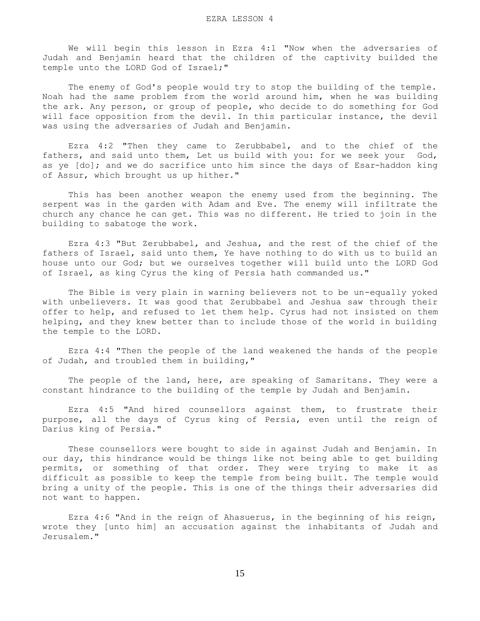We will begin this lesson in Ezra 4:1 "Now when the adversaries of Judah and Benjamin heard that the children of the captivity builded the temple unto the LORD God of Israel;"

 The enemy of God's people would try to stop the building of the temple. Noah had the same problem from the world around him, when he was building the ark. Any person, or group of people, who decide to do something for God will face opposition from the devil. In this particular instance, the devil was using the adversaries of Judah and Benjamin.

 Ezra 4:2 "Then they came to Zerubbabel, and to the chief of the fathers, and said unto them, Let us build with you: for we seek your God, as ye [do]; and we do sacrifice unto him since the days of Esar-haddon king of Assur, which brought us up hither."

 This has been another weapon the enemy used from the beginning. The serpent was in the garden with Adam and Eve. The enemy will infiltrate the church any chance he can get. This was no different. He tried to join in the building to sabatoge the work.

 Ezra 4:3 "But Zerubbabel, and Jeshua, and the rest of the chief of the fathers of Israel, said unto them, Ye have nothing to do with us to build an house unto our God; but we ourselves together will build unto the LORD God of Israel, as king Cyrus the king of Persia hath commanded us."

 The Bible is very plain in warning believers not to be un-equally yoked with unbelievers. It was good that Zerubbabel and Jeshua saw through their offer to help, and refused to let them help. Cyrus had not insisted on them helping, and they knew better than to include those of the world in building the temple to the LORD.

 Ezra 4:4 "Then the people of the land weakened the hands of the people of Judah, and troubled them in building,"

The people of the land, here, are speaking of Samaritans. They were a constant hindrance to the building of the temple by Judah and Benjamin.

 Ezra 4:5 "And hired counsellors against them, to frustrate their purpose, all the days of Cyrus king of Persia, even until the reign of Darius king of Persia."

 These counsellors were bought to side in against Judah and Benjamin. In our day, this hindrance would be things like not being able to get building permits, or something of that order. They were trying to make it as difficult as possible to keep the temple from being built. The temple would bring a unity of the people. This is one of the things their adversaries did not want to happen.

 Ezra 4:6 "And in the reign of Ahasuerus, in the beginning of his reign, wrote they [unto him] an accusation against the inhabitants of Judah and Jerusalem."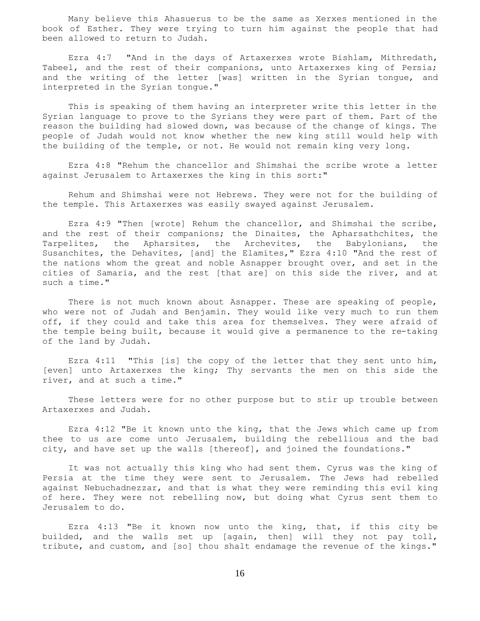Many believe this Ahasuerus to be the same as Xerxes mentioned in the book of Esther. They were trying to turn him against the people that had been allowed to return to Judah.

 Ezra 4:7 "And in the days of Artaxerxes wrote Bishlam, Mithredath, Tabeel, and the rest of their companions, unto Artaxerxes king of Persia; and the writing of the letter [was] written in the Syrian tongue, and interpreted in the Syrian tongue."

 This is speaking of them having an interpreter write this letter in the Syrian language to prove to the Syrians they were part of them. Part of the reason the building had slowed down, was because of the change of kings. The people of Judah would not know whether the new king still would help with the building of the temple, or not. He would not remain king very long.

 Ezra 4:8 "Rehum the chancellor and Shimshai the scribe wrote a letter against Jerusalem to Artaxerxes the king in this sort:"

 Rehum and Shimshai were not Hebrews. They were not for the building of the temple. This Artaxerxes was easily swayed against Jerusalem.

 Ezra 4:9 "Then [wrote] Rehum the chancellor, and Shimshai the scribe, and the rest of their companions; the Dinaites, the Apharsathchites, the Tarpelites, the Apharsites, the Archevites, the Babylonians, the Susanchites, the Dehavites, [and] the Elamites," Ezra 4:10 "And the rest of the nations whom the great and noble Asnapper brought over, and set in the cities of Samaria, and the rest [that are] on this side the river, and at such a time."

There is not much known about Asnapper. These are speaking of people, who were not of Judah and Benjamin. They would like very much to run them off, if they could and take this area for themselves. They were afraid of the temple being built, because it would give a permanence to the re-taking of the land by Judah.

 Ezra 4:11 "This [is] the copy of the letter that they sent unto him, [even] unto Artaxerxes the king; Thy servants the men on this side the river, and at such a time."

 These letters were for no other purpose but to stir up trouble between Artaxerxes and Judah.

 Ezra 4:12 "Be it known unto the king, that the Jews which came up from thee to us are come unto Jerusalem, building the rebellious and the bad city, and have set up the walls [thereof], and joined the foundations."

 It was not actually this king who had sent them. Cyrus was the king of Persia at the time they were sent to Jerusalem. The Jews had rebelled against Nebuchadnezzar, and that is what they were reminding this evil king of here. They were not rebelling now, but doing what Cyrus sent them to Jerusalem to do.

 Ezra 4:13 "Be it known now unto the king, that, if this city be builded, and the walls set up [again, then] will they not pay toll, tribute, and custom, and [so] thou shalt endamage the revenue of the kings."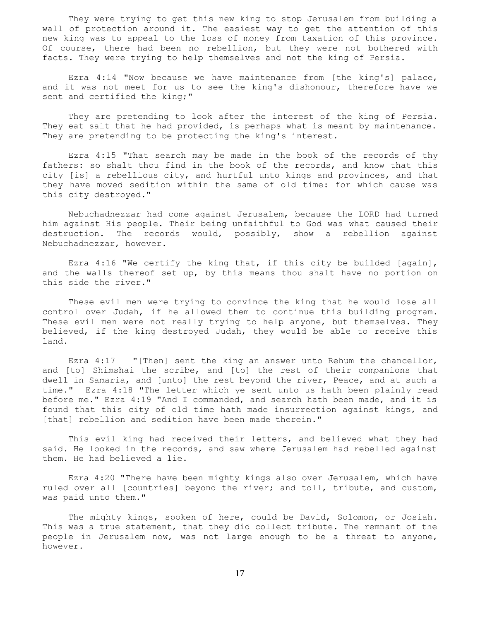They were trying to get this new king to stop Jerusalem from building a wall of protection around it. The easiest way to get the attention of this new king was to appeal to the loss of money from taxation of this province. Of course, there had been no rebellion, but they were not bothered with facts. They were trying to help themselves and not the king of Persia.

 Ezra 4:14 "Now because we have maintenance from [the king's] palace, and it was not meet for us to see the king's dishonour, therefore have we sent and certified the king;"

 They are pretending to look after the interest of the king of Persia. They eat salt that he had provided, is perhaps what is meant by maintenance. They are pretending to be protecting the king's interest.

 Ezra 4:15 "That search may be made in the book of the records of thy fathers: so shalt thou find in the book of the records, and know that this city [is] a rebellious city, and hurtful unto kings and provinces, and that they have moved sedition within the same of old time: for which cause was this city destroyed."

 Nebuchadnezzar had come against Jerusalem, because the LORD had turned him against His people. Their being unfaithful to God was what caused their destruction. The records would, possibly, show a rebellion against Nebuchadnezzar, however.

 Ezra 4:16 "We certify the king that, if this city be builded [again], and the walls thereof set up, by this means thou shalt have no portion on this side the river."

 These evil men were trying to convince the king that he would lose all control over Judah, if he allowed them to continue this building program. These evil men were not really trying to help anyone, but themselves. They believed, if the king destroyed Judah, they would be able to receive this land.

 Ezra 4:17 "[Then] sent the king an answer unto Rehum the chancellor, and [to] Shimshai the scribe, and [to] the rest of their companions that dwell in Samaria, and [unto] the rest beyond the river, Peace, and at such a time." Ezra 4:18 "The letter which ye sent unto us hath been plainly read before me." Ezra 4:19 "And I commanded, and search hath been made, and it is found that this city of old time hath made insurrection against kings, and [that] rebellion and sedition have been made therein."

 This evil king had received their letters, and believed what they had said. He looked in the records, and saw where Jerusalem had rebelled against them. He had believed a lie.

 Ezra 4:20 "There have been mighty kings also over Jerusalem, which have ruled over all [countries] beyond the river; and toll, tribute, and custom, was paid unto them."

 The mighty kings, spoken of here, could be David, Solomon, or Josiah. This was a true statement, that they did collect tribute. The remnant of the people in Jerusalem now, was not large enough to be a threat to anyone, however.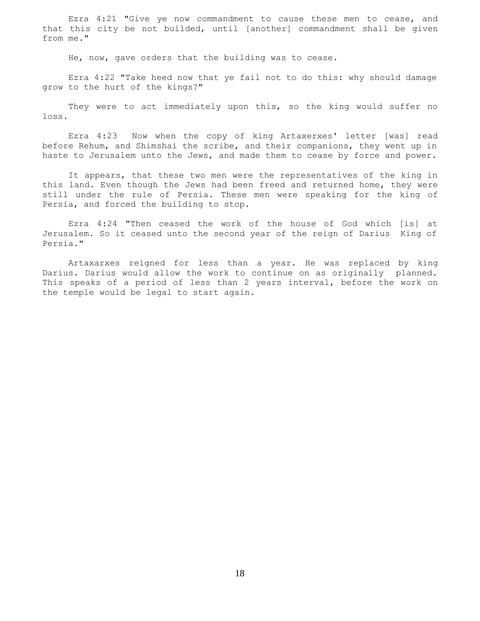Ezra 4:21 "Give ye now commandment to cause these men to cease, and that this city be not builded, until [another] commandment shall be given from me."

He, now, gave orders that the building was to cease.

 Ezra 4:22 "Take heed now that ye fail not to do this: why should damage grow to the hurt of the kings?"

 They were to act immediately upon this, so the king would suffer no loss.

 Ezra 4:23 Now when the copy of king Artaxerxes' letter [was] read before Rehum, and Shimshai the scribe, and their companions, they went up in haste to Jerusalem unto the Jews, and made them to cease by force and power.

 It appears, that these two men were the representatives of the king in this land. Even though the Jews had been freed and returned home, they were still under the rule of Persia. These men were speaking for the king of Persia, and forced the building to stop.

 Ezra 4:24 "Then ceased the work of the house of God which [is] at Jerusalem. So it ceased unto the second year of the reign of Darius King of Persia."

 Artaxarxes reigned for less than a year. He was replaced by king Darius. Darius would allow the work to continue on as originally planned. This speaks of a period of less than 2 years interval, before the work on the temple would be legal to start again.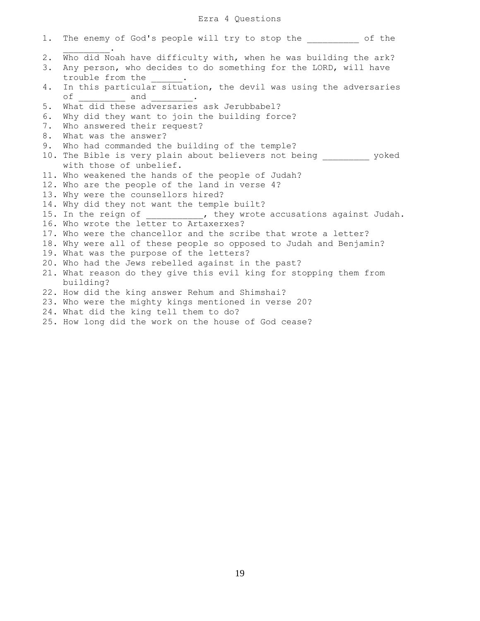# Ezra 4 Questions

|             | 1. The enemy of God's people will try to stop the _________ of the                                                                                      |
|-------------|---------------------------------------------------------------------------------------------------------------------------------------------------------|
| $2$ .<br>3. | Who did Noah have difficulty with, when he was building the ark?<br>Any person, who decides to do something for the LORD, will have<br>trouble from the |
| 4.          | In this particular situation, the devil was using the adversaries<br>of _________ and ________.                                                         |
| 5.          | What did these adversaries ask Jerubbabel?                                                                                                              |
| 6.          | Why did they want to join the building force?                                                                                                           |
| 7.          | Who answered their request?                                                                                                                             |
| 8.          | What was the answer?                                                                                                                                    |
| 9.          | Who had commanded the building of the temple?                                                                                                           |
|             | 10. The Bible is very plain about believers not being __________ yoked                                                                                  |
|             | with those of unbelief.                                                                                                                                 |
|             | 11. Who weakened the hands of the people of Judah?                                                                                                      |
|             | 12. Who are the people of the land in verse 4?                                                                                                          |
|             | 13. Why were the counsellors hired?                                                                                                                     |
|             | 14. Why did they not want the temple built?                                                                                                             |
|             | 15. In the reign of __________, they wrote accusations against Judah.                                                                                   |
|             | 16. Who wrote the letter to Artaxerxes?                                                                                                                 |
|             | 17. Who were the chancellor and the scribe that wrote a letter?                                                                                         |
|             | 18. Why were all of these people so opposed to Judah and Benjamin?                                                                                      |
|             | 19. What was the purpose of the letters?                                                                                                                |
|             | 20. Who had the Jews rebelled against in the past?                                                                                                      |
|             | 21. What reason do they give this evil king for stopping them from                                                                                      |
|             | building?                                                                                                                                               |
|             | 22. How did the king answer Rehum and Shimshai?                                                                                                         |
|             | 23. Who were the mighty kings mentioned in verse 20?                                                                                                    |
|             | 24. What did the king tell them to do?                                                                                                                  |
|             | 25. How long did the work on the house of God cease?                                                                                                    |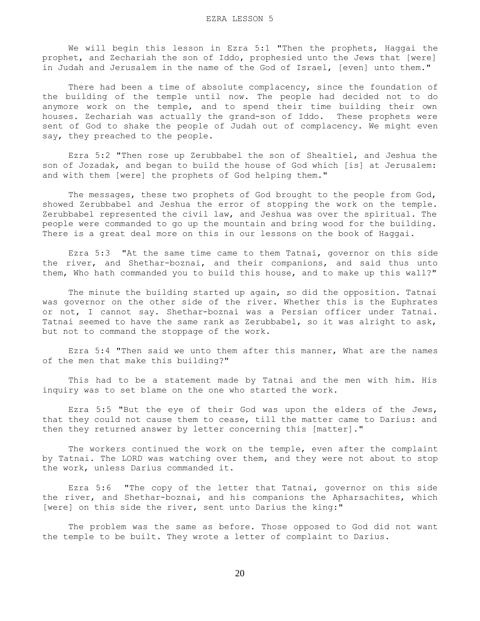We will begin this lesson in Ezra 5:1 "Then the prophets, Haggai the prophet, and Zechariah the son of Iddo, prophesied unto the Jews that [were] in Judah and Jerusalem in the name of the God of Israel, [even] unto them."

 There had been a time of absolute complacency, since the foundation of the building of the temple until now. The people had decided not to do anymore work on the temple, and to spend their time building their own houses. Zechariah was actually the grand-son of Iddo. These prophets were sent of God to shake the people of Judah out of complacency. We might even say, they preached to the people.

 Ezra 5:2 "Then rose up Zerubbabel the son of Shealtiel, and Jeshua the son of Jozadak, and began to build the house of God which [is] at Jerusalem: and with them [were] the prophets of God helping them."

 The messages, these two prophets of God brought to the people from God, showed Zerubbabel and Jeshua the error of stopping the work on the temple. Zerubbabel represented the civil law, and Jeshua was over the spiritual. The people were commanded to go up the mountain and bring wood for the building. There is a great deal more on this in our lessons on the book of Haggai.

 Ezra 5:3 "At the same time came to them Tatnai, governor on this side the river, and Shethar-boznai, and their companions, and said thus unto them, Who hath commanded you to build this house, and to make up this wall?"

 The minute the building started up again, so did the opposition. Tatnai was governor on the other side of the river. Whether this is the Euphrates or not, I cannot say. Shethar-boznai was a Persian officer under Tatnai. Tatnai seemed to have the same rank as Zerubbabel, so it was alright to ask, but not to command the stoppage of the work.

 Ezra 5:4 "Then said we unto them after this manner, What are the names of the men that make this building?"

 This had to be a statement made by Tatnai and the men with him. His inquiry was to set blame on the one who started the work.

 Ezra 5:5 "But the eye of their God was upon the elders of the Jews, that they could not cause them to cease, till the matter came to Darius: and then they returned answer by letter concerning this [matter]."

 The workers continued the work on the temple, even after the complaint by Tatnai. The LORD was watching over them, and they were not about to stop the work, unless Darius commanded it.

 Ezra 5:6 "The copy of the letter that Tatnai, governor on this side the river, and Shethar-boznai, and his companions the Apharsachites, which [were] on this side the river, sent unto Darius the king:"

 The problem was the same as before. Those opposed to God did not want the temple to be built. They wrote a letter of complaint to Darius.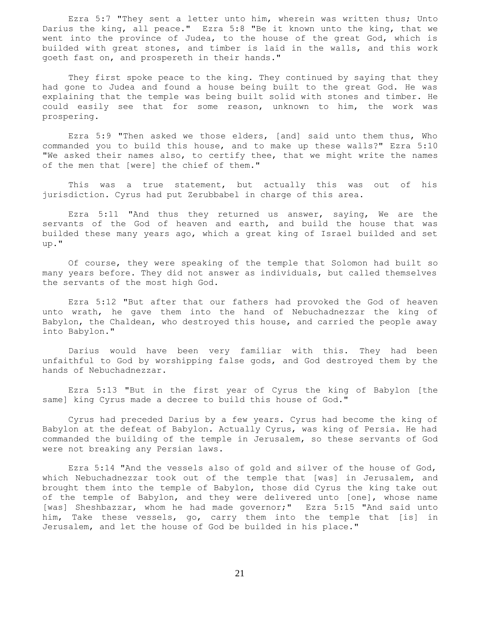Ezra 5:7 "They sent a letter unto him, wherein was written thus; Unto Darius the king, all peace." Ezra 5:8 "Be it known unto the king, that we went into the province of Judea, to the house of the great God, which is builded with great stones, and timber is laid in the walls, and this work goeth fast on, and prospereth in their hands."

 They first spoke peace to the king. They continued by saying that they had gone to Judea and found a house being built to the great God. He was explaining that the temple was being built solid with stones and timber. He could easily see that for some reason, unknown to him, the work was prospering.

 Ezra 5:9 "Then asked we those elders, [and] said unto them thus, Who commanded you to build this house, and to make up these walls?" Ezra 5:10 "We asked their names also, to certify thee, that we might write the names of the men that [were] the chief of them."

 This was a true statement, but actually this was out of his jurisdiction. Cyrus had put Zerubbabel in charge of this area.

 Ezra 5:11 "And thus they returned us answer, saying, We are the servants of the God of heaven and earth, and build the house that was builded these many years ago, which a great king of Israel builded and set up."

 Of course, they were speaking of the temple that Solomon had built so many years before. They did not answer as individuals, but called themselves the servants of the most high God.

 Ezra 5:12 "But after that our fathers had provoked the God of heaven unto wrath, he gave them into the hand of Nebuchadnezzar the king of Babylon, the Chaldean, who destroyed this house, and carried the people away into Babylon."

 Darius would have been very familiar with this. They had been unfaithful to God by worshipping false gods, and God destroyed them by the hands of Nebuchadnezzar.

 Ezra 5:13 "But in the first year of Cyrus the king of Babylon [the same] king Cyrus made a decree to build this house of God."

 Cyrus had preceded Darius by a few years. Cyrus had become the king of Babylon at the defeat of Babylon. Actually Cyrus, was king of Persia. He had commanded the building of the temple in Jerusalem, so these servants of God were not breaking any Persian laws.

 Ezra 5:14 "And the vessels also of gold and silver of the house of God, which Nebuchadnezzar took out of the temple that [was] in Jerusalem, and brought them into the temple of Babylon, those did Cyrus the king take out of the temple of Babylon, and they were delivered unto [one], whose name [was] Sheshbazzar, whom he had made governor;" Ezra 5:15 "And said unto him, Take these vessels, go, carry them into the temple that [is] in Jerusalem, and let the house of God be builded in his place."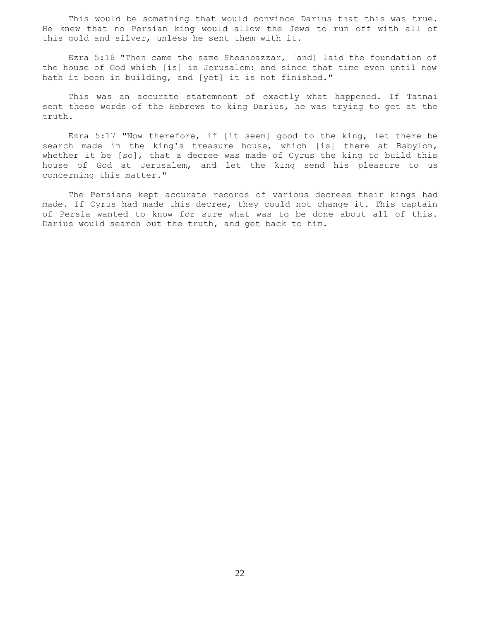This would be something that would convince Darius that this was true. He knew that no Persian king would allow the Jews to run off with all of this gold and silver, unless he sent them with it.

 Ezra 5:16 "Then came the same Sheshbazzar, [and] laid the foundation of the house of God which [is] in Jerusalem: and since that time even until now hath it been in building, and [yet] it is not finished."

 This was an accurate statemnent of exactly what happened. If Tatnai sent these words of the Hebrews to king Darius, he was trying to get at the truth.

 Ezra 5:17 "Now therefore, if [it seem] good to the king, let there be search made in the king's treasure house, which [is] there at Babylon, whether it be [so], that a decree was made of Cyrus the king to build this house of God at Jerusalem, and let the king send his pleasure to us concerning this matter."

 The Persians kept accurate records of various decrees their kings had made. If Cyrus had made this decree, they could not change it. This captain of Persia wanted to know for sure what was to be done about all of this. Darius would search out the truth, and get back to him.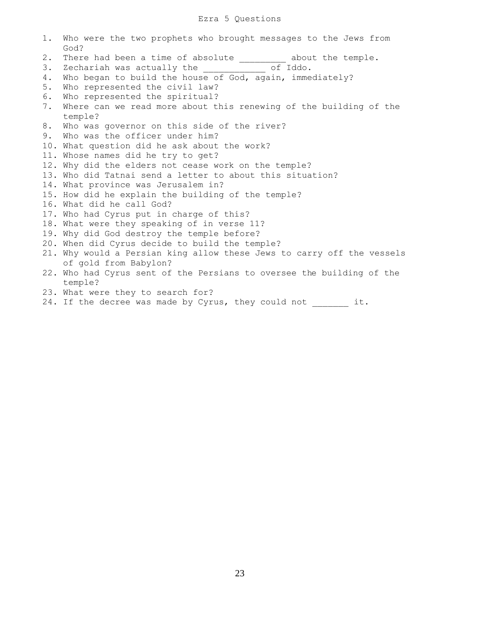# Ezra 5 Questions

|    | 1. Who were the two prophets who brought messages to the Jews from<br>God? |
|----|----------------------------------------------------------------------------|
| 2. | There had been a time of absolute __________ about the temple.             |
| 3. | Zechariah was actually the ___________ of Iddo.                            |
| 4. | Who began to build the house of God, again, immediately?                   |
| 5. | Who represented the civil law?                                             |
| 6. | Who represented the spiritual?                                             |
| 7. | Where can we read more about this renewing of the building of the          |
|    | temple?                                                                    |
| 8. | Who was governor on this side of the river?                                |
| 9. | Who was the officer under him?                                             |
|    | 10. What question did he ask about the work?                               |
|    | 11. Whose names did he try to get?                                         |
|    | 12. Why did the elders not cease work on the temple?                       |
|    | 13. Who did Tatnai send a letter to about this situation?                  |
|    | 14. What province was Jerusalem in?                                        |
|    | 15. How did he explain the building of the temple?                         |
|    | 16. What did he call God?                                                  |
|    | 17. Who had Cyrus put in charge of this?                                   |
|    | 18. What were they speaking of in verse 11?                                |
|    | 19. Why did God destroy the temple before?                                 |
|    | 20. When did Cyrus decide to build the temple?                             |
|    | 21. Why would a Persian king allow these Jews to carry off the vessels     |
|    | of gold from Babylon?                                                      |
|    | 22. Who had Cyrus sent of the Persians to oversee the building of the      |
|    | temple?                                                                    |
|    | 23. What were they to search for?                                          |
|    | 24. If the decree was made by Cyrus, they could not _______ it.            |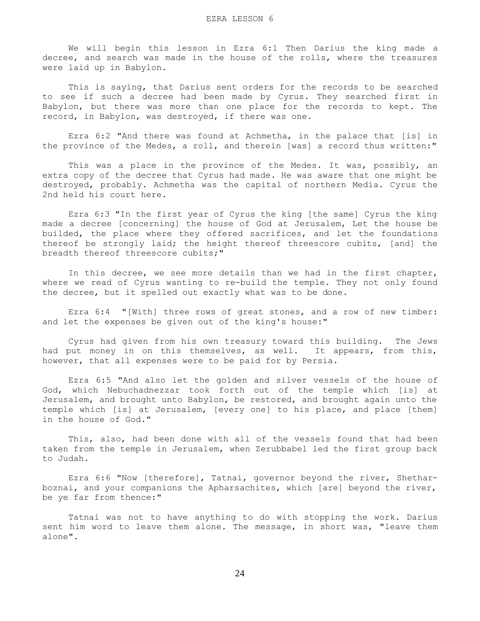We will begin this lesson in Ezra 6:1 Then Darius the king made a decree, and search was made in the house of the rolls, where the treasures were laid up in Babylon.

 This is saying, that Darius sent orders for the records to be searched to see if such a decree had been made by Cyrus. They searched first in Babylon, but there was more than one place for the records to kept. The record, in Babylon, was destroyed, if there was one.

 Ezra 6:2 "And there was found at Achmetha, in the palace that [is] in the province of the Medes, a roll, and therein [was] a record thus written:"

This was a place in the province of the Medes. It was, possibly, an extra copy of the decree that Cyrus had made. He was aware that one might be destroyed, probably. Achmetha was the capital of northern Media. Cyrus the 2nd held his court here.

 Ezra 6:3 "In the first year of Cyrus the king [the same] Cyrus the king made a decree [concerning] the house of God at Jerusalem, Let the house be builded, the place where they offered sacrifices, and let the foundations thereof be strongly laid; the height thereof threescore cubits, [and] the breadth thereof threescore cubits;"

 In this decree, we see more details than we had in the first chapter, where we read of Cyrus wanting to re-build the temple. They not only found the decree, but it spelled out exactly what was to be done.

 Ezra 6:4 "[With] three rows of great stones, and a row of new timber: and let the expenses be given out of the king's house:"

 Cyrus had given from his own treasury toward this building. The Jews had put money in on this themselves, as well. It appears, from this, however, that all expenses were to be paid for by Persia.

 Ezra 6:5 "And also let the golden and silver vessels of the house of God, which Nebuchadnezzar took forth out of the temple which [is] at Jerusalem, and brought unto Babylon, be restored, and brought again unto the temple which [is] at Jerusalem, [every one] to his place, and place [them] in the house of God."

 This, also, had been done with all of the vessels found that had been taken from the temple in Jerusalem, when Zerubbabel led the first group back to Judah.

 Ezra 6:6 "Now [therefore], Tatnai, governor beyond the river, Shetharboznai, and your companions the Apharsachites, which [are] beyond the river, be ye far from thence:"

 Tatnai was not to have anything to do with stopping the work. Darius sent him word to leave them alone. The message, in short was, "leave them alone".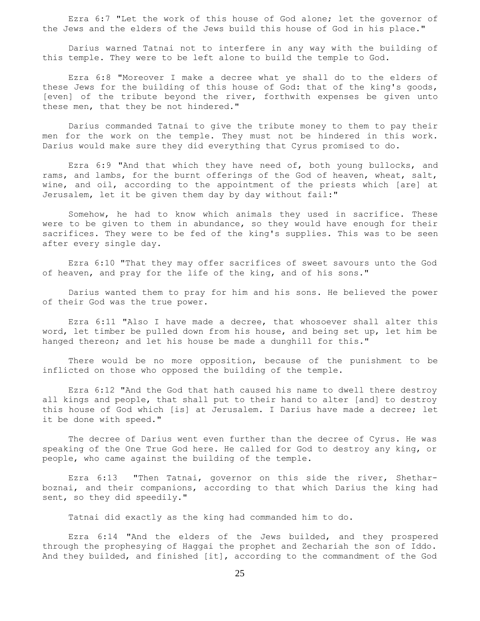Ezra 6:7 "Let the work of this house of God alone; let the governor of the Jews and the elders of the Jews build this house of God in his place."

 Darius warned Tatnai not to interfere in any way with the building of this temple. They were to be left alone to build the temple to God.

 Ezra 6:8 "Moreover I make a decree what ye shall do to the elders of these Jews for the building of this house of God: that of the king's goods, [even] of the tribute beyond the river, forthwith expenses be given unto these men, that they be not hindered."

 Darius commanded Tatnai to give the tribute money to them to pay their men for the work on the temple. They must not be hindered in this work. Darius would make sure they did everything that Cyrus promised to do.

 Ezra 6:9 "And that which they have need of, both young bullocks, and rams, and lambs, for the burnt offerings of the God of heaven, wheat, salt, wine, and oil, according to the appointment of the priests which [are] at Jerusalem, let it be given them day by day without fail:"

 Somehow, he had to know which animals they used in sacrifice. These were to be given to them in abundance, so they would have enough for their sacrifices. They were to be fed of the king's supplies. This was to be seen after every single day.

 Ezra 6:10 "That they may offer sacrifices of sweet savours unto the God of heaven, and pray for the life of the king, and of his sons."

 Darius wanted them to pray for him and his sons. He believed the power of their God was the true power.

 Ezra 6:11 "Also I have made a decree, that whosoever shall alter this word, let timber be pulled down from his house, and being set up, let him be hanged thereon; and let his house be made a dunghill for this."

 There would be no more opposition, because of the punishment to be inflicted on those who opposed the building of the temple.

 Ezra 6:12 "And the God that hath caused his name to dwell there destroy all kings and people, that shall put to their hand to alter [and] to destroy this house of God which [is] at Jerusalem. I Darius have made a decree; let it be done with speed."

 The decree of Darius went even further than the decree of Cyrus. He was speaking of the One True God here. He called for God to destroy any king, or people, who came against the building of the temple.

 Ezra 6:13 "Then Tatnai, governor on this side the river, Shetharboznai, and their companions, according to that which Darius the king had sent, so they did speedily."

Tatnai did exactly as the king had commanded him to do.

 Ezra 6:14 "And the elders of the Jews builded, and they prospered through the prophesying of Haggai the prophet and Zechariah the son of Iddo. And they builded, and finished [it], according to the commandment of the God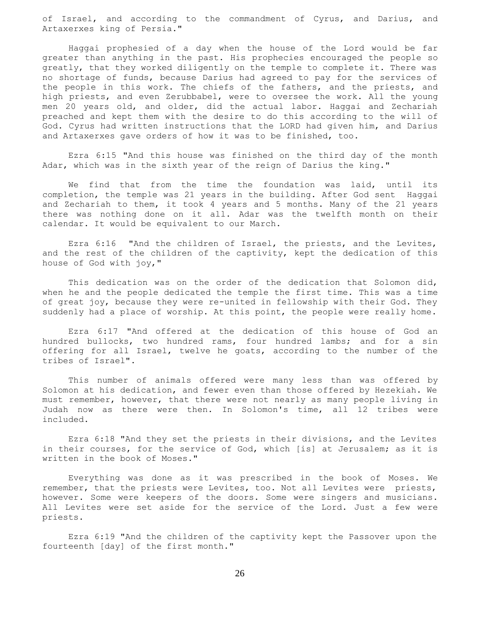of Israel, and according to the commandment of Cyrus, and Darius, and Artaxerxes king of Persia."

 Haggai prophesied of a day when the house of the Lord would be far greater than anything in the past. His prophecies encouraged the people so greatly, that they worked diligently on the temple to complete it. There was no shortage of funds, because Darius had agreed to pay for the services of the people in this work. The chiefs of the fathers, and the priests, and high priests, and even Zerubbabel, were to oversee the work. All the young men 20 years old, and older, did the actual labor. Haggai and Zechariah preached and kept them with the desire to do this according to the will of God. Cyrus had written instructions that the LORD had given him, and Darius and Artaxerxes gave orders of how it was to be finished, too.

 Ezra 6:15 "And this house was finished on the third day of the month Adar, which was in the sixth year of the reign of Darius the king."

 We find that from the time the foundation was laid, until its completion, the temple was 21 years in the building. After God sent Haggai and Zechariah to them, it took 4 years and 5 months. Many of the 21 years there was nothing done on it all. Adar was the twelfth month on their calendar. It would be equivalent to our March.

 Ezra 6:16 "And the children of Israel, the priests, and the Levites, and the rest of the children of the captivity, kept the dedication of this house of God with joy,"

 This dedication was on the order of the dedication that Solomon did, when he and the people dedicated the temple the first time. This was a time of great joy, because they were re-united in fellowship with their God. They suddenly had a place of worship. At this point, the people were really home.

 Ezra 6:17 "And offered at the dedication of this house of God an hundred bullocks, two hundred rams, four hundred lambs; and for a sin offering for all Israel, twelve he goats, according to the number of the tribes of Israel".

 This number of animals offered were many less than was offered by Solomon at his dedication, and fewer even than those offered by Hezekiah. We must remember, however, that there were not nearly as many people living in Judah now as there were then. In Solomon's time, all 12 tribes were included.

 Ezra 6:18 "And they set the priests in their divisions, and the Levites in their courses, for the service of God, which [is] at Jerusalem; as it is written in the book of Moses."

 Everything was done as it was prescribed in the book of Moses. We remember, that the priests were Levites, too. Not all Levites were priests, however. Some were keepers of the doors. Some were singers and musicians. All Levites were set aside for the service of the Lord. Just a few were priests.

 Ezra 6:19 "And the children of the captivity kept the Passover upon the fourteenth [day] of the first month."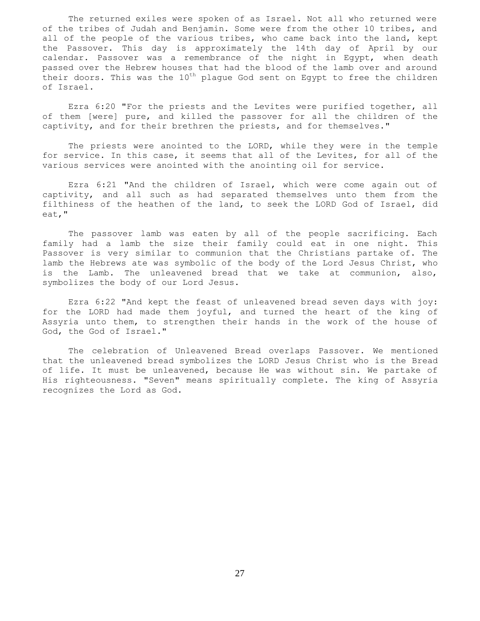The returned exiles were spoken of as Israel. Not all who returned were of the tribes of Judah and Benjamin. Some were from the other 10 tribes, and all of the people of the various tribes, who came back into the land, kept the Passover. This day is approximately the 14th day of April by our calendar. Passover was a remembrance of the night in Egypt, when death passed over the Hebrew houses that had the blood of the lamb over and around their doors. This was the  $10^{th}$  plague God sent on Egypt to free the children of Israel.

 Ezra 6:20 "For the priests and the Levites were purified together, all of them [were] pure, and killed the passover for all the children of the captivity, and for their brethren the priests, and for themselves."

The priests were anointed to the LORD, while they were in the temple for service. In this case, it seems that all of the Levites, for all of the various services were anointed with the anointing oil for service.

 Ezra 6:21 "And the children of Israel, which were come again out of captivity, and all such as had separated themselves unto them from the filthiness of the heathen of the land, to seek the LORD God of Israel, did eat,"

 The passover lamb was eaten by all of the people sacrificing. Each family had a lamb the size their family could eat in one night. This Passover is very similar to communion that the Christians partake of. The lamb the Hebrews ate was symbolic of the body of the Lord Jesus Christ, who is the Lamb. The unleavened bread that we take at communion, also, symbolizes the body of our Lord Jesus.

 Ezra 6:22 "And kept the feast of unleavened bread seven days with joy: for the LORD had made them joyful, and turned the heart of the king of Assyria unto them, to strengthen their hands in the work of the house of God, the God of Israel."

 The celebration of Unleavened Bread overlaps Passover. We mentioned that the unleavened bread symbolizes the LORD Jesus Christ who is the Bread of life. It must be unleavened, because He was without sin. We partake of His righteousness. "Seven" means spiritually complete. The king of Assyria recognizes the Lord as God.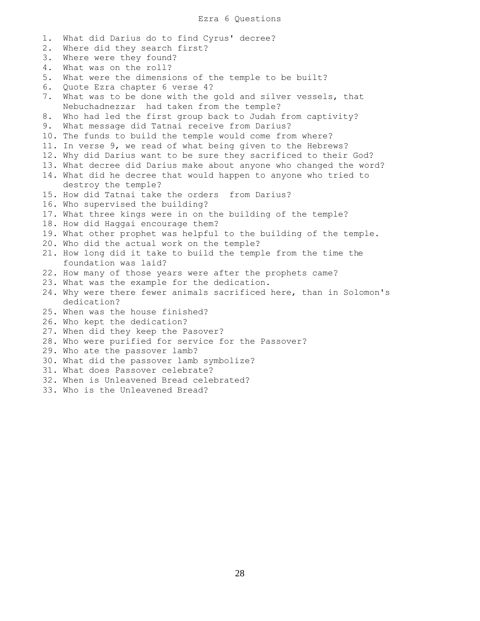1. What did Darius do to find Cyrus' decree? 2. Where did they search first? 3. Where were they found? 4. What was on the roll? 5. What were the dimensions of the temple to be built? 6. Quote Ezra chapter 6 verse 4? 7. What was to be done with the gold and silver vessels, that Nebuchadnezzar had taken from the temple? 8. Who had led the first group back to Judah from captivity? 9. What message did Tatnai receive from Darius? 10. The funds to build the temple would come from where? 11. In verse 9, we read of what being given to the Hebrews? 12. Why did Darius want to be sure they sacrificed to their God? 13. What decree did Darius make about anyone who changed the word? 14. What did he decree that would happen to anyone who tried to destroy the temple? 15. How did Tatnai take the orders from Darius? 16. Who supervised the building? 17. What three kings were in on the building of the temple? 18. How did Haggai encourage them? 19. What other prophet was helpful to the building of the temple. 20. Who did the actual work on the temple? 21. How long did it take to build the temple from the time the foundation was laid? 22. How many of those years were after the prophets came? 23. What was the example for the dedication. 24. Why were there fewer animals sacrificed here, than in Solomon's dedication? 25. When was the house finished? 26. Who kept the dedication? 27. When did they keep the Pasover? 28. Who were purified for service for the Passover? 29. Who ate the passover lamb? 30. What did the passover lamb symbolize? 31. What does Passover celebrate? 32. When is Unleavened Bread celebrated? 33. Who is the Unleavened Bread?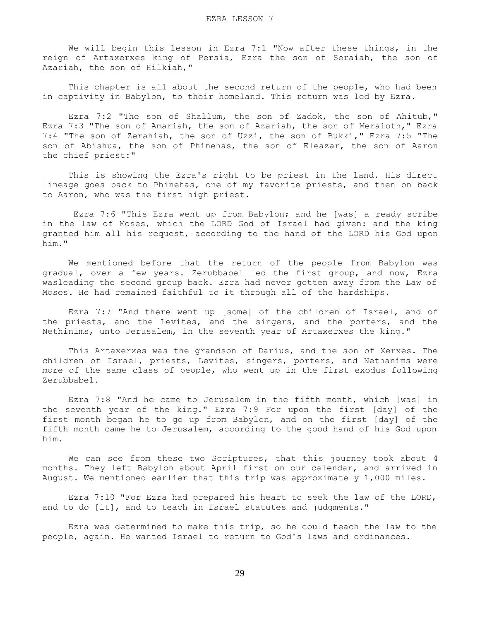We will begin this lesson in Ezra 7:1 "Now after these things, in the reign of Artaxerxes king of Persia, Ezra the son of Seraiah, the son of Azariah, the son of Hilkiah,"

 This chapter is all about the second return of the people, who had been in captivity in Babylon, to their homeland. This return was led by Ezra.

Ezra 7:2 "The son of Shallum, the son of Zadok, the son of Ahitub," Ezra 7:3 "The son of Amariah, the son of Azariah, the son of Meraioth," Ezra 7:4 "The son of Zerahiah, the son of Uzzi, the son of Bukki," Ezra 7:5 "The son of Abishua, the son of Phinehas, the son of Eleazar, the son of Aaron the chief priest:"

 This is showing the Ezra's right to be priest in the land. His direct lineage goes back to Phinehas, one of my favorite priests, and then on back to Aaron, who was the first high priest.

 Ezra 7:6 "This Ezra went up from Babylon; and he [was] a ready scribe in the law of Moses, which the LORD God of Israel had given: and the king granted him all his request, according to the hand of the LORD his God upon him."

 We mentioned before that the return of the people from Babylon was gradual, over a few years. Zerubbabel led the first group, and now, Ezra wasleading the second group back. Ezra had never gotten away from the Law of Moses. He had remained faithful to it through all of the hardships.

 Ezra 7:7 "And there went up [some] of the children of Israel, and of the priests, and the Levites, and the singers, and the porters, and the Nethinims, unto Jerusalem, in the seventh year of Artaxerxes the king."

 This Artaxerxes was the grandson of Darius, and the son of Xerxes. The children of Israel, priests, Levites, singers, porters, and Nethanims were more of the same class of people, who went up in the first exodus following Zerubbabel.

 Ezra 7:8 "And he came to Jerusalem in the fifth month, which [was] in the seventh year of the king." Ezra 7:9 For upon the first [day] of the first month began he to go up from Babylon, and on the first [day] of the fifth month came he to Jerusalem, according to the good hand of his God upon him.

We can see from these two Scriptures, that this journey took about 4 months. They left Babylon about April first on our calendar, and arrived in August. We mentioned earlier that this trip was approximately 1,000 miles.

 Ezra 7:10 "For Ezra had prepared his heart to seek the law of the LORD, and to do [it], and to teach in Israel statutes and judgments."

 Ezra was determined to make this trip, so he could teach the law to the people, again. He wanted Israel to return to God's laws and ordinances.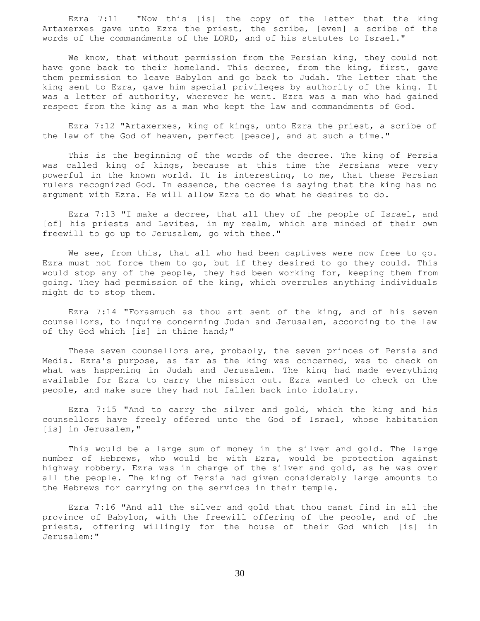Ezra 7:11 "Now this [is] the copy of the letter that the king Artaxerxes gave unto Ezra the priest, the scribe, [even] a scribe of the words of the commandments of the LORD, and of his statutes to Israel."

 We know, that without permission from the Persian king, they could not have gone back to their homeland. This decree, from the king, first, gave them permission to leave Babylon and go back to Judah. The letter that the king sent to Ezra, gave him special privileges by authority of the king. It was a letter of authority, wherever he went. Ezra was a man who had gained respect from the king as a man who kept the law and commandments of God.

 Ezra 7:12 "Artaxerxes, king of kings, unto Ezra the priest, a scribe of the law of the God of heaven, perfect [peace], and at such a time."

 This is the beginning of the words of the decree. The king of Persia was called king of kings, because at this time the Persians were very powerful in the known world. It is interesting, to me, that these Persian rulers recognized God. In essence, the decree is saying that the king has no argument with Ezra. He will allow Ezra to do what he desires to do.

 Ezra 7:13 "I make a decree, that all they of the people of Israel, and [of] his priests and Levites, in my realm, which are minded of their own freewill to go up to Jerusalem, go with thee."

We see, from this, that all who had been captives were now free to go. Ezra must not force them to go, but if they desired to go they could. This would stop any of the people, they had been working for, keeping them from going. They had permission of the king, which overrules anything individuals might do to stop them.

 Ezra 7:14 "Forasmuch as thou art sent of the king, and of his seven counsellors, to inquire concerning Judah and Jerusalem, according to the law of thy God which [is] in thine hand;"

 These seven counsellors are, probably, the seven princes of Persia and Media. Ezra's purpose, as far as the king was concerned, was to check on what was happening in Judah and Jerusalem. The king had made everything available for Ezra to carry the mission out. Ezra wanted to check on the people, and make sure they had not fallen back into idolatry.

 Ezra 7:15 "And to carry the silver and gold, which the king and his counsellors have freely offered unto the God of Israel, whose habitation [is] in Jerusalem, "

 This would be a large sum of money in the silver and gold. The large number of Hebrews, who would be with Ezra, would be protection against highway robbery. Ezra was in charge of the silver and gold, as he was over all the people. The king of Persia had given considerably large amounts to the Hebrews for carrying on the services in their temple.

 Ezra 7:16 "And all the silver and gold that thou canst find in all the province of Babylon, with the freewill offering of the people, and of the priests, offering willingly for the house of their God which [is] in Jerusalem:"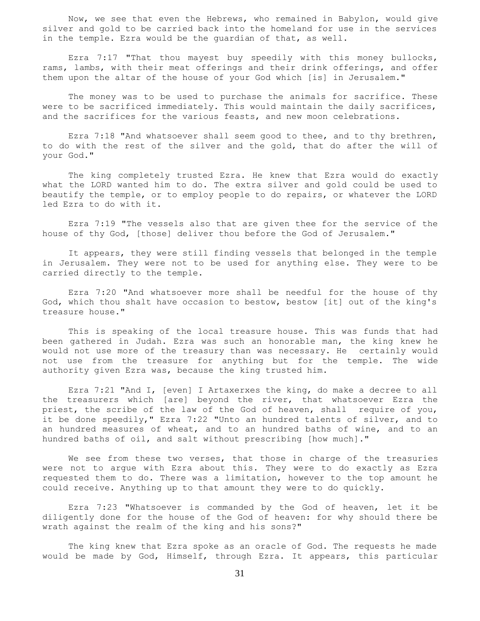Now, we see that even the Hebrews, who remained in Babylon, would give silver and gold to be carried back into the homeland for use in the services in the temple. Ezra would be the guardian of that, as well.

 Ezra 7:17 "That thou mayest buy speedily with this money bullocks, rams, lambs, with their meat offerings and their drink offerings, and offer them upon the altar of the house of your God which [is] in Jerusalem."

 The money was to be used to purchase the animals for sacrifice. These were to be sacrificed immediately. This would maintain the daily sacrifices, and the sacrifices for the various feasts, and new moon celebrations.

 Ezra 7:18 "And whatsoever shall seem good to thee, and to thy brethren, to do with the rest of the silver and the gold, that do after the will of your God."

 The king completely trusted Ezra. He knew that Ezra would do exactly what the LORD wanted him to do. The extra silver and gold could be used to beautify the temple, or to employ people to do repairs, or whatever the LORD led Ezra to do with it.

 Ezra 7:19 "The vessels also that are given thee for the service of the house of thy God, [those] deliver thou before the God of Jerusalem."

 It appears, they were still finding vessels that belonged in the temple in Jerusalem. They were not to be used for anything else. They were to be carried directly to the temple.

 Ezra 7:20 "And whatsoever more shall be needful for the house of thy God, which thou shalt have occasion to bestow, bestow [it] out of the king's treasure house."

 This is speaking of the local treasure house. This was funds that had been gathered in Judah. Ezra was such an honorable man, the king knew he would not use more of the treasury than was necessary. He certainly would not use from the treasure for anything but for the temple. The wide authority given Ezra was, because the king trusted him.

 Ezra 7:21 "And I, [even] I Artaxerxes the king, do make a decree to all the treasurers which [are] beyond the river, that whatsoever Ezra the priest, the scribe of the law of the God of heaven, shall require of you, it be done speedily," Ezra 7:22 "Unto an hundred talents of silver, and to an hundred measures of wheat, and to an hundred baths of wine, and to an hundred baths of oil, and salt without prescribing [how much]."

We see from these two verses, that those in charge of the treasuries were not to argue with Ezra about this. They were to do exactly as Ezra requested them to do. There was a limitation, however to the top amount he could receive. Anything up to that amount they were to do quickly.

 Ezra 7:23 "Whatsoever is commanded by the God of heaven, let it be diligently done for the house of the God of heaven: for why should there be wrath against the realm of the king and his sons?"

 The king knew that Ezra spoke as an oracle of God. The requests he made would be made by God, Himself, through Ezra. It appears, this particular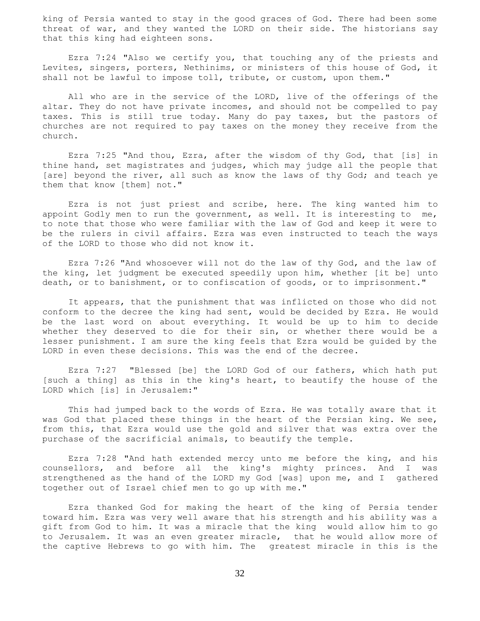king of Persia wanted to stay in the good graces of God. There had been some threat of war, and they wanted the LORD on their side. The historians say that this king had eighteen sons.

 Ezra 7:24 "Also we certify you, that touching any of the priests and Levites, singers, porters, Nethinims, or ministers of this house of God, it shall not be lawful to impose toll, tribute, or custom, upon them."

 All who are in the service of the LORD, live of the offerings of the altar. They do not have private incomes, and should not be compelled to pay taxes. This is still true today. Many do pay taxes, but the pastors of churches are not required to pay taxes on the money they receive from the church.

 Ezra 7:25 "And thou, Ezra, after the wisdom of thy God, that [is] in thine hand, set magistrates and judges, which may judge all the people that [are] beyond the river, all such as know the laws of thy God; and teach ye them that know [them] not."

 Ezra is not just priest and scribe, here. The king wanted him to appoint Godly men to run the government, as well. It is interesting to me, to note that those who were familiar with the law of God and keep it were to be the rulers in civil affairs. Ezra was even instructed to teach the ways of the LORD to those who did not know it.

 Ezra 7:26 "And whosoever will not do the law of thy God, and the law of the king, let judgment be executed speedily upon him, whether [it be] unto death, or to banishment, or to confiscation of goods, or to imprisonment."

 It appears, that the punishment that was inflicted on those who did not conform to the decree the king had sent, would be decided by Ezra. He would be the last word on about everything. It would be up to him to decide whether they deserved to die for their sin, or whether there would be a lesser punishment. I am sure the king feels that Ezra would be guided by the LORD in even these decisions. This was the end of the decree.

 Ezra 7:27 "Blessed [be] the LORD God of our fathers, which hath put [such a thing] as this in the king's heart, to beautify the house of the LORD which [is] in Jerusalem:"

 This had jumped back to the words of Ezra. He was totally aware that it was God that placed these things in the heart of the Persian king. We see, from this, that Ezra would use the gold and silver that was extra over the purchase of the sacrificial animals, to beautify the temple.

 Ezra 7:28 "And hath extended mercy unto me before the king, and his counsellors, and before all the king's mighty princes. And I was strengthened as the hand of the LORD my God [was] upon me, and I gathered together out of Israel chief men to go up with me."

 Ezra thanked God for making the heart of the king of Persia tender toward him. Ezra was very well aware that his strength and his ability was a gift from God to him. It was a miracle that the king would allow him to go to Jerusalem. It was an even greater miracle, that he would allow more of the captive Hebrews to go with him. The greatest miracle in this is the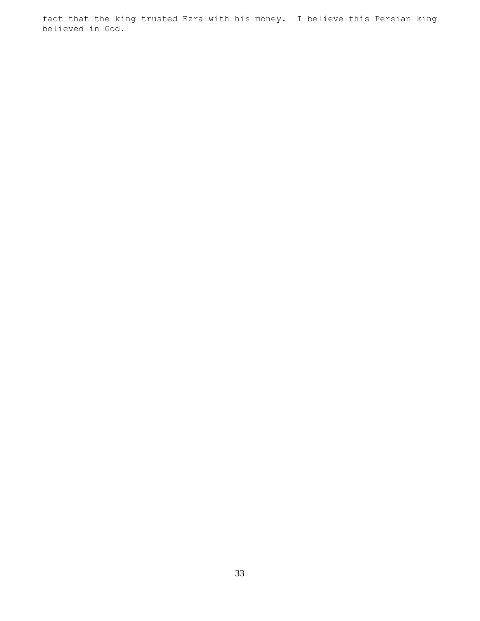fact that the king trusted Ezra with his money. I believe this Persian king believed in God.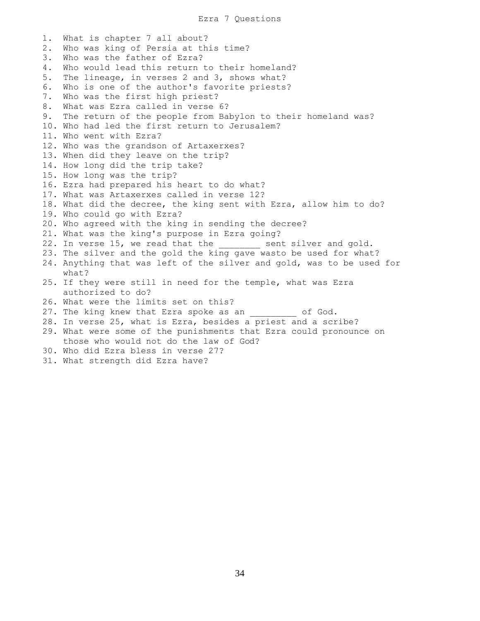1. What is chapter 7 all about? 2. Who was king of Persia at this time? 3. Who was the father of Ezra? 4. Who would lead this return to their homeland? 5. The lineage, in verses 2 and 3, shows what? 6. Who is one of the author's favorite priests? 7. Who was the first high priest? 8. What was Ezra called in verse 6? 9. The return of the people from Babylon to their homeland was? 10. Who had led the first return to Jerusalem? 11. Who went with Ezra? 12. Who was the grandson of Artaxerxes? 13. When did they leave on the trip? 14. How long did the trip take? 15. How long was the trip? 16. Ezra had prepared his heart to do what? 17. What was Artaxerxes called in verse 12? 18. What did the decree, the king sent with Ezra, allow him to do? 19. Who could go with Ezra? 20. Who agreed with the king in sending the decree? 21. What was the king's purpose in Ezra going? 22. In verse 15, we read that the \_\_\_\_\_\_\_\_ sent silver and gold. 23. The silver and the gold the king gave wasto be used for what? 24. Anything that was left of the silver and gold, was to be used for what? 25. If they were still in need for the temple, what was Ezra authorized to do? 26. What were the limits set on this? 27. The king knew that Ezra spoke as an  $\qquad \qquad$  of God. 28. In verse 25, what is Ezra, besides a priest and a scribe? 29. What were some of the punishments that Ezra could pronounce on those who would not do the law of God? 30. Who did Ezra bless in verse 27? 31. What strength did Ezra have?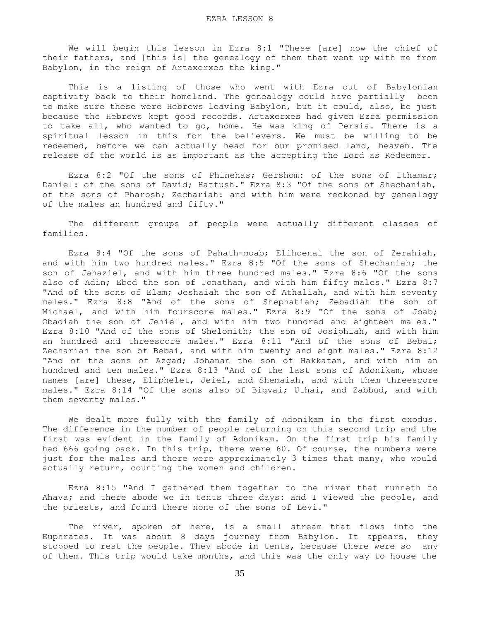We will begin this lesson in Ezra 8:1 "These [are] now the chief of their fathers, and [this is] the genealogy of them that went up with me from Babylon, in the reign of Artaxerxes the king."

 This is a listing of those who went with Ezra out of Babylonian captivity back to their homeland. The genealogy could have partially been to make sure these were Hebrews leaving Babylon, but it could, also, be just because the Hebrews kept good records. Artaxerxes had given Ezra permission to take all, who wanted to go, home. He was king of Persia. There is a spiritual lesson in this for the believers. We must be willing to be redeemed, before we can actually head for our promised land, heaven. The release of the world is as important as the accepting the Lord as Redeemer.

 Ezra 8:2 "Of the sons of Phinehas; Gershom: of the sons of Ithamar; Daniel: of the sons of David; Hattush." Ezra 8:3 "Of the sons of Shechaniah, of the sons of Pharosh; Zechariah: and with him were reckoned by genealogy of the males an hundred and fifty."

 The different groups of people were actually different classes of families.

 Ezra 8:4 "Of the sons of Pahath-moab; Elihoenai the son of Zerahiah, and with him two hundred males." Ezra 8:5 "Of the sons of Shechaniah; the son of Jahaziel, and with him three hundred males." Ezra 8:6 "Of the sons also of Adin; Ebed the son of Jonathan, and with him fifty males." Ezra 8:7 "And of the sons of Elam; Jeshaiah the son of Athaliah, and with him seventy males." Ezra 8:8 "And of the sons of Shephatiah; Zebadiah the son of Michael, and with him fourscore males." Ezra 8:9 "Of the sons of Joab; Obadiah the son of Jehiel, and with him two hundred and eighteen males." Ezra 8:10 "And of the sons of Shelomith; the son of Josiphiah, and with him an hundred and threescore males." Ezra 8:11 "And of the sons of Bebai; Zechariah the son of Bebai, and with him twenty and eight males." Ezra 8:12 "And of the sons of Azgad; Johanan the son of Hakkatan, and with him an hundred and ten males." Ezra 8:13 "And of the last sons of Adonikam, whose names [are] these, Eliphelet, Jeiel, and Shemaiah, and with them threescore males." Ezra 8:14 "Of the sons also of Bigvai; Uthai, and Zabbud, and with them seventy males."

 We dealt more fully with the family of Adonikam in the first exodus. The difference in the number of people returning on this second trip and the first was evident in the family of Adonikam. On the first trip his family had 666 going back. In this trip, there were 60. Of course, the numbers were just for the males and there were approximately 3 times that many, who would actually return, counting the women and children.

 Ezra 8:15 "And I gathered them together to the river that runneth to Ahava; and there abode we in tents three days: and I viewed the people, and the priests, and found there none of the sons of Levi."

 The river, spoken of here, is a small stream that flows into the Euphrates. It was about 8 days journey from Babylon. It appears, they stopped to rest the people. They abode in tents, because there were so any of them. This trip would take months, and this was the only way to house the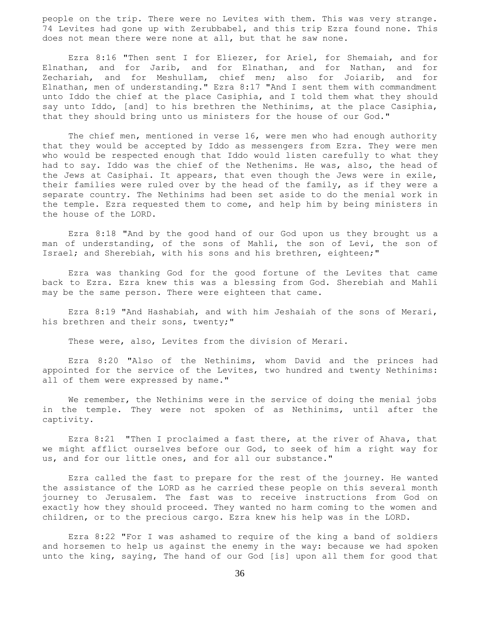people on the trip. There were no Levites with them. This was very strange. 74 Levites had gone up with Zerubbabel, and this trip Ezra found none. This does not mean there were none at all, but that he saw none.

 Ezra 8:16 "Then sent I for Eliezer, for Ariel, for Shemaiah, and for Elnathan, and for Jarib, and for Elnathan, and for Nathan, and for Zechariah, and for Meshullam, chief men; also for Joiarib, and for Elnathan, men of understanding." Ezra 8:17 "And I sent them with commandment unto Iddo the chief at the place Casiphia, and I told them what they should say unto Iddo, [and] to his brethren the Nethinims, at the place Casiphia, that they should bring unto us ministers for the house of our God."

 The chief men, mentioned in verse 16, were men who had enough authority that they would be accepted by Iddo as messengers from Ezra. They were men who would be respected enough that Iddo would listen carefully to what they had to say. Iddo was the chief of the Nethenims. He was, also, the head of the Jews at Casiphai. It appears, that even though the Jews were in exile, their families were ruled over by the head of the family, as if they were a separate country. The Nethinims had been set aside to do the menial work in the temple. Ezra requested them to come, and help him by being ministers in the house of the LORD.

 Ezra 8:18 "And by the good hand of our God upon us they brought us a man of understanding, of the sons of Mahli, the son of Levi, the son of Israel; and Sherebiah, with his sons and his brethren, eighteen;"

 Ezra was thanking God for the good fortune of the Levites that came back to Ezra. Ezra knew this was a blessing from God. Sherebiah and Mahli may be the same person. There were eighteen that came.

 Ezra 8:19 "And Hashabiah, and with him Jeshaiah of the sons of Merari, his brethren and their sons, twenty;"

These were, also, Levites from the division of Merari.

 Ezra 8:20 "Also of the Nethinims, whom David and the princes had appointed for the service of the Levites, two hundred and twenty Nethinims: all of them were expressed by name."

We remember, the Nethinims were in the service of doing the menial jobs in the temple. They were not spoken of as Nethinims, until after the captivity.

 Ezra 8:21 "Then I proclaimed a fast there, at the river of Ahava, that we might afflict ourselves before our God, to seek of him a right way for us, and for our little ones, and for all our substance."

 Ezra called the fast to prepare for the rest of the journey. He wanted the assistance of the LORD as he carried these people on this several month journey to Jerusalem. The fast was to receive instructions from God on exactly how they should proceed. They wanted no harm coming to the women and children, or to the precious cargo. Ezra knew his help was in the LORD.

 Ezra 8:22 "For I was ashamed to require of the king a band of soldiers and horsemen to help us against the enemy in the way: because we had spoken unto the king, saying, The hand of our God [is] upon all them for good that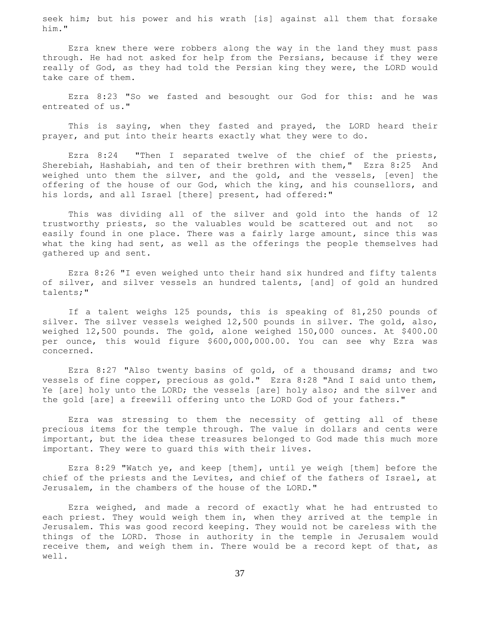seek him; but his power and his wrath [is] against all them that forsake him."

 Ezra knew there were robbers along the way in the land they must pass through. He had not asked for help from the Persians, because if they were really of God, as they had told the Persian king they were, the LORD would take care of them.

 Ezra 8:23 "So we fasted and besought our God for this: and he was entreated of us."

 This is saying, when they fasted and prayed, the LORD heard their prayer, and put into their hearts exactly what they were to do.

 Ezra 8:24 "Then I separated twelve of the chief of the priests, Sherebiah, Hashabiah, and ten of their brethren with them," Ezra 8:25 And weighed unto them the silver, and the gold, and the vessels, [even] the offering of the house of our God, which the king, and his counsellors, and his lords, and all Israel [there] present, had offered:"

 This was dividing all of the silver and gold into the hands of 12 trustworthy priests, so the valuables would be scattered out and not so easily found in one place. There was a fairly large amount, since this was what the king had sent, as well as the offerings the people themselves had gathered up and sent.

 Ezra 8:26 "I even weighed unto their hand six hundred and fifty talents of silver, and silver vessels an hundred talents, [and] of gold an hundred talents;"

 If a talent weighs 125 pounds, this is speaking of 81,250 pounds of silver. The silver vessels weighed 12,500 pounds in silver. The gold, also, weighed 12,500 pounds. The gold, alone weighed 150,000 ounces. At \$400.00 per ounce, this would figure \$600,000,000.00. You can see why Ezra was concerned.

 Ezra 8:27 "Also twenty basins of gold, of a thousand drams; and two vessels of fine copper, precious as gold." Ezra 8:28 "And I said unto them, Ye [are] holy unto the LORD; the vessels [are] holy also; and the silver and the gold [are] a freewill offering unto the LORD God of your fathers."

 Ezra was stressing to them the necessity of getting all of these precious items for the temple through. The value in dollars and cents were important, but the idea these treasures belonged to God made this much more important. They were to guard this with their lives.

 Ezra 8:29 "Watch ye, and keep [them], until ye weigh [them] before the chief of the priests and the Levites, and chief of the fathers of Israel, at Jerusalem, in the chambers of the house of the LORD."

 Ezra weighed, and made a record of exactly what he had entrusted to each priest. They would weigh them in, when they arrived at the temple in Jerusalem. This was good record keeping. They would not be careless with the things of the LORD. Those in authority in the temple in Jerusalem would receive them, and weigh them in. There would be a record kept of that, as well.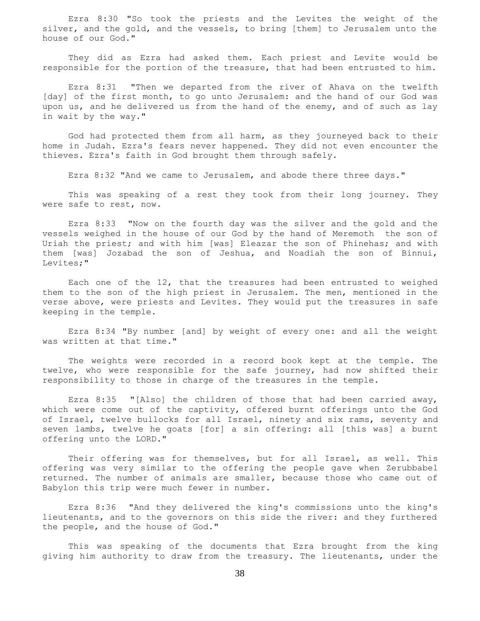Ezra 8:30 "So took the priests and the Levites the weight of the silver, and the gold, and the vessels, to bring [them] to Jerusalem unto the house of our God."

 They did as Ezra had asked them. Each priest and Levite would be responsible for the portion of the treasure, that had been entrusted to him.

 Ezra 8:31 "Then we departed from the river of Ahava on the twelfth [day] of the first month, to go unto Jerusalem: and the hand of our God was upon us, and he delivered us from the hand of the enemy, and of such as lay in wait by the way."

 God had protected them from all harm, as they journeyed back to their home in Judah. Ezra's fears never happened. They did not even encounter the thieves. Ezra's faith in God brought them through safely.

Ezra 8:32 "And we came to Jerusalem, and abode there three days."

 This was speaking of a rest they took from their long journey. They were safe to rest, now.

 Ezra 8:33 "Now on the fourth day was the silver and the gold and the vessels weighed in the house of our God by the hand of Meremoth the son of Uriah the priest; and with him [was] Eleazar the son of Phinehas; and with them [was] Jozabad the son of Jeshua, and Noadiah the son of Binnui, Levites;"

 Each one of the 12, that the treasures had been entrusted to weighed them to the son of the high priest in Jerusalem. The men, mentioned in the verse above, were priests and Levites. They would put the treasures in safe keeping in the temple.

 Ezra 8:34 "By number [and] by weight of every one: and all the weight was written at that time."

 The weights were recorded in a record book kept at the temple. The twelve, who were responsible for the safe journey, had now shifted their responsibility to those in charge of the treasures in the temple.

 Ezra 8:35 "[Also] the children of those that had been carried away, which were come out of the captivity, offered burnt offerings unto the God of Israel, twelve bullocks for all Israel, ninety and six rams, seventy and seven lambs, twelve he goats [for] a sin offering: all [this was] a burnt offering unto the LORD."

 Their offering was for themselves, but for all Israel, as well. This offering was very similar to the offering the people gave when Zerubbabel returned. The number of animals are smaller, because those who came out of Babylon this trip were much fewer in number.

 Ezra 8:36 "And they delivered the king's commissions unto the king's lieutenants, and to the governors on this side the river: and they furthered the people, and the house of God."

 This was speaking of the documents that Ezra brought from the king giving him authority to draw from the treasury. The lieutenants, under the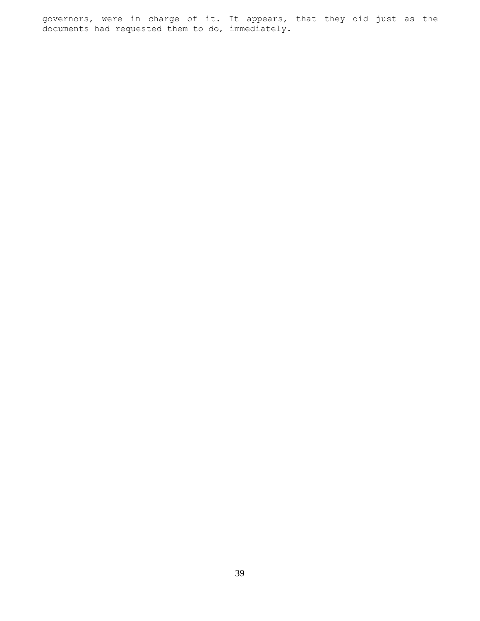governors, were in charge of it. It appears, that they did just as the documents had requested them to do, immediately.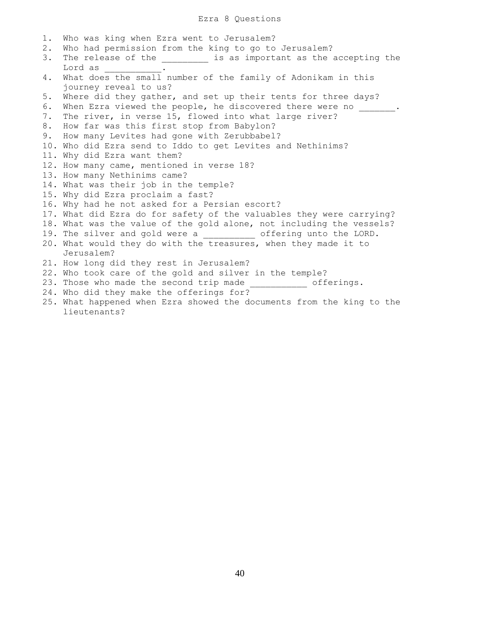# Ezra 8 Questions

1. Who was king when Ezra went to Jerusalem? 2. Who had permission from the king to go to Jerusalem? 3. The release of the \_\_\_\_\_\_\_\_\_ is as important as the accepting the Lord as \_\_\_\_\_\_\_\_\_\_\_. 4. What does the small number of the family of Adonikam in this journey reveal to us? 5. Where did they gather, and set up their tents for three days? 6. When Ezra viewed the people, he discovered there were no \_\_\_\_\_\_\_. 7. The river, in verse 15, flowed into what large river? 8. How far was this first stop from Babylon? 9. How many Levites had gone with Zerubbabel? 10. Who did Ezra send to Iddo to get Levites and Nethinims? 11. Why did Ezra want them? 12. How many came, mentioned in verse 18? 13. How many Nethinims came? 14. What was their job in the temple? 15. Why did Ezra proclaim a fast? 16. Why had he not asked for a Persian escort? 17. What did Ezra do for safety of the valuables they were carrying? 18. What was the value of the gold alone, not including the vessels? 19. The silver and gold were a contering unto the LORD. 20. What would they do with the treasures, when they made it to Jerusalem? 21. How long did they rest in Jerusalem? 22. Who took care of the gold and silver in the temple? 23. Those who made the second trip made \_\_\_\_\_\_\_\_\_\_\_\_ offerings. 24. Who did they make the offerings for? 25. What happened when Ezra showed the documents from the king to the lieutenants?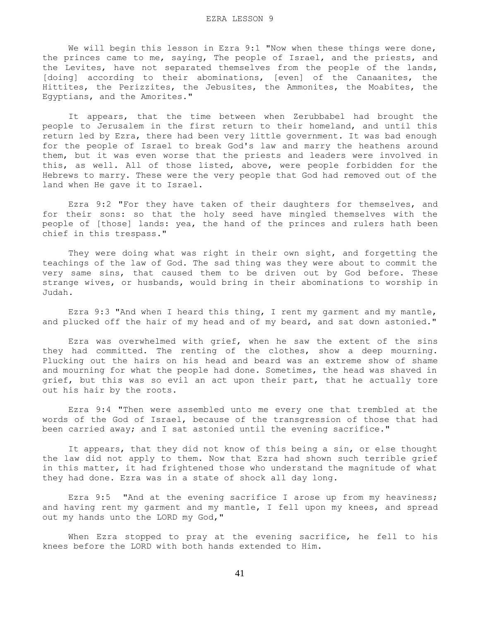We will begin this lesson in Ezra 9:1 "Now when these things were done, the princes came to me, saying, The people of Israel, and the priests, and the Levites, have not separated themselves from the people of the lands, [doing] according to their abominations, [even] of the Canaanites, the Hittites, the Perizzites, the Jebusites, the Ammonites, the Moabites, the Egyptians, and the Amorites."

 It appears, that the time between when Zerubbabel had brought the people to Jerusalem in the first return to their homeland, and until this return led by Ezra, there had been very little government. It was bad enough for the people of Israel to break God's law and marry the heathens around them, but it was even worse that the priests and leaders were involved in this, as well. All of those listed, above, were people forbidden for the Hebrews to marry. These were the very people that God had removed out of the land when He gave it to Israel.

 Ezra 9:2 "For they have taken of their daughters for themselves, and for their sons: so that the holy seed have mingled themselves with the people of [those] lands: yea, the hand of the princes and rulers hath been chief in this trespass."

 They were doing what was right in their own sight, and forgetting the teachings of the law of God. The sad thing was they were about to commit the very same sins, that caused them to be driven out by God before. These strange wives, or husbands, would bring in their abominations to worship in Judah.

 Ezra 9:3 "And when I heard this thing, I rent my garment and my mantle, and plucked off the hair of my head and of my beard, and sat down astonied."

 Ezra was overwhelmed with grief, when he saw the extent of the sins they had committed. The renting of the clothes, show a deep mourning. Plucking out the hairs on his head and beard was an extreme show of shame and mourning for what the people had done. Sometimes, the head was shaved in grief, but this was so evil an act upon their part, that he actually tore out his hair by the roots.

 Ezra 9:4 "Then were assembled unto me every one that trembled at the words of the God of Israel, because of the transgression of those that had been carried away; and I sat astonied until the evening sacrifice."

 It appears, that they did not know of this being a sin, or else thought the law did not apply to them. Now that Ezra had shown such terrible grief in this matter, it had frightened those who understand the magnitude of what they had done. Ezra was in a state of shock all day long.

Ezra 9:5 "And at the evening sacrifice I arose up from my heaviness; and having rent my garment and my mantle, I fell upon my knees, and spread out my hands unto the LORD my God,"

 When Ezra stopped to pray at the evening sacrifice, he fell to his knees before the LORD with both hands extended to Him.

41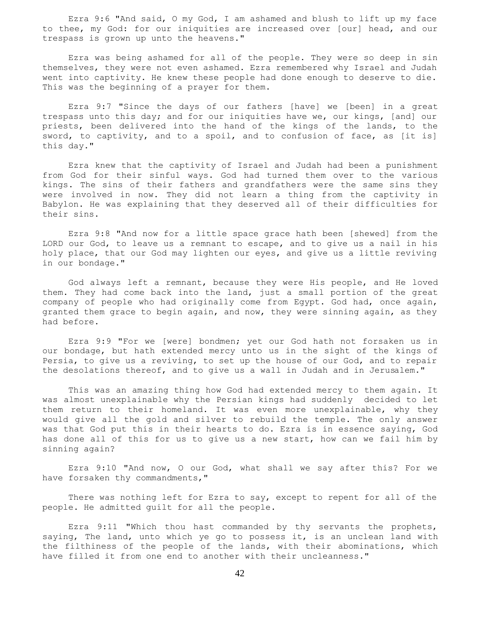Ezra 9:6 "And said, O my God, I am ashamed and blush to lift up my face to thee, my God: for our iniquities are increased over [our] head, and our trespass is grown up unto the heavens."

 Ezra was being ashamed for all of the people. They were so deep in sin themselves, they were not even ashamed. Ezra remembered why Israel and Judah went into captivity. He knew these people had done enough to deserve to die. This was the beginning of a prayer for them.

 Ezra 9:7 "Since the days of our fathers [have] we [been] in a great trespass unto this day; and for our iniquities have we, our kings, [and] our priests, been delivered into the hand of the kings of the lands, to the sword, to captivity, and to a spoil, and to confusion of face, as [it is] this day."

 Ezra knew that the captivity of Israel and Judah had been a punishment from God for their sinful ways. God had turned them over to the various kings. The sins of their fathers and grandfathers were the same sins they were involved in now. They did not learn a thing from the captivity in Babylon. He was explaining that they deserved all of their difficulties for their sins.

 Ezra 9:8 "And now for a little space grace hath been [shewed] from the LORD our God, to leave us a remnant to escape, and to give us a nail in his holy place, that our God may lighten our eyes, and give us a little reviving in our bondage."

 God always left a remnant, because they were His people, and He loved them. They had come back into the land, just a small portion of the great company of people who had originally come from Egypt. God had, once again, granted them grace to begin again, and now, they were sinning again, as they had before.

 Ezra 9:9 "For we [were] bondmen; yet our God hath not forsaken us in our bondage, but hath extended mercy unto us in the sight of the kings of Persia, to give us a reviving, to set up the house of our God, and to repair the desolations thereof, and to give us a wall in Judah and in Jerusalem."

 This was an amazing thing how God had extended mercy to them again. It was almost unexplainable why the Persian kings had suddenly decided to let them return to their homeland. It was even more unexplainable, why they would give all the gold and silver to rebuild the temple. The only answer was that God put this in their hearts to do. Ezra is in essence saying, God has done all of this for us to give us a new start, how can we fail him by sinning again?

 Ezra 9:10 "And now, O our God, what shall we say after this? For we have forsaken thy commandments,"

 There was nothing left for Ezra to say, except to repent for all of the people. He admitted guilt for all the people.

 Ezra 9:11 "Which thou hast commanded by thy servants the prophets, saying, The land, unto which ye go to possess it, is an unclean land with the filthiness of the people of the lands, with their abominations, which have filled it from one end to another with their uncleanness."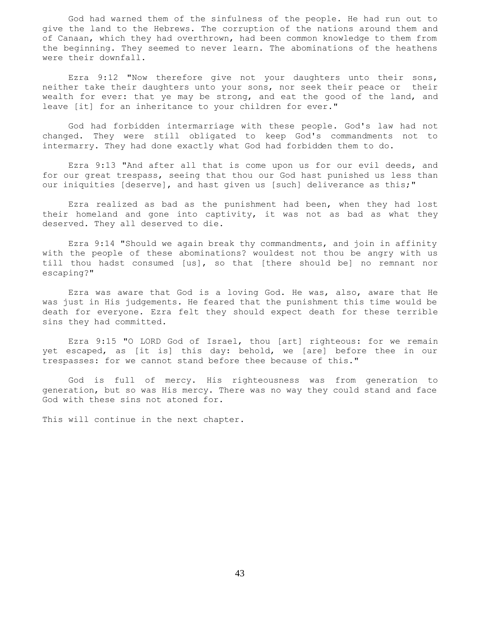God had warned them of the sinfulness of the people. He had run out to give the land to the Hebrews. The corruption of the nations around them and of Canaan, which they had overthrown, had been common knowledge to them from the beginning. They seemed to never learn. The abominations of the heathens were their downfall.

 Ezra 9:12 "Now therefore give not your daughters unto their sons, neither take their daughters unto your sons, nor seek their peace or their wealth for ever: that ye may be strong, and eat the good of the land, and leave [it] for an inheritance to your children for ever."

 God had forbidden intermarriage with these people. God's law had not changed. They were still obligated to keep God's commandments not to intermarry. They had done exactly what God had forbidden them to do.

 Ezra 9:13 "And after all that is come upon us for our evil deeds, and for our great trespass, seeing that thou our God hast punished us less than our iniquities [deserve], and hast given us [such] deliverance as this;"

 Ezra realized as bad as the punishment had been, when they had lost their homeland and gone into captivity, it was not as bad as what they deserved. They all deserved to die.

 Ezra 9:14 "Should we again break thy commandments, and join in affinity with the people of these abominations? wouldest not thou be angry with us till thou hadst consumed [us], so that [there should be] no remnant nor escaping?"

 Ezra was aware that God is a loving God. He was, also, aware that He was just in His judgements. He feared that the punishment this time would be death for everyone. Ezra felt they should expect death for these terrible sins they had committed.

 Ezra 9:15 "O LORD God of Israel, thou [art] righteous: for we remain yet escaped, as [it is] this day: behold, we [are] before thee in our trespasses: for we cannot stand before thee because of this."

 God is full of mercy. His righteousness was from generation to generation, but so was His mercy. There was no way they could stand and face God with these sins not atoned for.

This will continue in the next chapter.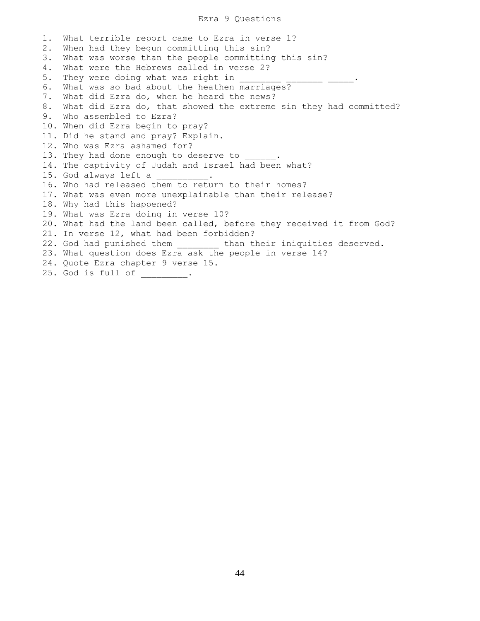## Ezra 9 Questions

1. What terrible report came to Ezra in verse 1? 2. When had they begun committing this sin? 3. What was worse than the people committing this sin? 4. What were the Hebrews called in verse 2? 5. They were doing what was right in 6. What was so bad about the heathen marriages? 7. What did Ezra do, when he heard the news? 8. What did Ezra do, that showed the extreme sin they had committed? 9. Who assembled to Ezra? 10. When did Ezra begin to pray? 11. Did he stand and pray? Explain. 12. Who was Ezra ashamed for? 13. They had done enough to deserve to 14. The captivity of Judah and Israel had been what? 15. God always left a 16. Who had released them to return to their homes? 17. What was even more unexplainable than their release? 18. Why had this happened? 19. What was Ezra doing in verse 10? 20. What had the land been called, before they received it from God? 21. In verse 12, what had been forbidden? 22. God had punished them \_\_\_\_\_\_\_\_ than their iniquities deserved. 23. What question does Ezra ask the people in verse 14? 24. Quote Ezra chapter 9 verse 15. 25. God is full of \_\_\_\_\_\_\_\_\_.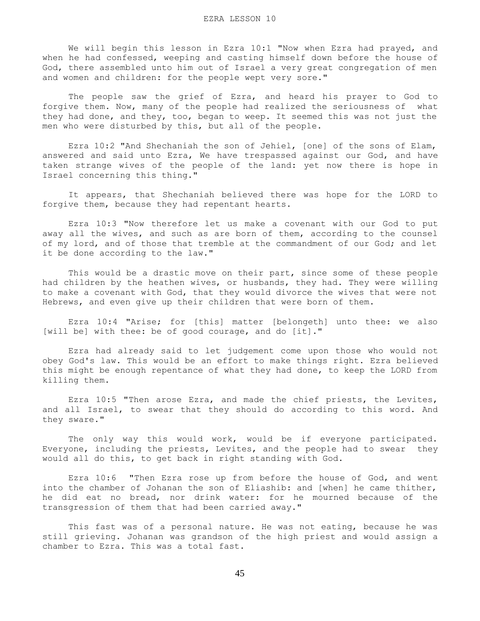We will begin this lesson in Ezra 10:1 "Now when Ezra had prayed, and when he had confessed, weeping and casting himself down before the house of God, there assembled unto him out of Israel a very great congregation of men and women and children: for the people wept very sore."

 The people saw the grief of Ezra, and heard his prayer to God to forgive them. Now, many of the people had realized the seriousness of what they had done, and they, too, began to weep. It seemed this was not just the men who were disturbed by this, but all of the people.

 Ezra 10:2 "And Shechaniah the son of Jehiel, [one] of the sons of Elam, answered and said unto Ezra, We have trespassed against our God, and have taken strange wives of the people of the land: yet now there is hope in Israel concerning this thing."

 It appears, that Shechaniah believed there was hope for the LORD to forgive them, because they had repentant hearts.

 Ezra 10:3 "Now therefore let us make a covenant with our God to put away all the wives, and such as are born of them, according to the counsel of my lord, and of those that tremble at the commandment of our God; and let it be done according to the law."

This would be a drastic move on their part, since some of these people had children by the heathen wives, or husbands, they had. They were willing to make a covenant with God, that they would divorce the wives that were not Hebrews, and even give up their children that were born of them.

 Ezra 10:4 "Arise; for [this] matter [belongeth] unto thee: we also [will be] with thee: be of good courage, and do [it]."

 Ezra had already said to let judgement come upon those who would not obey God's law. This would be an effort to make things right. Ezra believed this might be enough repentance of what they had done, to keep the LORD from killing them.

 Ezra 10:5 "Then arose Ezra, and made the chief priests, the Levites, and all Israel, to swear that they should do according to this word. And they sware."

 The only way this would work, would be if everyone participated. Everyone, including the priests, Levites, and the people had to swear they would all do this, to get back in right standing with God.

 Ezra 10:6 "Then Ezra rose up from before the house of God, and went into the chamber of Johanan the son of Eliashib: and [when] he came thither, he did eat no bread, nor drink water: for he mourned because of the transgression of them that had been carried away."

This fast was of a personal nature. He was not eating, because he was still grieving. Johanan was grandson of the high priest and would assign a chamber to Ezra. This was a total fast.

45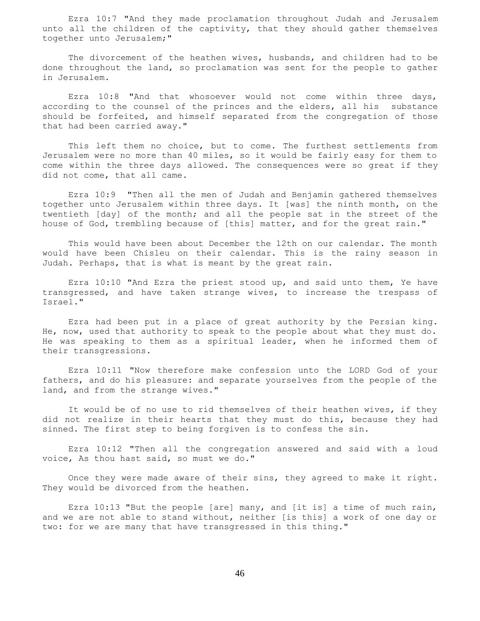Ezra 10:7 "And they made proclamation throughout Judah and Jerusalem unto all the children of the captivity, that they should gather themselves together unto Jerusalem;"

 The divorcement of the heathen wives, husbands, and children had to be done throughout the land, so proclamation was sent for the people to gather in Jerusalem.

 Ezra 10:8 "And that whosoever would not come within three days, according to the counsel of the princes and the elders, all his substance should be forfeited, and himself separated from the congregation of those that had been carried away."

 This left them no choice, but to come. The furthest settlements from Jerusalem were no more than 40 miles, so it would be fairly easy for them to come within the three days allowed. The consequences were so great if they did not come, that all came.

 Ezra 10:9 "Then all the men of Judah and Benjamin gathered themselves together unto Jerusalem within three days. It [was] the ninth month, on the twentieth [day] of the month; and all the people sat in the street of the house of God, trembling because of [this] matter, and for the great rain."

 This would have been about December the 12th on our calendar. The month would have been Chisleu on their calendar. This is the rainy season in Judah. Perhaps, that is what is meant by the great rain.

 Ezra 10:10 "And Ezra the priest stood up, and said unto them, Ye have transgressed, and have taken strange wives, to increase the trespass of Israel."

 Ezra had been put in a place of great authority by the Persian king. He, now, used that authority to speak to the people about what they must do. He was speaking to them as a spiritual leader, when he informed them of their transgressions.

 Ezra 10:11 "Now therefore make confession unto the LORD God of your fathers, and do his pleasure: and separate yourselves from the people of the land, and from the strange wives."

 It would be of no use to rid themselves of their heathen wives, if they did not realize in their hearts that they must do this, because they had sinned. The first step to being forgiven is to confess the sin.

 Ezra 10:12 "Then all the congregation answered and said with a loud voice, As thou hast said, so must we do."

 Once they were made aware of their sins, they agreed to make it right. They would be divorced from the heathen.

 Ezra 10:13 "But the people [are] many, and [it is] a time of much rain, and we are not able to stand without, neither [is this] a work of one day or two: for we are many that have transgressed in this thing."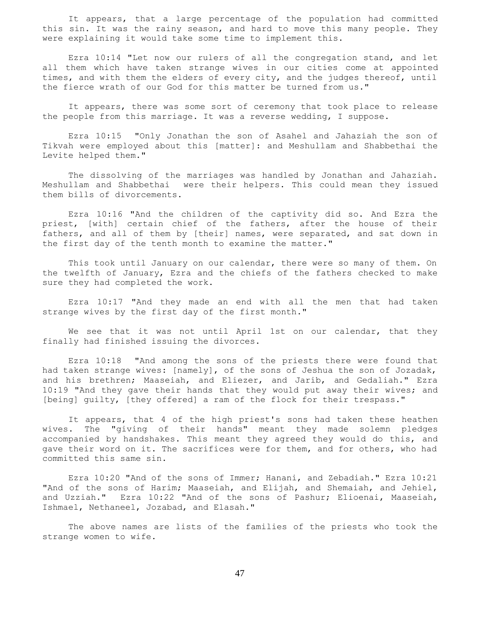It appears, that a large percentage of the population had committed this sin. It was the rainy season, and hard to move this many people. They were explaining it would take some time to implement this.

 Ezra 10:14 "Let now our rulers of all the congregation stand, and let all them which have taken strange wives in our cities come at appointed times, and with them the elders of every city, and the judges thereof, until the fierce wrath of our God for this matter be turned from us."

 It appears, there was some sort of ceremony that took place to release the people from this marriage. It was a reverse wedding, I suppose.

 Ezra 10:15 "Only Jonathan the son of Asahel and Jahaziah the son of Tikvah were employed about this [matter]: and Meshullam and Shabbethai the Levite helped them."

 The dissolving of the marriages was handled by Jonathan and Jahaziah. Meshullam and Shabbethai were their helpers. This could mean they issued them bills of divorcements.

 Ezra 10:16 "And the children of the captivity did so. And Ezra the priest, [with] certain chief of the fathers, after the house of their fathers, and all of them by [their] names, were separated, and sat down in the first day of the tenth month to examine the matter."

 This took until January on our calendar, there were so many of them. On the twelfth of January, Ezra and the chiefs of the fathers checked to make sure they had completed the work.

 Ezra 10:17 "And they made an end with all the men that had taken strange wives by the first day of the first month."

 We see that it was not until April 1st on our calendar, that they finally had finished issuing the divorces.

 Ezra 10:18 "And among the sons of the priests there were found that had taken strange wives: [namely], of the sons of Jeshua the son of Jozadak, and his brethren; Maaseiah, and Eliezer, and Jarib, and Gedaliah." Ezra 10:19 "And they gave their hands that they would put away their wives; and [being] guilty, [they offered] a ram of the flock for their trespass."

 It appears, that 4 of the high priest's sons had taken these heathen wives. The "giving of their hands" meant they made solemn pledges accompanied by handshakes. This meant they agreed they would do this, and gave their word on it. The sacrifices were for them, and for others, who had committed this same sin.

 Ezra 10:20 "And of the sons of Immer; Hanani, and Zebadiah." Ezra 10:21 "And of the sons of Harim; Maaseiah, and Elijah, and Shemaiah, and Jehiel, and Uzziah." Ezra 10:22 "And of the sons of Pashur; Elioenai, Maaseiah, Ishmael, Nethaneel, Jozabad, and Elasah."

 The above names are lists of the families of the priests who took the strange women to wife.

47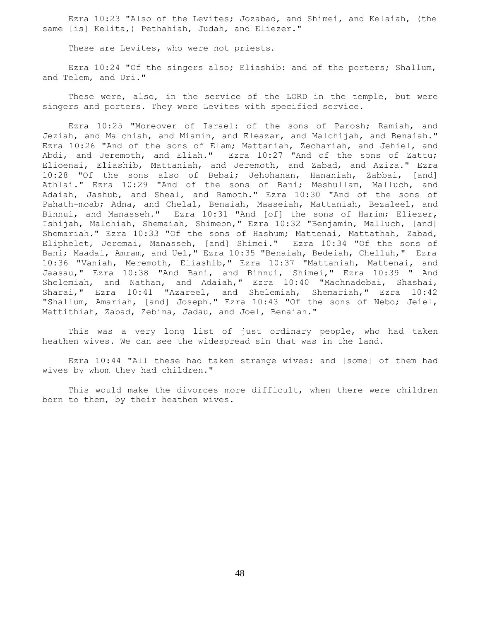Ezra 10:23 "Also of the Levites; Jozabad, and Shimei, and Kelaiah, (the same [is] Kelita,) Pethahiah, Judah, and Eliezer."

These are Levites, who were not priests.

 Ezra 10:24 "Of the singers also; Eliashib: and of the porters; Shallum, and Telem, and Uri."

 These were, also, in the service of the LORD in the temple, but were singers and porters. They were Levites with specified service.

 Ezra 10:25 "Moreover of Israel: of the sons of Parosh; Ramiah, and Jeziah, and Malchiah, and Miamin, and Eleazar, and Malchijah, and Benaiah." Ezra 10:26 "And of the sons of Elam; Mattaniah, Zechariah, and Jehiel, and Abdi, and Jeremoth, and Eliah." Ezra 10:27 "And of the sons of Zattu; Elioenai, Eliashib, Mattaniah, and Jeremoth, and Zabad, and Aziza." Ezra 10:28 "Of the sons also of Bebai; Jehohanan, Hananiah, Zabbai, [and] Athlai." Ezra 10:29 "And of the sons of Bani; Meshullam, Malluch, and Adaiah, Jashub, and Sheal, and Ramoth." Ezra 10:30 "And of the sons of Pahath-moab; Adna, and Chelal, Benaiah, Maaseiah, Mattaniah, Bezaleel, and Binnui, and Manasseh." Ezra 10:31 "And [of] the sons of Harim; Eliezer, Ishijah, Malchiah, Shemaiah, Shimeon," Ezra 10:32 "Benjamin, Malluch, [and] Shemariah." Ezra 10:33 "Of the sons of Hashum; Mattenai, Mattathah, Zabad, Eliphelet, Jeremai, Manasseh, [and] Shimei." Ezra 10:34 "Of the sons of Bani; Maadai, Amram, and Uel," Ezra 10:35 "Benaiah, Bedeiah, Chelluh," Ezra 10:36 "Vaniah, Meremoth, Eliashib," Ezra 10:37 "Mattaniah, Mattenai, and Jaasau," Ezra 10:38 "And Bani, and Binnui, Shimei," Ezra 10:39 " And Shelemiah, and Nathan, and Adaiah," Ezra 10:40 "Machnadebai, Shashai, Sharai," Ezra 10:41 "Azareel, and Shelemiah, Shemariah," Ezra 10:42 "Shallum, Amariah, [and] Joseph." Ezra 10:43 "Of the sons of Nebo; Jeiel, Mattithiah, Zabad, Zebina, Jadau, and Joel, Benaiah."

 This was a very long list of just ordinary people, who had taken heathen wives. We can see the widespread sin that was in the land.

 Ezra 10:44 "All these had taken strange wives: and [some] of them had wives by whom they had children."

 This would make the divorces more difficult, when there were children born to them, by their heathen wives.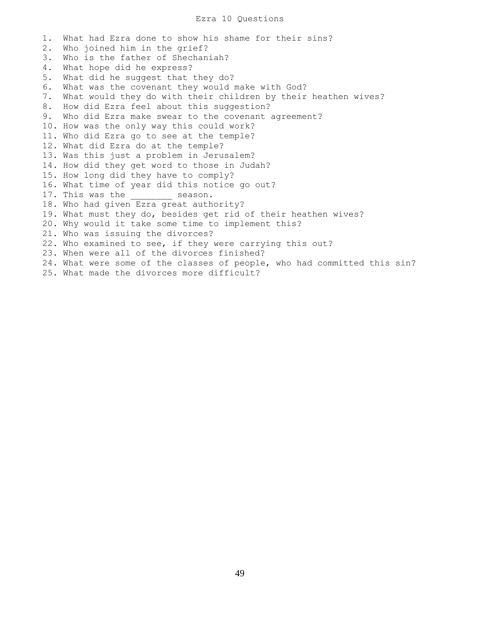## Ezra 10 Questions

1. What had Ezra done to show his shame for their sins? 2. Who joined him in the grief? 3. Who is the father of Shechaniah? 4. What hope did he express? 5. What did he suggest that they do? 6. What was the covenant they would make with God? 7. What would they do with their children by their heathen wives? 8. How did Ezra feel about this suggestion? 9. Who did Ezra make swear to the covenant agreement? 10. How was the only way this could work? 11. Who did Ezra go to see at the temple? 12. What did Ezra do at the temple? 13. Was this just a problem in Jerusalem? 14. How did they get word to those in Judah? 15. How long did they have to comply? 16. What time of year did this notice go out? 17. This was the season. 18. Who had given Ezra great authority? 19. What must they do, besides get rid of their heathen wives? 20. Why would it take some time to implement this? 21. Who was issuing the divorces? 22. Who examined to see, if they were carrying this out? 23. When were all of the divorces finished? 24. What were some of the classes of people, who had committed this sin? 25. What made the divorces more difficult?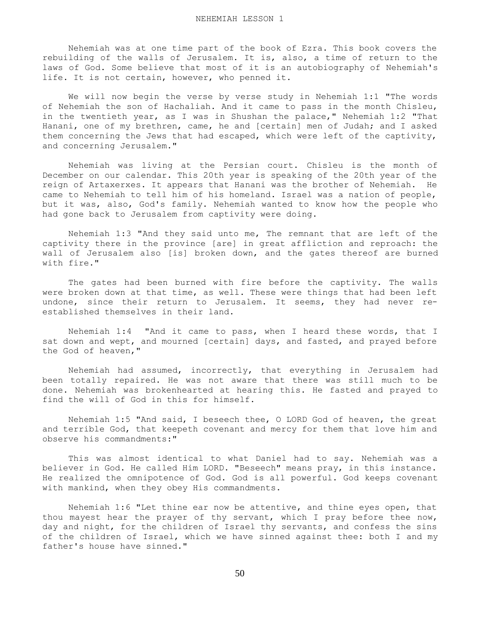Nehemiah was at one time part of the book of Ezra. This book covers the rebuilding of the walls of Jerusalem. It is, also, a time of return to the laws of God. Some believe that most of it is an autobiography of Nehemiah's life. It is not certain, however, who penned it.

 We will now begin the verse by verse study in Nehemiah 1:1 "The words of Nehemiah the son of Hachaliah. And it came to pass in the month Chisleu, in the twentieth year, as I was in Shushan the palace," Nehemiah 1:2 "That Hanani, one of my brethren, came, he and [certain] men of Judah; and I asked them concerning the Jews that had escaped, which were left of the captivity, and concerning Jerusalem."

 Nehemiah was living at the Persian court. Chisleu is the month of December on our calendar. This 20th year is speaking of the 20th year of the reign of Artaxerxes. It appears that Hanani was the brother of Nehemiah. He came to Nehemiah to tell him of his homeland. Israel was a nation of people, but it was, also, God's family. Nehemiah wanted to know how the people who had gone back to Jerusalem from captivity were doing.

 Nehemiah 1:3 "And they said unto me, The remnant that are left of the captivity there in the province [are] in great affliction and reproach: the wall of Jerusalem also [is] broken down, and the gates thereof are burned with fire."

 The gates had been burned with fire before the captivity. The walls were broken down at that time, as well. These were things that had been left undone, since their return to Jerusalem. It seems, they had never reestablished themselves in their land.

 Nehemiah 1:4 "And it came to pass, when I heard these words, that I sat down and wept, and mourned [certain] days, and fasted, and prayed before the God of heaven,"

 Nehemiah had assumed, incorrectly, that everything in Jerusalem had been totally repaired. He was not aware that there was still much to be done. Nehemiah was brokenhearted at hearing this. He fasted and prayed to find the will of God in this for himself.

 Nehemiah 1:5 "And said, I beseech thee, O LORD God of heaven, the great and terrible God, that keepeth covenant and mercy for them that love him and observe his commandments:"

 This was almost identical to what Daniel had to say. Nehemiah was a believer in God. He called Him LORD. "Beseech" means pray, in this instance. He realized the omnipotence of God. God is all powerful. God keeps covenant with mankind, when they obey His commandments.

 Nehemiah 1:6 "Let thine ear now be attentive, and thine eyes open, that thou mayest hear the prayer of thy servant, which I pray before thee now, day and night, for the children of Israel thy servants, and confess the sins of the children of Israel, which we have sinned against thee: both I and my father's house have sinned."

50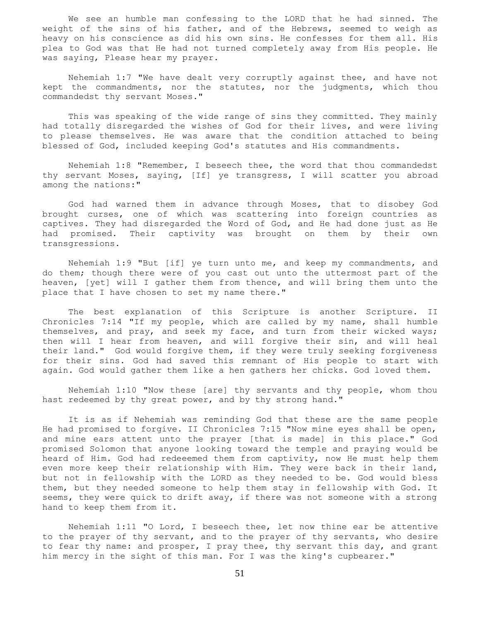We see an humble man confessing to the LORD that he had sinned. The weight of the sins of his father, and of the Hebrews, seemed to weigh as heavy on his conscience as did his own sins. He confesses for them all. His plea to God was that He had not turned completely away from His people. He was saying, Please hear my prayer.

 Nehemiah 1:7 "We have dealt very corruptly against thee, and have not kept the commandments, nor the statutes, nor the judgments, which thou commandedst thy servant Moses."

 This was speaking of the wide range of sins they committed. They mainly had totally disregarded the wishes of God for their lives, and were living to please themselves. He was aware that the condition attached to being blessed of God, included keeping God's statutes and His commandments.

 Nehemiah 1:8 "Remember, I beseech thee, the word that thou commandedst thy servant Moses, saying, [If] ye transgress, I will scatter you abroad among the nations:"

 God had warned them in advance through Moses, that to disobey God brought curses, one of which was scattering into foreign countries as captives. They had disregarded the Word of God, and He had done just as He had promised. Their captivity was brought on them by their own transgressions.

 Nehemiah 1:9 "But [if] ye turn unto me, and keep my commandments, and do them; though there were of you cast out unto the uttermost part of the heaven, [yet] will I gather them from thence, and will bring them unto the place that I have chosen to set my name there."

 The best explanation of this Scripture is another Scripture. II Chronicles 7:14 "If my people, which are called by my name, shall humble themselves, and pray, and seek my face, and turn from their wicked ways; then will I hear from heaven, and will forgive their sin, and will heal their land." God would forgive them, if they were truly seeking forgiveness for their sins. God had saved this remnant of His people to start with again. God would gather them like a hen gathers her chicks. God loved them.

 Nehemiah 1:10 "Now these [are] thy servants and thy people, whom thou hast redeemed by thy great power, and by thy strong hand."

 It is as if Nehemiah was reminding God that these are the same people He had promised to forgive. II Chronicles 7:15 "Now mine eyes shall be open, and mine ears attent unto the prayer [that is made] in this place." God promised Solomon that anyone looking toward the temple and praying would be heard of Him. God had redeeemed them from captivity, now He must help them even more keep their relationship with Him. They were back in their land, but not in fellowship with the LORD as they needed to be. God would bless them, but they needed someone to help them stay in fellowship with God. It seems, they were quick to drift away, if there was not someone with a strong hand to keep them from it.

 Nehemiah 1:11 "O Lord, I beseech thee, let now thine ear be attentive to the prayer of thy servant, and to the prayer of thy servants, who desire to fear thy name: and prosper, I pray thee, thy servant this day, and grant him mercy in the sight of this man. For I was the king's cupbearer."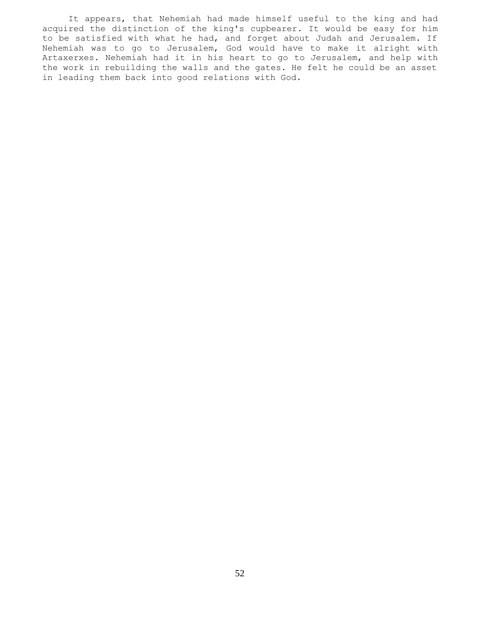It appears, that Nehemiah had made himself useful to the king and had acquired the distinction of the king's cupbearer. It would be easy for him to be satisfied with what he had, and forget about Judah and Jerusalem. If Nehemiah was to go to Jerusalem, God would have to make it alright with Artaxerxes. Nehemiah had it in his heart to go to Jerusalem, and help with the work in rebuilding the walls and the gates. He felt he could be an asset in leading them back into good relations with God.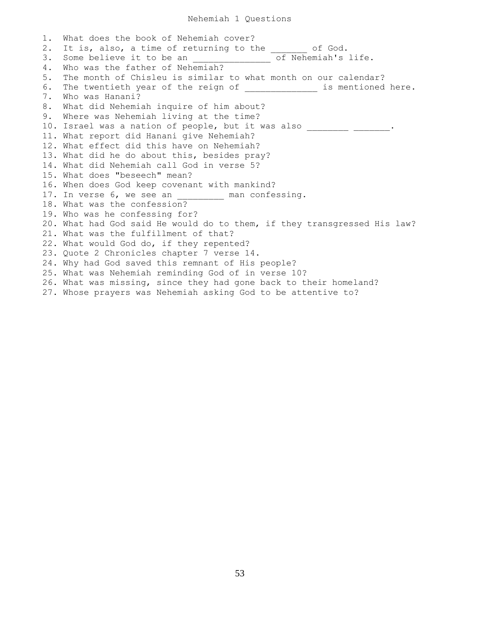1. What does the book of Nehemiah cover? 2. It is, also, a time of returning to the \_\_\_\_\_\_\_ of God. 3. Some believe it to be an \_\_\_\_\_\_\_\_\_\_\_\_\_\_\_\_\_\_\_\_\_\_\_of Nehemiah's life. 4. Who was the father of Nehemiah? 5. The month of Chisleu is similar to what month on our calendar? 6. The twentieth year of the reign of which we are is mentioned here. 7. Who was Hanani? 8. What did Nehemiah inquire of him about? 9. Where was Nehemiah living at the time? 10. Israel was a nation of people, but it was also \_\_\_\_\_\_\_\_\_ \_\_\_\_\_\_\_\_. 11. What report did Hanani give Nehemiah? 12. What effect did this have on Nehemiah? 13. What did he do about this, besides pray? 14. What did Nehemiah call God in verse 5? 15. What does "beseech" mean? 16. When does God keep covenant with mankind? 17. In verse 6, we see an 17. man confessing. 18. What was the confession? 19. Who was he confessing for? 20. What had God said He would do to them, if they transgressed His law? 21. What was the fulfillment of that? 22. What would God do, if they repented? 23. Quote 2 Chronicles chapter 7 verse 14. 24. Why had God saved this remnant of His people? 25. What was Nehemiah reminding God of in verse 10? 26. What was missing, since they had gone back to their homeland? 27. Whose prayers was Nehemiah asking God to be attentive to?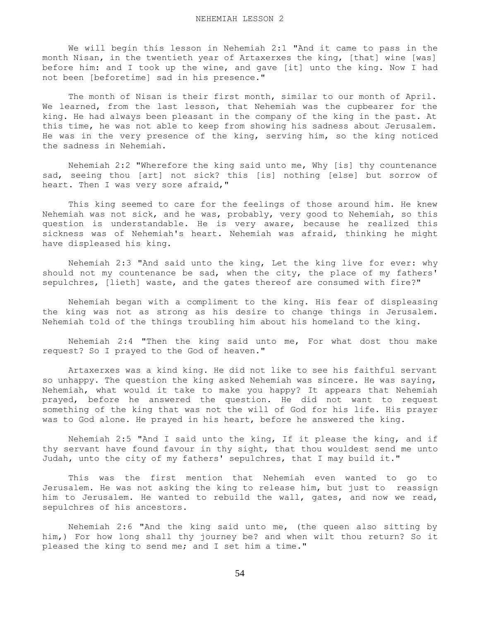We will begin this lesson in Nehemiah 2:1 "And it came to pass in the month Nisan, in the twentieth year of Artaxerxes the king, [that] wine [was] before him: and I took up the wine, and gave [it] unto the king. Now I had not been [beforetime] sad in his presence."

 The month of Nisan is their first month, similar to our month of April. We learned, from the last lesson, that Nehemiah was the cupbearer for the king. He had always been pleasant in the company of the king in the past. At this time, he was not able to keep from showing his sadness about Jerusalem. He was in the very presence of the king, serving him, so the king noticed the sadness in Nehemiah.

 Nehemiah 2:2 "Wherefore the king said unto me, Why [is] thy countenance sad, seeing thou [art] not sick? this [is] nothing [else] but sorrow of heart. Then I was very sore afraid,"

 This king seemed to care for the feelings of those around him. He knew Nehemiah was not sick, and he was, probably, very good to Nehemiah, so this question is understandable. He is very aware, because he realized this sickness was of Nehemiah's heart. Nehemiah was afraid, thinking he might have displeased his king.

 Nehemiah 2:3 "And said unto the king, Let the king live for ever: why should not my countenance be sad, when the city, the place of my fathers' sepulchres, [lieth] waste, and the gates thereof are consumed with fire?"

 Nehemiah began with a compliment to the king. His fear of displeasing the king was not as strong as his desire to change things in Jerusalem. Nehemiah told of the things troubling him about his homeland to the king.

 Nehemiah 2:4 "Then the king said unto me, For what dost thou make request? So I prayed to the God of heaven."

 Artaxerxes was a kind king. He did not like to see his faithful servant so unhappy. The question the king asked Nehemiah was sincere. He was saying, Nehemiah, what would it take to make you happy? It appears that Nehemiah prayed, before he answered the question. He did not want to request something of the king that was not the will of God for his life. His prayer was to God alone. He prayed in his heart, before he answered the king.

 Nehemiah 2:5 "And I said unto the king, If it please the king, and if thy servant have found favour in thy sight, that thou wouldest send me unto Judah, unto the city of my fathers' sepulchres, that I may build it."

 This was the first mention that Nehemiah even wanted to go to Jerusalem. He was not asking the king to release him, but just to reassign him to Jerusalem. He wanted to rebuild the wall, gates, and now we read, sepulchres of his ancestors.

 Nehemiah 2:6 "And the king said unto me, (the queen also sitting by him,) For how long shall thy journey be? and when wilt thou return? So it pleased the king to send me; and I set him a time."

54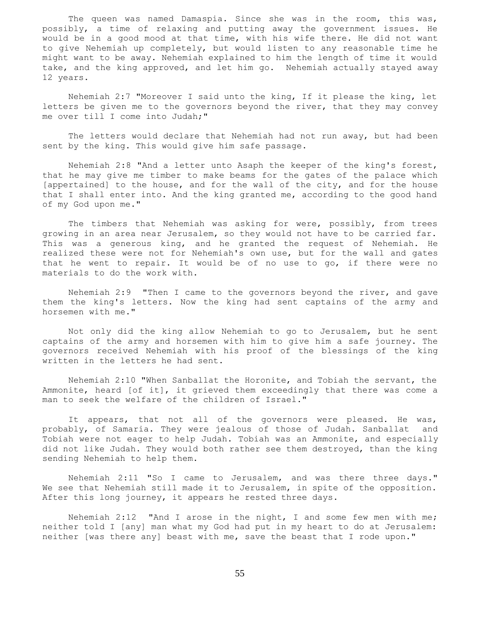The queen was named Damaspia. Since she was in the room, this was, possibly, a time of relaxing and putting away the government issues. He would be in a good mood at that time, with his wife there. He did not want to give Nehemiah up completely, but would listen to any reasonable time he might want to be away. Nehemiah explained to him the length of time it would take, and the king approved, and let him go. Nehemiah actually stayed away 12 years.

 Nehemiah 2:7 "Moreover I said unto the king, If it please the king, let letters be given me to the governors beyond the river, that they may convey me over till I come into Judah;"

 The letters would declare that Nehemiah had not run away, but had been sent by the king. This would give him safe passage.

 Nehemiah 2:8 "And a letter unto Asaph the keeper of the king's forest, that he may give me timber to make beams for the gates of the palace which [appertained] to the house, and for the wall of the city, and for the house that I shall enter into. And the king granted me, according to the good hand of my God upon me."

The timbers that Nehemiah was asking for were, possibly, from trees growing in an area near Jerusalem, so they would not have to be carried far. This was a generous king, and he granted the request of Nehemiah. He realized these were not for Nehemiah's own use, but for the wall and gates that he went to repair. It would be of no use to go, if there were no materials to do the work with.

 Nehemiah 2:9 "Then I came to the governors beyond the river, and gave them the king's letters. Now the king had sent captains of the army and horsemen with me."

 Not only did the king allow Nehemiah to go to Jerusalem, but he sent captains of the army and horsemen with him to give him a safe journey. The governors received Nehemiah with his proof of the blessings of the king written in the letters he had sent.

 Nehemiah 2:10 "When Sanballat the Horonite, and Tobiah the servant, the Ammonite, heard [of it], it grieved them exceedingly that there was come a man to seek the welfare of the children of Israel."

It appears, that not all of the governors were pleased. He was, probably, of Samaria. They were jealous of those of Judah. Sanballat and Tobiah were not eager to help Judah. Tobiah was an Ammonite, and especially did not like Judah. They would both rather see them destroyed, than the king sending Nehemiah to help them.

 Nehemiah 2:11 "So I came to Jerusalem, and was there three days." We see that Nehemiah still made it to Jerusalem, in spite of the opposition. After this long journey, it appears he rested three days.

 Nehemiah 2:12 "And I arose in the night, I and some few men with me; neither told I [any] man what my God had put in my heart to do at Jerusalem: neither [was there any] beast with me, save the beast that I rode upon."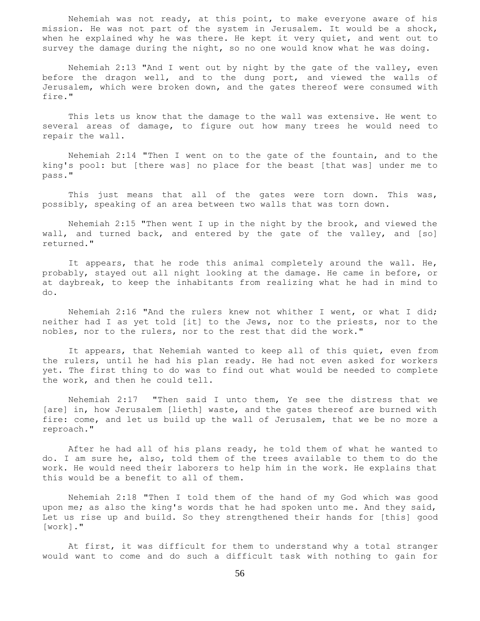Nehemiah was not ready, at this point, to make everyone aware of his mission. He was not part of the system in Jerusalem. It would be a shock, when he explained why he was there. He kept it very quiet, and went out to survey the damage during the night, so no one would know what he was doing.

 Nehemiah 2:13 "And I went out by night by the gate of the valley, even before the dragon well, and to the dung port, and viewed the walls of Jerusalem, which were broken down, and the gates thereof were consumed with fire."

 This lets us know that the damage to the wall was extensive. He went to several areas of damage, to figure out how many trees he would need to repair the wall.

 Nehemiah 2:14 "Then I went on to the gate of the fountain, and to the king's pool: but [there was] no place for the beast [that was] under me to pass."

 This just means that all of the gates were torn down. This was, possibly, speaking of an area between two walls that was torn down.

 Nehemiah 2:15 "Then went I up in the night by the brook, and viewed the wall, and turned back, and entered by the gate of the valley, and [so] returned."

 It appears, that he rode this animal completely around the wall. He, probably, stayed out all night looking at the damage. He came in before, or at daybreak, to keep the inhabitants from realizing what he had in mind to do.

 Nehemiah 2:16 "And the rulers knew not whither I went, or what I did; neither had I as yet told [it] to the Jews, nor to the priests, nor to the nobles, nor to the rulers, nor to the rest that did the work."

 It appears, that Nehemiah wanted to keep all of this quiet, even from the rulers, until he had his plan ready. He had not even asked for workers yet. The first thing to do was to find out what would be needed to complete the work, and then he could tell.

 Nehemiah 2:17 "Then said I unto them, Ye see the distress that we [are] in, how Jerusalem [lieth] waste, and the gates thereof are burned with fire: come, and let us build up the wall of Jerusalem, that we be no more a reproach."

 After he had all of his plans ready, he told them of what he wanted to do. I am sure he, also, told them of the trees available to them to do the work. He would need their laborers to help him in the work. He explains that this would be a benefit to all of them.

 Nehemiah 2:18 "Then I told them of the hand of my God which was good upon me; as also the king's words that he had spoken unto me. And they said, Let us rise up and build. So they strengthened their hands for [this] good [work]."

 At first, it was difficult for them to understand why a total stranger would want to come and do such a difficult task with nothing to gain for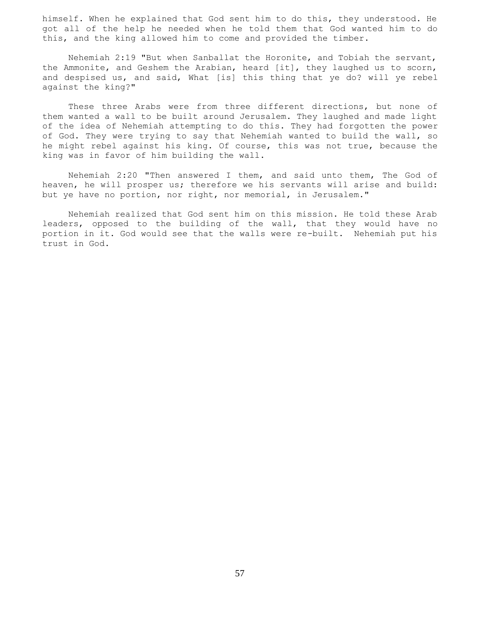himself. When he explained that God sent him to do this, they understood. He got all of the help he needed when he told them that God wanted him to do this, and the king allowed him to come and provided the timber.

 Nehemiah 2:19 "But when Sanballat the Horonite, and Tobiah the servant, the Ammonite, and Geshem the Arabian, heard [it], they laughed us to scorn, and despised us, and said, What [is] this thing that ye do? will ye rebel against the king?"

 These three Arabs were from three different directions, but none of them wanted a wall to be built around Jerusalem. They laughed and made light of the idea of Nehemiah attempting to do this. They had forgotten the power of God. They were trying to say that Nehemiah wanted to build the wall, so he might rebel against his king. Of course, this was not true, because the king was in favor of him building the wall.

 Nehemiah 2:20 "Then answered I them, and said unto them, The God of heaven, he will prosper us; therefore we his servants will arise and build: but ye have no portion, nor right, nor memorial, in Jerusalem."

 Nehemiah realized that God sent him on this mission. He told these Arab leaders, opposed to the building of the wall, that they would have no portion in it. God would see that the walls were re-built. Nehemiah put his trust in God.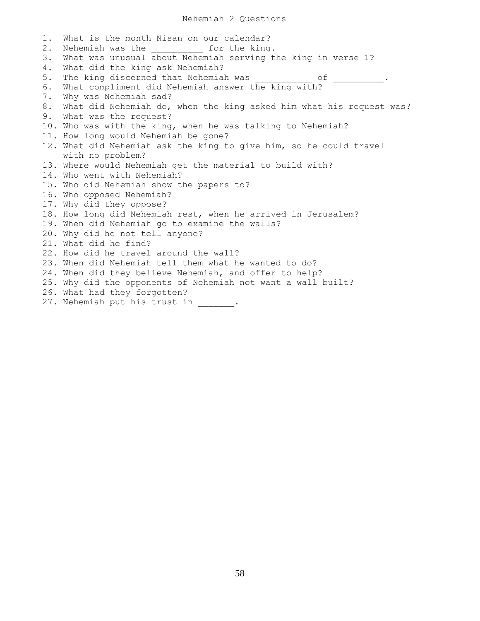## Nehemiah 2 Questions

1. What is the month Nisan on our calendar? 2. Nehemiah was the the for the king. 3. What was unusual about Nehemiah serving the king in verse 1? 4. What did the king ask Nehemiah? 5. The king discerned that Nehemiah was of 6. What compliment did Nehemiah answer the king with? 7. Why was Nehemiah sad? 8. What did Nehemiah do, when the king asked him what his request was? 9. What was the request? 10. Who was with the king, when he was talking to Nehemiah? 11. How long would Nehemiah be gone? 12. What did Nehemiah ask the king to give him, so he could travel with no problem? 13. Where would Nehemiah get the material to build with? 14. Who went with Nehemiah? 15. Who did Nehemiah show the papers to? 16. Who opposed Nehemiah? 17. Why did they oppose? 18. How long did Nehemiah rest, when he arrived in Jerusalem? 19. When did Nehemiah go to examine the walls? 20. Why did he not tell anyone? 21. What did he find? 22. How did he travel around the wall? 23. When did Nehemiah tell them what he wanted to do? 24. When did they believe Nehemiah, and offer to help? 25. Why did the opponents of Nehemiah not want a wall built? 26. What had they forgotten? 27. Nehemiah put his trust in  $\cdot$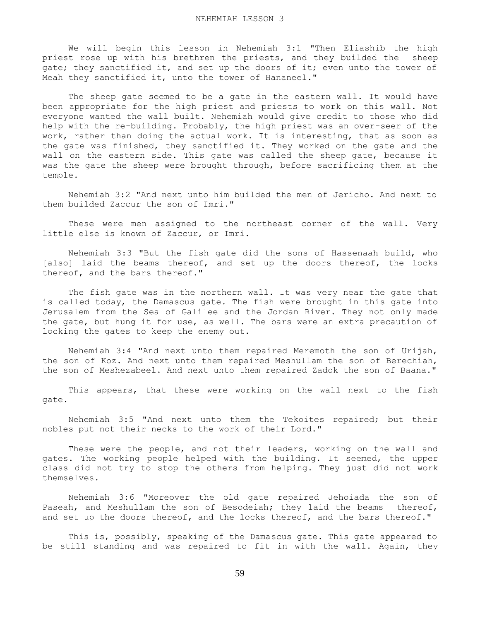We will begin this lesson in Nehemiah 3:1 "Then Eliashib the high priest rose up with his brethren the priests, and they builded the sheep gate; they sanctified it, and set up the doors of it; even unto the tower of Meah they sanctified it, unto the tower of Hananeel."

 The sheep gate seemed to be a gate in the eastern wall. It would have been appropriate for the high priest and priests to work on this wall. Not everyone wanted the wall built. Nehemiah would give credit to those who did help with the re-building. Probably, the high priest was an over-seer of the work, rather than doing the actual work. It is interesting, that as soon as the gate was finished, they sanctified it. They worked on the gate and the wall on the eastern side. This gate was called the sheep gate, because it was the gate the sheep were brought through, before sacrificing them at the temple.

 Nehemiah 3:2 "And next unto him builded the men of Jericho. And next to them builded Zaccur the son of Imri."

These were men assigned to the northeast corner of the wall. Very little else is known of Zaccur, or Imri.

 Nehemiah 3:3 "But the fish gate did the sons of Hassenaah build, who [also] laid the beams thereof, and set up the doors thereof, the locks thereof, and the bars thereof."

 The fish gate was in the northern wall. It was very near the gate that is called today, the Damascus gate. The fish were brought in this gate into Jerusalem from the Sea of Galilee and the Jordan River. They not only made the gate, but hung it for use, as well. The bars were an extra precaution of locking the gates to keep the enemy out.

 Nehemiah 3:4 "And next unto them repaired Meremoth the son of Urijah, the son of Koz. And next unto them repaired Meshullam the son of Berechiah, the son of Meshezabeel. And next unto them repaired Zadok the son of Baana."

 This appears, that these were working on the wall next to the fish gate.

 Nehemiah 3:5 "And next unto them the Tekoites repaired; but their nobles put not their necks to the work of their Lord."

 These were the people, and not their leaders, working on the wall and gates. The working people helped with the building. It seemed, the upper class did not try to stop the others from helping. They just did not work themselves.

 Nehemiah 3:6 "Moreover the old gate repaired Jehoiada the son of Paseah, and Meshullam the son of Besodeiah; they laid the beams thereof, and set up the doors thereof, and the locks thereof, and the bars thereof."

 This is, possibly, speaking of the Damascus gate. This gate appeared to be still standing and was repaired to fit in with the wall. Again, they

59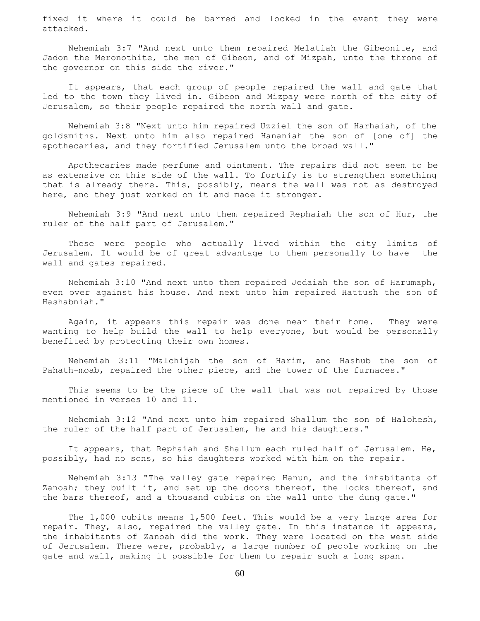fixed it where it could be barred and locked in the event they were attacked.

 Nehemiah 3:7 "And next unto them repaired Melatiah the Gibeonite, and Jadon the Meronothite, the men of Gibeon, and of Mizpah, unto the throne of the governor on this side the river."

 It appears, that each group of people repaired the wall and gate that led to the town they lived in. Gibeon and Mizpay were north of the city of Jerusalem, so their people repaired the north wall and gate.

 Nehemiah 3:8 "Next unto him repaired Uzziel the son of Harhaiah, of the goldsmiths. Next unto him also repaired Hananiah the son of [one of] the apothecaries, and they fortified Jerusalem unto the broad wall."

 Apothecaries made perfume and ointment. The repairs did not seem to be as extensive on this side of the wall. To fortify is to strengthen something that is already there. This, possibly, means the wall was not as destroyed here, and they just worked on it and made it stronger.

 Nehemiah 3:9 "And next unto them repaired Rephaiah the son of Hur, the ruler of the half part of Jerusalem."

 These were people who actually lived within the city limits of Jerusalem. It would be of great advantage to them personally to have the wall and gates repaired.

 Nehemiah 3:10 "And next unto them repaired Jedaiah the son of Harumaph, even over against his house. And next unto him repaired Hattush the son of Hashabniah."

 Again, it appears this repair was done near their home. They were wanting to help build the wall to help everyone, but would be personally benefited by protecting their own homes.

 Nehemiah 3:11 "Malchijah the son of Harim, and Hashub the son of Pahath-moab, repaired the other piece, and the tower of the furnaces."

 This seems to be the piece of the wall that was not repaired by those mentioned in verses 10 and 11.

 Nehemiah 3:12 "And next unto him repaired Shallum the son of Halohesh, the ruler of the half part of Jerusalem, he and his daughters."

 It appears, that Rephaiah and Shallum each ruled half of Jerusalem. He, possibly, had no sons, so his daughters worked with him on the repair.

 Nehemiah 3:13 "The valley gate repaired Hanun, and the inhabitants of Zanoah; they built it, and set up the doors thereof, the locks thereof, and the bars thereof, and a thousand cubits on the wall unto the dung gate."

The 1,000 cubits means 1,500 feet. This would be a very large area for repair. They, also, repaired the valley gate. In this instance it appears, the inhabitants of Zanoah did the work. They were located on the west side of Jerusalem. There were, probably, a large number of people working on the gate and wall, making it possible for them to repair such a long span.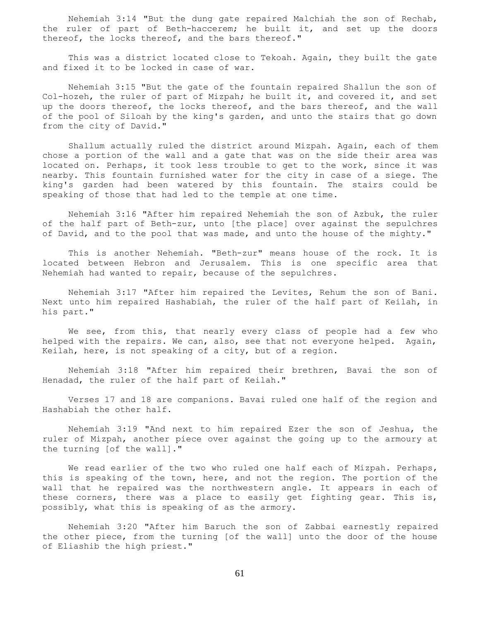Nehemiah 3:14 "But the dung gate repaired Malchiah the son of Rechab, the ruler of part of Beth-haccerem; he built it, and set up the doors thereof, the locks thereof, and the bars thereof."

This was a district located close to Tekoah. Again, they built the gate and fixed it to be locked in case of war.

 Nehemiah 3:15 "But the gate of the fountain repaired Shallun the son of Col-hozeh, the ruler of part of Mizpah; he built it, and covered it, and set up the doors thereof, the locks thereof, and the bars thereof, and the wall of the pool of Siloah by the king's garden, and unto the stairs that go down from the city of David."

 Shallum actually ruled the district around Mizpah. Again, each of them chose a portion of the wall and a gate that was on the side their area was located on. Perhaps, it took less trouble to get to the work, since it was nearby. This fountain furnished water for the city in case of a siege. The king's garden had been watered by this fountain. The stairs could be speaking of those that had led to the temple at one time.

 Nehemiah 3:16 "After him repaired Nehemiah the son of Azbuk, the ruler of the half part of Beth-zur, unto [the place] over against the sepulchres of David, and to the pool that was made, and unto the house of the mighty."

 This is another Nehemiah. "Beth-zur" means house of the rock. It is located between Hebron and Jerusalem. This is one specific area that Nehemiah had wanted to repair, because of the sepulchres.

 Nehemiah 3:17 "After him repaired the Levites, Rehum the son of Bani. Next unto him repaired Hashabiah, the ruler of the half part of Keilah, in his part."

 We see, from this, that nearly every class of people had a few who helped with the repairs. We can, also, see that not everyone helped. Again, Keilah, here, is not speaking of a city, but of a region.

 Nehemiah 3:18 "After him repaired their brethren, Bavai the son of Henadad, the ruler of the half part of Keilah."

 Verses 17 and 18 are companions. Bavai ruled one half of the region and Hashabiah the other half.

 Nehemiah 3:19 "And next to him repaired Ezer the son of Jeshua, the ruler of Mizpah, another piece over against the going up to the armoury at the turning [of the wall]."

We read earlier of the two who ruled one half each of Mizpah. Perhaps, this is speaking of the town, here, and not the region. The portion of the wall that he repaired was the northwestern angle. It appears in each of these corners, there was a place to easily get fighting gear. This is, possibly, what this is speaking of as the armory.

 Nehemiah 3:20 "After him Baruch the son of Zabbai earnestly repaired the other piece, from the turning [of the wall] unto the door of the house of Eliashib the high priest."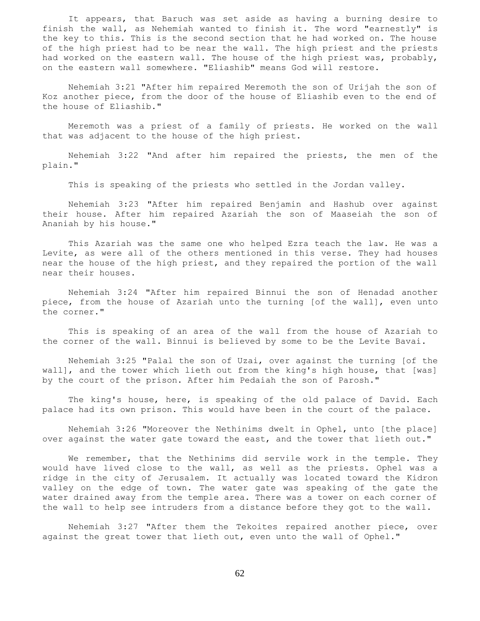It appears, that Baruch was set aside as having a burning desire to finish the wall, as Nehemiah wanted to finish it. The word "earnestly" is the key to this. This is the second section that he had worked on. The house of the high priest had to be near the wall. The high priest and the priests had worked on the eastern wall. The house of the high priest was, probably, on the eastern wall somewhere. "Eliashib" means God will restore.

 Nehemiah 3:21 "After him repaired Meremoth the son of Urijah the son of Koz another piece, from the door of the house of Eliashib even to the end of the house of Eliashib."

 Meremoth was a priest of a family of priests. He worked on the wall that was adjacent to the house of the high priest.

 Nehemiah 3:22 "And after him repaired the priests, the men of the plain."

This is speaking of the priests who settled in the Jordan valley.

 Nehemiah 3:23 "After him repaired Benjamin and Hashub over against their house. After him repaired Azariah the son of Maaseiah the son of Ananiah by his house."

 This Azariah was the same one who helped Ezra teach the law. He was a Levite, as were all of the others mentioned in this verse. They had houses near the house of the high priest, and they repaired the portion of the wall near their houses.

 Nehemiah 3:24 "After him repaired Binnui the son of Henadad another piece, from the house of Azariah unto the turning [of the wall], even unto the corner."

 This is speaking of an area of the wall from the house of Azariah to the corner of the wall. Binnui is believed by some to be the Levite Bavai.

 Nehemiah 3:25 "Palal the son of Uzai, over against the turning [of the wall], and the tower which lieth out from the king's high house, that [was] by the court of the prison. After him Pedaiah the son of Parosh."

 The king's house, here, is speaking of the old palace of David. Each palace had its own prison. This would have been in the court of the palace.

 Nehemiah 3:26 "Moreover the Nethinims dwelt in Ophel, unto [the place] over against the water gate toward the east, and the tower that lieth out."

 We remember, that the Nethinims did servile work in the temple. They would have lived close to the wall, as well as the priests. Ophel was a ridge in the city of Jerusalem. It actually was located toward the Kidron valley on the edge of town. The water gate was speaking of the gate the water drained away from the temple area. There was a tower on each corner of the wall to help see intruders from a distance before they got to the wall.

 Nehemiah 3:27 "After them the Tekoites repaired another piece, over against the great tower that lieth out, even unto the wall of Ophel."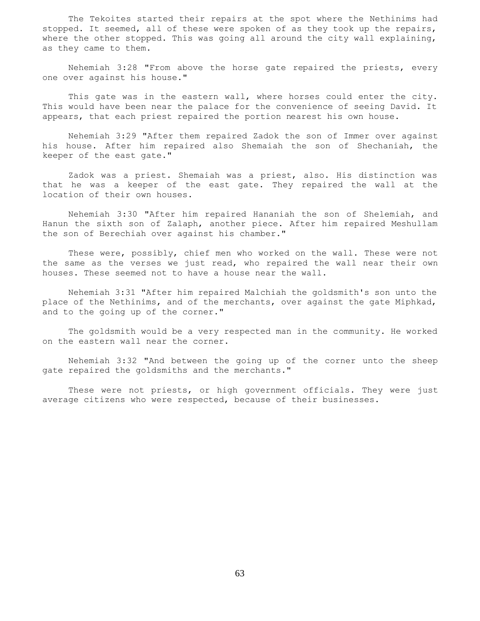The Tekoites started their repairs at the spot where the Nethinims had stopped. It seemed, all of these were spoken of as they took up the repairs, where the other stopped. This was going all around the city wall explaining, as they came to them.

 Nehemiah 3:28 "From above the horse gate repaired the priests, every one over against his house."

 This gate was in the eastern wall, where horses could enter the city. This would have been near the palace for the convenience of seeing David. It appears, that each priest repaired the portion nearest his own house.

 Nehemiah 3:29 "After them repaired Zadok the son of Immer over against his house. After him repaired also Shemaiah the son of Shechaniah, the keeper of the east gate."

 Zadok was a priest. Shemaiah was a priest, also. His distinction was that he was a keeper of the east gate. They repaired the wall at the location of their own houses.

 Nehemiah 3:30 "After him repaired Hananiah the son of Shelemiah, and Hanun the sixth son of Zalaph, another piece. After him repaired Meshullam the son of Berechiah over against his chamber."

 These were, possibly, chief men who worked on the wall. These were not the same as the verses we just read, who repaired the wall near their own houses. These seemed not to have a house near the wall.

 Nehemiah 3:31 "After him repaired Malchiah the goldsmith's son unto the place of the Nethinims, and of the merchants, over against the gate Miphkad, and to the going up of the corner."

 The goldsmith would be a very respected man in the community. He worked on the eastern wall near the corner.

 Nehemiah 3:32 "And between the going up of the corner unto the sheep gate repaired the goldsmiths and the merchants."

 These were not priests, or high government officials. They were just average citizens who were respected, because of their businesses.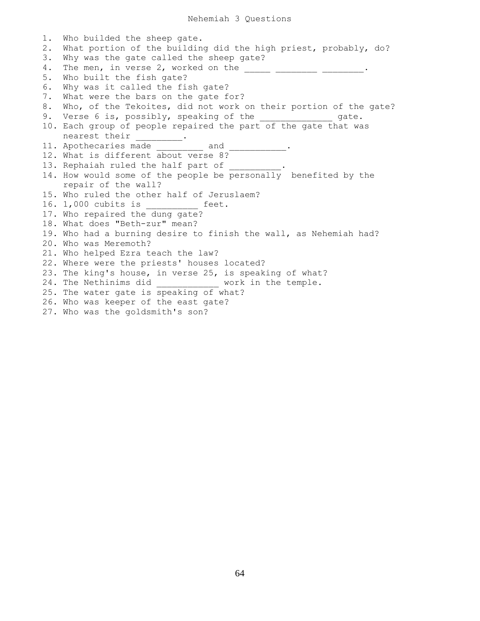1. Who builded the sheep gate. 2. What portion of the building did the high priest, probably, do? 3. Why was the gate called the sheep gate? 4. The men, in verse 2, worked on the  $\frac{1}{2}$   $\frac{1}{2}$   $\frac{1}{2}$   $\frac{1}{2}$   $\frac{1}{2}$ . 5. Who built the fish gate? 6. Why was it called the fish gate? 7. What were the bars on the gate for? 8. Who, of the Tekoites, did not work on their portion of the gate? 9. Verse 6 is, possibly, speaking of the \_\_\_\_\_\_\_\_\_\_\_\_\_\_\_\_ gate. 10. Each group of people repaired the part of the gate that was nearest their 11. Apothecaries made and 12. What is different about verse 8? 13. Rephaiah ruled the half part of 14. How would some of the people be personally benefited by the repair of the wall? 15. Who ruled the other half of Jeruslaem? 16. 1,000 cubits is \_\_\_\_\_\_\_\_\_\_ feet. 17. Who repaired the dung gate? 18. What does "Beth-zur" mean? 19. Who had a burning desire to finish the wall, as Nehemiah had? 20. Who was Meremoth? 21. Who helped Ezra teach the law? 22. Where were the priests' houses located? 23. The king's house, in verse 25, is speaking of what? 24. The Nethinims did \_\_\_\_\_\_\_\_\_\_\_\_ work in the temple. 25. The water gate is speaking of what? 26. Who was keeper of the east gate? 27. Who was the goldsmith's son?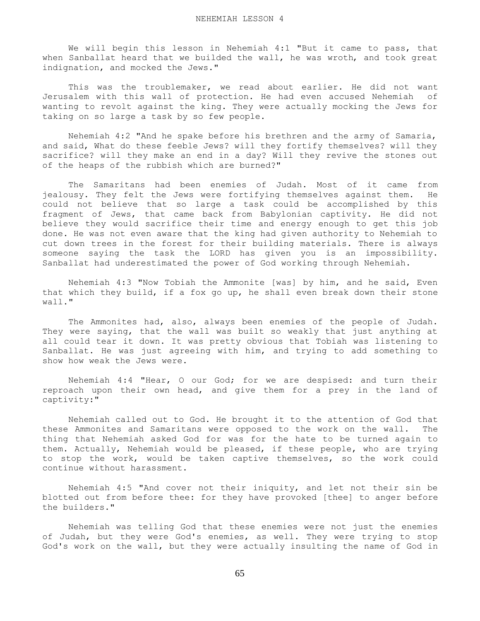We will begin this lesson in Nehemiah 4:1 "But it came to pass, that when Sanballat heard that we builded the wall, he was wroth, and took great indignation, and mocked the Jews."

 This was the troublemaker, we read about earlier. He did not want Jerusalem with this wall of protection. He had even accused Nehemiah of wanting to revolt against the king. They were actually mocking the Jews for taking on so large a task by so few people.

 Nehemiah 4:2 "And he spake before his brethren and the army of Samaria, and said, What do these feeble Jews? will they fortify themselves? will they sacrifice? will they make an end in a day? Will they revive the stones out of the heaps of the rubbish which are burned?"

 The Samaritans had been enemies of Judah. Most of it came from jealousy. They felt the Jews were fortifying themselves against them. He could not believe that so large a task could be accomplished by this fragment of Jews, that came back from Babylonian captivity. He did not believe they would sacrifice their time and energy enough to get this job done. He was not even aware that the king had given authority to Nehemiah to cut down trees in the forest for their building materials. There is always someone saying the task the LORD has given you is an impossibility. Sanballat had underestimated the power of God working through Nehemiah.

 Nehemiah 4:3 "Now Tobiah the Ammonite [was] by him, and he said, Even that which they build, if a fox go up, he shall even break down their stone wall."

 The Ammonites had, also, always been enemies of the people of Judah. They were saying, that the wall was built so weakly that just anything at all could tear it down. It was pretty obvious that Tobiah was listening to Sanballat. He was just agreeing with him, and trying to add something to show how weak the Jews were.

 Nehemiah 4:4 "Hear, O our God; for we are despised: and turn their reproach upon their own head, and give them for a prey in the land of captivity:"

 Nehemiah called out to God. He brought it to the attention of God that these Ammonites and Samaritans were opposed to the work on the wall. The thing that Nehemiah asked God for was for the hate to be turned again to them. Actually, Nehemiah would be pleased, if these people, who are trying to stop the work, would be taken captive themselves, so the work could continue without harassment.

 Nehemiah 4:5 "And cover not their iniquity, and let not their sin be blotted out from before thee: for they have provoked [thee] to anger before the builders."

 Nehemiah was telling God that these enemies were not just the enemies of Judah, but they were God's enemies, as well. They were trying to stop God's work on the wall, but they were actually insulting the name of God in

65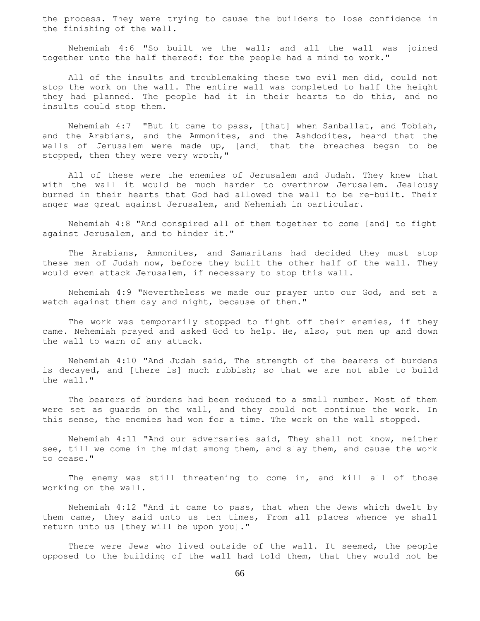the process. They were trying to cause the builders to lose confidence in the finishing of the wall.

 Nehemiah 4:6 "So built we the wall; and all the wall was joined together unto the half thereof: for the people had a mind to work."

 All of the insults and troublemaking these two evil men did, could not stop the work on the wall. The entire wall was completed to half the height they had planned. The people had it in their hearts to do this, and no insults could stop them.

 Nehemiah 4:7 "But it came to pass, [that] when Sanballat, and Tobiah, and the Arabians, and the Ammonites, and the Ashdodites, heard that the walls of Jerusalem were made up, [and] that the breaches began to be stopped, then they were very wroth,"

 All of these were the enemies of Jerusalem and Judah. They knew that with the wall it would be much harder to overthrow Jerusalem. Jealousy burned in their hearts that God had allowed the wall to be re-built. Their anger was great against Jerusalem, and Nehemiah in particular.

 Nehemiah 4:8 "And conspired all of them together to come [and] to fight against Jerusalem, and to hinder it."

 The Arabians, Ammonites, and Samaritans had decided they must stop these men of Judah now, before they built the other half of the wall. They would even attack Jerusalem, if necessary to stop this wall.

 Nehemiah 4:9 "Nevertheless we made our prayer unto our God, and set a watch against them day and night, because of them."

 The work was temporarily stopped to fight off their enemies, if they came. Nehemiah prayed and asked God to help. He, also, put men up and down the wall to warn of any attack.

 Nehemiah 4:10 "And Judah said, The strength of the bearers of burdens is decayed, and [there is] much rubbish; so that we are not able to build the wall."

 The bearers of burdens had been reduced to a small number. Most of them were set as guards on the wall, and they could not continue the work. In this sense, the enemies had won for a time. The work on the wall stopped.

 Nehemiah 4:11 "And our adversaries said, They shall not know, neither see, till we come in the midst among them, and slay them, and cause the work to cease."

 The enemy was still threatening to come in, and kill all of those working on the wall.

 Nehemiah 4:12 "And it came to pass, that when the Jews which dwelt by them came, they said unto us ten times, From all places whence ye shall return unto us [they will be upon you]."

There were Jews who lived outside of the wall. It seemed, the people opposed to the building of the wall had told them, that they would not be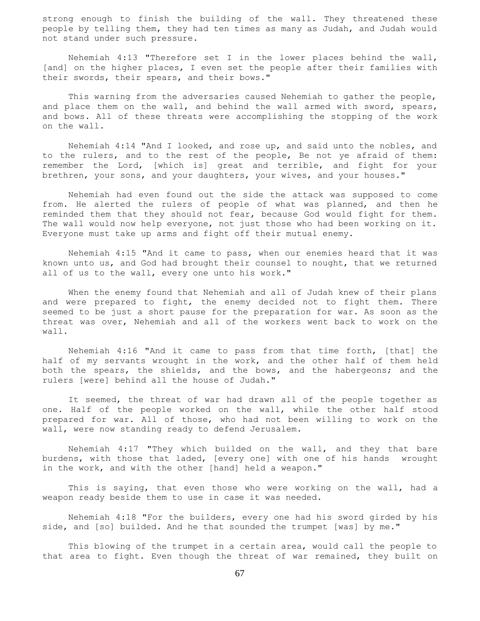strong enough to finish the building of the wall. They threatened these people by telling them, they had ten times as many as Judah, and Judah would not stand under such pressure.

 Nehemiah 4:13 "Therefore set I in the lower places behind the wall, [and] on the higher places, I even set the people after their families with their swords, their spears, and their bows."

 This warning from the adversaries caused Nehemiah to gather the people, and place them on the wall, and behind the wall armed with sword, spears, and bows. All of these threats were accomplishing the stopping of the work on the wall.

 Nehemiah 4:14 "And I looked, and rose up, and said unto the nobles, and to the rulers, and to the rest of the people, Be not ye afraid of them: remember the Lord, [which is] great and terrible, and fight for your brethren, your sons, and your daughters, your wives, and your houses."

 Nehemiah had even found out the side the attack was supposed to come from. He alerted the rulers of people of what was planned, and then he reminded them that they should not fear, because God would fight for them. The wall would now help everyone, not just those who had been working on it. Everyone must take up arms and fight off their mutual enemy.

 Nehemiah 4:15 "And it came to pass, when our enemies heard that it was known unto us, and God had brought their counsel to nought, that we returned all of us to the wall, every one unto his work."

 When the enemy found that Nehemiah and all of Judah knew of their plans and were prepared to fight, the enemy decided not to fight them. There seemed to be just a short pause for the preparation for war. As soon as the threat was over, Nehemiah and all of the workers went back to work on the wall.

 Nehemiah 4:16 "And it came to pass from that time forth, [that] the half of my servants wrought in the work, and the other half of them held both the spears, the shields, and the bows, and the habergeons; and the rulers [were] behind all the house of Judah."

 It seemed, the threat of war had drawn all of the people together as one. Half of the people worked on the wall, while the other half stood prepared for war. All of those, who had not been willing to work on the wall, were now standing ready to defend Jerusalem.

 Nehemiah 4:17 "They which builded on the wall, and they that bare burdens, with those that laded, [every one] with one of his hands wrought in the work, and with the other [hand] held a weapon."

 This is saying, that even those who were working on the wall, had a weapon ready beside them to use in case it was needed.

 Nehemiah 4:18 "For the builders, every one had his sword girded by his side, and [so] builded. And he that sounded the trumpet [was] by me."

 This blowing of the trumpet in a certain area, would call the people to that area to fight. Even though the threat of war remained, they built on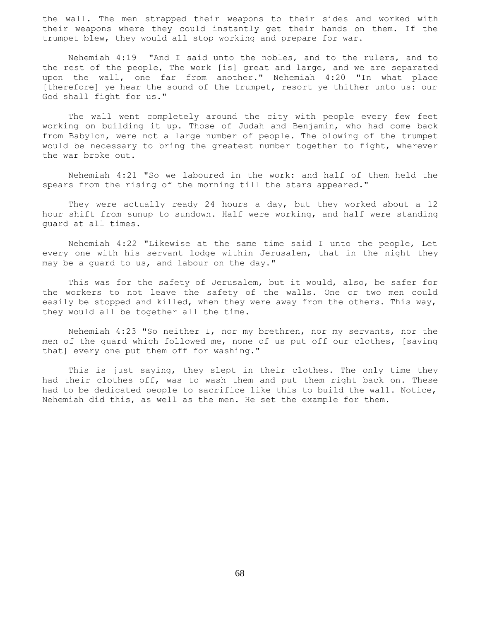the wall. The men strapped their weapons to their sides and worked with their weapons where they could instantly get their hands on them. If the trumpet blew, they would all stop working and prepare for war.

 Nehemiah 4:19 "And I said unto the nobles, and to the rulers, and to the rest of the people, The work [is] great and large, and we are separated upon the wall, one far from another." Nehemiah 4:20 "In what place [therefore] ye hear the sound of the trumpet, resort ye thither unto us: our God shall fight for us."

 The wall went completely around the city with people every few feet working on building it up. Those of Judah and Benjamin, who had come back from Babylon, were not a large number of people. The blowing of the trumpet would be necessary to bring the greatest number together to fight, wherever the war broke out.

 Nehemiah 4:21 "So we laboured in the work: and half of them held the spears from the rising of the morning till the stars appeared."

 They were actually ready 24 hours a day, but they worked about a 12 hour shift from sunup to sundown. Half were working, and half were standing guard at all times.

 Nehemiah 4:22 "Likewise at the same time said I unto the people, Let every one with his servant lodge within Jerusalem, that in the night they may be a guard to us, and labour on the day."

 This was for the safety of Jerusalem, but it would, also, be safer for the workers to not leave the safety of the walls. One or two men could easily be stopped and killed, when they were away from the others. This way, they would all be together all the time.

 Nehemiah 4:23 "So neither I, nor my brethren, nor my servants, nor the men of the guard which followed me, none of us put off our clothes, [saving that] every one put them off for washing."

 This is just saying, they slept in their clothes. The only time they had their clothes off, was to wash them and put them right back on. These had to be dedicated people to sacrifice like this to build the wall. Notice, Nehemiah did this, as well as the men. He set the example for them.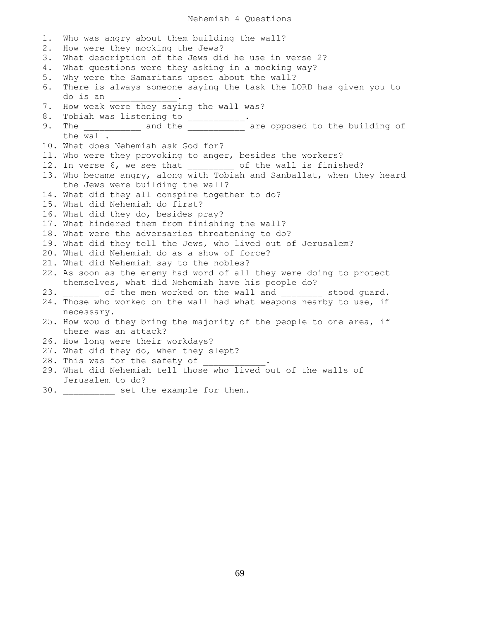### Nehemiah 4 Questions

1. Who was angry about them building the wall? 2. How were they mocking the Jews? 3. What description of the Jews did he use in verse 2? 4. What questions were they asking in a mocking way? 5. Why were the Samaritans upset about the wall? 6. There is always someone saying the task the LORD has given you to do is an \_\_\_\_\_\_\_\_\_\_\_\_\_. 7. How weak were they saying the wall was? 8. Tobiah was listening to \_\_\_\_\_\_\_\_\_\_\_ 9. The \_\_\_\_\_\_\_\_\_\_\_\_ and the \_\_\_\_\_\_\_\_\_\_\_\_ are opposed to the building of the wall. 10. What does Nehemiah ask God for? 11. Who were they provoking to anger, besides the workers? 12. In verse 6, we see that \_\_\_\_\_\_\_\_ of the wall is finished? 13. Who became angry, along with Tobiah and Sanballat, when they heard the Jews were building the wall? 14. What did they all conspire together to do? 15. What did Nehemiah do first? 16. What did they do, besides pray? 17. What hindered them from finishing the wall? 18. What were the adversaries threatening to do? 19. What did they tell the Jews, who lived out of Jerusalem? 20. What did Nehemiah do as a show of force? 21. What did Nehemiah say to the nobles? 22. As soon as the enemy had word of all they were doing to protect themselves, what did Nehemiah have his people do? 23. of the men worked on the wall and stood guard. 24. Those who worked on the wall had what weapons nearby to use, if necessary. 25. How would they bring the majority of the people to one area, if there was an attack? 26. How long were their workdays? 27. What did they do, when they slept? 28. This was for the safety of 29. What did Nehemiah tell those who lived out of the walls of Jerusalem to do?

30. \_\_\_\_\_\_\_\_\_\_ set the example for them.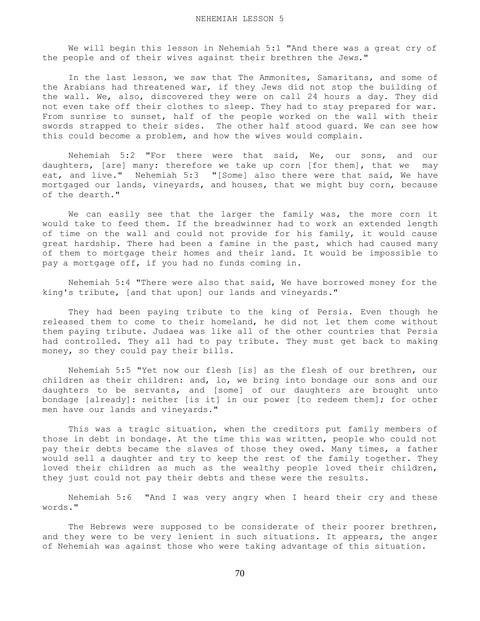We will begin this lesson in Nehemiah 5:1 "And there was a great cry of the people and of their wives against their brethren the Jews."

 In the last lesson, we saw that The Ammonites, Samaritans, and some of the Arabians had threatened war, if they Jews did not stop the building of the wall. We, also, discovered they were on call 24 hours a day. They did not even take off their clothes to sleep. They had to stay prepared for war. From sunrise to sunset, half of the people worked on the wall with their swords strapped to their sides. The other half stood guard. We can see how this could become a problem, and how the wives would complain.

 Nehemiah 5:2 "For there were that said, We, our sons, and our daughters, [are] many: therefore we take up corn [for them], that we may eat, and live." Nehemiah 5:3 "[Some] also there were that said, We have mortgaged our lands, vineyards, and houses, that we might buy corn, because of the dearth."

We can easily see that the larger the family was, the more corn it would take to feed them. If the breadwinner had to work an extended length of time on the wall and could not provide for his family, it would cause great hardship. There had been a famine in the past, which had caused many of them to mortgage their homes and their land. It would be impossible to pay a mortgage off, if you had no funds coming in.

 Nehemiah 5:4 "There were also that said, We have borrowed money for the king's tribute, [and that upon] our lands and vineyards."

 They had been paying tribute to the king of Persia. Even though he released them to come to their homeland, he did not let them come without them paying tribute. Judaea was like all of the other countries that Persia had controlled. They all had to pay tribute. They must get back to making money, so they could pay their bills.

 Nehemiah 5:5 "Yet now our flesh [is] as the flesh of our brethren, our children as their children: and, lo, we bring into bondage our sons and our daughters to be servants, and [some] of our daughters are brought unto bondage [already]: neither [is it] in our power [to redeem them]; for other men have our lands and vineyards."

 This was a tragic situation, when the creditors put family members of those in debt in bondage. At the time this was written, people who could not pay their debts became the slaves of those they owed. Many times, a father would sell a daughter and try to keep the rest of the family together. They loved their children as much as the wealthy people loved their children, they just could not pay their debts and these were the results.

 Nehemiah 5:6 "And I was very angry when I heard their cry and these words."

 The Hebrews were supposed to be considerate of their poorer brethren, and they were to be very lenient in such situations. It appears, the anger of Nehemiah was against those who were taking advantage of this situation.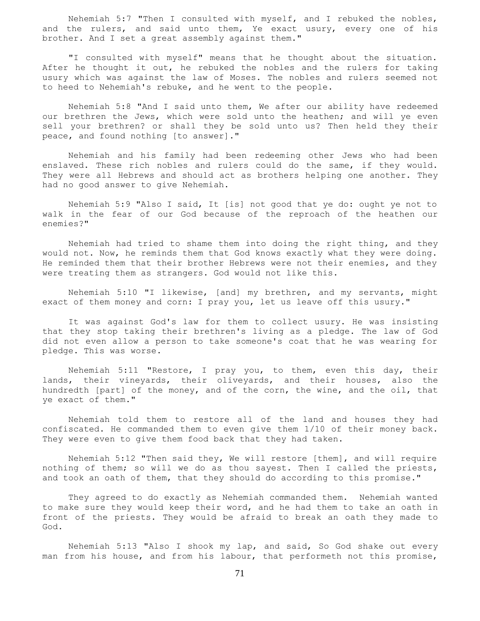Nehemiah 5:7 "Then I consulted with myself, and I rebuked the nobles, and the rulers, and said unto them, Ye exact usury, every one of his brother. And I set a great assembly against them."

 "I consulted with myself" means that he thought about the situation. After he thought it out, he rebuked the nobles and the rulers for taking usury which was against the law of Moses. The nobles and rulers seemed not to heed to Nehemiah's rebuke, and he went to the people.

 Nehemiah 5:8 "And I said unto them, We after our ability have redeemed our brethren the Jews, which were sold unto the heathen; and will ye even sell your brethren? or shall they be sold unto us? Then held they their peace, and found nothing [to answer]."

 Nehemiah and his family had been redeeming other Jews who had been enslaved. These rich nobles and rulers could do the same, if they would. They were all Hebrews and should act as brothers helping one another. They had no good answer to give Nehemiah.

 Nehemiah 5:9 "Also I said, It [is] not good that ye do: ought ye not to walk in the fear of our God because of the reproach of the heathen our enemies?"

 Nehemiah had tried to shame them into doing the right thing, and they would not. Now, he reminds them that God knows exactly what they were doing. He reminded them that their brother Hebrews were not their enemies, and they were treating them as strangers. God would not like this.

 Nehemiah 5:10 "I likewise, [and] my brethren, and my servants, might exact of them money and corn: I pray you, let us leave off this usury."

 It was against God's law for them to collect usury. He was insisting that they stop taking their brethren's living as a pledge. The law of God did not even allow a person to take someone's coat that he was wearing for pledge. This was worse.

 Nehemiah 5:11 "Restore, I pray you, to them, even this day, their lands, their vineyards, their oliveyards, and their houses, also the hundredth [part] of the money, and of the corn, the wine, and the oil, that ye exact of them."

 Nehemiah told them to restore all of the land and houses they had confiscated. He commanded them to even give them 1/10 of their money back. They were even to give them food back that they had taken.

 Nehemiah 5:12 "Then said they, We will restore [them], and will require nothing of them; so will we do as thou sayest. Then I called the priests, and took an oath of them, that they should do according to this promise."

 They agreed to do exactly as Nehemiah commanded them. Nehemiah wanted to make sure they would keep their word, and he had them to take an oath in front of the priests. They would be afraid to break an oath they made to God.

 Nehemiah 5:13 "Also I shook my lap, and said, So God shake out every man from his house, and from his labour, that performeth not this promise,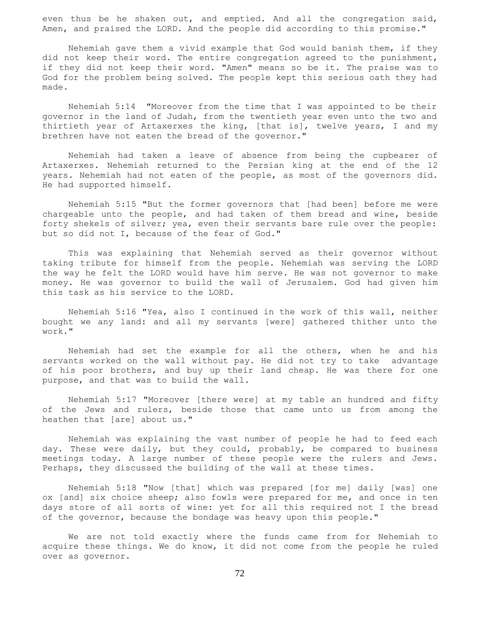even thus be he shaken out, and emptied. And all the congregation said, Amen, and praised the LORD. And the people did according to this promise."

 Nehemiah gave them a vivid example that God would banish them, if they did not keep their word. The entire congregation agreed to the punishment, if they did not keep their word. "Amen" means so be it. The praise was to God for the problem being solved. The people kept this serious oath they had made.

 Nehemiah 5:14 "Moreover from the time that I was appointed to be their governor in the land of Judah, from the twentieth year even unto the two and thirtieth year of Artaxerxes the king, [that is], twelve years, I and my brethren have not eaten the bread of the governor."

 Nehemiah had taken a leave of absence from being the cupbearer of Artaxerxes. Nehemiah returned to the Persian king at the end of the 12 years. Nehemiah had not eaten of the people, as most of the governors did. He had supported himself.

 Nehemiah 5:15 "But the former governors that [had been] before me were chargeable unto the people, and had taken of them bread and wine, beside forty shekels of silver; yea, even their servants bare rule over the people: but so did not I, because of the fear of God."

 This was explaining that Nehemiah served as their governor without taking tribute for himself from the people. Nehemiah was serving the LORD the way he felt the LORD would have him serve. He was not governor to make money. He was governor to build the wall of Jerusalem. God had given him this task as his service to the LORD.

 Nehemiah 5:16 "Yea, also I continued in the work of this wall, neither bought we any land: and all my servants [were] gathered thither unto the work."

 Nehemiah had set the example for all the others, when he and his servants worked on the wall without pay. He did not try to take advantage of his poor brothers, and buy up their land cheap. He was there for one purpose, and that was to build the wall.

 Nehemiah 5:17 "Moreover [there were] at my table an hundred and fifty of the Jews and rulers, beside those that came unto us from among the heathen that [are] about us."

 Nehemiah was explaining the vast number of people he had to feed each day. These were daily, but they could, probably, be compared to business meetings today. A large number of these people were the rulers and Jews. Perhaps, they discussed the building of the wall at these times.

 Nehemiah 5:18 "Now [that] which was prepared [for me] daily [was] one ox [and] six choice sheep; also fowls were prepared for me, and once in ten days store of all sorts of wine: yet for all this required not I the bread of the governor, because the bondage was heavy upon this people."

 We are not told exactly where the funds came from for Nehemiah to acquire these things. We do know, it did not come from the people he ruled over as governor.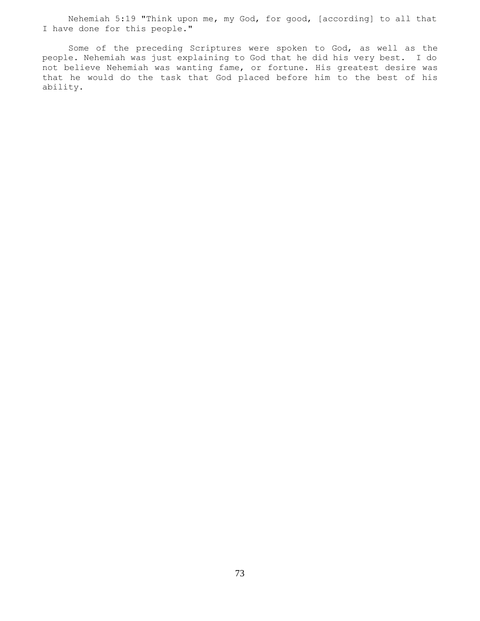Nehemiah 5:19 "Think upon me, my God, for good, [according] to all that I have done for this people."

 Some of the preceding Scriptures were spoken to God, as well as the people. Nehemiah was just explaining to God that he did his very best. I do not believe Nehemiah was wanting fame, or fortune. His greatest desire was that he would do the task that God placed before him to the best of his ability.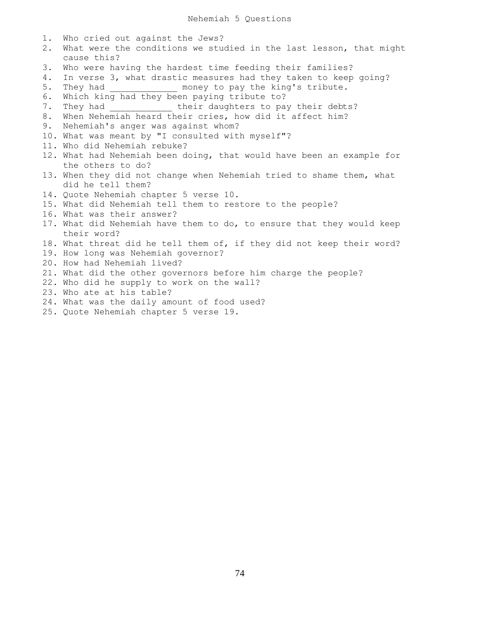| $1$ . | Who cried out against the Jews?                                       |
|-------|-----------------------------------------------------------------------|
| 2.    | What were the conditions we studied in the last lesson, that might    |
|       | cause this?                                                           |
| 3.    | Who were having the hardest time feeding their families?              |
| 4.    | In verse 3, what drastic measures had they taken to keep going?       |
| 5.    | They had _______________ money to pay the king's tribute.             |
| 6.    | Which king had they been paying tribute to?                           |
| 7.    | They had ________________ their daughters to pay their debts?         |
| 8.    | When Nehemiah heard their cries, how did it affect him?               |
| 9.    | Nehemiah's anger was against whom?                                    |
|       | 10. What was meant by "I consulted with myself"?                      |
|       | 11. Who did Nehemiah rebuke?                                          |
|       | 12. What had Nehemiah been doing, that would have been an example for |
|       | the others to do?                                                     |
|       | 13. When they did not change when Nehemiah tried to shame them, what  |
|       | did he tell them?                                                     |
|       | 14. Quote Nehemiah chapter 5 verse 10.                                |
|       | 15. What did Nehemiah tell them to restore to the people?             |
|       | 16. What was their answer?                                            |
|       | 17. What did Nehemiah have them to do, to ensure that they would keep |
|       | their word?                                                           |
|       | 18. What threat did he tell them of, if they did not keep their word? |
|       | 19. How long was Nehemiah governor?                                   |
|       | 20. How had Nehemiah lived?                                           |
|       | 21. What did the other governors before him charge the people?        |
|       | 22. Who did he supply to work on the wall?                            |
|       | 23. Who ate at his table?                                             |
|       | 24. What was the daily amount of food used?                           |
|       | 25. Quote Nehemiah chapter 5 verse 19.                                |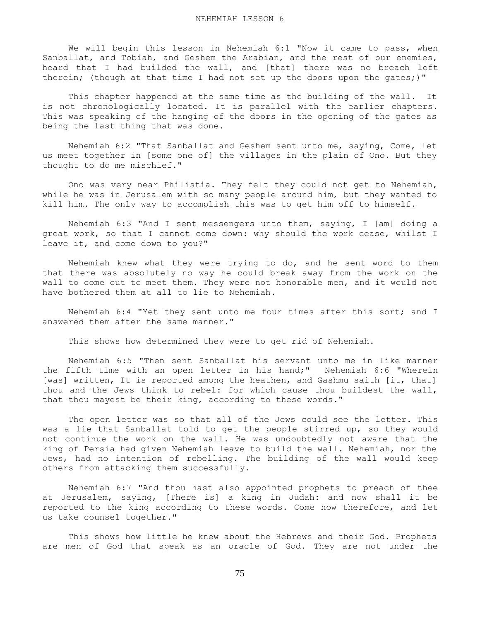We will begin this lesson in Nehemiah 6:1 "Now it came to pass, when Sanballat, and Tobiah, and Geshem the Arabian, and the rest of our enemies, heard that I had builded the wall, and [that] there was no breach left therein; (though at that time I had not set up the doors upon the gates;)"

 This chapter happened at the same time as the building of the wall. It is not chronologically located. It is parallel with the earlier chapters. This was speaking of the hanging of the doors in the opening of the gates as being the last thing that was done.

 Nehemiah 6:2 "That Sanballat and Geshem sent unto me, saying, Come, let us meet together in [some one of] the villages in the plain of Ono. But they thought to do me mischief."

 Ono was very near Philistia. They felt they could not get to Nehemiah, while he was in Jerusalem with so many people around him, but they wanted to kill him. The only way to accomplish this was to get him off to himself.

 Nehemiah 6:3 "And I sent messengers unto them, saying, I [am] doing a great work, so that I cannot come down: why should the work cease, whilst I leave it, and come down to you?"

 Nehemiah knew what they were trying to do, and he sent word to them that there was absolutely no way he could break away from the work on the wall to come out to meet them. They were not honorable men, and it would not have bothered them at all to lie to Nehemiah.

 Nehemiah 6:4 "Yet they sent unto me four times after this sort; and I answered them after the same manner."

This shows how determined they were to get rid of Nehemiah.

 Nehemiah 6:5 "Then sent Sanballat his servant unto me in like manner the fifth time with an open letter in his hand;" Nehemiah 6:6 "Wherein [was] written, It is reported among the heathen, and Gashmu saith [it, that] thou and the Jews think to rebel: for which cause thou buildest the wall, that thou mayest be their king, according to these words."

 The open letter was so that all of the Jews could see the letter. This was a lie that Sanballat told to get the people stirred up, so they would not continue the work on the wall. He was undoubtedly not aware that the king of Persia had given Nehemiah leave to build the wall. Nehemiah, nor the Jews, had no intention of rebelling. The building of the wall would keep others from attacking them successfully.

 Nehemiah 6:7 "And thou hast also appointed prophets to preach of thee at Jerusalem, saying, [There is] a king in Judah: and now shall it be reported to the king according to these words. Come now therefore, and let us take counsel together."

 This shows how little he knew about the Hebrews and their God. Prophets are men of God that speak as an oracle of God. They are not under the

75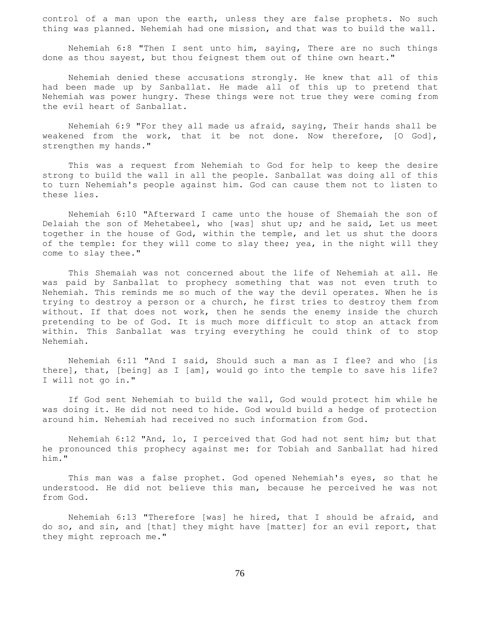control of a man upon the earth, unless they are false prophets. No such thing was planned. Nehemiah had one mission, and that was to build the wall.

 Nehemiah 6:8 "Then I sent unto him, saying, There are no such things done as thou sayest, but thou feignest them out of thine own heart."

 Nehemiah denied these accusations strongly. He knew that all of this had been made up by Sanballat. He made all of this up to pretend that Nehemiah was power hungry. These things were not true they were coming from the evil heart of Sanballat.

 Nehemiah 6:9 "For they all made us afraid, saying, Their hands shall be weakened from the work, that it be not done. Now therefore, [O God], strengthen my hands."

 This was a request from Nehemiah to God for help to keep the desire strong to build the wall in all the people. Sanballat was doing all of this to turn Nehemiah's people against him. God can cause them not to listen to these lies.

 Nehemiah 6:10 "Afterward I came unto the house of Shemaiah the son of Delaiah the son of Mehetabeel, who [was] shut up; and he said, Let us meet together in the house of God, within the temple, and let us shut the doors of the temple: for they will come to slay thee; yea, in the night will they come to slay thee."

 This Shemaiah was not concerned about the life of Nehemiah at all. He was paid by Sanballat to prophecy something that was not even truth to Nehemiah. This reminds me so much of the way the devil operates. When he is trying to destroy a person or a church, he first tries to destroy them from without. If that does not work, then he sends the enemy inside the church pretending to be of God. It is much more difficult to stop an attack from within. This Sanballat was trying everything he could think of to stop Nehemiah.

 Nehemiah 6:11 "And I said, Should such a man as I flee? and who [is there], that, [being] as I [am], would go into the temple to save his life? I will not go in."

 If God sent Nehemiah to build the wall, God would protect him while he was doing it. He did not need to hide. God would build a hedge of protection around him. Nehemiah had received no such information from God.

 Nehemiah 6:12 "And, lo, I perceived that God had not sent him; but that he pronounced this prophecy against me: for Tobiah and Sanballat had hired him."

 This man was a false prophet. God opened Nehemiah's eyes, so that he understood. He did not believe this man, because he perceived he was not from God.

 Nehemiah 6:13 "Therefore [was] he hired, that I should be afraid, and do so, and sin, and [that] they might have [matter] for an evil report, that they might reproach me."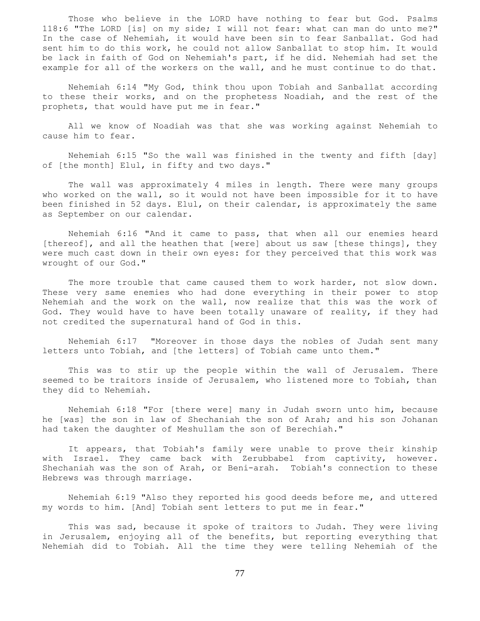Those who believe in the LORD have nothing to fear but God. Psalms 118:6 "The LORD [is] on my side; I will not fear: what can man do unto me?" In the case of Nehemiah, it would have been sin to fear Sanballat. God had sent him to do this work, he could not allow Sanballat to stop him. It would be lack in faith of God on Nehemiah's part, if he did. Nehemiah had set the example for all of the workers on the wall, and he must continue to do that.

 Nehemiah 6:14 "My God, think thou upon Tobiah and Sanballat according to these their works, and on the prophetess Noadiah, and the rest of the prophets, that would have put me in fear."

 All we know of Noadiah was that she was working against Nehemiah to cause him to fear.

 Nehemiah 6:15 "So the wall was finished in the twenty and fifth [day] of [the month] Elul, in fifty and two days."

 The wall was approximately 4 miles in length. There were many groups who worked on the wall, so it would not have been impossible for it to have been finished in 52 days. Elul, on their calendar, is approximately the same as September on our calendar.

 Nehemiah 6:16 "And it came to pass, that when all our enemies heard [thereof], and all the heathen that [were] about us saw [these things], they were much cast down in their own eyes: for they perceived that this work was wrought of our God."

The more trouble that came caused them to work harder, not slow down. These very same enemies who had done everything in their power to stop Nehemiah and the work on the wall, now realize that this was the work of God. They would have to have been totally unaware of reality, if they had not credited the supernatural hand of God in this.

 Nehemiah 6:17 "Moreover in those days the nobles of Judah sent many letters unto Tobiah, and [the letters] of Tobiah came unto them."

 This was to stir up the people within the wall of Jerusalem. There seemed to be traitors inside of Jerusalem, who listened more to Tobiah, than they did to Nehemiah.

 Nehemiah 6:18 "For [there were] many in Judah sworn unto him, because he [was] the son in law of Shechaniah the son of Arah; and his son Johanan had taken the daughter of Meshullam the son of Berechiah."

 It appears, that Tobiah's family were unable to prove their kinship with Israel. They came back with Zerubbabel from captivity, however. Shechaniah was the son of Arah, or Beni-arah. Tobiah's connection to these Hebrews was through marriage.

 Nehemiah 6:19 "Also they reported his good deeds before me, and uttered my words to him. [And] Tobiah sent letters to put me in fear."

 This was sad, because it spoke of traitors to Judah. They were living in Jerusalem, enjoying all of the benefits, but reporting everything that Nehemiah did to Tobiah. All the time they were telling Nehemiah of the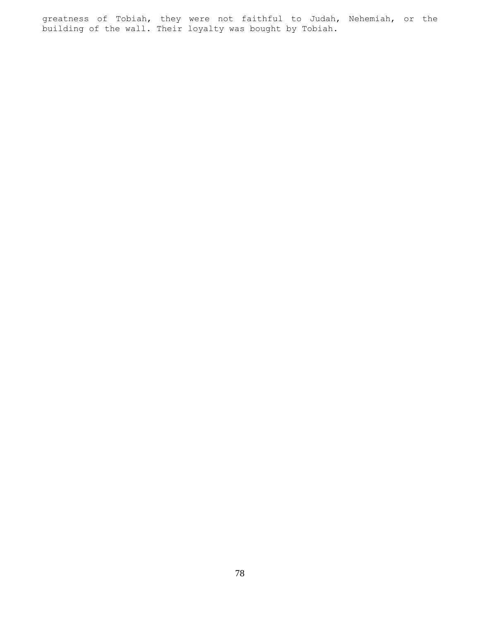greatness of Tobiah, they were not faithful to Judah, Nehemiah, or the building of the wall. Their loyalty was bought by Tobiah.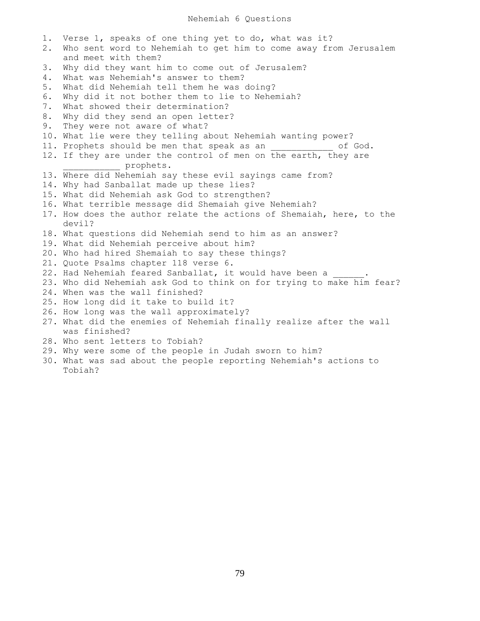1. Verse 1, speaks of one thing yet to do, what was it? 2. Who sent word to Nehemiah to get him to come away from Jerusalem and meet with them? 3. Why did they want him to come out of Jerusalem? 4. What was Nehemiah's answer to them? 5. What did Nehemiah tell them he was doing? 6. Why did it not bother them to lie to Nehemiah? 7. What showed their determination? 8. Why did they send an open letter? 9. They were not aware of what? 10. What lie were they telling about Nehemiah wanting power? 11. Prophets should be men that speak as an  $\qquad \qquad$  of God. 12. If they are under the control of men on the earth, they are \_\_\_\_\_\_\_\_\_\_\_ prophets. 13. Where did Nehemiah say these evil sayings came from? 14. Why had Sanballat made up these lies? 15. What did Nehemiah ask God to strengthen? 16. What terrible message did Shemaiah give Nehemiah? 17. How does the author relate the actions of Shemaiah, here, to the devil? 18. What questions did Nehemiah send to him as an answer? 19. What did Nehemiah perceive about him? 20. Who had hired Shemaiah to say these things? 21. Quote Psalms chapter 118 verse 6. 22. Had Nehemiah feared Sanballat, it would have been a 23. Who did Nehemiah ask God to think on for trying to make him fear? 24. When was the wall finished? 25. How long did it take to build it? 26. How long was the wall approximately? 27. What did the enemies of Nehemiah finally realize after the wall was finished? 28. Who sent letters to Tobiah? 29. Why were some of the people in Judah sworn to him?

30. What was sad about the people reporting Nehemiah's actions to Tobiah?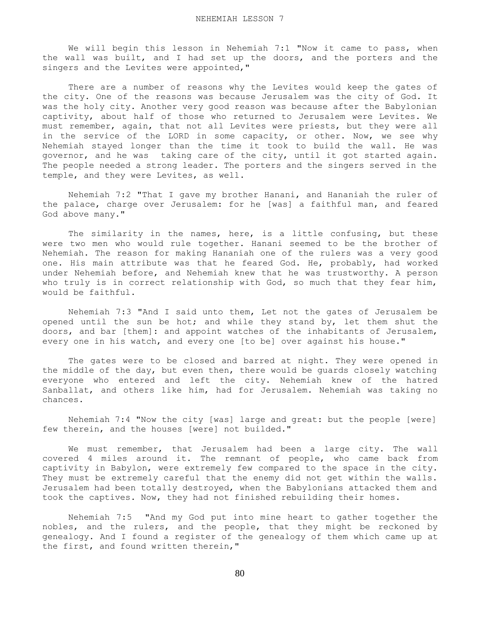We will begin this lesson in Nehemiah 7:1 "Now it came to pass, when the wall was built, and I had set up the doors, and the porters and the singers and the Levites were appointed,"

 There are a number of reasons why the Levites would keep the gates of the city. One of the reasons was because Jerusalem was the city of God. It was the holy city. Another very good reason was because after the Babylonian captivity, about half of those who returned to Jerusalem were Levites. We must remember, again, that not all Levites were priests, but they were all in the service of the LORD in some capacity, or other. Now, we see why Nehemiah stayed longer than the time it took to build the wall. He was governor, and he was taking care of the city, until it got started again. The people needed a strong leader. The porters and the singers served in the temple, and they were Levites, as well.

 Nehemiah 7:2 "That I gave my brother Hanani, and Hananiah the ruler of the palace, charge over Jerusalem: for he [was] a faithful man, and feared God above many."

 The similarity in the names, here, is a little confusing, but these were two men who would rule together. Hanani seemed to be the brother of Nehemiah. The reason for making Hananiah one of the rulers was a very good one. His main attribute was that he feared God. He, probably, had worked under Nehemiah before, and Nehemiah knew that he was trustworthy. A person who truly is in correct relationship with God, so much that they fear him, would be faithful.

 Nehemiah 7:3 "And I said unto them, Let not the gates of Jerusalem be opened until the sun be hot; and while they stand by, let them shut the doors, and bar [them]: and appoint watches of the inhabitants of Jerusalem, every one in his watch, and every one [to be] over against his house."

 The gates were to be closed and barred at night. They were opened in the middle of the day, but even then, there would be guards closely watching everyone who entered and left the city. Nehemiah knew of the hatred Sanballat, and others like him, had for Jerusalem. Nehemiah was taking no chances.

 Nehemiah 7:4 "Now the city [was] large and great: but the people [were] few therein, and the houses [were] not builded."

 We must remember, that Jerusalem had been a large city. The wall covered 4 miles around it. The remnant of people, who came back from captivity in Babylon, were extremely few compared to the space in the city. They must be extremely careful that the enemy did not get within the walls. Jerusalem had been totally destroyed, when the Babylonians attacked them and took the captives. Now, they had not finished rebuilding their homes.

 Nehemiah 7:5 "And my God put into mine heart to gather together the nobles, and the rulers, and the people, that they might be reckoned by genealogy. And I found a register of the genealogy of them which came up at the first, and found written therein,"

80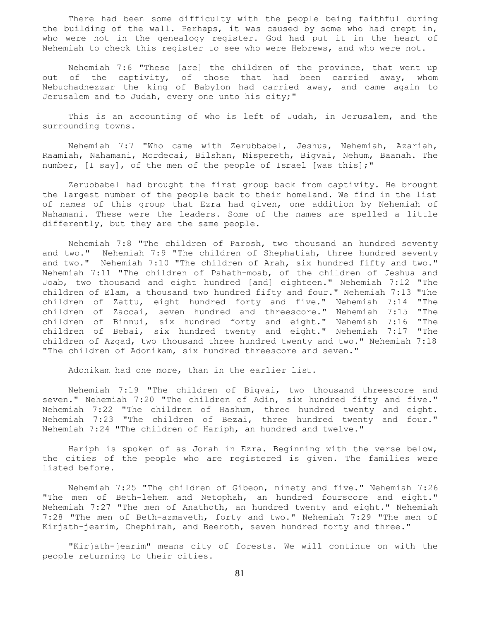There had been some difficulty with the people being faithful during the building of the wall. Perhaps, it was caused by some who had crept in, who were not in the genealogy register. God had put it in the heart of Nehemiah to check this register to see who were Hebrews, and who were not.

 Nehemiah 7:6 "These [are] the children of the province, that went up out of the captivity, of those that had been carried away, whom Nebuchadnezzar the king of Babylon had carried away, and came again to Jerusalem and to Judah, every one unto his city;"

 This is an accounting of who is left of Judah, in Jerusalem, and the surrounding towns.

 Nehemiah 7:7 "Who came with Zerubbabel, Jeshua, Nehemiah, Azariah, Raamiah, Nahamani, Mordecai, Bilshan, Mispereth, Bigvai, Nehum, Baanah. The number, [I say], of the men of the people of Israel [was this];"

 Zerubbabel had brought the first group back from captivity. He brought the largest number of the people back to their homeland. We find in the list of names of this group that Ezra had given, one addition by Nehemiah of Nahamani. These were the leaders. Some of the names are spelled a little differently, but they are the same people.

 Nehemiah 7:8 "The children of Parosh, two thousand an hundred seventy and two." Nehemiah 7:9 "The children of Shephatiah, three hundred seventy and two." Nehemiah 7:10 "The children of Arah, six hundred fifty and two." Nehemiah 7:11 "The children of Pahath-moab, of the children of Jeshua and Joab, two thousand and eight hundred [and] eighteen." Nehemiah 7:12 "The children of Elam, a thousand two hundred fifty and four." Nehemiah 7:13 "The children of Zattu, eight hundred forty and five." Nehemiah 7:14 "The children of Zaccai, seven hundred and threescore." Nehemiah 7:15 "The children of Binnui, six hundred forty and eight." Nehemiah 7:16 "The children of Bebai, six hundred twenty and eight." Nehemiah 7:17 "The children of Azgad, two thousand three hundred twenty and two." Nehemiah 7:18 "The children of Adonikam, six hundred threescore and seven."

Adonikam had one more, than in the earlier list.

 Nehemiah 7:19 "The children of Bigvai, two thousand threescore and seven." Nehemiah 7:20 "The children of Adin, six hundred fifty and five." Nehemiah 7:22 "The children of Hashum, three hundred twenty and eight. Nehemiah 7:23 "The children of Bezai, three hundred twenty and four." Nehemiah 7:24 "The children of Hariph, an hundred and twelve."

 Hariph is spoken of as Jorah in Ezra. Beginning with the verse below, the cities of the people who are registered is given. The families were listed before.

 Nehemiah 7:25 "The children of Gibeon, ninety and five." Nehemiah 7:26 "The men of Beth-lehem and Netophah, an hundred fourscore and eight." Nehemiah 7:27 "The men of Anathoth, an hundred twenty and eight." Nehemiah 7:28 "The men of Beth-azmaveth, forty and two." Nehemiah 7:29 "The men of Kirjath-jearim, Chephirah, and Beeroth, seven hundred forty and three."

 "Kirjath-jearim" means city of forests. We will continue on with the people returning to their cities.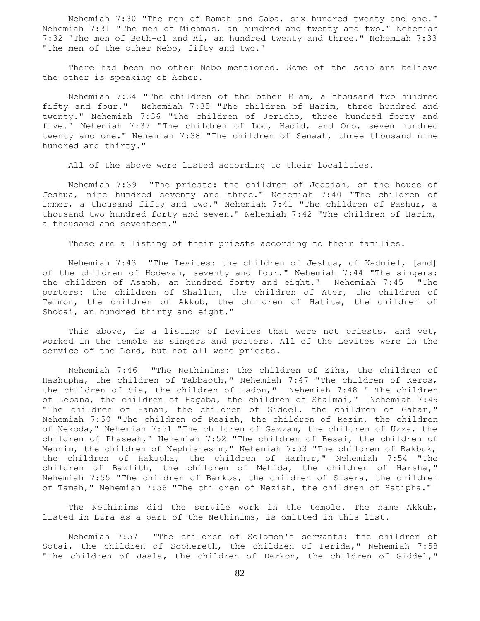Nehemiah 7:30 "The men of Ramah and Gaba, six hundred twenty and one." Nehemiah 7:31 "The men of Michmas, an hundred and twenty and two." Nehemiah 7:32 "The men of Beth-el and Ai, an hundred twenty and three." Nehemiah 7:33 "The men of the other Nebo, fifty and two."

 There had been no other Nebo mentioned. Some of the scholars believe the other is speaking of Acher.

 Nehemiah 7:34 "The children of the other Elam, a thousand two hundred fifty and four." Nehemiah 7:35 "The children of Harim, three hundred and twenty." Nehemiah 7:36 "The children of Jericho, three hundred forty and five." Nehemiah 7:37 "The children of Lod, Hadid, and Ono, seven hundred twenty and one." Nehemiah 7:38 "The children of Senaah, three thousand nine hundred and thirty."

All of the above were listed according to their localities.

 Nehemiah 7:39 "The priests: the children of Jedaiah, of the house of Jeshua, nine hundred seventy and three." Nehemiah 7:40 "The children of Immer, a thousand fifty and two." Nehemiah 7:41 "The children of Pashur, a thousand two hundred forty and seven." Nehemiah 7:42 "The children of Harim, a thousand and seventeen."

These are a listing of their priests according to their families.

 Nehemiah 7:43 "The Levites: the children of Jeshua, of Kadmiel, [and] of the children of Hodevah, seventy and four." Nehemiah 7:44 "The singers: the children of Asaph, an hundred forty and eight." Nehemiah 7:45 "The porters: the children of Shallum, the children of Ater, the children of Talmon, the children of Akkub, the children of Hatita, the children of Shobai, an hundred thirty and eight."

This above, is a listing of Levites that were not priests, and yet, worked in the temple as singers and porters. All of the Levites were in the service of the Lord, but not all were priests.

 Nehemiah 7:46 "The Nethinims: the children of Ziha, the children of Hashupha, the children of Tabbaoth," Nehemiah 7:47 "The children of Keros, the children of Sia, the children of Padon," Nehemiah 7:48 " The children of Lebana, the children of Hagaba, the children of Shalmai," Nehemiah 7:49 "The children of Hanan, the children of Giddel, the children of Gahar," Nehemiah 7:50 "The children of Reaiah, the children of Rezin, the children of Nekoda," Nehemiah 7:51 "The children of Gazzam, the children of Uzza, the children of Phaseah," Nehemiah 7:52 "The children of Besai, the children of Meunim, the children of Nephishesim," Nehemiah 7:53 "The children of Bakbuk, the children of Hakupha, the children of Harhur," Nehemiah 7:54 "The children of Bazlith, the children of Mehida, the children of Harsha," Nehemiah 7:55 "The children of Barkos, the children of Sisera, the children of Tamah," Nehemiah 7:56 "The children of Neziah, the children of Hatipha."

 The Nethinims did the servile work in the temple. The name Akkub, listed in Ezra as a part of the Nethinims, is omitted in this list.

 Nehemiah 7:57 "The children of Solomon's servants: the children of Sotai, the children of Sophereth, the children of Perida," Nehemiah 7:58 "The children of Jaala, the children of Darkon, the children of Giddel,"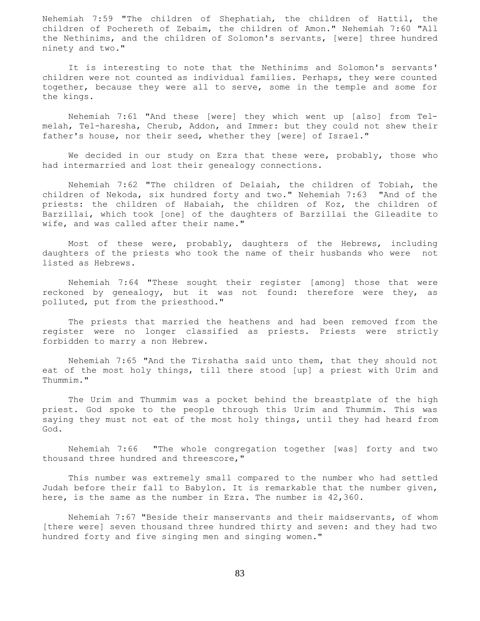Nehemiah 7:59 "The children of Shephatiah, the children of Hattil, the children of Pochereth of Zebaim, the children of Amon." Nehemiah 7:60 "All the Nethinims, and the children of Solomon's servants, [were] three hundred ninety and two."

 It is interesting to note that the Nethinims and Solomon's servants' children were not counted as individual families. Perhaps, they were counted together, because they were all to serve, some in the temple and some for the kings.

 Nehemiah 7:61 "And these [were] they which went up [also] from Telmelah, Tel-haresha, Cherub, Addon, and Immer: but they could not shew their father's house, nor their seed, whether they [were] of Israel."

We decided in our study on Ezra that these were, probably, those who had intermarried and lost their genealogy connections.

 Nehemiah 7:62 "The children of Delaiah, the children of Tobiah, the children of Nekoda, six hundred forty and two." Nehemiah 7:63 "And of the priests: the children of Habaiah, the children of Koz, the children of Barzillai, which took [one] of the daughters of Barzillai the Gileadite to wife, and was called after their name."

 Most of these were, probably, daughters of the Hebrews, including daughters of the priests who took the name of their husbands who were not listed as Hebrews.

 Nehemiah 7:64 "These sought their register [among] those that were reckoned by genealogy, but it was not found: therefore were they, as polluted, put from the priesthood."

 The priests that married the heathens and had been removed from the register were no longer classified as priests. Priests were strictly forbidden to marry a non Hebrew.

 Nehemiah 7:65 "And the Tirshatha said unto them, that they should not eat of the most holy things, till there stood [up] a priest with Urim and Thummim."

 The Urim and Thummim was a pocket behind the breastplate of the high priest. God spoke to the people through this Urim and Thummim. This was saying they must not eat of the most holy things, until they had heard from God.

 Nehemiah 7:66 "The whole congregation together [was] forty and two thousand three hundred and threescore,"

 This number was extremely small compared to the number who had settled Judah before their fall to Babylon. It is remarkable that the number given, here, is the same as the number in Ezra. The number is 42,360.

 Nehemiah 7:67 "Beside their manservants and their maidservants, of whom [there were] seven thousand three hundred thirty and seven: and they had two hundred forty and five singing men and singing women."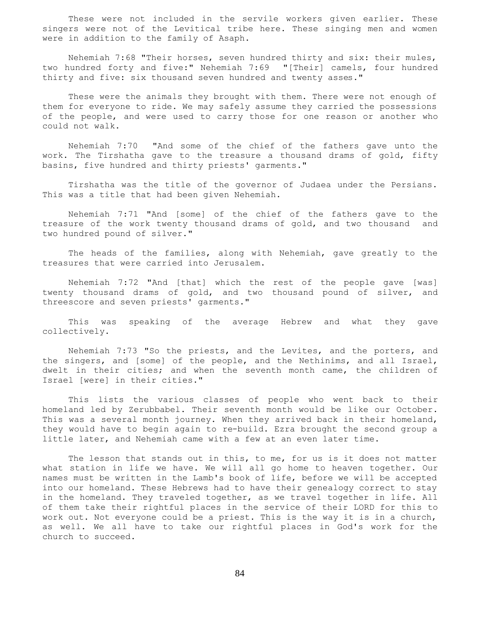These were not included in the servile workers given earlier. These singers were not of the Levitical tribe here. These singing men and women were in addition to the family of Asaph.

 Nehemiah 7:68 "Their horses, seven hundred thirty and six: their mules, two hundred forty and five:" Nehemiah 7:69 "[Their] camels, four hundred thirty and five: six thousand seven hundred and twenty asses."

 These were the animals they brought with them. There were not enough of them for everyone to ride. We may safely assume they carried the possessions of the people, and were used to carry those for one reason or another who could not walk.

 Nehemiah 7:70 "And some of the chief of the fathers gave unto the work. The Tirshatha gave to the treasure a thousand drams of gold, fifty basins, five hundred and thirty priests' garments."

 Tirshatha was the title of the governor of Judaea under the Persians. This was a title that had been given Nehemiah.

 Nehemiah 7:71 "And [some] of the chief of the fathers gave to the treasure of the work twenty thousand drams of gold, and two thousand and two hundred pound of silver."

 The heads of the families, along with Nehemiah, gave greatly to the treasures that were carried into Jerusalem.

 Nehemiah 7:72 "And [that] which the rest of the people gave [was] twenty thousand drams of gold, and two thousand pound of silver, and threescore and seven priests' garments."

 This was speaking of the average Hebrew and what they gave collectively.

 Nehemiah 7:73 "So the priests, and the Levites, and the porters, and the singers, and [some] of the people, and the Nethinims, and all Israel, dwelt in their cities; and when the seventh month came, the children of Israel [were] in their cities."

 This lists the various classes of people who went back to their homeland led by Zerubbabel. Their seventh month would be like our October. This was a several month journey. When they arrived back in their homeland, they would have to begin again to re-build. Ezra brought the second group a little later, and Nehemiah came with a few at an even later time.

 The lesson that stands out in this, to me, for us is it does not matter what station in life we have. We will all go home to heaven together. Our names must be written in the Lamb's book of life, before we will be accepted into our homeland. These Hebrews had to have their genealogy correct to stay in the homeland. They traveled together, as we travel together in life. All of them take their rightful places in the service of their LORD for this to work out. Not everyone could be a priest. This is the way it is in a church, as well. We all have to take our rightful places in God's work for the church to succeed.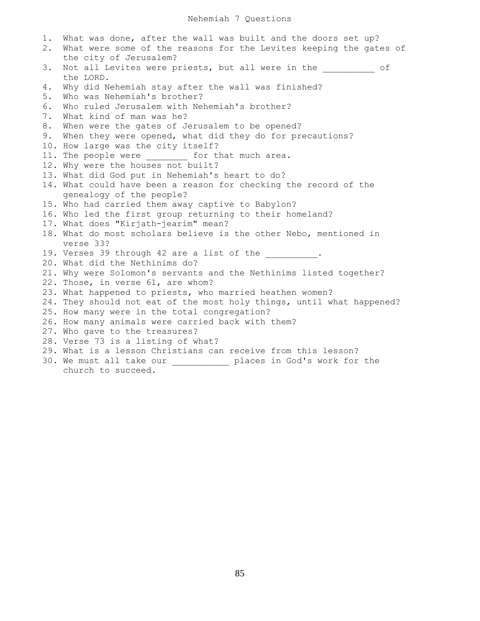1. What was done, after the wall was built and the doors set up? 2. What were some of the reasons for the Levites keeping the gates of the city of Jerusalem? 3. Not all Levites were priests, but all were in the  $\qquad \qquad$  of the LORD. 4. Why did Nehemiah stay after the wall was finished? 5. Who was Nehemiah's brother? 6. Who ruled Jerusalem with Nehemiah's brother? 7. What kind of man was he? 8. When were the gates of Jerusalem to be opened? 9. When they were opened, what did they do for precautions? 10. How large was the city itself? 11. The people were for that much area. 12. Why were the houses not built? 13. What did God put in Nehemiah's heart to do? 14. What could have been a reason for checking the record of the genealogy of the people? 15. Who had carried them away captive to Babylon? 16. Who led the first group returning to their homeland? 17. What does "Kirjath-jearim" mean? 18. What do most scholars believe is the other Nebo, mentioned in verse 33? 19. Verses 39 through 42 are a list of the  $\qquad \qquad$ 20. What did the Nethinims do? 21. Why were Solomon's servants and the Nethinims listed together? 22. Those, in verse 61, are whom? 23. What happened to priests, who married heathen women? 24. They should not eat of the most holy things, until what happened? 25. How many were in the total congregation? 26. How many animals were carried back with them? 27. Who gave to the treasures? 28. Verse 73 is a listing of what? 29. What is a lesson Christians can receive from this lesson? 30. We must all take our \_\_\_\_\_\_\_\_\_\_\_ places in God's work for the church to succeed.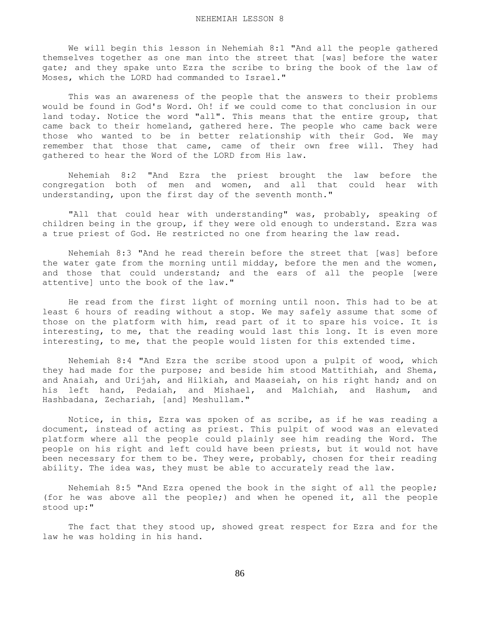We will begin this lesson in Nehemiah 8:1 "And all the people gathered themselves together as one man into the street that [was] before the water gate; and they spake unto Ezra the scribe to bring the book of the law of Moses, which the LORD had commanded to Israel."

 This was an awareness of the people that the answers to their problems would be found in God's Word. Oh! if we could come to that conclusion in our land today. Notice the word "all". This means that the entire group, that came back to their homeland, gathered here. The people who came back were those who wanted to be in better relationship with their God. We may remember that those that came, came of their own free will. They had gathered to hear the Word of the LORD from His law.

 Nehemiah 8:2 "And Ezra the priest brought the law before the congregation both of men and women, and all that could hear with understanding, upon the first day of the seventh month."

"All that could hear with understanding" was, probably, speaking of children being in the group, if they were old enough to understand. Ezra was a true priest of God. He restricted no one from hearing the law read.

 Nehemiah 8:3 "And he read therein before the street that [was] before the water gate from the morning until midday, before the men and the women, and those that could understand; and the ears of all the people [were attentive] unto the book of the law."

 He read from the first light of morning until noon. This had to be at least 6 hours of reading without a stop. We may safely assume that some of those on the platform with him, read part of it to spare his voice. It is interesting, to me, that the reading would last this long. It is even more interesting, to me, that the people would listen for this extended time.

 Nehemiah 8:4 "And Ezra the scribe stood upon a pulpit of wood, which they had made for the purpose; and beside him stood Mattithiah, and Shema, and Anaiah, and Urijah, and Hilkiah, and Maaseiah, on his right hand; and on his left hand, Pedaiah, and Mishael, and Malchiah, and Hashum, and Hashbadana, Zechariah, [and] Meshullam."

 Notice, in this, Ezra was spoken of as scribe, as if he was reading a document, instead of acting as priest. This pulpit of wood was an elevated platform where all the people could plainly see him reading the Word. The people on his right and left could have been priests, but it would not have been necessary for them to be. They were, probably, chosen for their reading ability. The idea was, they must be able to accurately read the law.

 Nehemiah 8:5 "And Ezra opened the book in the sight of all the people; (for he was above all the people;) and when he opened it, all the people stood up:"

 The fact that they stood up, showed great respect for Ezra and for the law he was holding in his hand.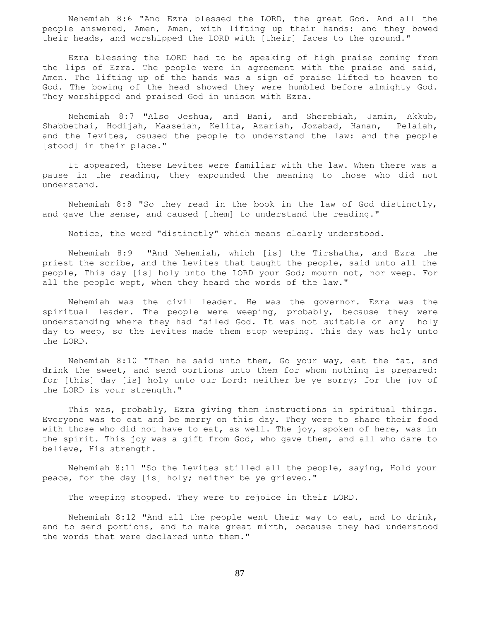Nehemiah 8:6 "And Ezra blessed the LORD, the great God. And all the people answered, Amen, Amen, with lifting up their hands: and they bowed their heads, and worshipped the LORD with [their] faces to the ground."

 Ezra blessing the LORD had to be speaking of high praise coming from the lips of Ezra. The people were in agreement with the praise and said, Amen. The lifting up of the hands was a sign of praise lifted to heaven to God. The bowing of the head showed they were humbled before almighty God. They worshipped and praised God in unison with Ezra.

 Nehemiah 8:7 "Also Jeshua, and Bani, and Sherebiah, Jamin, Akkub, Shabbethai, Hodijah, Maaseiah, Kelita, Azariah, Jozabad, Hanan, Pelaiah, and the Levites, caused the people to understand the law: and the people [stood] in their place."

 It appeared, these Levites were familiar with the law. When there was a pause in the reading, they expounded the meaning to those who did not understand.

Nehemiah 8:8 "So they read in the book in the law of God distinctly, and gave the sense, and caused [them] to understand the reading."

Notice, the word "distinctly" which means clearly understood.

 Nehemiah 8:9 "And Nehemiah, which [is] the Tirshatha, and Ezra the priest the scribe, and the Levites that taught the people, said unto all the people, This day [is] holy unto the LORD your God; mourn not, nor weep. For all the people wept, when they heard the words of the law."

 Nehemiah was the civil leader. He was the governor. Ezra was the spiritual leader. The people were weeping, probably, because they were understanding where they had failed God. It was not suitable on any holy day to weep, so the Levites made them stop weeping. This day was holy unto the LORD.

 Nehemiah 8:10 "Then he said unto them, Go your way, eat the fat, and drink the sweet, and send portions unto them for whom nothing is prepared: for [this] day [is] holy unto our Lord: neither be ye sorry; for the joy of the LORD is your strength."

 This was, probably, Ezra giving them instructions in spiritual things. Everyone was to eat and be merry on this day. They were to share their food with those who did not have to eat, as well. The joy, spoken of here, was in the spirit. This joy was a gift from God, who gave them, and all who dare to believe, His strength.

 Nehemiah 8:11 "So the Levites stilled all the people, saying, Hold your peace, for the day [is] holy; neither be ye grieved."

The weeping stopped. They were to rejoice in their LORD.

 Nehemiah 8:12 "And all the people went their way to eat, and to drink, and to send portions, and to make great mirth, because they had understood the words that were declared unto them."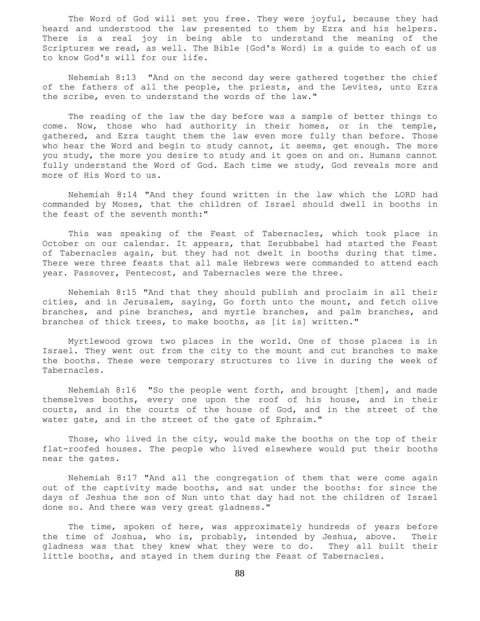The Word of God will set you free. They were joyful, because they had heard and understood the law presented to them by Ezra and his helpers. There is a real joy in being able to understand the meaning of the Scriptures we read, as well. The Bible {God's Word} is a guide to each of us to know God's will for our life.

 Nehemiah 8:13 "And on the second day were gathered together the chief of the fathers of all the people, the priests, and the Levites, unto Ezra the scribe, even to understand the words of the law."

 The reading of the law the day before was a sample of better things to come. Now, those who had authority in their homes, or in the temple, gathered, and Ezra taught them the law even more fully than before. Those who hear the Word and begin to study cannot, it seems, get enough. The more you study, the more you desire to study and it goes on and on. Humans cannot fully understand the Word of God. Each time we study, God reveals more and more of His Word to us.

 Nehemiah 8:14 "And they found written in the law which the LORD had commanded by Moses, that the children of Israel should dwell in booths in the feast of the seventh month:"

 This was speaking of the Feast of Tabernacles, which took place in October on our calendar. It appears, that Zerubbabel had started the Feast of Tabernacles again, but they had not dwelt in booths during that time. There were three feasts that all male Hebrews were commanded to attend each year. Passover, Pentecost, and Tabernacles were the three.

 Nehemiah 8:15 "And that they should publish and proclaim in all their cities, and in Jerusalem, saying, Go forth unto the mount, and fetch olive branches, and pine branches, and myrtle branches, and palm branches, and branches of thick trees, to make booths, as [it is] written."

 Myrtlewood grows two places in the world. One of those places is in Israel. They went out from the city to the mount and cut branches to make the booths. These were temporary structures to live in during the week of Tabernacles.

 Nehemiah 8:16 "So the people went forth, and brought [them], and made themselves booths, every one upon the roof of his house, and in their courts, and in the courts of the house of God, and in the street of the water gate, and in the street of the gate of Ephraim."

 Those, who lived in the city, would make the booths on the top of their flat-roofed houses. The people who lived elsewhere would put their booths near the gates.

 Nehemiah 8:17 "And all the congregation of them that were come again out of the captivity made booths, and sat under the booths: for since the days of Jeshua the son of Nun unto that day had not the children of Israel done so. And there was very great gladness."

The time, spoken of here, was approximately hundreds of years before the time of Joshua, who is, probably, intended by Jeshua, above. Their gladness was that they knew what they were to do. They all built their little booths, and stayed in them during the Feast of Tabernacles.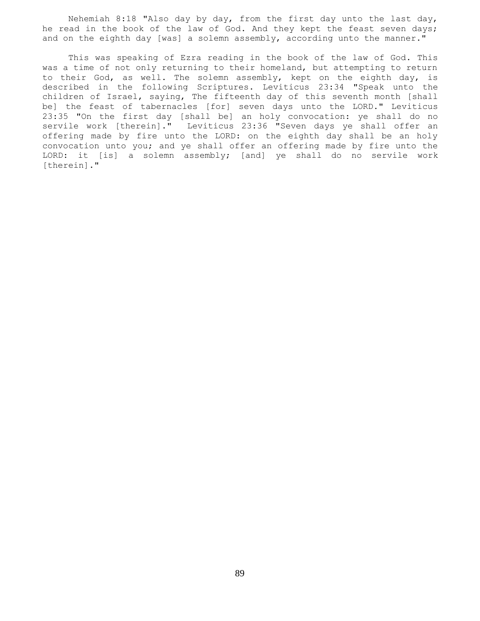Nehemiah 8:18 "Also day by day, from the first day unto the last day, he read in the book of the law of God. And they kept the feast seven days; and on the eighth day [was] a solemn assembly, according unto the manner."

 This was speaking of Ezra reading in the book of the law of God. This was a time of not only returning to their homeland, but attempting to return to their God, as well. The solemn assembly, kept on the eighth day, is described in the following Scriptures. Leviticus 23:34 "Speak unto the children of Israel, saying, The fifteenth day of this seventh month [shall be] the feast of tabernacles [for] seven days unto the LORD." Leviticus 23:35 "On the first day [shall be] an holy convocation: ye shall do no servile work [therein]." Leviticus 23:36 "Seven days ye shall offer an offering made by fire unto the LORD: on the eighth day shall be an holy convocation unto you; and ye shall offer an offering made by fire unto the LORD: it [is] a solemn assembly; [and] ye shall do no servile work [therein]."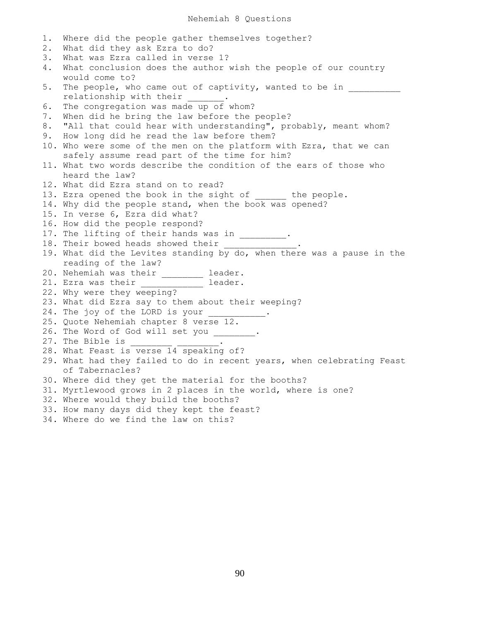1. Where did the people gather themselves together? 2. What did they ask Ezra to do? 3. What was Ezra called in verse 1? 4. What conclusion does the author wish the people of our country would come to? 5. The people, who came out of captivity, wanted to be in relationship with their \_\_\_\_\_\_. 6. The congregation was made up of whom? 7. When did he bring the law before the people? 8. "All that could hear with understanding", probably, meant whom? 9. How long did he read the law before them? 10. Who were some of the men on the platform with Ezra, that we can safely assume read part of the time for him? 11. What two words describe the condition of the ears of those who heard the law? 12. What did Ezra stand on to read? 13. Ezra opened the book in the sight of the people. 14. Why did the people stand, when the book was opened? 15. In verse 6, Ezra did what? 16. How did the people respond? 17. The lifting of their hands was in \_\_\_\_\_\_\_\_\_. 18. Their bowed heads showed their \_\_\_\_\_ 19. What did the Levites standing by do, when there was a pause in the reading of the law? 20. Nehemiah was their \_\_\_\_\_\_\_\_ leader. 21. Ezra was their \_\_\_\_\_\_\_\_\_\_\_\_\_ leader. 22. Why were they weeping? 23. What did Ezra say to them about their weeping? 24. The joy of the LORD is your 25. Quote Nehemiah chapter 8 verse 12. 26. The Word of God will set you \_\_\_\_\_\_\_. 27. The Bible is \_\_\_\_\_\_\_\_ \_\_\_\_\_\_\_\_. 28. What Feast is verse 14 speaking of? 29. What had they failed to do in recent years, when celebrating Feast of Tabernacles? 30. Where did they get the material for the booths? 31. Myrtlewood grows in 2 places in the world, where is one? 32. Where would they build the booths? 33. How many days did they kept the feast? 34. Where do we find the law on this?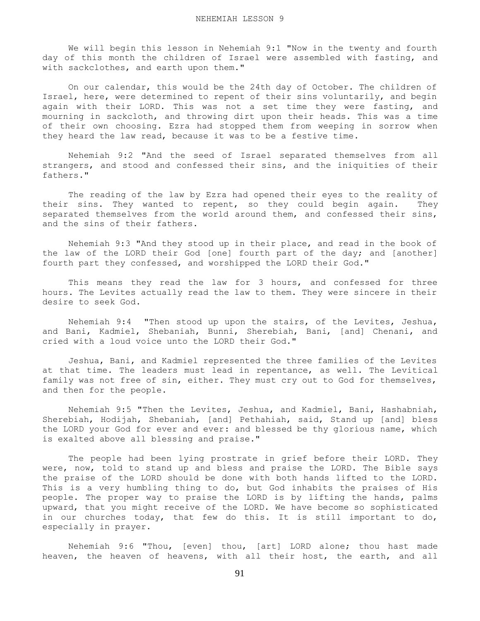We will begin this lesson in Nehemiah 9:1 "Now in the twenty and fourth day of this month the children of Israel were assembled with fasting, and with sackclothes, and earth upon them."

 On our calendar, this would be the 24th day of October. The children of Israel, here, were determined to repent of their sins voluntarily, and begin again with their LORD. This was not a set time they were fasting, and mourning in sackcloth, and throwing dirt upon their heads. This was a time of their own choosing. Ezra had stopped them from weeping in sorrow when they heard the law read, because it was to be a festive time.

 Nehemiah 9:2 "And the seed of Israel separated themselves from all strangers, and stood and confessed their sins, and the iniquities of their fathers."

 The reading of the law by Ezra had opened their eyes to the reality of their sins. They wanted to repent, so they could begin again. They separated themselves from the world around them, and confessed their sins, and the sins of their fathers.

 Nehemiah 9:3 "And they stood up in their place, and read in the book of the law of the LORD their God [one] fourth part of the day; and [another] fourth part they confessed, and worshipped the LORD their God."

 This means they read the law for 3 hours, and confessed for three hours. The Levites actually read the law to them. They were sincere in their desire to seek God.

 Nehemiah 9:4 "Then stood up upon the stairs, of the Levites, Jeshua, and Bani, Kadmiel, Shebaniah, Bunni, Sherebiah, Bani, [and] Chenani, and cried with a loud voice unto the LORD their God."

 Jeshua, Bani, and Kadmiel represented the three families of the Levites at that time. The leaders must lead in repentance, as well. The Levitical family was not free of sin, either. They must cry out to God for themselves, and then for the people.

 Nehemiah 9:5 "Then the Levites, Jeshua, and Kadmiel, Bani, Hashabniah, Sherebiah, Hodijah, Shebaniah, [and] Pethahiah, said, Stand up [and] bless the LORD your God for ever and ever: and blessed be thy glorious name, which is exalted above all blessing and praise."

 The people had been lying prostrate in grief before their LORD. They were, now, told to stand up and bless and praise the LORD. The Bible says the praise of the LORD should be done with both hands lifted to the LORD. This is a very humbling thing to do, but God inhabits the praises of His people. The proper way to praise the LORD is by lifting the hands, palms upward, that you might receive of the LORD. We have become so sophisticated in our churches today, that few do this. It is still important to do, especially in prayer.

 Nehemiah 9:6 "Thou, [even] thou, [art] LORD alone; thou hast made heaven, the heaven of heavens, with all their host, the earth, and all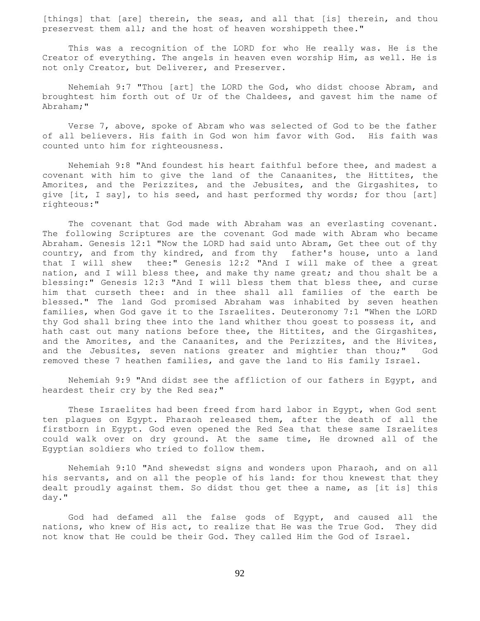[things] that [are] therein, the seas, and all that [is] therein, and thou preservest them all; and the host of heaven worshippeth thee."

 This was a recognition of the LORD for who He really was. He is the Creator of everything. The angels in heaven even worship Him, as well. He is not only Creator, but Deliverer, and Preserver.

 Nehemiah 9:7 "Thou [art] the LORD the God, who didst choose Abram, and broughtest him forth out of Ur of the Chaldees, and gavest him the name of Abraham;"

 Verse 7, above, spoke of Abram who was selected of God to be the father of all believers. His faith in God won him favor with God. His faith was counted unto him for righteousness.

 Nehemiah 9:8 "And foundest his heart faithful before thee, and madest a covenant with him to give the land of the Canaanites, the Hittites, the Amorites, and the Perizzites, and the Jebusites, and the Girgashites, to give [it, I say], to his seed, and hast performed thy words; for thou [art] righteous:"

 The covenant that God made with Abraham was an everlasting covenant. The following Scriptures are the covenant God made with Abram who became Abraham. Genesis 12:1 "Now the LORD had said unto Abram, Get thee out of thy country, and from thy kindred, and from thy father's house, unto a land that I will shew thee:" Genesis 12:2 "And I will make of thee a great nation, and I will bless thee, and make thy name great; and thou shalt be a blessing:" Genesis 12:3 "And I will bless them that bless thee, and curse him that curseth thee: and in thee shall all families of the earth be blessed." The land God promised Abraham was inhabited by seven heathen families, when God gave it to the Israelites. Deuteronomy 7:1 "When the LORD thy God shall bring thee into the land whither thou goest to possess it, and hath cast out many nations before thee, the Hittites, and the Girgashites, and the Amorites, and the Canaanites, and the Perizzites, and the Hivites, and the Jebusites, seven nations greater and mightier than thou;" God removed these 7 heathen families, and gave the land to His family Israel.

 Nehemiah 9:9 "And didst see the affliction of our fathers in Egypt, and heardest their cry by the Red sea;"

 These Israelites had been freed from hard labor in Egypt, when God sent ten plagues on Egypt. Pharaoh released them, after the death of all the firstborn in Egypt. God even opened the Red Sea that these same Israelites could walk over on dry ground. At the same time, He drowned all of the Egyptian soldiers who tried to follow them.

 Nehemiah 9:10 "And shewedst signs and wonders upon Pharaoh, and on all his servants, and on all the people of his land: for thou knewest that they dealt proudly against them. So didst thou get thee a name, as [it is] this day."

 God had defamed all the false gods of Egypt, and caused all the nations, who knew of His act, to realize that He was the True God. They did not know that He could be their God. They called Him the God of Israel.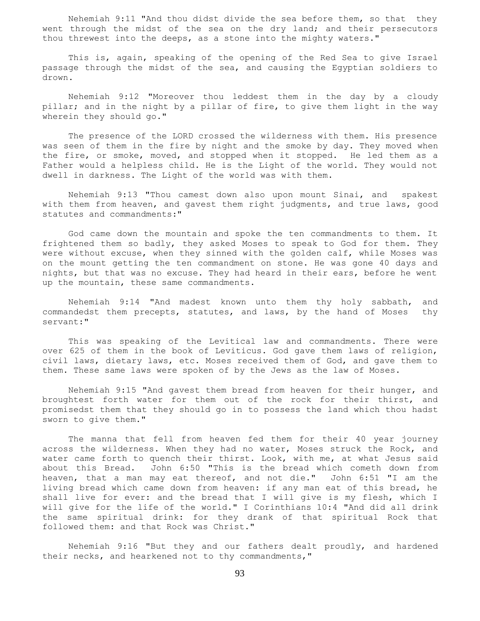Nehemiah 9:11 "And thou didst divide the sea before them, so that they went through the midst of the sea on the dry land; and their persecutors thou threwest into the deeps, as a stone into the mighty waters."

 This is, again, speaking of the opening of the Red Sea to give Israel passage through the midst of the sea, and causing the Egyptian soldiers to drown.

 Nehemiah 9:12 "Moreover thou leddest them in the day by a cloudy pillar; and in the night by a pillar of fire, to give them light in the way wherein they should go."

 The presence of the LORD crossed the wilderness with them. His presence was seen of them in the fire by night and the smoke by day. They moved when the fire, or smoke, moved, and stopped when it stopped. He led them as a Father would a helpless child. He is the Light of the world. They would not dwell in darkness. The Light of the world was with them.

 Nehemiah 9:13 "Thou camest down also upon mount Sinai, and spakest with them from heaven, and gavest them right judgments, and true laws, good statutes and commandments:"

 God came down the mountain and spoke the ten commandments to them. It frightened them so badly, they asked Moses to speak to God for them. They were without excuse, when they sinned with the golden calf, while Moses was on the mount getting the ten commandment on stone. He was gone 40 days and nights, but that was no excuse. They had heard in their ears, before he went up the mountain, these same commandments.

 Nehemiah 9:14 "And madest known unto them thy holy sabbath, and commandedst them precepts, statutes, and laws, by the hand of Moses thy servant:"

 This was speaking of the Levitical law and commandments. There were over 625 of them in the book of Leviticus. God gave them laws of religion, civil laws, dietary laws, etc. Moses received them of God, and gave them to them. These same laws were spoken of by the Jews as the law of Moses.

 Nehemiah 9:15 "And gavest them bread from heaven for their hunger, and broughtest forth water for them out of the rock for their thirst, and promisedst them that they should go in to possess the land which thou hadst sworn to give them."

 The manna that fell from heaven fed them for their 40 year journey across the wilderness. When they had no water, Moses struck the Rock, and water came forth to quench their thirst. Look, with me, at what Jesus said about this Bread. John 6:50 "This is the bread which cometh down from heaven, that a man may eat thereof, and not die." John 6:51 "I am the living bread which came down from heaven: if any man eat of this bread, he shall live for ever: and the bread that I will give is my flesh, which I will give for the life of the world." I Corinthians 10:4 "And did all drink the same spiritual drink: for they drank of that spiritual Rock that followed them: and that Rock was Christ."

 Nehemiah 9:16 "But they and our fathers dealt proudly, and hardened their necks, and hearkened not to thy commandments,"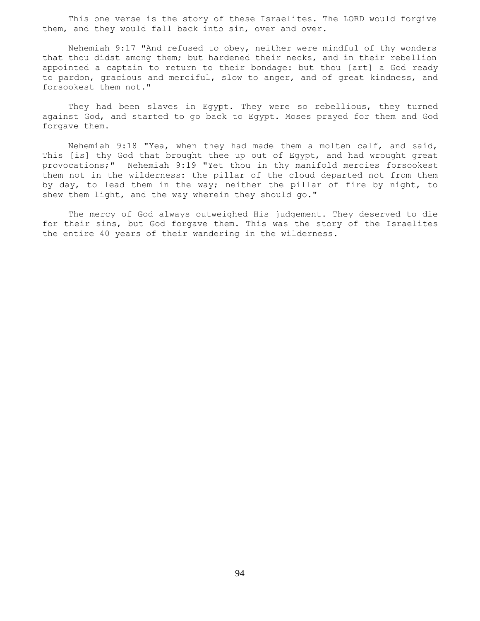This one verse is the story of these Israelites. The LORD would forgive them, and they would fall back into sin, over and over.

 Nehemiah 9:17 "And refused to obey, neither were mindful of thy wonders that thou didst among them; but hardened their necks, and in their rebellion appointed a captain to return to their bondage: but thou [art] a God ready to pardon, gracious and merciful, slow to anger, and of great kindness, and forsookest them not."

 They had been slaves in Egypt. They were so rebellious, they turned against God, and started to go back to Egypt. Moses prayed for them and God forgave them.

 Nehemiah 9:18 "Yea, when they had made them a molten calf, and said, This [is] thy God that brought thee up out of Egypt, and had wrought great provocations;" Nehemiah 9:19 "Yet thou in thy manifold mercies forsookest them not in the wilderness: the pillar of the cloud departed not from them by day, to lead them in the way; neither the pillar of fire by night, to shew them light, and the way wherein they should go."

 The mercy of God always outweighed His judgement. They deserved to die for their sins, but God forgave them. This was the story of the Israelites the entire 40 years of their wandering in the wilderness.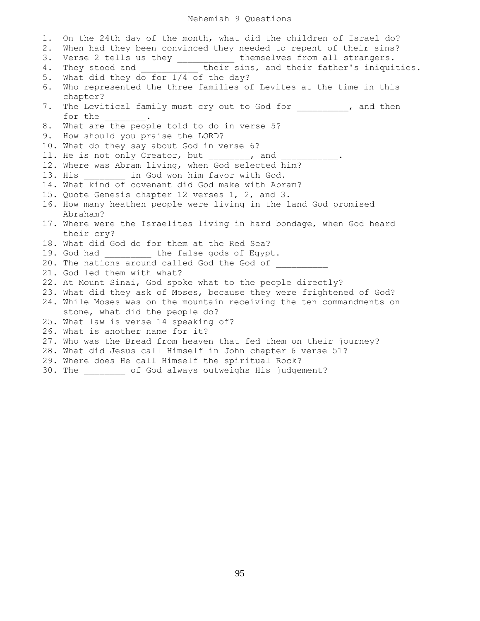## Nehemiah 9 Questions

1. On the 24th day of the month, what did the children of Israel do? 2. When had they been convinced they needed to repent of their sins? 3. Verse 2 tells us they \_\_\_\_\_\_\_\_\_\_\_ themselves from all strangers. 4. They stood and \_\_\_\_\_\_\_\_\_\_\_ their sins, and their father's iniquities. 5. What did they do for 1/4 of the day? 6. Who represented the three families of Levites at the time in this chapter? 7. The Levitical family must cry out to God for  $\qquad \qquad$ , and then for the  $\qquad \qquad$ . 8. What are the people told to do in verse 5? 9. How should you praise the LORD? 10. What do they say about God in verse 6? 11. He is not only Creator, but , and 12. Where was Abram living, when God selected him? 13. His **in God won him favor with God.** 14. What kind of covenant did God make with Abram? 15. Quote Genesis chapter 12 verses 1, 2, and 3. 16. How many heathen people were living in the land God promised Abraham? 17. Where were the Israelites living in hard bondage, when God heard their cry? 18. What did God do for them at the Red Sea? 19. God had \_\_\_\_\_\_\_\_\_ the false gods of Egypt. 20. The nations around called God the God of 21. God led them with what? 22. At Mount Sinai, God spoke what to the people directly? 23. What did they ask of Moses, because they were frightened of God? 24. While Moses was on the mountain receiving the ten commandments on stone, what did the people do? 25. What law is verse 14 speaking of? 26. What is another name for it? 27. Who was the Bread from heaven that fed them on their journey? 28. What did Jesus call Himself in John chapter 6 verse 51? 29. Where does He call Himself the spiritual Rock? 30. The \_\_\_\_\_\_\_\_ of God always outweighs His judgement?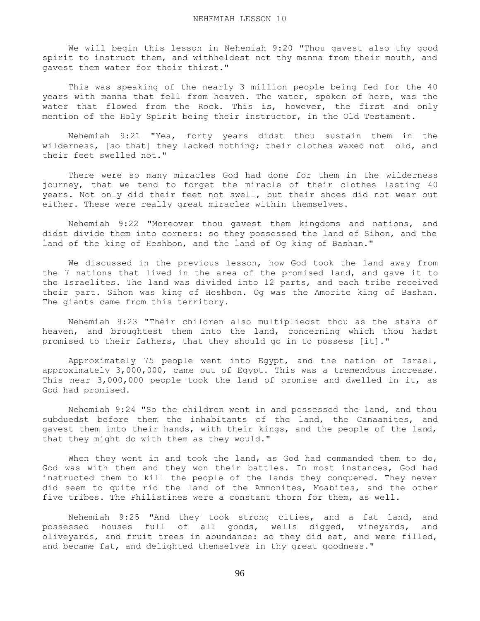We will begin this lesson in Nehemiah 9:20 "Thou gavest also thy good spirit to instruct them, and withheldest not thy manna from their mouth, and gavest them water for their thirst."

 This was speaking of the nearly 3 million people being fed for the 40 years with manna that fell from heaven. The water, spoken of here, was the water that flowed from the Rock. This is, however, the first and only mention of the Holy Spirit being their instructor, in the Old Testament.

 Nehemiah 9:21 "Yea, forty years didst thou sustain them in the wilderness, [so that] they lacked nothing; their clothes waxed not old, and their feet swelled not."

 There were so many miracles God had done for them in the wilderness journey, that we tend to forget the miracle of their clothes lasting 40 years. Not only did their feet not swell, but their shoes did not wear out either. These were really great miracles within themselves.

 Nehemiah 9:22 "Moreover thou gavest them kingdoms and nations, and didst divide them into corners: so they possessed the land of Sihon, and the land of the king of Heshbon, and the land of Og king of Bashan."

 We discussed in the previous lesson, how God took the land away from the 7 nations that lived in the area of the promised land, and gave it to the Israelites. The land was divided into 12 parts, and each tribe received their part. Sihon was king of Heshbon. Og was the Amorite king of Bashan. The giants came from this territory.

 Nehemiah 9:23 "Their children also multipliedst thou as the stars of heaven, and broughtest them into the land, concerning which thou hadst promised to their fathers, that they should go in to possess [it]."

 Approximately 75 people went into Egypt, and the nation of Israel, approximately 3,000,000, came out of Egypt. This was a tremendous increase. This near 3,000,000 people took the land of promise and dwelled in it, as God had promised.

 Nehemiah 9:24 "So the children went in and possessed the land, and thou subduedst before them the inhabitants of the land, the Canaanites, and gavest them into their hands, with their kings, and the people of the land, that they might do with them as they would."

When they went in and took the land, as God had commanded them to do, God was with them and they won their battles. In most instances, God had instructed them to kill the people of the lands they conquered. They never did seem to quite rid the land of the Ammonites, Moabites, and the other five tribes. The Philistines were a constant thorn for them, as well.

 Nehemiah 9:25 "And they took strong cities, and a fat land, and possessed houses full of all goods, wells digged, vineyards, and oliveyards, and fruit trees in abundance: so they did eat, and were filled, and became fat, and delighted themselves in thy great goodness."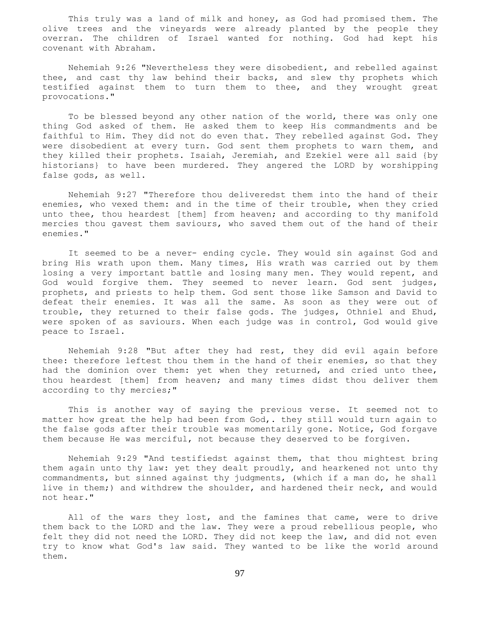This truly was a land of milk and honey, as God had promised them. The olive trees and the vineyards were already planted by the people they overran. The children of Israel wanted for nothing. God had kept his covenant with Abraham.

 Nehemiah 9:26 "Nevertheless they were disobedient, and rebelled against thee, and cast thy law behind their backs, and slew thy prophets which testified against them to turn them to thee, and they wrought great provocations."

 To be blessed beyond any other nation of the world, there was only one thing God asked of them. He asked them to keep His commandments and be faithful to Him. They did not do even that. They rebelled against God. They were disobedient at every turn. God sent them prophets to warn them, and they killed their prophets. Isaiah, Jeremiah, and Ezekiel were all said {by historians} to have been murdered. They angered the LORD by worshipping false gods, as well.

 Nehemiah 9:27 "Therefore thou deliveredst them into the hand of their enemies, who vexed them: and in the time of their trouble, when they cried unto thee, thou heardest [them] from heaven; and according to thy manifold mercies thou gavest them saviours, who saved them out of the hand of their enemies."

 It seemed to be a never- ending cycle. They would sin against God and bring His wrath upon them. Many times, His wrath was carried out by them losing a very important battle and losing many men. They would repent, and God would forgive them. They seemed to never learn. God sent judges, prophets, and priests to help them. God sent those like Samson and David to defeat their enemies. It was all the same. As soon as they were out of trouble, they returned to their false gods. The judges, Othniel and Ehud, were spoken of as saviours. When each judge was in control, God would give peace to Israel.

 Nehemiah 9:28 "But after they had rest, they did evil again before thee: therefore leftest thou them in the hand of their enemies, so that they had the dominion over them: yet when they returned, and cried unto thee, thou heardest [them] from heaven; and many times didst thou deliver them according to thy mercies;"

 This is another way of saying the previous verse. It seemed not to matter how great the help had been from God,. they still would turn again to the false gods after their trouble was momentarily gone. Notice, God forgave them because He was merciful, not because they deserved to be forgiven.

 Nehemiah 9:29 "And testifiedst against them, that thou mightest bring them again unto thy law: yet they dealt proudly, and hearkened not unto thy commandments, but sinned against thy judgments, (which if a man do, he shall live in them;) and withdrew the shoulder, and hardened their neck, and would not hear."

All of the wars they lost, and the famines that came, were to drive them back to the LORD and the law. They were a proud rebellious people, who felt they did not need the LORD. They did not keep the law, and did not even try to know what God's law said. They wanted to be like the world around them.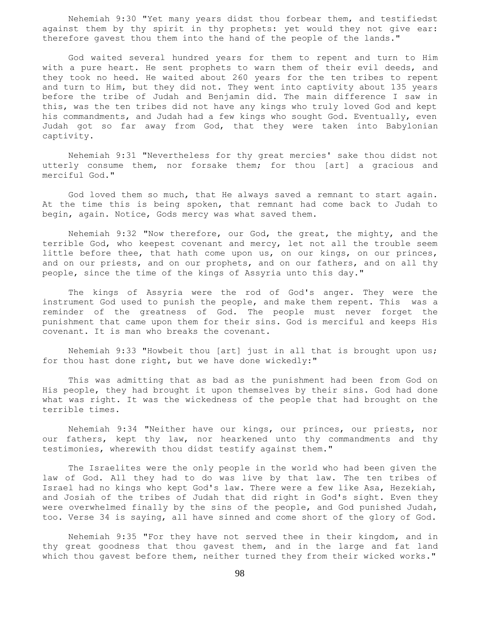Nehemiah 9:30 "Yet many years didst thou forbear them, and testifiedst against them by thy spirit in thy prophets: yet would they not give ear: therefore gavest thou them into the hand of the people of the lands."

 God waited several hundred years for them to repent and turn to Him with a pure heart. He sent prophets to warn them of their evil deeds, and they took no heed. He waited about 260 years for the ten tribes to repent and turn to Him, but they did not. They went into captivity about 135 years before the tribe of Judah and Benjamin did. The main difference I saw in this, was the ten tribes did not have any kings who truly loved God and kept his commandments, and Judah had a few kings who sought God. Eventually, even Judah got so far away from God, that they were taken into Babylonian captivity.

 Nehemiah 9:31 "Nevertheless for thy great mercies' sake thou didst not utterly consume them, nor forsake them; for thou [art] a gracious and merciful God."

 God loved them so much, that He always saved a remnant to start again. At the time this is being spoken, that remnant had come back to Judah to begin, again. Notice, Gods mercy was what saved them.

 Nehemiah 9:32 "Now therefore, our God, the great, the mighty, and the terrible God, who keepest covenant and mercy, let not all the trouble seem little before thee, that hath come upon us, on our kings, on our princes, and on our priests, and on our prophets, and on our fathers, and on all thy people, since the time of the kings of Assyria unto this day."

 The kings of Assyria were the rod of God's anger. They were the instrument God used to punish the people, and make them repent. This was a reminder of the greatness of God. The people must never forget the punishment that came upon them for their sins. God is merciful and keeps His covenant. It is man who breaks the covenant.

 Nehemiah 9:33 "Howbeit thou [art] just in all that is brought upon us; for thou hast done right, but we have done wickedly:"

 This was admitting that as bad as the punishment had been from God on His people, they had brought it upon themselves by their sins. God had done what was right. It was the wickedness of the people that had brought on the terrible times.

 Nehemiah 9:34 "Neither have our kings, our princes, our priests, nor our fathers, kept thy law, nor hearkened unto thy commandments and thy testimonies, wherewith thou didst testify against them."

 The Israelites were the only people in the world who had been given the law of God. All they had to do was live by that law. The ten tribes of Israel had no kings who kept God's law. There were a few like Asa, Hezekiah, and Josiah of the tribes of Judah that did right in God's sight. Even they were overwhelmed finally by the sins of the people, and God punished Judah, too. Verse 34 is saying, all have sinned and come short of the glory of God.

 Nehemiah 9:35 "For they have not served thee in their kingdom, and in thy great goodness that thou gavest them, and in the large and fat land which thou gavest before them, neither turned they from their wicked works."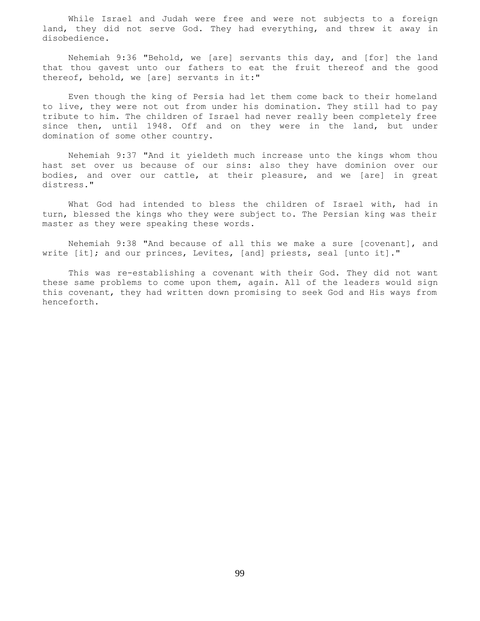While Israel and Judah were free and were not subjects to a foreign land, they did not serve God. They had everything, and threw it away in disobedience.

 Nehemiah 9:36 "Behold, we [are] servants this day, and [for] the land that thou gavest unto our fathers to eat the fruit thereof and the good thereof, behold, we [are] servants in it:"

 Even though the king of Persia had let them come back to their homeland to live, they were not out from under his domination. They still had to pay tribute to him. The children of Israel had never really been completely free since then, until 1948. Off and on they were in the land, but under domination of some other country.

 Nehemiah 9:37 "And it yieldeth much increase unto the kings whom thou hast set over us because of our sins: also they have dominion over our bodies, and over our cattle, at their pleasure, and we [are] in great distress."

 What God had intended to bless the children of Israel with, had in turn, blessed the kings who they were subject to. The Persian king was their master as they were speaking these words.

 Nehemiah 9:38 "And because of all this we make a sure [covenant], and write [it]; and our princes, Levites, [and] priests, seal [unto it]."

 This was re-establishing a covenant with their God. They did not want these same problems to come upon them, again. All of the leaders would sign this covenant, they had written down promising to seek God and His ways from henceforth.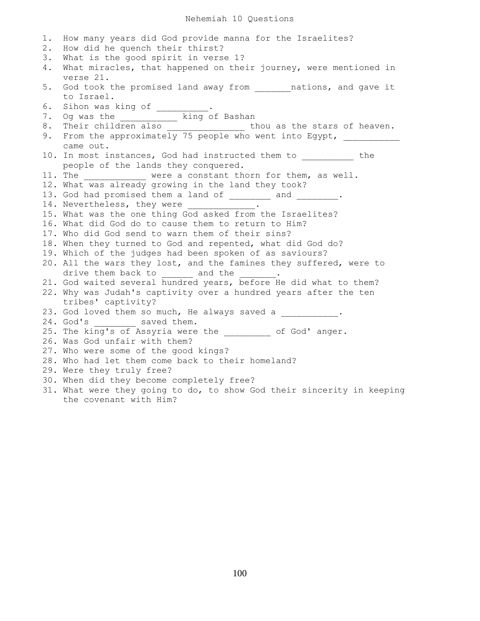## Nehemiah 10 Questions

1. How many years did God provide manna for the Israelites? 2. How did he quench their thirst? 3. What is the good spirit in verse 1? 4. What miracles, that happened on their journey, were mentioned in verse 21. 5. God took the promised land away from \_\_\_\_\_\_\_nations, and gave it to Israel. 6. Sihon was king of \_\_\_\_\_\_\_\_\_. 7. Og was the \_\_\_\_\_\_\_\_\_\_\_ king of Bashan 8. Their children also \_\_\_\_\_\_\_\_\_\_\_\_\_\_\_\_\_\_\_\_\_ thou as the stars of heaven. 9. From the approximately 75 people who went into Egypt, \_\_\_\_\_\_\_\_\_\_\_ came out. 10. In most instances, God had instructed them to \_\_\_\_\_\_\_\_\_\_ the people of the lands they conquered. 11. The \_\_\_\_\_\_\_\_\_\_\_\_ were a constant thorn for them, as well. 12. What was already growing in the land they took? 13. God had promised them a land of \_\_\_\_\_\_\_\_ and \_\_\_\_\_\_\_\_. 14. Nevertheless, they were 15. What was the one thing God asked from the Israelites? 16. What did God do to cause them to return to Him? 17. Who did God send to warn them of their sins? 18. When they turned to God and repented, what did God do? 19. Which of the judges had been spoken of as saviours? 20. All the wars they lost, and the famines they suffered, were to drive them back to \_\_\_\_\_\_\_ and the \_\_\_\_\_\_. 21. God waited several hundred years, before He did what to them? 22. Why was Judah's captivity over a hundred years after the ten tribes' captivity? 23. God loved them so much, He always saved a \_\_\_\_\_\_\_\_\_. 24. God's saved them. 25. The king's of Assyria were the \_\_\_\_\_\_\_\_ of God' anger. 26. Was God unfair with them? 27. Who were some of the good kings? 28. Who had let them come back to their homeland? 29. Were they truly free? 30. When did they become completely free? 31. What were they going to do, to show God their sincerity in keeping the covenant with Him?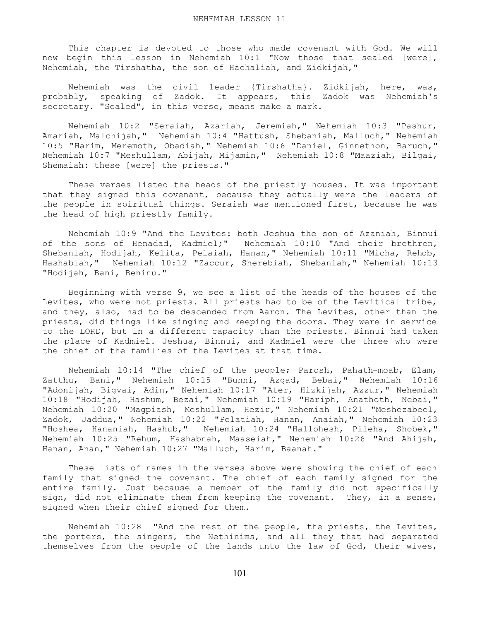This chapter is devoted to those who made covenant with God. We will now begin this lesson in Nehemiah 10:1 "Now those that sealed [were], Nehemiah, the Tirshatha, the son of Hachaliah, and Zidkijah,"

 Nehemiah was the civil leader {Tirshatha}. Zidkijah, here, was, probably, speaking of Zadok. It appears, this Zadok was Nehemiah's secretary. "Sealed", in this verse, means make a mark.

 Nehemiah 10:2 "Seraiah, Azariah, Jeremiah," Nehemiah 10:3 "Pashur, Amariah, Malchijah," Nehemiah 10:4 "Hattush, Shebaniah, Malluch," Nehemiah 10:5 "Harim, Meremoth, Obadiah," Nehemiah 10:6 "Daniel, Ginnethon, Baruch," Nehemiah 10:7 "Meshullam, Abijah, Mijamin," Nehemiah 10:8 "Maaziah, Bilgai, Shemaiah: these [were] the priests."

 These verses listed the heads of the priestly houses. It was important that they signed this covenant, because they actually were the leaders of the people in spiritual things. Seraiah was mentioned first, because he was the head of high priestly family.

 Nehemiah 10:9 "And the Levites: both Jeshua the son of Azaniah, Binnui of the sons of Henadad, Kadmiel;" Nehemiah 10:10 "And their brethren, Shebaniah, Hodijah, Kelita, Pelaiah, Hanan," Nehemiah 10:11 "Micha, Rehob, Hashabiah," Nehemiah 10:12 "Zaccur, Sherebiah, Shebaniah," Nehemiah 10:13 "Hodijah, Bani, Beninu."

 Beginning with verse 9, we see a list of the heads of the houses of the Levites, who were not priests. All priests had to be of the Levitical tribe, and they, also, had to be descended from Aaron. The Levites, other than the priests, did things like singing and keeping the doors. They were in service to the LORD, but in a different capacity than the priests. Binnui had taken the place of Kadmiel. Jeshua, Binnui, and Kadmiel were the three who were the chief of the families of the Levites at that time.

 Nehemiah 10:14 "The chief of the people; Parosh, Pahath-moab, Elam, Zatthu, Bani," Nehemiah 10:15 "Bunni, Azgad, Bebai," Nehemiah 10:16 "Adonijah, Bigvai, Adin," Nehemiah 10:17 "Ater, Hizkijah, Azzur," Nehemiah 10:18 "Hodijah, Hashum, Bezai," Nehemiah 10:19 "Hariph, Anathoth, Nebai," Nehemiah 10:20 "Magpiash, Meshullam, Hezir," Nehemiah 10:21 "Meshezabeel, Zadok, Jaddua," Nehemiah 10:22 "Pelatiah, Hanan, Anaiah," Nehemiah 10:23 "Hoshea, Hananiah, Hashub," Nehemiah 10:24 "Hallohesh, Pileha, Shobek," Nehemiah 10:25 "Rehum, Hashabnah, Maaseiah," Nehemiah 10:26 "And Ahijah, Hanan, Anan," Nehemiah 10:27 "Malluch, Harim, Baanah."

 These lists of names in the verses above were showing the chief of each family that signed the covenant. The chief of each family signed for the entire family. Just because a member of the family did not specifically sign, did not eliminate them from keeping the covenant. They, in a sense, signed when their chief signed for them.

 Nehemiah 10:28 "And the rest of the people, the priests, the Levites, the porters, the singers, the Nethinims, and all they that had separated themselves from the people of the lands unto the law of God, their wives,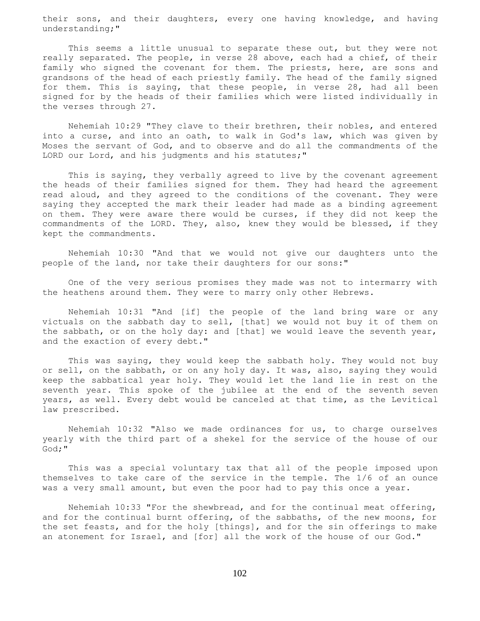their sons, and their daughters, every one having knowledge, and having understanding;"

 This seems a little unusual to separate these out, but they were not really separated. The people, in verse 28 above, each had a chief, of their family who signed the covenant for them. The priests, here, are sons and grandsons of the head of each priestly family. The head of the family signed for them. This is saying, that these people, in verse 28, had all been signed for by the heads of their families which were listed individually in the verses through 27.

 Nehemiah 10:29 "They clave to their brethren, their nobles, and entered into a curse, and into an oath, to walk in God's law, which was given by Moses the servant of God, and to observe and do all the commandments of the LORD our Lord, and his judgments and his statutes;"

 This is saying, they verbally agreed to live by the covenant agreement the heads of their families signed for them. They had heard the agreement read aloud, and they agreed to the conditions of the covenant. They were saying they accepted the mark their leader had made as a binding agreement on them. They were aware there would be curses, if they did not keep the commandments of the LORD. They, also, knew they would be blessed, if they kept the commandments.

 Nehemiah 10:30 "And that we would not give our daughters unto the people of the land, nor take their daughters for our sons:"

 One of the very serious promises they made was not to intermarry with the heathens around them. They were to marry only other Hebrews.

 Nehemiah 10:31 "And [if] the people of the land bring ware or any victuals on the sabbath day to sell, [that] we would not buy it of them on the sabbath, or on the holy day: and [that] we would leave the seventh year, and the exaction of every debt."

 This was saying, they would keep the sabbath holy. They would not buy or sell, on the sabbath, or on any holy day. It was, also, saying they would keep the sabbatical year holy. They would let the land lie in rest on the seventh year. This spoke of the jubilee at the end of the seventh seven years, as well. Every debt would be canceled at that time, as the Levitical law prescribed.

 Nehemiah 10:32 "Also we made ordinances for us, to charge ourselves yearly with the third part of a shekel for the service of the house of our God;"

 This was a special voluntary tax that all of the people imposed upon themselves to take care of the service in the temple. The 1/6 of an ounce was a very small amount, but even the poor had to pay this once a year.

 Nehemiah 10:33 "For the shewbread, and for the continual meat offering, and for the continual burnt offering, of the sabbaths, of the new moons, for the set feasts, and for the holy [things], and for the sin offerings to make an atonement for Israel, and [for] all the work of the house of our God."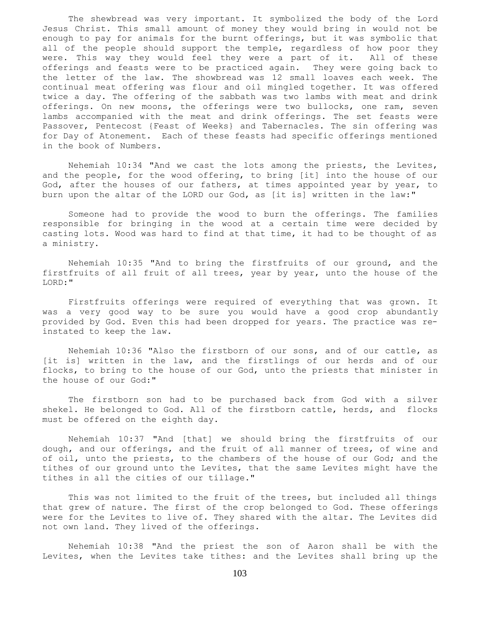The shewbread was very important. It symbolized the body of the Lord Jesus Christ. This small amount of money they would bring in would not be enough to pay for animals for the burnt offerings, but it was symbolic that all of the people should support the temple, regardless of how poor they were. This way they would feel they were a part of it. All of these offerings and feasts were to be practiced again. They were going back to the letter of the law. The showbread was 12 small loaves each week. The continual meat offering was flour and oil mingled together. It was offered twice a day. The offering of the sabbath was two lambs with meat and drink offerings. On new moons, the offerings were two bullocks, one ram, seven lambs accompanied with the meat and drink offerings. The set feasts were Passover, Pentecost {Feast of Weeks} and Tabernacles. The sin offering was for Day of Atonement. Each of these feasts had specific offerings mentioned in the book of Numbers.

 Nehemiah 10:34 "And we cast the lots among the priests, the Levites, and the people, for the wood offering, to bring [it] into the house of our God, after the houses of our fathers, at times appointed year by year, to burn upon the altar of the LORD our God, as [it is] written in the law:"

 Someone had to provide the wood to burn the offerings. The families responsible for bringing in the wood at a certain time were decided by casting lots. Wood was hard to find at that time, it had to be thought of as a ministry.

 Nehemiah 10:35 "And to bring the firstfruits of our ground, and the firstfruits of all fruit of all trees, year by year, unto the house of the LORD:"

 Firstfruits offerings were required of everything that was grown. It was a very good way to be sure you would have a good crop abundantly provided by God. Even this had been dropped for years. The practice was reinstated to keep the law.

 Nehemiah 10:36 "Also the firstborn of our sons, and of our cattle, as [it is] written in the law, and the firstlings of our herds and of our flocks, to bring to the house of our God, unto the priests that minister in the house of our God:"

 The firstborn son had to be purchased back from God with a silver shekel. He belonged to God. All of the firstborn cattle, herds, and flocks must be offered on the eighth day.

 Nehemiah 10:37 "And [that] we should bring the firstfruits of our dough, and our offerings, and the fruit of all manner of trees, of wine and of oil, unto the priests, to the chambers of the house of our God; and the tithes of our ground unto the Levites, that the same Levites might have the tithes in all the cities of our tillage."

 This was not limited to the fruit of the trees, but included all things that grew of nature. The first of the crop belonged to God. These offerings were for the Levites to live of. They shared with the altar. The Levites did not own land. They lived of the offerings.

 Nehemiah 10:38 "And the priest the son of Aaron shall be with the Levites, when the Levites take tithes: and the Levites shall bring up the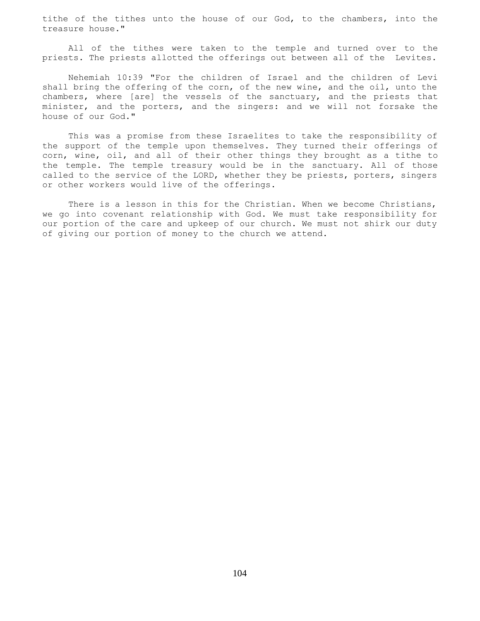tithe of the tithes unto the house of our God, to the chambers, into the treasure house."

 All of the tithes were taken to the temple and turned over to the priests. The priests allotted the offerings out between all of the Levites.

 Nehemiah 10:39 "For the children of Israel and the children of Levi shall bring the offering of the corn, of the new wine, and the oil, unto the chambers, where [are] the vessels of the sanctuary, and the priests that minister, and the porters, and the singers: and we will not forsake the house of our God."

 This was a promise from these Israelites to take the responsibility of the support of the temple upon themselves. They turned their offerings of corn, wine, oil, and all of their other things they brought as a tithe to the temple. The temple treasury would be in the sanctuary. All of those called to the service of the LORD, whether they be priests, porters, singers or other workers would live of the offerings.

 There is a lesson in this for the Christian. When we become Christians, we go into covenant relationship with God. We must take responsibility for our portion of the care and upkeep of our church. We must not shirk our duty of giving our portion of money to the church we attend.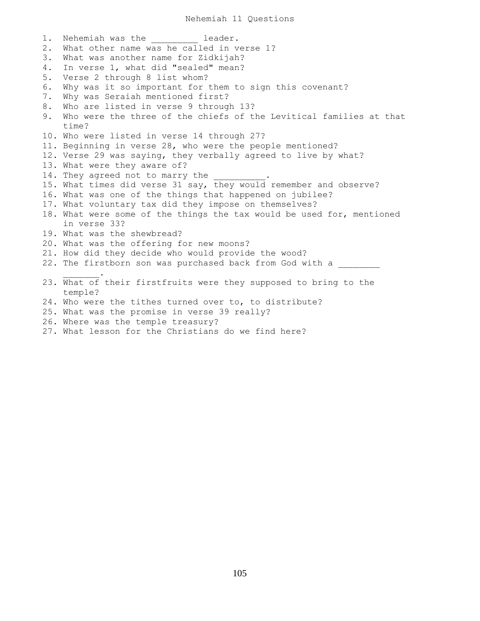1. Nehemiah was the leader. 2. What other name was he called in verse 1? 3. What was another name for Zidkijah? 4. In verse 1, what did "sealed" mean? 5. Verse 2 through 8 list whom? 6. Why was it so important for them to sign this covenant? 7. Why was Seraiah mentioned first? 8. Who are listed in verse 9 through 13? 9. Who were the three of the chiefs of the Levitical families at that time? 10. Who were listed in verse 14 through 27? 11. Beginning in verse 28, who were the people mentioned? 12. Verse 29 was saying, they verbally agreed to live by what? 13. What were they aware of? 14. They agreed not to marry the 15. What times did verse 31 say, they would remember and observe? 16. What was one of the things that happened on jubilee? 17. What voluntary tax did they impose on themselves? 18. What were some of the things the tax would be used for, mentioned in verse 33? 19. What was the shewbread? 20. What was the offering for new moons? 21. How did they decide who would provide the wood? 22. The firstborn son was purchased back from God with a  $\overline{\phantom{a}}$  ,  $\overline{\phantom{a}}$  ,  $\overline{\phantom{a}}$  ,  $\overline{\phantom{a}}$  ,  $\overline{\phantom{a}}$ 23. What of their firstfruits were they supposed to bring to the temple? 24. Who were the tithes turned over to, to distribute? 25. What was the promise in verse 39 really? 26. Where was the temple treasury?

27. What lesson for the Christians do we find here?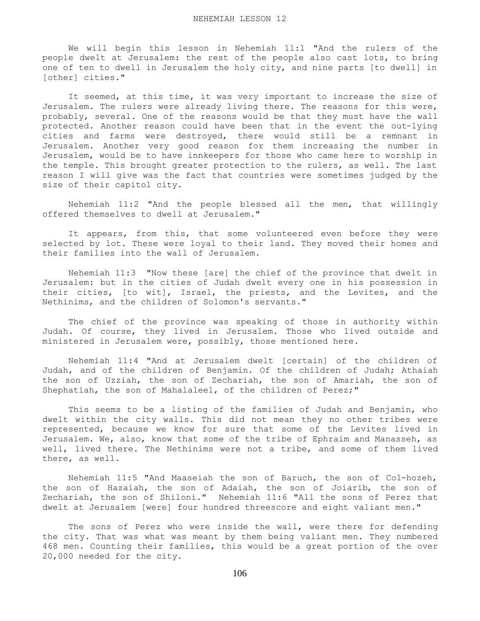We will begin this lesson in Nehemiah 11:1 "And the rulers of the people dwelt at Jerusalem: the rest of the people also cast lots, to bring one of ten to dwell in Jerusalem the holy city, and nine parts [to dwell] in [other] cities."

 It seemed, at this time, it was very important to increase the size of Jerusalem. The rulers were already living there. The reasons for this were, probably, several. One of the reasons would be that they must have the wall protected. Another reason could have been that in the event the out-lying cities and farms were destroyed, there would still be a remnant in Jerusalem. Another very good reason for them increasing the number in Jerusalem, would be to have innkeepers for those who came here to worship in the temple. This brought greater protection to the rulers, as well. The last reason I will give was the fact that countries were sometimes judged by the size of their capitol city.

 Nehemiah 11:2 "And the people blessed all the men, that willingly offered themselves to dwell at Jerusalem."

 It appears, from this, that some volunteered even before they were selected by lot. These were loyal to their land. They moved their homes and their families into the wall of Jerusalem.

 Nehemiah 11:3 "Now these [are] the chief of the province that dwelt in Jerusalem: but in the cities of Judah dwelt every one in his possession in their cities, [to wit], Israel, the priests, and the Levites, and the Nethinims, and the children of Solomon's servants."

 The chief of the province was speaking of those in authority within Judah. Of course, they lived in Jerusalem. Those who lived outside and ministered in Jerusalem were, possibly, those mentioned here.

 Nehemiah 11:4 "And at Jerusalem dwelt [certain] of the children of Judah, and of the children of Benjamin. Of the children of Judah; Athaiah the son of Uzziah, the son of Zechariah, the son of Amariah, the son of Shephatiah, the son of Mahalaleel, of the children of Perez;"

 This seems to be a listing of the families of Judah and Benjamin, who dwelt within the city walls. This did not mean they no other tribes were represented, because we know for sure that some of the Levites lived in Jerusalem. We, also, know that some of the tribe of Ephraim and Manasseh, as well, lived there. The Nethinims were not a tribe, and some of them lived there, as well.

 Nehemiah 11:5 "And Maaseiah the son of Baruch, the son of Col-hozeh, the son of Hazaiah, the son of Adaiah, the son of Joiarib, the son of Zechariah, the son of Shiloni." Nehemiah 11:6 "All the sons of Perez that dwelt at Jerusalem [were] four hundred threescore and eight valiant men."

 The sons of Perez who were inside the wall, were there for defending the city. That was what was meant by them being valiant men. They numbered 468 men. Counting their families, this would be a great portion of the over 20,000 needed for the city.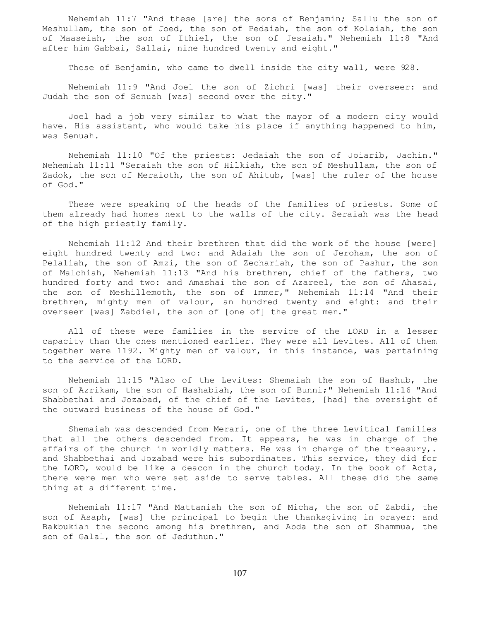Nehemiah 11:7 "And these [are] the sons of Benjamin; Sallu the son of Meshullam, the son of Joed, the son of Pedaiah, the son of Kolaiah, the son of Maaseiah, the son of Ithiel, the son of Jesaiah." Nehemiah 11:8 "And after him Gabbai, Sallai, nine hundred twenty and eight."

Those of Benjamin, who came to dwell inside the city wall, were 928.

 Nehemiah 11:9 "And Joel the son of Zichri [was] their overseer: and Judah the son of Senuah [was] second over the city."

 Joel had a job very similar to what the mayor of a modern city would have. His assistant, who would take his place if anything happened to him, was Senuah.

 Nehemiah 11:10 "Of the priests: Jedaiah the son of Joiarib, Jachin." Nehemiah 11:11 "Seraiah the son of Hilkiah, the son of Meshullam, the son of Zadok, the son of Meraioth, the son of Ahitub, [was] the ruler of the house of God."

 These were speaking of the heads of the families of priests. Some of them already had homes next to the walls of the city. Seraiah was the head of the high priestly family.

 Nehemiah 11:12 And their brethren that did the work of the house [were] eight hundred twenty and two: and Adaiah the son of Jeroham, the son of Pelaliah, the son of Amzi, the son of Zechariah, the son of Pashur, the son of Malchiah, Nehemiah 11:13 "And his brethren, chief of the fathers, two hundred forty and two: and Amashai the son of Azareel, the son of Ahasai, the son of Meshillemoth, the son of Immer," Nehemiah 11:14 "And their brethren, mighty men of valour, an hundred twenty and eight: and their overseer [was] Zabdiel, the son of [one of] the great men."

 All of these were families in the service of the LORD in a lesser capacity than the ones mentioned earlier. They were all Levites. All of them together were 1192. Mighty men of valour, in this instance, was pertaining to the service of the LORD.

 Nehemiah 11:15 "Also of the Levites: Shemaiah the son of Hashub, the son of Azrikam, the son of Hashabiah, the son of Bunni;" Nehemiah 11:16 "And Shabbethai and Jozabad, of the chief of the Levites, [had] the oversight of the outward business of the house of God."

 Shemaiah was descended from Merari, one of the three Levitical families that all the others descended from. It appears, he was in charge of the affairs of the church in worldly matters. He was in charge of the treasury,. and Shabbethai and Jozabad were his subordinates. This service, they did for the LORD, would be like a deacon in the church today. In the book of Acts, there were men who were set aside to serve tables. All these did the same thing at a different time.

 Nehemiah 11:17 "And Mattaniah the son of Micha, the son of Zabdi, the son of Asaph, [was] the principal to begin the thanksgiving in prayer: and Bakbukiah the second among his brethren, and Abda the son of Shammua, the son of Galal, the son of Jeduthun."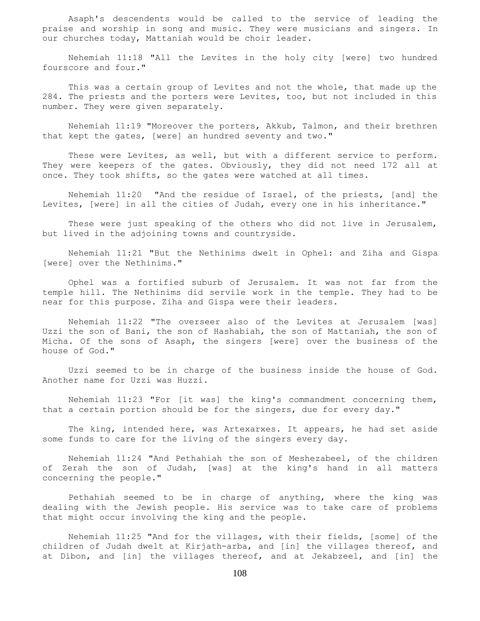Asaph's descendents would be called to the service of leading the praise and worship in song and music. They were musicians and singers. In our churches today, Mattaniah would be choir leader.

 Nehemiah 11:18 "All the Levites in the holy city [were] two hundred fourscore and four."

 This was a certain group of Levites and not the whole, that made up the 284. The priests and the porters were Levites, too, but not included in this number. They were given separately.

 Nehemiah 11:19 "Moreover the porters, Akkub, Talmon, and their brethren that kept the gates, [were] an hundred seventy and two."

These were Levites, as well, but with a different service to perform. They were keepers of the gates. Obviously, they did not need 172 all at once. They took shifts, so the gates were watched at all times.

 Nehemiah 11:20 "And the residue of Israel, of the priests, [and] the Levites, [were] in all the cities of Judah, every one in his inheritance."

 These were just speaking of the others who did not live in Jerusalem, but lived in the adjoining towns and countryside.

 Nehemiah 11:21 "But the Nethinims dwelt in Ophel: and Ziha and Gispa [were] over the Nethinims."

 Ophel was a fortified suburb of Jerusalem. It was not far from the temple hill. The Nethinims did servile work in the temple. They had to be near for this purpose. Ziha and Gispa were their leaders.

 Nehemiah 11:22 "The overseer also of the Levites at Jerusalem [was] Uzzi the son of Bani, the son of Hashabiah, the son of Mattaniah, the son of Micha. Of the sons of Asaph, the singers [were] over the business of the house of God."

 Uzzi seemed to be in charge of the business inside the house of God. Another name for Uzzi was Huzzi.

 Nehemiah 11:23 "For [it was] the king's commandment concerning them, that a certain portion should be for the singers, due for every day."

 The king, intended here, was Artexarxes. It appears, he had set aside some funds to care for the living of the singers every day.

 Nehemiah 11:24 "And Pethahiah the son of Meshezabeel, of the children of Zerah the son of Judah, [was] at the king's hand in all matters concerning the people."

 Pethahiah seemed to be in charge of anything, where the king was dealing with the Jewish people. His service was to take care of problems that might occur involving the king and the people.

 Nehemiah 11:25 "And for the villages, with their fields, [some] of the children of Judah dwelt at Kirjath-arba, and [in] the villages thereof, and at Dibon, and [in] the villages thereof, and at Jekabzeel, and [in] the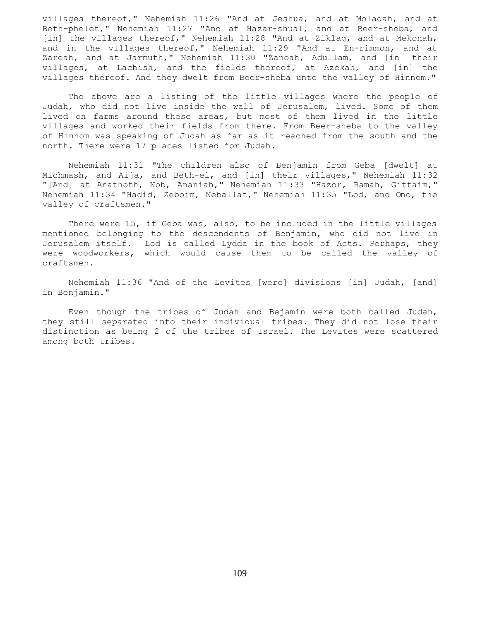villages thereof," Nehemiah 11:26 "And at Jeshua, and at Moladah, and at Beth-phelet," Nehemiah 11:27 "And at Hazar-shual, and at Beer-sheba, and [in] the villages thereof," Nehemiah 11:28 "And at Ziklag, and at Mekonah, and in the villages thereof," Nehemiah 11:29 "And at En-rimmon, and at Zareah, and at Jarmuth," Nehemiah 11:30 "Zanoah, Adullam, and [in] their villages, at Lachish, and the fields thereof, at Azekah, and [in] the villages thereof. And they dwelt from Beer-sheba unto the valley of Hinnom."

 The above are a listing of the little villages where the people of Judah, who did not live inside the wall of Jerusalem, lived. Some of them lived on farms around these areas, but most of them lived in the little villages and worked their fields from there. From Beer-sheba to the valley of Hinnom was speaking of Judah as far as it reached from the south and the north. There were 17 places listed for Judah.

 Nehemiah 11:31 "The children also of Benjamin from Geba [dwelt] at Michmash, and Aija, and Beth-el, and [in] their villages," Nehemiah 11:32 "[And] at Anathoth, Nob, Ananiah," Nehemiah 11:33 "Hazor, Ramah, Gittaim," Nehemiah 11:34 "Hadid, Zeboim, Neballat," Nehemiah 11:35 "Lod, and Ono, the valley of craftsmen."

 There were 15, if Geba was, also, to be included in the little villages mentioned belonging to the descendents of Benjamin, who did not live in Jerusalem itself. Lod is called Lydda in the book of Acts. Perhaps, they were woodworkers, which would cause them to be called the valley of craftsmen.

 Nehemiah 11:36 "And of the Levites [were] divisions [in] Judah, [and] in Benjamin."

 Even though the tribes of Judah and Bejamin were both called Judah, they still separated into their individual tribes. They did not lose their distinction as being 2 of the tribes of Israel. The Levites were scattered among both tribes.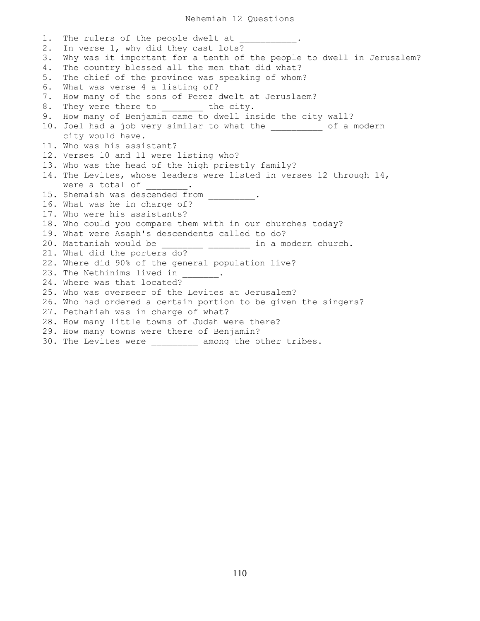1. The rulers of the people dwelt at 2. In verse 1, why did they cast lots? 3. Why was it important for a tenth of the people to dwell in Jerusalem? 4. The country blessed all the men that did what? 5. The chief of the province was speaking of whom? 6. What was verse 4 a listing of? 7. How many of the sons of Perez dwelt at Jeruslaem? 8. They were there to \_\_\_\_\_\_\_\_ the city. 9. How many of Benjamin came to dwell inside the city wall? 10. Joel had a job very similar to what the \_\_\_\_\_\_\_\_\_\_ of a modern city would have. 11. Who was his assistant? 12. Verses 10 and 11 were listing who? 13. Who was the head of the high priestly family? 14. The Levites, whose leaders were listed in verses 12 through 14, were a total of . 15. Shemaiah was descended from \_\_\_\_\_\_\_. 16. What was he in charge of? 17. Who were his assistants? 18. Who could you compare them with in our churches today? 19. What were Asaph's descendents called to do? 20. Mattaniah would be \_\_\_\_\_\_\_\_\_ \_\_\_\_\_\_\_\_ in a modern church. 21. What did the porters do? 22. Where did 90% of the general population live? 23. The Nethinims lived in 24. Where was that located? 25. Who was overseer of the Levites at Jerusalem? 26. Who had ordered a certain portion to be given the singers? 27. Pethahiah was in charge of what? 28. How many little towns of Judah were there? 29. How many towns were there of Benjamin? 30. The Levites were \_\_\_\_\_\_\_\_\_ among the other tribes.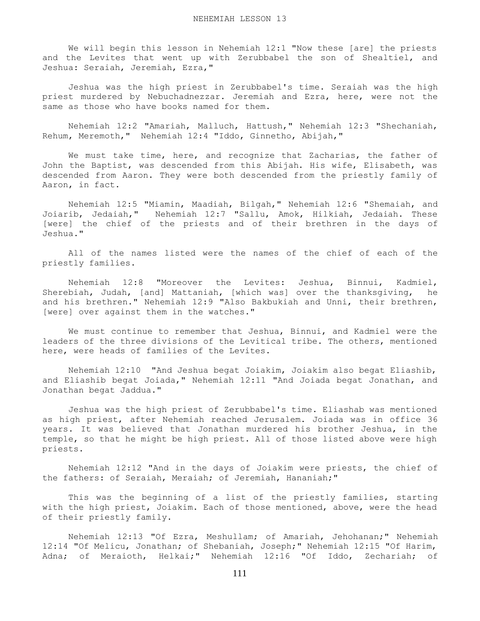We will begin this lesson in Nehemiah 12:1 "Now these [are] the priests and the Levites that went up with Zerubbabel the son of Shealtiel, and Jeshua: Seraiah, Jeremiah, Ezra,"

 Jeshua was the high priest in Zerubbabel's time. Seraiah was the high priest murdered by Nebuchadnezzar. Jeremiah and Ezra, here, were not the same as those who have books named for them.

 Nehemiah 12:2 "Amariah, Malluch, Hattush," Nehemiah 12:3 "Shechaniah, Rehum, Meremoth," Nehemiah 12:4 "Iddo, Ginnetho, Abijah,"

We must take time, here, and recognize that Zacharias, the father of John the Baptist, was descended from this Abijah. His wife, Elisabeth, was descended from Aaron. They were both descended from the priestly family of Aaron, in fact.

 Nehemiah 12:5 "Miamin, Maadiah, Bilgah," Nehemiah 12:6 "Shemaiah, and Joiarib, Jedaiah," Nehemiah 12:7 "Sallu, Amok, Hilkiah, Jedaiah. These [were] the chief of the priests and of their brethren in the days of Jeshua."

 All of the names listed were the names of the chief of each of the priestly families.

 Nehemiah 12:8 "Moreover the Levites: Jeshua, Binnui, Kadmiel, Sherebiah, Judah, [and] Mattaniah, [which was] over the thanksgiving, he and his brethren." Nehemiah 12:9 "Also Bakbukiah and Unni, their brethren, [were] over against them in the watches."

 We must continue to remember that Jeshua, Binnui, and Kadmiel were the leaders of the three divisions of the Levitical tribe. The others, mentioned here, were heads of families of the Levites.

 Nehemiah 12:10 "And Jeshua begat Joiakim, Joiakim also begat Eliashib, and Eliashib begat Joiada," Nehemiah 12:11 "And Joiada begat Jonathan, and Jonathan begat Jaddua."

 Jeshua was the high priest of Zerubbabel's time. Eliashab was mentioned as high priest, after Nehemiah reached Jerusalem. Joiada was in office 36 years. It was believed that Jonathan murdered his brother Jeshua, in the temple, so that he might be high priest. All of those listed above were high priests.

 Nehemiah 12:12 "And in the days of Joiakim were priests, the chief of the fathers: of Seraiah, Meraiah; of Jeremiah, Hananiah;"

 This was the beginning of a list of the priestly families, starting with the high priest, Joiakim. Each of those mentioned, above, were the head of their priestly family.

 Nehemiah 12:13 "Of Ezra, Meshullam; of Amariah, Jehohanan;" Nehemiah 12:14 "Of Melicu, Jonathan; of Shebaniah, Joseph;" Nehemiah 12:15 "Of Harim, Adna; of Meraioth, Helkai;" Nehemiah 12:16 "Of Iddo, Zechariah; of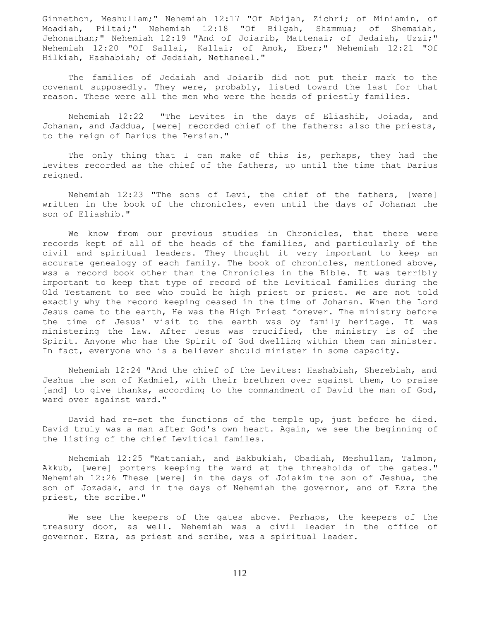Ginnethon, Meshullam;" Nehemiah 12:17 "Of Abijah, Zichri; of Miniamin, of Moadiah, Piltai;" Nehemiah 12:18 "Of Bilgah, Shammua; of Shemaiah, Jehonathan;" Nehemiah 12:19 "And of Joiarib, Mattenai; of Jedaiah, Uzzi;" Nehemiah 12:20 "Of Sallai, Kallai; of Amok, Eber;" Nehemiah 12:21 "Of Hilkiah, Hashabiah; of Jedaiah, Nethaneel."

 The families of Jedaiah and Joiarib did not put their mark to the covenant supposedly. They were, probably, listed toward the last for that reason. These were all the men who were the heads of priestly families.

 Nehemiah 12:22 "The Levites in the days of Eliashib, Joiada, and Johanan, and Jaddua, [were] recorded chief of the fathers: also the priests, to the reign of Darius the Persian."

 The only thing that I can make of this is, perhaps, they had the Levites recorded as the chief of the fathers, up until the time that Darius reigned.

 Nehemiah 12:23 "The sons of Levi, the chief of the fathers, [were] written in the book of the chronicles, even until the days of Johanan the son of Eliashib."

 We know from our previous studies in Chronicles, that there were records kept of all of the heads of the families, and particularly of the civil and spiritual leaders. They thought it very important to keep an accurate genealogy of each family. The book of chronicles, mentioned above, wss a record book other than the Chronicles in the Bible. It was terribly important to keep that type of record of the Levitical families during the Old Testament to see who could be high priest or priest. We are not told exactly why the record keeping ceased in the time of Johanan. When the Lord Jesus came to the earth, He was the High Priest forever. The ministry before the time of Jesus' visit to the earth was by family heritage. It was ministering the law. After Jesus was crucified, the ministry is of the Spirit. Anyone who has the Spirit of God dwelling within them can minister. In fact, everyone who is a believer should minister in some capacity.

 Nehemiah 12:24 "And the chief of the Levites: Hashabiah, Sherebiah, and Jeshua the son of Kadmiel, with their brethren over against them, to praise [and] to give thanks, according to the commandment of David the man of God, ward over against ward."

 David had re-set the functions of the temple up, just before he died. David truly was a man after God's own heart. Again, we see the beginning of the listing of the chief Levitical familes.

 Nehemiah 12:25 "Mattaniah, and Bakbukiah, Obadiah, Meshullam, Talmon, Akkub, [were] porters keeping the ward at the thresholds of the gates." Nehemiah 12:26 These [were] in the days of Joiakim the son of Jeshua, the son of Jozadak, and in the days of Nehemiah the governor, and of Ezra the priest, the scribe."

We see the keepers of the gates above. Perhaps, the keepers of the treasury door, as well. Nehemiah was a civil leader in the office of governor. Ezra, as priest and scribe, was a spiritual leader.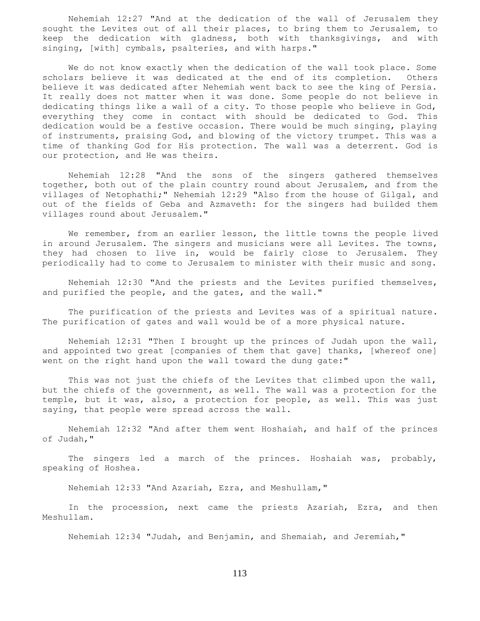Nehemiah 12:27 "And at the dedication of the wall of Jerusalem they sought the Levites out of all their places, to bring them to Jerusalem, to keep the dedication with gladness, both with thanksgivings, and with singing, [with] cymbals, psalteries, and with harps."

 We do not know exactly when the dedication of the wall took place. Some scholars believe it was dedicated at the end of its completion. Others believe it was dedicated after Nehemiah went back to see the king of Persia. It really does not matter when it was done. Some people do not believe in dedicating things like a wall of a city. To those people who believe in God, everything they come in contact with should be dedicated to God. This dedication would be a festive occasion. There would be much singing, playing of instruments, praising God, and blowing of the victory trumpet. This was a time of thanking God for His protection. The wall was a deterrent. God is our protection, and He was theirs.

 Nehemiah 12:28 "And the sons of the singers gathered themselves together, both out of the plain country round about Jerusalem, and from the villages of Netophathi;" Nehemiah 12:29 "Also from the house of Gilgal, and out of the fields of Geba and Azmaveth: for the singers had builded them villages round about Jerusalem."

 We remember, from an earlier lesson, the little towns the people lived in around Jerusalem. The singers and musicians were all Levites. The towns, they had chosen to live in, would be fairly close to Jerusalem. They periodically had to come to Jerusalem to minister with their music and song.

 Nehemiah 12:30 "And the priests and the Levites purified themselves, and purified the people, and the gates, and the wall."

 The purification of the priests and Levites was of a spiritual nature. The purification of gates and wall would be of a more physical nature.

 Nehemiah 12:31 "Then I brought up the princes of Judah upon the wall, and appointed two great [companies of them that gave] thanks, [whereof one] went on the right hand upon the wall toward the dung gate:"

 This was not just the chiefs of the Levites that climbed upon the wall, but the chiefs of the government, as well. The wall was a protection for the temple, but it was, also, a protection for people, as well. This was just saying, that people were spread across the wall.

 Nehemiah 12:32 "And after them went Hoshaiah, and half of the princes of Judah,"

 The singers led a march of the princes. Hoshaiah was, probably, speaking of Hoshea.

Nehemiah 12:33 "And Azariah, Ezra, and Meshullam,"

 In the procession, next came the priests Azariah, Ezra, and then Meshullam.

Nehemiah 12:34 "Judah, and Benjamin, and Shemaiah, and Jeremiah,"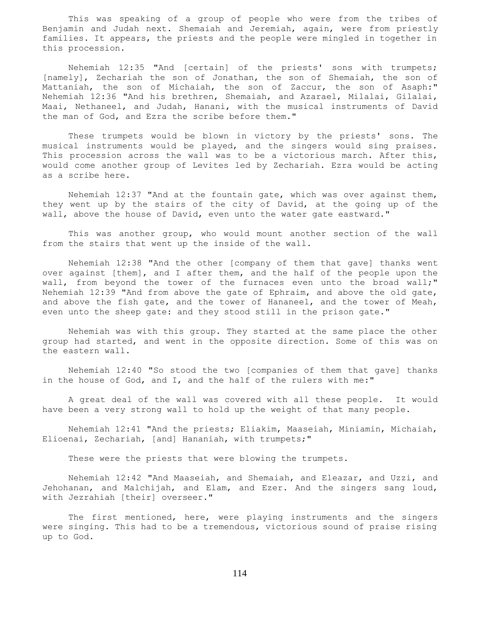This was speaking of a group of people who were from the tribes of Benjamin and Judah next. Shemaiah and Jeremiah, again, were from priestly families. It appears, the priests and the people were mingled in together in this procession.

 Nehemiah 12:35 "And [certain] of the priests' sons with trumpets; [namely], Zechariah the son of Jonathan, the son of Shemaiah, the son of Mattaniah, the son of Michaiah, the son of Zaccur, the son of Asaph:" Nehemiah 12:36 "And his brethren, Shemaiah, and Azarael, Milalai, Gilalai, Maai, Nethaneel, and Judah, Hanani, with the musical instruments of David the man of God, and Ezra the scribe before them."

 These trumpets would be blown in victory by the priests' sons. The musical instruments would be played, and the singers would sing praises. This procession across the wall was to be a victorious march. After this, would come another group of Levites led by Zechariah. Ezra would be acting as a scribe here.

 Nehemiah 12:37 "And at the fountain gate, which was over against them, they went up by the stairs of the city of David, at the going up of the wall, above the house of David, even unto the water gate eastward."

 This was another group, who would mount another section of the wall from the stairs that went up the inside of the wall.

 Nehemiah 12:38 "And the other [company of them that gave] thanks went over against [them], and I after them, and the half of the people upon the wall, from beyond the tower of the furnaces even unto the broad wall;" Nehemiah 12:39 "And from above the gate of Ephraim, and above the old gate, and above the fish gate, and the tower of Hananeel, and the tower of Meah, even unto the sheep gate: and they stood still in the prison gate."

 Nehemiah was with this group. They started at the same place the other group had started, and went in the opposite direction. Some of this was on the eastern wall.

 Nehemiah 12:40 "So stood the two [companies of them that gave] thanks in the house of God, and I, and the half of the rulers with me:"

 A great deal of the wall was covered with all these people. It would have been a very strong wall to hold up the weight of that many people.

 Nehemiah 12:41 "And the priests; Eliakim, Maaseiah, Miniamin, Michaiah, Elioenai, Zechariah, [and] Hananiah, with trumpets;"

These were the priests that were blowing the trumpets.

 Nehemiah 12:42 "And Maaseiah, and Shemaiah, and Eleazar, and Uzzi, and Jehohanan, and Malchijah, and Elam, and Ezer. And the singers sang loud, with Jezrahiah [their] overseer."

 The first mentioned, here, were playing instruments and the singers were singing. This had to be a tremendous, victorious sound of praise rising up to God.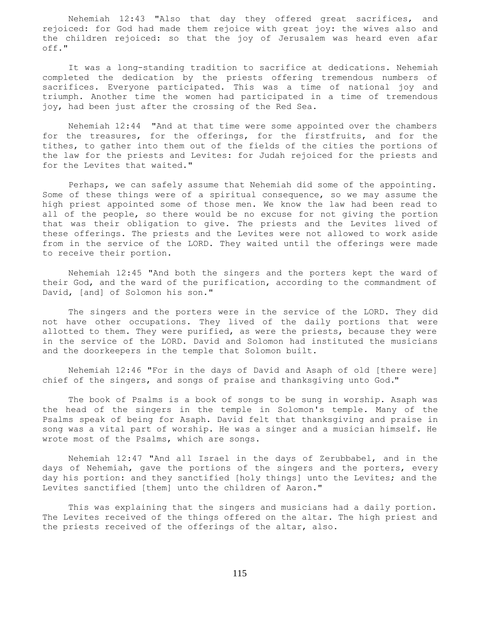Nehemiah 12:43 "Also that day they offered great sacrifices, and rejoiced: for God had made them rejoice with great joy: the wives also and the children rejoiced: so that the joy of Jerusalem was heard even afar off."

 It was a long-standing tradition to sacrifice at dedications. Nehemiah completed the dedication by the priests offering tremendous numbers of sacrifices. Everyone participated. This was a time of national joy and triumph. Another time the women had participated in a time of tremendous joy, had been just after the crossing of the Red Sea.

 Nehemiah 12:44 "And at that time were some appointed over the chambers for the treasures, for the offerings, for the firstfruits, and for the tithes, to gather into them out of the fields of the cities the portions of the law for the priests and Levites: for Judah rejoiced for the priests and for the Levites that waited."

 Perhaps, we can safely assume that Nehemiah did some of the appointing. Some of these things were of a spiritual consequence, so we may assume the high priest appointed some of those men. We know the law had been read to all of the people, so there would be no excuse for not giving the portion that was their obligation to give. The priests and the Levites lived of these offerings. The priests and the Levites were not allowed to work aside from in the service of the LORD. They waited until the offerings were made to receive their portion.

 Nehemiah 12:45 "And both the singers and the porters kept the ward of their God, and the ward of the purification, according to the commandment of David, [and] of Solomon his son."

 The singers and the porters were in the service of the LORD. They did not have other occupations. They lived of the daily portions that were allotted to them. They were purified, as were the priests, because they were in the service of the LORD. David and Solomon had instituted the musicians and the doorkeepers in the temple that Solomon built.

 Nehemiah 12:46 "For in the days of David and Asaph of old [there were] chief of the singers, and songs of praise and thanksgiving unto God."

 The book of Psalms is a book of songs to be sung in worship. Asaph was the head of the singers in the temple in Solomon's temple. Many of the Psalms speak of being for Asaph. David felt that thanksgiving and praise in song was a vital part of worship. He was a singer and a musician himself. He wrote most of the Psalms, which are songs.

 Nehemiah 12:47 "And all Israel in the days of Zerubbabel, and in the days of Nehemiah, gave the portions of the singers and the porters, every day his portion: and they sanctified [holy things] unto the Levites; and the Levites sanctified [them] unto the children of Aaron."

 This was explaining that the singers and musicians had a daily portion. The Levites received of the things offered on the altar. The high priest and the priests received of the offerings of the altar, also.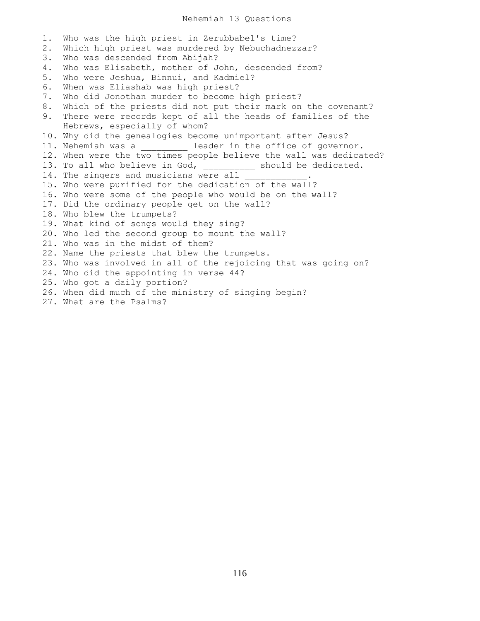# Nehemiah 13 Questions

1. Who was the high priest in Zerubbabel's time? 2. Which high priest was murdered by Nebuchadnezzar? 3. Who was descended from Abijah? 4. Who was Elisabeth, mother of John, descended from? 5. Who were Jeshua, Binnui, and Kadmiel? 6. When was Eliashab was high priest? 7. Who did Jonothan murder to become high priest? 8. Which of the priests did not put their mark on the covenant? 9. There were records kept of all the heads of families of the Hebrews, especially of whom? 10. Why did the genealogies become unimportant after Jesus? 11. Nehemiah was a \_\_\_\_\_\_\_\_\_ leader in the office of governor. 12. When were the two times people believe the wall was dedicated? 13. To all who believe in God, and should be dedicated. 14. The singers and musicians were all 15. Who were purified for the dedication of the wall? 16. Who were some of the people who would be on the wall? 17. Did the ordinary people get on the wall? 18. Who blew the trumpets? 19. What kind of songs would they sing? 20. Who led the second group to mount the wall? 21. Who was in the midst of them? 22. Name the priests that blew the trumpets. 23. Who was involved in all of the rejoicing that was going on? 24. Who did the appointing in verse 44? 25. Who got a daily portion? 26. When did much of the ministry of singing begin? 27. What are the Psalms?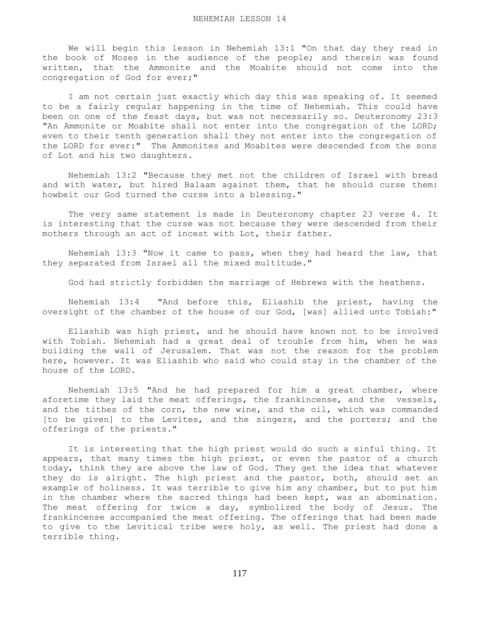We will begin this lesson in Nehemiah 13:1 "On that day they read in the book of Moses in the audience of the people; and therein was found written, that the Ammonite and the Moabite should not come into the congregation of God for ever;"

 I am not certain just exactly which day this was speaking of. It seemed to be a fairly regular happening in the time of Nehemiah. This could have been on one of the feast days, but was not necessarily so. Deuteronomy 23:3 "An Ammonite or Moabite shall not enter into the congregation of the LORD; even to their tenth generation shall they not enter into the congregation of the LORD for ever:" The Ammonites and Moabites were descended from the sons of Lot and his two daughters.

 Nehemiah 13:2 "Because they met not the children of Israel with bread and with water, but hired Balaam against them, that he should curse them: howbeit our God turned the curse into a blessing."

 The very same statement is made in Deuteronomy chapter 23 verse 4. It is interesting that the curse was not because they were descended from their mothers through an act of incest with Lot, their father.

 Nehemiah 13:3 "Now it came to pass, when they had heard the law, that they separated from Israel all the mixed multitude."

God had strictly forbidden the marriage of Hebrews with the heathens.

 Nehemiah 13:4 "And before this, Eliashib the priest, having the oversight of the chamber of the house of our God, [was] allied unto Tobiah:"

 Eliashib was high priest, and he should have known not to be involved with Tobiah. Nehemiah had a great deal of trouble from him, when he was building the wall of Jerusalem. That was not the reason for the problem here, however. It was Eliashib who said who could stay in the chamber of the house of the LORD.

 Nehemiah 13:5 "And he had prepared for him a great chamber, where aforetime they laid the meat offerings, the frankincense, and the vessels, and the tithes of the corn, the new wine, and the oil, which was commanded [to be given] to the Levites, and the singers, and the porters; and the offerings of the priests."

 It is interesting that the high priest would do such a sinful thing. It appears, that many times the high priest, or even the pastor of a church today, think they are above the law of God. They get the idea that whatever they do is alright. The high priest and the pastor, both, should set an example of holiness. It was terrible to give him any chamber, but to put him in the chamber where the sacred things had been kept, was an abomination. The meat offering for twice a day, symbolized the body of Jesus. The frankincense accompanied the meat offering. The offerings that had been made to give to the Levitical tribe were holy, as well. The priest had done a terrible thing.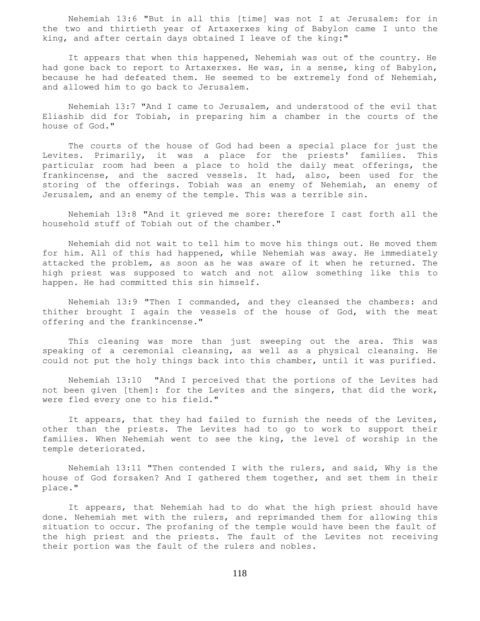Nehemiah 13:6 "But in all this [time] was not I at Jerusalem: for in the two and thirtieth year of Artaxerxes king of Babylon came I unto the king, and after certain days obtained I leave of the king:"

 It appears that when this happened, Nehemiah was out of the country. He had gone back to report to Artaxerxes. He was, in a sense, king of Babylon, because he had defeated them. He seemed to be extremely fond of Nehemiah, and allowed him to go back to Jerusalem.

 Nehemiah 13:7 "And I came to Jerusalem, and understood of the evil that Eliashib did for Tobiah, in preparing him a chamber in the courts of the house of God."

 The courts of the house of God had been a special place for just the Levites. Primarily, it was a place for the priests' families. This particular room had been a place to hold the daily meat offerings, the frankincense, and the sacred vessels. It had, also, been used for the storing of the offerings. Tobiah was an enemy of Nehemiah, an enemy of Jerusalem, and an enemy of the temple. This was a terrible sin.

 Nehemiah 13:8 "And it grieved me sore: therefore I cast forth all the household stuff of Tobiah out of the chamber."

 Nehemiah did not wait to tell him to move his things out. He moved them for him. All of this had happened, while Nehemiah was away. He immediately attacked the problem, as soon as he was aware of it when he returned. The high priest was supposed to watch and not allow something like this to happen. He had committed this sin himself.

 Nehemiah 13:9 "Then I commanded, and they cleansed the chambers: and thither brought I again the vessels of the house of God, with the meat offering and the frankincense."

 This cleaning was more than just sweeping out the area. This was speaking of a ceremonial cleansing, as well as a physical cleansing. He could not put the holy things back into this chamber, until it was purified.

 Nehemiah 13:10 "And I perceived that the portions of the Levites had not been given [them]: for the Levites and the singers, that did the work, were fled every one to his field."

 It appears, that they had failed to furnish the needs of the Levites, other than the priests. The Levites had to go to work to support their families. When Nehemiah went to see the king, the level of worship in the temple deteriorated.

 Nehemiah 13:11 "Then contended I with the rulers, and said, Why is the house of God forsaken? And I gathered them together, and set them in their place."

 It appears, that Nehemiah had to do what the high priest should have done. Nehemiah met with the rulers, and reprimanded them for allowing this situation to occur. The profaning of the temple would have been the fault of the high priest and the priests. The fault of the Levites not receiving their portion was the fault of the rulers and nobles.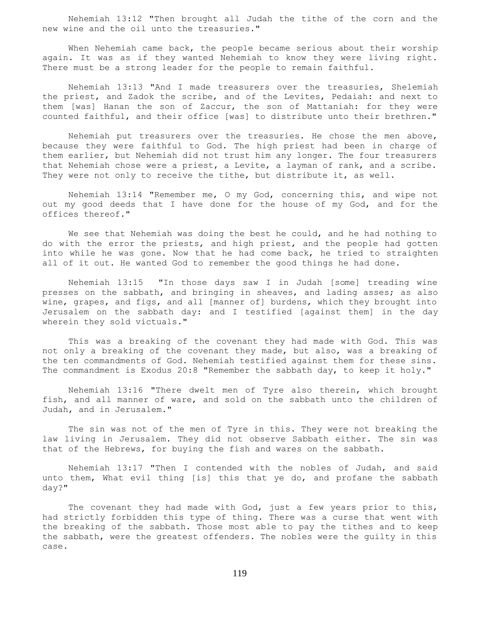Nehemiah 13:12 "Then brought all Judah the tithe of the corn and the new wine and the oil unto the treasuries."

 When Nehemiah came back, the people became serious about their worship again. It was as if they wanted Nehemiah to know they were living right. There must be a strong leader for the people to remain faithful.

 Nehemiah 13:13 "And I made treasurers over the treasuries, Shelemiah the priest, and Zadok the scribe, and of the Levites, Pedaiah: and next to them [was] Hanan the son of Zaccur, the son of Mattaniah: for they were counted faithful, and their office [was] to distribute unto their brethren."

 Nehemiah put treasurers over the treasuries. He chose the men above, because they were faithful to God. The high priest had been in charge of them earlier, but Nehemiah did not trust him any longer. The four treasurers that Nehemiah chose were a priest, a Levite, a layman of rank, and a scribe. They were not only to receive the tithe, but distribute it, as well.

 Nehemiah 13:14 "Remember me, O my God, concerning this, and wipe not out my good deeds that I have done for the house of my God, and for the offices thereof."

 We see that Nehemiah was doing the best he could, and he had nothing to do with the error the priests, and high priest, and the people had gotten into while he was gone. Now that he had come back, he tried to straighten all of it out. He wanted God to remember the good things he had done.

 Nehemiah 13:15 "In those days saw I in Judah [some] treading wine presses on the sabbath, and bringing in sheaves, and lading asses; as also wine, grapes, and figs, and all [manner of] burdens, which they brought into Jerusalem on the sabbath day: and I testified [against them] in the day wherein they sold victuals."

 This was a breaking of the covenant they had made with God. This was not only a breaking of the covenant they made, but also, was a breaking of the ten commandments of God. Nehemiah testified against them for these sins. The commandment is Exodus 20:8 "Remember the sabbath day, to keep it holy."

 Nehemiah 13:16 "There dwelt men of Tyre also therein, which brought fish, and all manner of ware, and sold on the sabbath unto the children of Judah, and in Jerusalem."

 The sin was not of the men of Tyre in this. They were not breaking the law living in Jerusalem. They did not observe Sabbath either. The sin was that of the Hebrews, for buying the fish and wares on the sabbath.

 Nehemiah 13:17 "Then I contended with the nobles of Judah, and said unto them, What evil thing [is] this that ye do, and profane the sabbath day?"

 The covenant they had made with God, just a few years prior to this, had strictly forbidden this type of thing. There was a curse that went with the breaking of the sabbath. Those most able to pay the tithes and to keep the sabbath, were the greatest offenders. The nobles were the guilty in this case.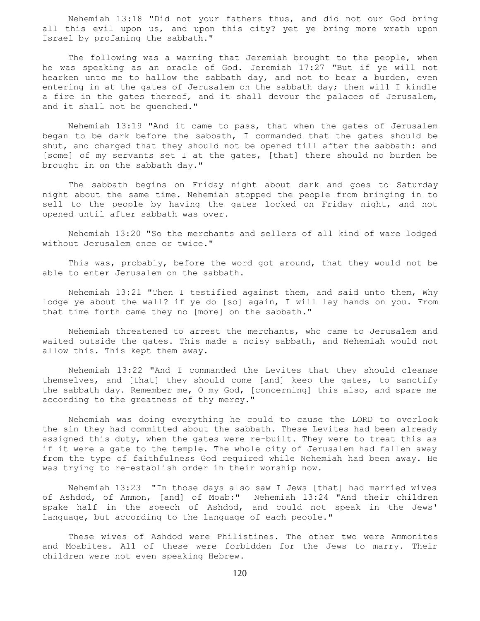Nehemiah 13:18 "Did not your fathers thus, and did not our God bring all this evil upon us, and upon this city? yet ye bring more wrath upon Israel by profaning the sabbath."

 The following was a warning that Jeremiah brought to the people, when he was speaking as an oracle of God. Jeremiah 17:27 "But if ye will not hearken unto me to hallow the sabbath day, and not to bear a burden, even entering in at the gates of Jerusalem on the sabbath day; then will I kindle a fire in the gates thereof, and it shall devour the palaces of Jerusalem, and it shall not be quenched."

 Nehemiah 13:19 "And it came to pass, that when the gates of Jerusalem began to be dark before the sabbath, I commanded that the gates should be shut, and charged that they should not be opened till after the sabbath: and [some] of my servants set I at the gates, [that] there should no burden be brought in on the sabbath day."

 The sabbath begins on Friday night about dark and goes to Saturday night about the same time. Nehemiah stopped the people from bringing in to sell to the people by having the gates locked on Friday night, and not opened until after sabbath was over.

 Nehemiah 13:20 "So the merchants and sellers of all kind of ware lodged without Jerusalem once or twice."

 This was, probably, before the word got around, that they would not be able to enter Jerusalem on the sabbath.

 Nehemiah 13:21 "Then I testified against them, and said unto them, Why lodge ye about the wall? if ye do [so] again, I will lay hands on you. From that time forth came they no [more] on the sabbath."

 Nehemiah threatened to arrest the merchants, who came to Jerusalem and waited outside the gates. This made a noisy sabbath, and Nehemiah would not allow this. This kept them away.

 Nehemiah 13:22 "And I commanded the Levites that they should cleanse themselves, and [that] they should come [and] keep the gates, to sanctify the sabbath day. Remember me, O my God, [concerning] this also, and spare me according to the greatness of thy mercy."

 Nehemiah was doing everything he could to cause the LORD to overlook the sin they had committed about the sabbath. These Levites had been already assigned this duty, when the gates were re-built. They were to treat this as if it were a gate to the temple. The whole city of Jerusalem had fallen away from the type of faithfulness God required while Nehemiah had been away. He was trying to re-establish order in their worship now.

 Nehemiah 13:23 "In those days also saw I Jews [that] had married wives of Ashdod, of Ammon, [and] of Moab:" Nehemiah 13:24 "And their children spake half in the speech of Ashdod, and could not speak in the Jews' language, but according to the language of each people."

 These wives of Ashdod were Philistines. The other two were Ammonites and Moabites. All of these were forbidden for the Jews to marry. Their children were not even speaking Hebrew.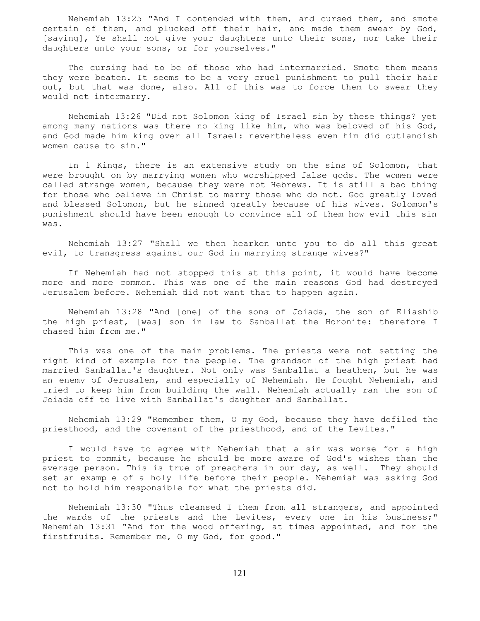Nehemiah 13:25 "And I contended with them, and cursed them, and smote certain of them, and plucked off their hair, and made them swear by God, [saying], Ye shall not give your daughters unto their sons, nor take their daughters unto your sons, or for yourselves."

 The cursing had to be of those who had intermarried. Smote them means they were beaten. It seems to be a very cruel punishment to pull their hair out, but that was done, also. All of this was to force them to swear they would not intermarry.

 Nehemiah 13:26 "Did not Solomon king of Israel sin by these things? yet among many nations was there no king like him, who was beloved of his God, and God made him king over all Israel: nevertheless even him did outlandish women cause to sin."

 In 1 Kings, there is an extensive study on the sins of Solomon, that were brought on by marrying women who worshipped false gods. The women were called strange women, because they were not Hebrews. It is still a bad thing for those who believe in Christ to marry those who do not. God greatly loved and blessed Solomon, but he sinned greatly because of his wives. Solomon's punishment should have been enough to convince all of them how evil this sin was.

 Nehemiah 13:27 "Shall we then hearken unto you to do all this great evil, to transgress against our God in marrying strange wives?"

 If Nehemiah had not stopped this at this point, it would have become more and more common. This was one of the main reasons God had destroyed Jerusalem before. Nehemiah did not want that to happen again.

 Nehemiah 13:28 "And [one] of the sons of Joiada, the son of Eliashib the high priest, [was] son in law to Sanballat the Horonite: therefore I chased him from me."

 This was one of the main problems. The priests were not setting the right kind of example for the people. The grandson of the high priest had married Sanballat's daughter. Not only was Sanballat a heathen, but he was an enemy of Jerusalem, and especially of Nehemiah. He fought Nehemiah, and tried to keep him from building the wall. Nehemiah actually ran the son of Joiada off to live with Sanballat's daughter and Sanballat.

 Nehemiah 13:29 "Remember them, O my God, because they have defiled the priesthood, and the covenant of the priesthood, and of the Levites."

 I would have to agree with Nehemiah that a sin was worse for a high priest to commit, because he should be more aware of God's wishes than the average person. This is true of preachers in our day, as well. They should set an example of a holy life before their people. Nehemiah was asking God not to hold him responsible for what the priests did.

 Nehemiah 13:30 "Thus cleansed I them from all strangers, and appointed the wards of the priests and the Levites, every one in his business;" Nehemiah 13:31 "And for the wood offering, at times appointed, and for the firstfruits. Remember me, O my God, for good."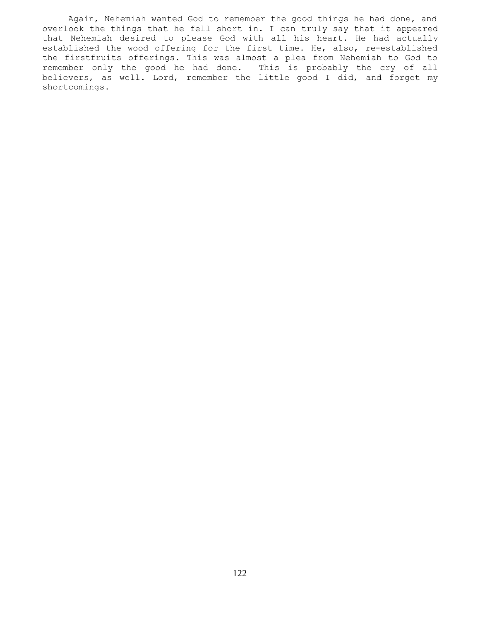Again, Nehemiah wanted God to remember the good things he had done, and overlook the things that he fell short in. I can truly say that it appeared that Nehemiah desired to please God with all his heart. He had actually established the wood offering for the first time. He, also, re-established the firstfruits offerings. This was almost a plea from Nehemiah to God to remember only the good he had done. This is probably the cry of all believers, as well. Lord, remember the little good I did, and forget my shortcomings.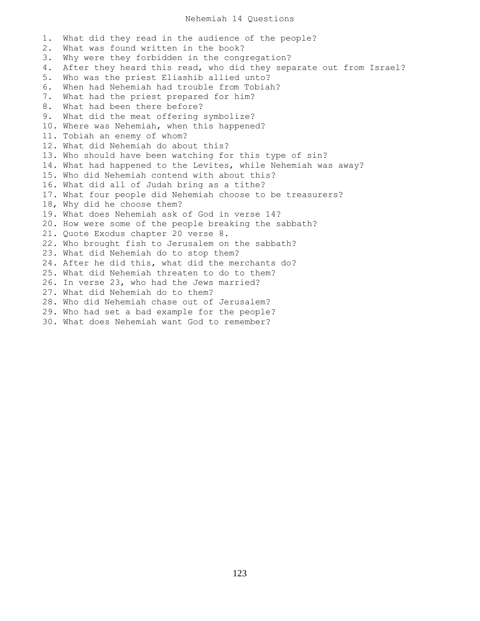#### Nehemiah 14 Questions

1. What did they read in the audience of the people? 2. What was found written in the book? 3. Why were they forbidden in the congregation? 4. After they heard this read, who did they separate out from Israel? 5. Who was the priest Eliashib allied unto? 6. When had Nehemiah had trouble from Tobiah? 7. What had the priest prepared for him? 8. What had been there before? 9. What did the meat offering symbolize? 10. Where was Nehemiah, when this happened? 11. Tobiah an enemy of whom? 12. What did Nehemiah do about this? 13. Who should have been watching for this type of sin? 14. What had happened to the Levites, while Nehemiah was away? 15. Who did Nehemiah contend with about this? 16. What did all of Judah bring as a tithe? 17. What four people did Nehemiah choose to be treasurers? 18, Why did he choose them? 19. What does Nehemiah ask of God in verse 14? 20. How were some of the people breaking the sabbath? 21. Quote Exodus chapter 20 verse 8. 22. Who brought fish to Jerusalem on the sabbath? 23. What did Nehemiah do to stop them? 24. After he did this, what did the merchants do? 25. What did Nehemiah threaten to do to them? 26. In verse 23, who had the Jews married? 27. What did Nehemiah do to them? 28. Who did Nehemiah chase out of Jerusalem? 29. Who had set a bad example for the people? 30. What does Nehemiah want God to remember?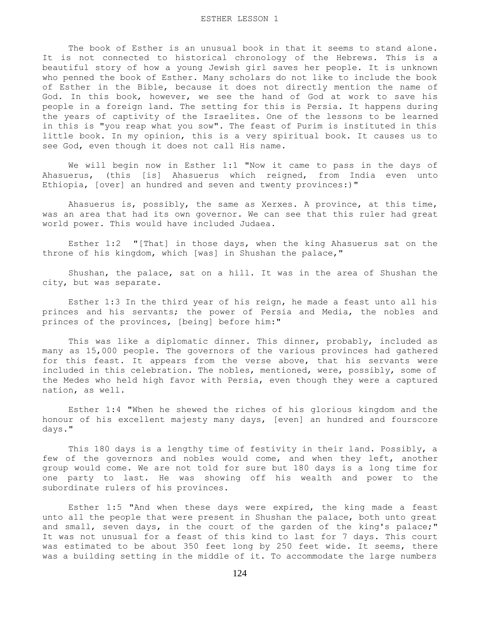The book of Esther is an unusual book in that it seems to stand alone. It is not connected to historical chronology of the Hebrews. This is a beautiful story of how a young Jewish girl saves her people. It is unknown who penned the book of Esther. Many scholars do not like to include the book of Esther in the Bible, because it does not directly mention the name of God. In this book, however, we see the hand of God at work to save his people in a foreign land. The setting for this is Persia. It happens during the years of captivity of the Israelites. One of the lessons to be learned in this is "you reap what you sow". The feast of Purim is instituted in this little book. In my opinion, this is a very spiritual book. It causes us to see God, even though it does not call His name.

 We will begin now in Esther 1:1 "Now it came to pass in the days of Ahasuerus, (this [is] Ahasuerus which reigned, from India even unto Ethiopia, [over] an hundred and seven and twenty provinces:)"

 Ahasuerus is, possibly, the same as Xerxes. A province, at this time, was an area that had its own governor. We can see that this ruler had great world power. This would have included Judaea.

 Esther 1:2 "[That] in those days, when the king Ahasuerus sat on the throne of his kingdom, which [was] in Shushan the palace,"

 Shushan, the palace, sat on a hill. It was in the area of Shushan the city, but was separate.

 Esther 1:3 In the third year of his reign, he made a feast unto all his princes and his servants; the power of Persia and Media, the nobles and princes of the provinces, [being] before him:"

 This was like a diplomatic dinner. This dinner, probably, included as many as 15,000 people. The governors of the various provinces had gathered for this feast. It appears from the verse above, that his servants were included in this celebration. The nobles, mentioned, were, possibly, some of the Medes who held high favor with Persia, even though they were a captured nation, as well.

 Esther 1:4 "When he shewed the riches of his glorious kingdom and the honour of his excellent majesty many days, [even] an hundred and fourscore days."

 This 180 days is a lengthy time of festivity in their land. Possibly, a few of the governors and nobles would come, and when they left, another group would come. We are not told for sure but 180 days is a long time for one party to last. He was showing off his wealth and power to the subordinate rulers of his provinces.

 Esther 1:5 "And when these days were expired, the king made a feast unto all the people that were present in Shushan the palace, both unto great and small, seven days, in the court of the garden of the king's palace;" It was not unusual for a feast of this kind to last for 7 days. This court was estimated to be about 350 feet long by 250 feet wide. It seems, there was a building setting in the middle of it. To accommodate the large numbers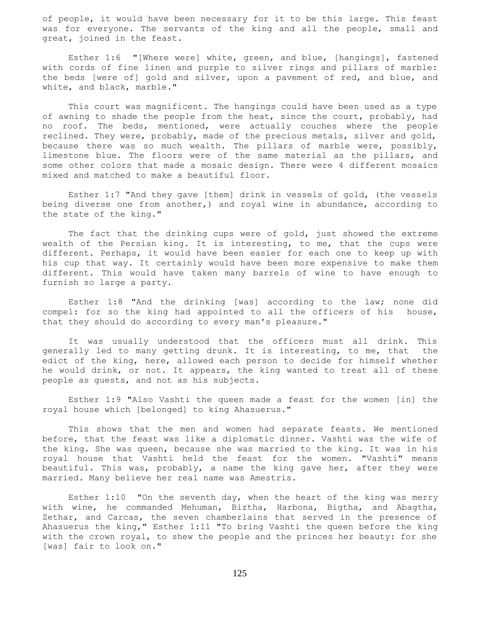of people, it would have been necessary for it to be this large. This feast was for everyone. The servants of the king and all the people, small and great, joined in the feast.

 Esther 1:6 "[Where were] white, green, and blue, [hangings], fastened with cords of fine linen and purple to silver rings and pillars of marble: the beds [were of] gold and silver, upon a pavement of red, and blue, and white, and black, marble."

 This court was magnificent. The hangings could have been used as a type of awning to shade the people from the heat, since the court, probably, had no roof. The beds, mentioned, were actually couches where the people reclined. They were, probably, made of the precious metals, silver and gold, because there was so much wealth. The pillars of marble were, possibly, limestone blue. The floors were of the same material as the pillars, and some other colors that made a mosaic design. There were 4 different mosaics mixed and matched to make a beautiful floor.

 Esther 1:7 "And they gave [them] drink in vessels of gold, (the vessels being diverse one from another,) and royal wine in abundance, according to the state of the king."

 The fact that the drinking cups were of gold, just showed the extreme wealth of the Persian king. It is interesting, to me, that the cups were different. Perhaps, it would have been easier for each one to keep up with his cup that way. It certainly would have been more expensive to make them different. This would have taken many barrels of wine to have enough to furnish so large a party.

 Esther 1:8 "And the drinking [was] according to the law; none did compel: for so the king had appointed to all the officers of his house, that they should do according to every man's pleasure."

 It was usually understood that the officers must all drink. This generally led to many getting drunk. It is interesting, to me, that the edict of the king, here, allowed each person to decide for himself whether he would drink, or not. It appears, the king wanted to treat all of these people as guests, and not as his subjects.

 Esther 1:9 "Also Vashti the queen made a feast for the women [in] the royal house which [belonged] to king Ahasuerus."

 This shows that the men and women had separate feasts. We mentioned before, that the feast was like a diplomatic dinner. Vashti was the wife of the king. She was queen, because she was married to the king. It was in his royal house that Vashti held the feast for the women. "Vashti" means beautiful. This was, probably, a name the king gave her, after they were married. Many believe her real name was Amestris.

 Esther 1:10 "On the seventh day, when the heart of the king was merry with wine, he commanded Mehuman, Biztha, Harbona, Bigtha, and Abagtha, Zethar, and Carcas, the seven chamberlains that served in the presence of Ahasuerus the king," Esther 1:11 "To bring Vashti the queen before the king with the crown royal, to shew the people and the princes her beauty: for she [was] fair to look on."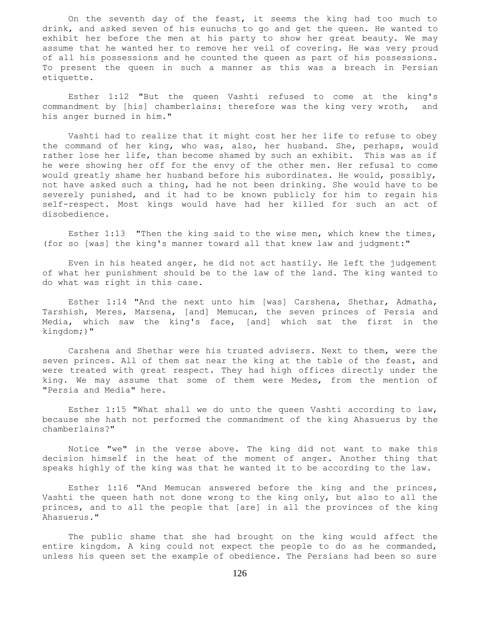On the seventh day of the feast, it seems the king had too much to drink, and asked seven of his eunuchs to go and get the queen. He wanted to exhibit her before the men at his party to show her great beauty. We may assume that he wanted her to remove her veil of covering. He was very proud of all his possessions and he counted the queen as part of his possessions. To present the queen in such a manner as this was a breach in Persian etiquette.

 Esther 1:12 "But the queen Vashti refused to come at the king's commandment by [his] chamberlains: therefore was the king very wroth, and his anger burned in him."

 Vashti had to realize that it might cost her her life to refuse to obey the command of her king, who was, also, her husband. She, perhaps, would rather lose her life, than become shamed by such an exhibit. This was as if he were showing her off for the envy of the other men. Her refusal to come would greatly shame her husband before his subordinates. He would, possibly, not have asked such a thing, had he not been drinking. She would have to be severely punished, and it had to be known publicly for him to regain his self-respect. Most kings would have had her killed for such an act of disobedience.

 Esther 1:13 "Then the king said to the wise men, which knew the times, (for so [was] the king's manner toward all that knew law and judgment:"

 Even in his heated anger, he did not act hastily. He left the judgement of what her punishment should be to the law of the land. The king wanted to do what was right in this case.

 Esther 1:14 "And the next unto him [was] Carshena, Shethar, Admatha, Tarshish, Meres, Marsena, [and] Memucan, the seven princes of Persia and Media, which saw the king's face, [and] which sat the first in the kingdom;)"

 Carshena and Shethar were his trusted advisers. Next to them, were the seven princes. All of them sat near the king at the table of the feast, and were treated with great respect. They had high offices directly under the king. We may assume that some of them were Medes, from the mention of "Persia and Media" here.

 Esther 1:15 "What shall we do unto the queen Vashti according to law, because she hath not performed the commandment of the king Ahasuerus by the chamberlains?"

 Notice "we" in the verse above. The king did not want to make this decision himself in the heat of the moment of anger. Another thing that speaks highly of the king was that he wanted it to be according to the law.

 Esther 1:16 "And Memucan answered before the king and the princes, Vashti the queen hath not done wrong to the king only, but also to all the princes, and to all the people that [are] in all the provinces of the king Ahasuerus."

 The public shame that she had brought on the king would affect the entire kingdom. A king could not expect the people to do as he commanded, unless his queen set the example of obedience. The Persians had been so sure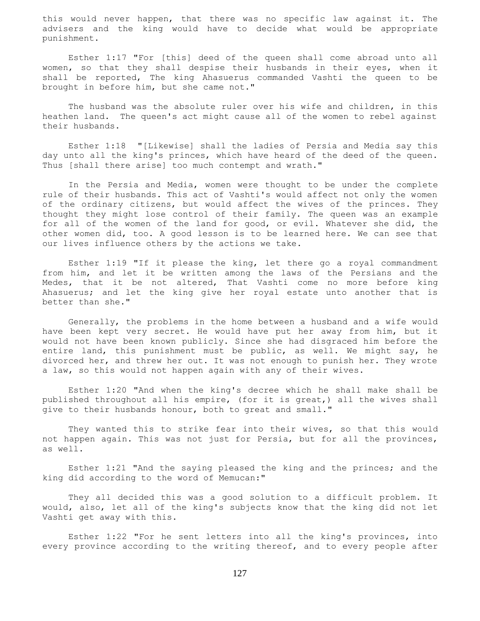this would never happen, that there was no specific law against it. The advisers and the king would have to decide what would be appropriate punishment.

 Esther 1:17 "For [this] deed of the queen shall come abroad unto all women, so that they shall despise their husbands in their eyes, when it shall be reported, The king Ahasuerus commanded Vashti the queen to be brought in before him, but she came not."

 The husband was the absolute ruler over his wife and children, in this heathen land. The queen's act might cause all of the women to rebel against their husbands.

 Esther 1:18 "[Likewise] shall the ladies of Persia and Media say this day unto all the king's princes, which have heard of the deed of the queen. Thus [shall there arise] too much contempt and wrath."

 In the Persia and Media, women were thought to be under the complete rule of their husbands. This act of Vashti's would affect not only the women of the ordinary citizens, but would affect the wives of the princes. They thought they might lose control of their family. The queen was an example for all of the women of the land for good, or evil. Whatever she did, the other women did, too. A good lesson is to be learned here. We can see that our lives influence others by the actions we take.

 Esther 1:19 "If it please the king, let there go a royal commandment from him, and let it be written among the laws of the Persians and the Medes, that it be not altered, That Vashti come no more before king Ahasuerus; and let the king give her royal estate unto another that is better than she."

 Generally, the problems in the home between a husband and a wife would have been kept very secret. He would have put her away from him, but it would not have been known publicly. Since she had disgraced him before the entire land, this punishment must be public, as well. We might say, he divorced her, and threw her out. It was not enough to punish her. They wrote a law, so this would not happen again with any of their wives.

 Esther 1:20 "And when the king's decree which he shall make shall be published throughout all his empire, (for it is great,) all the wives shall give to their husbands honour, both to great and small."

 They wanted this to strike fear into their wives, so that this would not happen again. This was not just for Persia, but for all the provinces, as well.

 Esther 1:21 "And the saying pleased the king and the princes; and the king did according to the word of Memucan:"

 They all decided this was a good solution to a difficult problem. It would, also, let all of the king's subjects know that the king did not let Vashti get away with this.

 Esther 1:22 "For he sent letters into all the king's provinces, into every province according to the writing thereof, and to every people after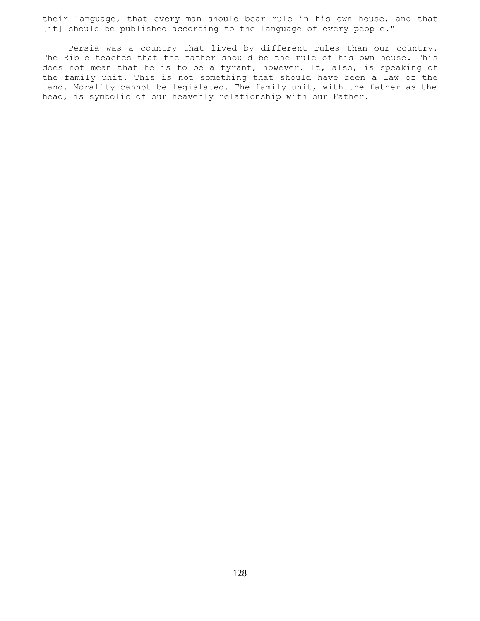their language, that every man should bear rule in his own house, and that [it] should be published according to the language of every people."

 Persia was a country that lived by different rules than our country. The Bible teaches that the father should be the rule of his own house. This does not mean that he is to be a tyrant, however. It, also, is speaking of the family unit. This is not something that should have been a law of the land. Morality cannot be legislated. The family unit, with the father as the head, is symbolic of our heavenly relationship with our Father.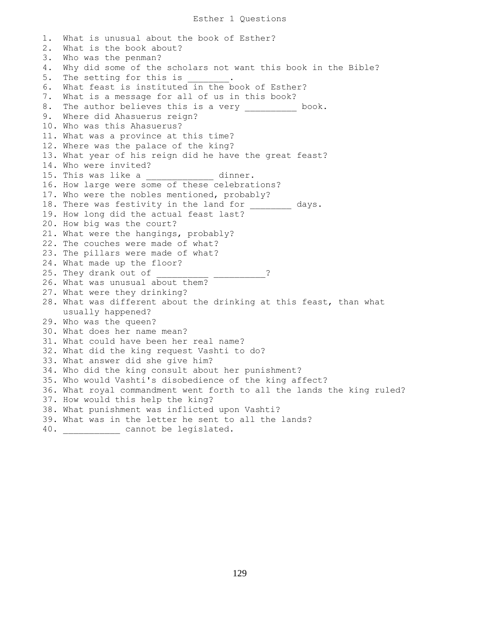```
1. What is unusual about the book of Esther?
2. What is the book about?
3. Who was the penman?
4. Why did some of the scholars not want this book in the Bible?
5. The setting for this is
6. What feast is instituted in the book of Esther?
7. What is a message for all of us in this book?
8. The author believes this is a very entitled book.
9. Where did Ahasuerus reign?
10. Who was this Ahasuerus?
11. What was a province at this time?
12. Where was the palace of the king?
13. What year of his reign did he have the great feast?
14. Who were invited?
15. This was like a ____________ dinner.
16. How large were some of these celebrations?
17. Who were the nobles mentioned, probably?
18. There was festivity in the land for ________ days.
19. How long did the actual feast last?
20. How big was the court?
21. What were the hangings, probably?
22. The couches were made of what?
23. The pillars were made of what?
24. What made up the floor?
25. They drank out of ___________________ ?
26. What was unusual about them?
27. What were they drinking?
28. What was different about the drinking at this feast, than what
    usually happened?
29. Who was the queen?
30. What does her name mean?
31. What could have been her real name?
32. What did the king request Vashti to do?
33. What answer did she give him?
34. Who did the king consult about her punishment?
35. Who would Vashti's disobedience of the king affect?
36. What royal commandment went forth to all the lands the king ruled?
37. How would this help the king?
38. What punishment was inflicted upon Vashti?
39. What was in the letter he sent to all the lands?
40. Example 20 cannot be legislated.
```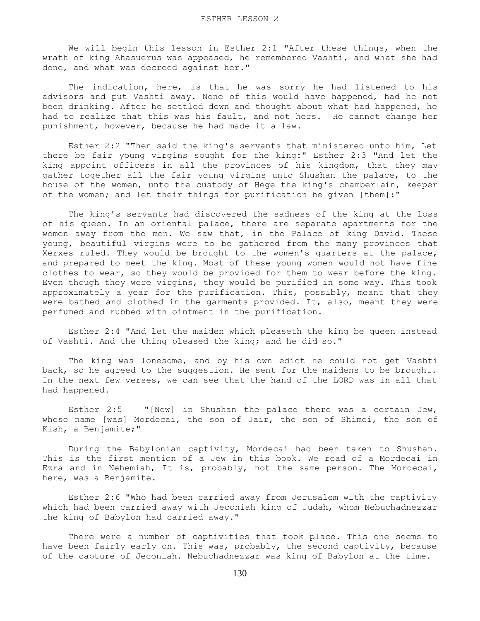We will begin this lesson in Esther 2:1 "After these things, when the wrath of king Ahasuerus was appeased, he remembered Vashti, and what she had done, and what was decreed against her."

 The indication, here, is that he was sorry he had listened to his advisors and put Vashti away. None of this would have happened, had he not been drinking. After he settled down and thought about what had happened, he had to realize that this was his fault, and not hers. He cannot change her punishment, however, because he had made it a law.

 Esther 2:2 "Then said the king's servants that ministered unto him, Let there be fair young virgins sought for the king:" Esther 2:3 "And let the king appoint officers in all the provinces of his kingdom, that they may gather together all the fair young virgins unto Shushan the palace, to the house of the women, unto the custody of Hege the king's chamberlain, keeper of the women; and let their things for purification be given [them]:"

 The king's servants had discovered the sadness of the king at the loss of his queen. In an oriental palace, there are separate apartments for the women away from the men. We saw that, in the Palace of king David. These young, beautiful virgins were to be gathered from the many provinces that Xerxes ruled. They would be brought to the women's quarters at the palace, and prepared to meet the king. Most of these young women would not have fine clothes to wear, so they would be provided for them to wear before the king. Even though they were virgins, they would be purified in some way. This took approximately a year for the purification. This, possibly, meant that they were bathed and clothed in the garments provided. It, also, meant they were perfumed and rubbed with ointment in the purification.

 Esther 2:4 "And let the maiden which pleaseth the king be queen instead of Vashti. And the thing pleased the king; and he did so."

 The king was lonesome, and by his own edict he could not get Vashti back, so he agreed to the suggestion. He sent for the maidens to be brought. In the next few verses, we can see that the hand of the LORD was in all that had happened.

 Esther 2:5 "[Now] in Shushan the palace there was a certain Jew, whose name [was] Mordecai, the son of Jair, the son of Shimei, the son of Kish, a Benjamite;"

 During the Babylonian captivity, Mordecai had been taken to Shushan. This is the first mention of a Jew in this book. We read of a Mordecai in Ezra and in Nehemiah, It is, probably, not the same person. The Mordecai, here, was a Benjamite.

 Esther 2:6 "Who had been carried away from Jerusalem with the captivity which had been carried away with Jeconiah king of Judah, whom Nebuchadnezzar the king of Babylon had carried away."

 There were a number of captivities that took place. This one seems to have been fairly early on. This was, probably, the second captivity, because of the capture of Jeconiah. Nebuchadnezzar was king of Babylon at the time.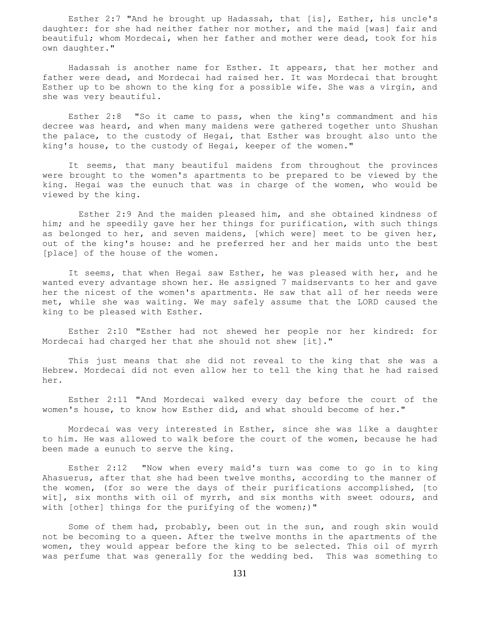Esther 2:7 "And he brought up Hadassah, that [is], Esther, his uncle's daughter: for she had neither father nor mother, and the maid [was] fair and beautiful; whom Mordecai, when her father and mother were dead, took for his own daughter."

 Hadassah is another name for Esther. It appears, that her mother and father were dead, and Mordecai had raised her. It was Mordecai that brought Esther up to be shown to the king for a possible wife. She was a virgin, and she was very beautiful.

 Esther 2:8 "So it came to pass, when the king's commandment and his decree was heard, and when many maidens were gathered together unto Shushan the palace, to the custody of Hegai, that Esther was brought also unto the king's house, to the custody of Hegai, keeper of the women."

 It seems, that many beautiful maidens from throughout the provinces were brought to the women's apartments to be prepared to be viewed by the king. Hegai was the eunuch that was in charge of the women, who would be viewed by the king.

 Esther 2:9 And the maiden pleased him, and she obtained kindness of him; and he speedily gave her her things for purification, with such things as belonged to her, and seven maidens, [which were] meet to be given her, out of the king's house: and he preferred her and her maids unto the best [place] of the house of the women.

 It seems, that when Hegai saw Esther, he was pleased with her, and he wanted every advantage shown her. He assigned 7 maidservants to her and gave her the nicest of the women's apartments. He saw that all of her needs were met, while she was waiting. We may safely assume that the LORD caused the king to be pleased with Esther.

 Esther 2:10 "Esther had not shewed her people nor her kindred: for Mordecai had charged her that she should not shew [it]."

 This just means that she did not reveal to the king that she was a Hebrew. Mordecai did not even allow her to tell the king that he had raised her.

 Esther 2:11 "And Mordecai walked every day before the court of the women's house, to know how Esther did, and what should become of her."

 Mordecai was very interested in Esther, since she was like a daughter to him. He was allowed to walk before the court of the women, because he had been made a eunuch to serve the king.

 Esther 2:12 "Now when every maid's turn was come to go in to king Ahasuerus, after that she had been twelve months, according to the manner of the women, (for so were the days of their purifications accomplished, [to wit], six months with oil of myrrh, and six months with sweet odours, and with [other] things for the purifying of the women;)"

 Some of them had, probably, been out in the sun, and rough skin would not be becoming to a queen. After the twelve months in the apartments of the women, they would appear before the king to be selected. This oil of myrrh was perfume that was generally for the wedding bed. This was something to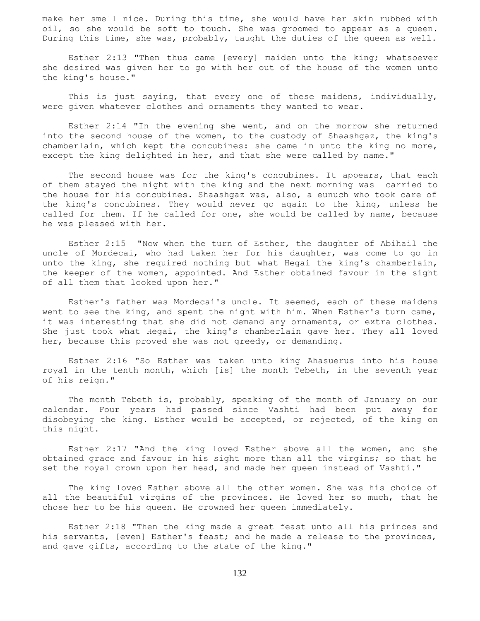make her smell nice. During this time, she would have her skin rubbed with oil, so she would be soft to touch. She was groomed to appear as a queen. During this time, she was, probably, taught the duties of the queen as well.

 Esther 2:13 "Then thus came [every] maiden unto the king; whatsoever she desired was given her to go with her out of the house of the women unto the king's house."

 This is just saying, that every one of these maidens, individually, were given whatever clothes and ornaments they wanted to wear.

 Esther 2:14 "In the evening she went, and on the morrow she returned into the second house of the women, to the custody of Shaashgaz, the king's chamberlain, which kept the concubines: she came in unto the king no more, except the king delighted in her, and that she were called by name."

The second house was for the king's concubines. It appears, that each of them stayed the night with the king and the next morning was carried to the house for his concubines. Shaashgaz was, also, a eunuch who took care of the king's concubines. They would never go again to the king, unless he called for them. If he called for one, she would be called by name, because he was pleased with her.

 Esther 2:15 "Now when the turn of Esther, the daughter of Abihail the uncle of Mordecai, who had taken her for his daughter, was come to go in unto the king, she required nothing but what Hegai the king's chamberlain, the keeper of the women, appointed. And Esther obtained favour in the sight of all them that looked upon her."

 Esther's father was Mordecai's uncle. It seemed, each of these maidens went to see the king, and spent the night with him. When Esther's turn came, it was interesting that she did not demand any ornaments, or extra clothes. She just took what Hegai, the king's chamberlain gave her. They all loved her, because this proved she was not greedy, or demanding.

 Esther 2:16 "So Esther was taken unto king Ahasuerus into his house royal in the tenth month, which [is] the month Tebeth, in the seventh year of his reign."

 The month Tebeth is, probably, speaking of the month of January on our calendar. Four years had passed since Vashti had been put away for disobeying the king. Esther would be accepted, or rejected, of the king on this night.

 Esther 2:17 "And the king loved Esther above all the women, and she obtained grace and favour in his sight more than all the virgins; so that he set the royal crown upon her head, and made her queen instead of Vashti."

 The king loved Esther above all the other women. She was his choice of all the beautiful virgins of the provinces. He loved her so much, that he chose her to be his queen. He crowned her queen immediately.

 Esther 2:18 "Then the king made a great feast unto all his princes and his servants, [even] Esther's feast; and he made a release to the provinces, and gave gifts, according to the state of the king."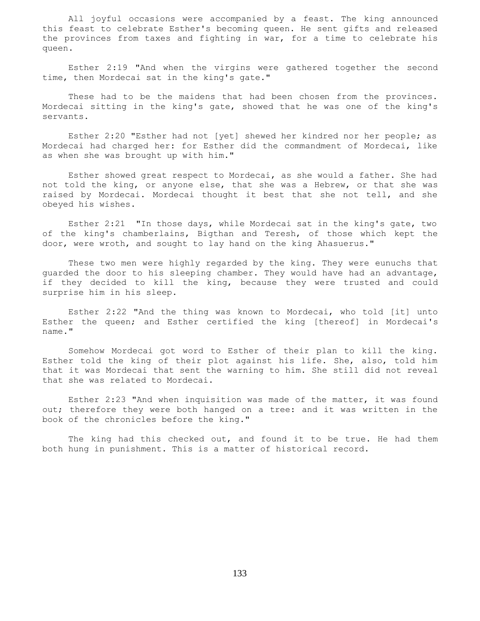All joyful occasions were accompanied by a feast. The king announced this feast to celebrate Esther's becoming queen. He sent gifts and released the provinces from taxes and fighting in war, for a time to celebrate his queen.

 Esther 2:19 "And when the virgins were gathered together the second time, then Mordecai sat in the king's gate."

These had to be the maidens that had been chosen from the provinces. Mordecai sitting in the king's gate, showed that he was one of the king's servants.

 Esther 2:20 "Esther had not [yet] shewed her kindred nor her people; as Mordecai had charged her: for Esther did the commandment of Mordecai, like as when she was brought up with him."

 Esther showed great respect to Mordecai, as she would a father. She had not told the king, or anyone else, that she was a Hebrew, or that she was raised by Mordecai. Mordecai thought it best that she not tell, and she obeyed his wishes.

 Esther 2:21 "In those days, while Mordecai sat in the king's gate, two of the king's chamberlains, Bigthan and Teresh, of those which kept the door, were wroth, and sought to lay hand on the king Ahasuerus."

 These two men were highly regarded by the king. They were eunuchs that guarded the door to his sleeping chamber. They would have had an advantage, if they decided to kill the king, because they were trusted and could surprise him in his sleep.

 Esther 2:22 "And the thing was known to Mordecai, who told [it] unto Esther the queen; and Esther certified the king [thereof] in Mordecai's name."

 Somehow Mordecai got word to Esther of their plan to kill the king. Esther told the king of their plot against his life. She, also, told him that it was Mordecai that sent the warning to him. She still did not reveal that she was related to Mordecai.

 Esther 2:23 "And when inquisition was made of the matter, it was found out; therefore they were both hanged on a tree: and it was written in the book of the chronicles before the king."

The king had this checked out, and found it to be true. He had them both hung in punishment. This is a matter of historical record.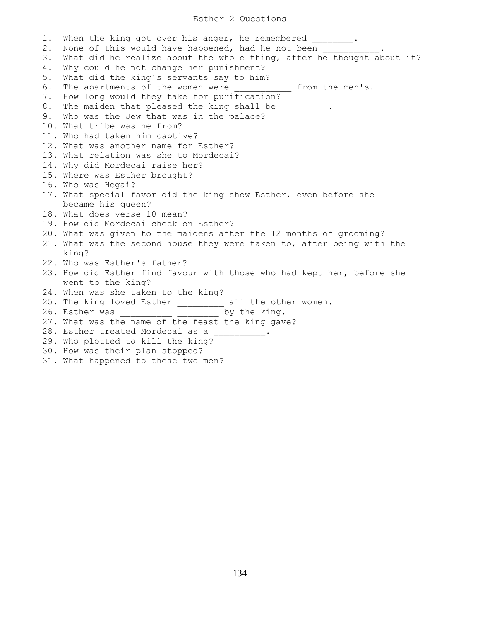# Esther 2 Questions

1. When the king got over his anger, he remembered \_\_\_\_\_\_\_. 2. None of this would have happened, had he not been 3. What did he realize about the whole thing, after he thought about it? 4. Why could he not change her punishment? 5. What did the king's servants say to him? 6. The apartments of the women were \_\_\_\_\_\_\_\_\_\_\_\_ from the men's. 7. How long would they take for purification? 8. The maiden that pleased the king shall be \_\_\_\_\_\_\_\_\_. 9. Who was the Jew that was in the palace? 10. What tribe was he from? 11. Who had taken him captive? 12. What was another name for Esther? 13. What relation was she to Mordecai? 14. Why did Mordecai raise her? 15. Where was Esther brought? 16. Who was Hegai? 17. What special favor did the king show Esther, even before she became his queen? 18. What does verse 10 mean? 19. How did Mordecai check on Esther? 20. What was given to the maidens after the 12 months of grooming? 21. What was the second house they were taken to, after being with the king? 22. Who was Esther's father? 23. How did Esther find favour with those who had kept her, before she went to the king? 24. When was she taken to the king? 25. The king loved Esther \_\_\_\_\_\_\_\_\_ all the other women. 26. Esther was  $\qquad \qquad$  by the king. 27. What was the name of the feast the king gave? 28. Esther treated Mordecai as a 29. Who plotted to kill the king? 30. How was their plan stopped? 31. What happened to these two men?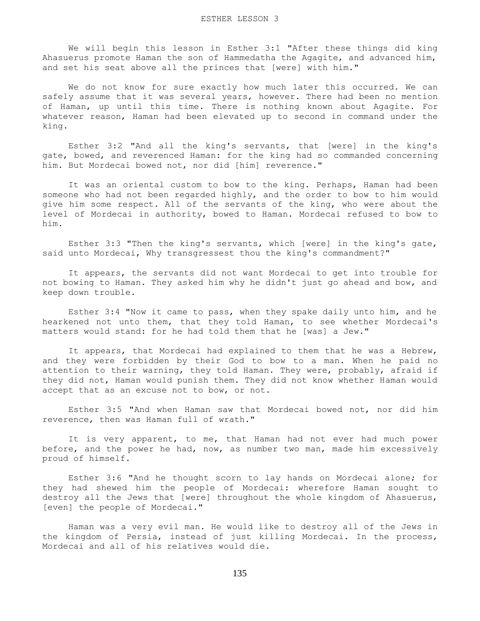We will begin this lesson in Esther 3:1 "After these things did king Ahasuerus promote Haman the son of Hammedatha the Agagite, and advanced him, and set his seat above all the princes that [were] with him."

 We do not know for sure exactly how much later this occurred. We can safely assume that it was several years, however. There had been no mention of Haman, up until this time. There is nothing known about Agagite. For whatever reason, Haman had been elevated up to second in command under the king.

 Esther 3:2 "And all the king's servants, that [were] in the king's gate, bowed, and reverenced Haman: for the king had so commanded concerning him. But Mordecai bowed not, nor did [him] reverence."

 It was an oriental custom to bow to the king. Perhaps, Haman had been someone who had not been regarded highly, and the order to bow to him would give him some respect. All of the servants of the king, who were about the level of Mordecai in authority, bowed to Haman. Mordecai refused to bow to him.

 Esther 3:3 "Then the king's servants, which [were] in the king's gate, said unto Mordecai, Why transgressest thou the king's commandment?"

 It appears, the servants did not want Mordecai to get into trouble for not bowing to Haman. They asked him why he didn't just go ahead and bow, and keep down trouble.

 Esther 3:4 "Now it came to pass, when they spake daily unto him, and he hearkened not unto them, that they told Haman, to see whether Mordecai's matters would stand: for he had told them that he [was] a Jew."

 It appears, that Mordecai had explained to them that he was a Hebrew, and they were forbidden by their God to bow to a man. When he paid no attention to their warning, they told Haman. They were, probably, afraid if they did not, Haman would punish them. They did not know whether Haman would accept that as an excuse not to bow, or not.

 Esther 3:5 "And when Haman saw that Mordecai bowed not, nor did him reverence, then was Haman full of wrath."

 It is very apparent, to me, that Haman had not ever had much power before, and the power he had, now, as number two man, made him excessively proud of himself.

 Esther 3:6 "And he thought scorn to lay hands on Mordecai alone; for they had shewed him the people of Mordecai: wherefore Haman sought to destroy all the Jews that [were] throughout the whole kingdom of Ahasuerus, [even] the people of Mordecai."

 Haman was a very evil man. He would like to destroy all of the Jews in the kingdom of Persia, instead of just killing Mordecai. In the process, Mordecai and all of his relatives would die.

135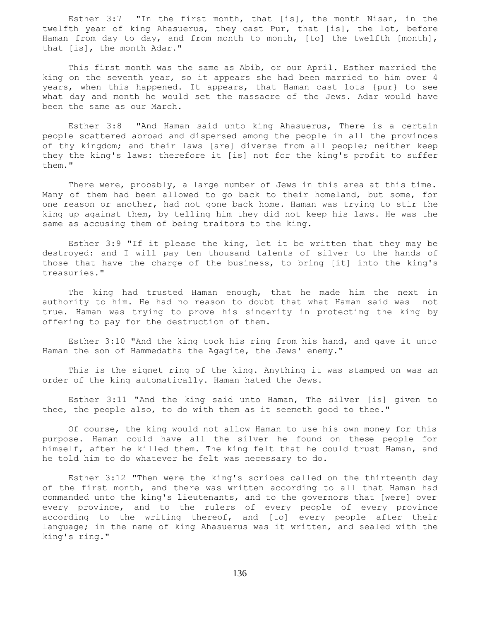Esther 3:7 "In the first month, that [is], the month Nisan, in the twelfth year of king Ahasuerus, they cast Pur, that [is], the lot, before Haman from day to day, and from month to month, [to] the twelfth [month], that [is], the month Adar."

 This first month was the same as Abib, or our April. Esther married the king on the seventh year, so it appears she had been married to him over 4 years, when this happened. It appears, that Haman cast lots {pur} to see what day and month he would set the massacre of the Jews. Adar would have been the same as our March.

 Esther 3:8 "And Haman said unto king Ahasuerus, There is a certain people scattered abroad and dispersed among the people in all the provinces of thy kingdom; and their laws [are] diverse from all people; neither keep they the king's laws: therefore it [is] not for the king's profit to suffer them."

There were, probably, a large number of Jews in this area at this time. Many of them had been allowed to go back to their homeland, but some, for one reason or another, had not gone back home. Haman was trying to stir the king up against them, by telling him they did not keep his laws. He was the same as accusing them of being traitors to the king.

 Esther 3:9 "If it please the king, let it be written that they may be destroyed: and I will pay ten thousand talents of silver to the hands of those that have the charge of the business, to bring [it] into the king's treasuries."

 The king had trusted Haman enough, that he made him the next in authority to him. He had no reason to doubt that what Haman said was not true. Haman was trying to prove his sincerity in protecting the king by offering to pay for the destruction of them.

 Esther 3:10 "And the king took his ring from his hand, and gave it unto Haman the son of Hammedatha the Agagite, the Jews' enemy."

 This is the signet ring of the king. Anything it was stamped on was an order of the king automatically. Haman hated the Jews.

 Esther 3:11 "And the king said unto Haman, The silver [is] given to thee, the people also, to do with them as it seemeth good to thee."

 Of course, the king would not allow Haman to use his own money for this purpose. Haman could have all the silver he found on these people for himself, after he killed them. The king felt that he could trust Haman, and he told him to do whatever he felt was necessary to do.

 Esther 3:12 "Then were the king's scribes called on the thirteenth day of the first month, and there was written according to all that Haman had commanded unto the king's lieutenants, and to the governors that [were] over every province, and to the rulers of every people of every province according to the writing thereof, and [to] every people after their language; in the name of king Ahasuerus was it written, and sealed with the king's ring."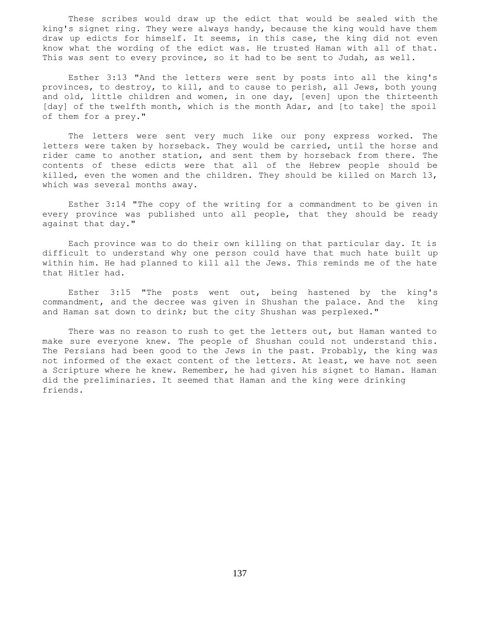These scribes would draw up the edict that would be sealed with the king's signet ring. They were always handy, because the king would have them draw up edicts for himself. It seems, in this case, the king did not even know what the wording of the edict was. He trusted Haman with all of that. This was sent to every province, so it had to be sent to Judah, as well.

 Esther 3:13 "And the letters were sent by posts into all the king's provinces, to destroy, to kill, and to cause to perish, all Jews, both young and old, little children and women, in one day, [even] upon the thirteenth [day] of the twelfth month, which is the month Adar, and [to take] the spoil of them for a prey."

 The letters were sent very much like our pony express worked. The letters were taken by horseback. They would be carried, until the horse and rider came to another station, and sent them by horseback from there. The contents of these edicts were that all of the Hebrew people should be killed, even the women and the children. They should be killed on March 13, which was several months away.

 Esther 3:14 "The copy of the writing for a commandment to be given in every province was published unto all people, that they should be ready against that day."

 Each province was to do their own killing on that particular day. It is difficult to understand why one person could have that much hate built up within him. He had planned to kill all the Jews. This reminds me of the hate that Hitler had.

 Esther 3:15 "The posts went out, being hastened by the king's commandment, and the decree was given in Shushan the palace. And the king and Haman sat down to drink; but the city Shushan was perplexed."

 There was no reason to rush to get the letters out, but Haman wanted to make sure everyone knew. The people of Shushan could not understand this. The Persians had been good to the Jews in the past. Probably, the king was not informed of the exact content of the letters. At least, we have not seen a Scripture where he knew. Remember, he had given his signet to Haman. Haman did the preliminaries. It seemed that Haman and the king were drinking friends.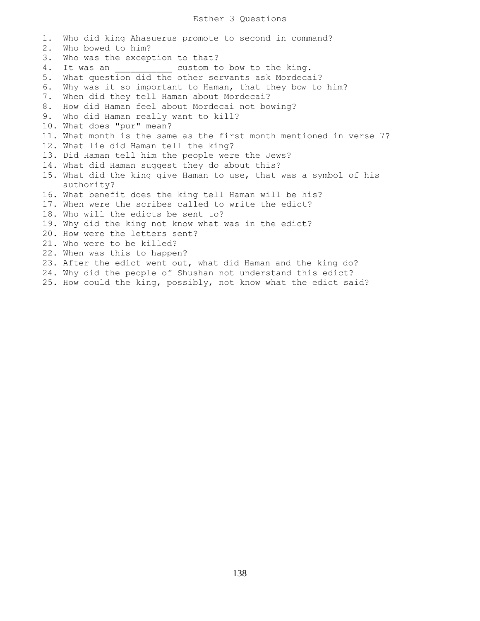#### Esther 3 Questions

1. Who did king Ahasuerus promote to second in command? 2. Who bowed to him? 3. Who was the exception to that? 4. It was an  $\qquad \qquad \text{custom to bow to the king.}$ 5. What question did the other servants ask Mordecai? 6. Why was it so important to Haman, that they bow to him? 7. When did they tell Haman about Mordecai? 8. How did Haman feel about Mordecai not bowing? 9. Who did Haman really want to kill? 10. What does "pur" mean? 11. What month is the same as the first month mentioned in verse 7? 12. What lie did Haman tell the king? 13. Did Haman tell him the people were the Jews? 14. What did Haman suggest they do about this? 15. What did the king give Haman to use, that was a symbol of his authority? 16. What benefit does the king tell Haman will be his? 17. When were the scribes called to write the edict? 18. Who will the edicts be sent to? 19. Why did the king not know what was in the edict? 20. How were the letters sent? 21. Who were to be killed? 22. When was this to happen? 23. After the edict went out, what did Haman and the king do? 24. Why did the people of Shushan not understand this edict? 25. How could the king, possibly, not know what the edict said?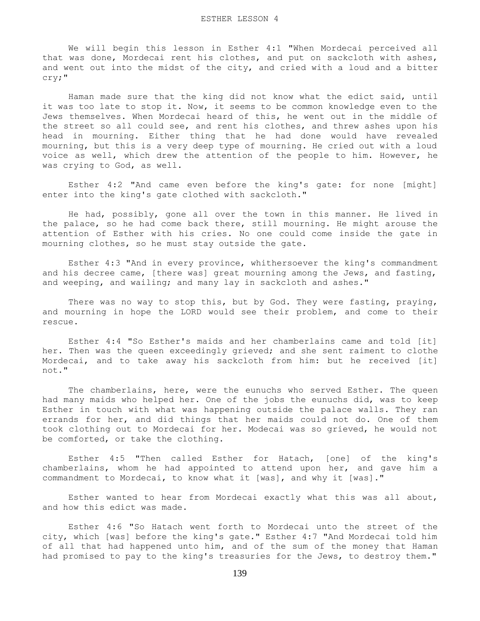We will begin this lesson in Esther 4:1 "When Mordecai perceived all that was done, Mordecai rent his clothes, and put on sackcloth with ashes, and went out into the midst of the city, and cried with a loud and a bitter cry;"

 Haman made sure that the king did not know what the edict said, until it was too late to stop it. Now, it seems to be common knowledge even to the Jews themselves. When Mordecai heard of this, he went out in the middle of the street so all could see, and rent his clothes, and threw ashes upon his head in mourning. Either thing that he had done would have revealed mourning, but this is a very deep type of mourning. He cried out with a loud voice as well, which drew the attention of the people to him. However, he was crying to God, as well.

 Esther 4:2 "And came even before the king's gate: for none [might] enter into the king's gate clothed with sackcloth."

 He had, possibly, gone all over the town in this manner. He lived in the palace, so he had come back there, still mourning. He might arouse the attention of Esther with his cries. No one could come inside the gate in mourning clothes, so he must stay outside the gate.

 Esther 4:3 "And in every province, whithersoever the king's commandment and his decree came, [there was] great mourning among the Jews, and fasting, and weeping, and wailing; and many lay in sackcloth and ashes."

 There was no way to stop this, but by God. They were fasting, praying, and mourning in hope the LORD would see their problem, and come to their rescue.

 Esther 4:4 "So Esther's maids and her chamberlains came and told [it] her. Then was the queen exceedingly grieved; and she sent raiment to clothe Mordecai, and to take away his sackcloth from him: but he received [it] not."

 The chamberlains, here, were the eunuchs who served Esther. The queen had many maids who helped her. One of the jobs the eunuchs did, was to keep Esther in touch with what was happening outside the palace walls. They ran errands for her, and did things that her maids could not do. One of them took clothing out to Mordecai for her. Modecai was so grieved, he would not be comforted, or take the clothing.

 Esther 4:5 "Then called Esther for Hatach, [one] of the king's chamberlains, whom he had appointed to attend upon her, and gave him a commandment to Mordecai, to know what it [was], and why it [was]."

 Esther wanted to hear from Mordecai exactly what this was all about, and how this edict was made.

 Esther 4:6 "So Hatach went forth to Mordecai unto the street of the city, which [was] before the king's gate." Esther 4:7 "And Mordecai told him of all that had happened unto him, and of the sum of the money that Haman had promised to pay to the king's treasuries for the Jews, to destroy them."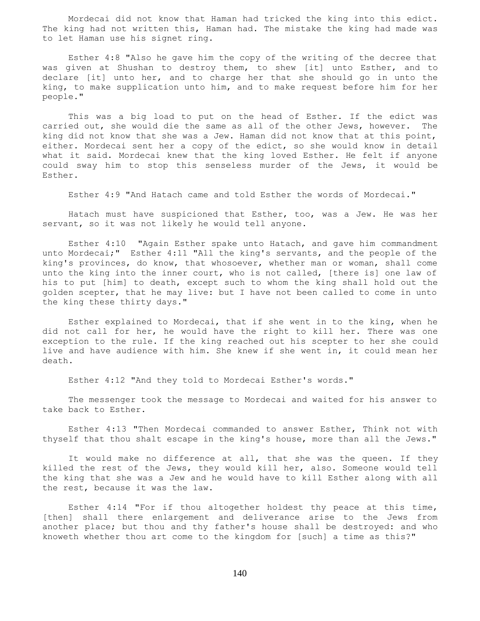Mordecai did not know that Haman had tricked the king into this edict. The king had not written this, Haman had. The mistake the king had made was to let Haman use his signet ring.

 Esther 4:8 "Also he gave him the copy of the writing of the decree that was given at Shushan to destroy them, to shew [it] unto Esther, and to declare [it] unto her, and to charge her that she should go in unto the king, to make supplication unto him, and to make request before him for her people."

 This was a big load to put on the head of Esther. If the edict was carried out, she would die the same as all of the other Jews, however. The king did not know that she was a Jew. Haman did not know that at this point, either. Mordecai sent her a copy of the edict, so she would know in detail what it said. Mordecai knew that the king loved Esther. He felt if anyone could sway him to stop this senseless murder of the Jews, it would be Esther.

Esther 4:9 "And Hatach came and told Esther the words of Mordecai."

 Hatach must have suspicioned that Esther, too, was a Jew. He was her servant, so it was not likely he would tell anyone.

 Esther 4:10 "Again Esther spake unto Hatach, and gave him commandment unto Mordecai;" Esther 4:11 "All the king's servants, and the people of the king's provinces, do know, that whosoever, whether man or woman, shall come unto the king into the inner court, who is not called, [there is] one law of his to put [him] to death, except such to whom the king shall hold out the golden scepter, that he may live: but I have not been called to come in unto the king these thirty days."

 Esther explained to Mordecai, that if she went in to the king, when he did not call for her, he would have the right to kill her. There was one exception to the rule. If the king reached out his scepter to her she could live and have audience with him. She knew if she went in, it could mean her death.

Esther 4:12 "And they told to Mordecai Esther's words."

 The messenger took the message to Mordecai and waited for his answer to take back to Esther.

 Esther 4:13 "Then Mordecai commanded to answer Esther, Think not with thyself that thou shalt escape in the king's house, more than all the Jews."

 It would make no difference at all, that she was the queen. If they killed the rest of the Jews, they would kill her, also. Someone would tell the king that she was a Jew and he would have to kill Esther along with all the rest, because it was the law.

 Esther 4:14 "For if thou altogether holdest thy peace at this time, [then] shall there enlargement and deliverance arise to the Jews from another place; but thou and thy father's house shall be destroyed: and who knoweth whether thou art come to the kingdom for [such] a time as this?"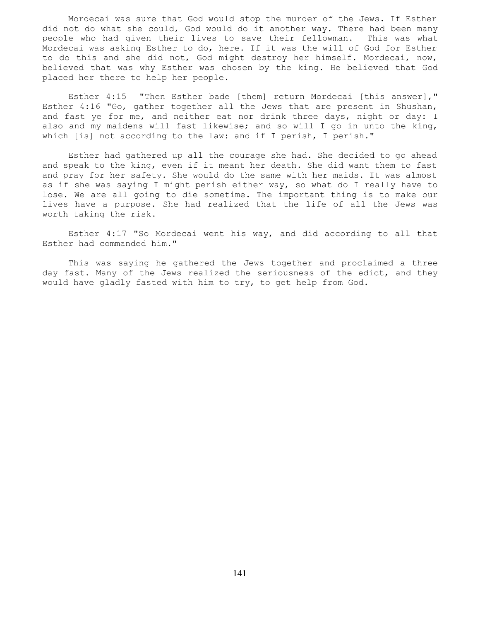Mordecai was sure that God would stop the murder of the Jews. If Esther did not do what she could, God would do it another way. There had been many people who had given their lives to save their fellowman. This was what Mordecai was asking Esther to do, here. If it was the will of God for Esther to do this and she did not, God might destroy her himself. Mordecai, now, believed that was why Esther was chosen by the king. He believed that God placed her there to help her people.

 Esther 4:15 "Then Esther bade [them] return Mordecai [this answer]," Esther 4:16 "Go, gather together all the Jews that are present in Shushan, and fast ye for me, and neither eat nor drink three days, night or day: I also and my maidens will fast likewise; and so will I go in unto the king, which [is] not according to the law: and if I perish, I perish."

 Esther had gathered up all the courage she had. She decided to go ahead and speak to the king, even if it meant her death. She did want them to fast and pray for her safety. She would do the same with her maids. It was almost as if she was saying I might perish either way, so what do I really have to lose. We are all going to die sometime. The important thing is to make our lives have a purpose. She had realized that the life of all the Jews was worth taking the risk.

 Esther 4:17 "So Mordecai went his way, and did according to all that Esther had commanded him."

 This was saying he gathered the Jews together and proclaimed a three day fast. Many of the Jews realized the seriousness of the edict, and they would have gladly fasted with him to try, to get help from God.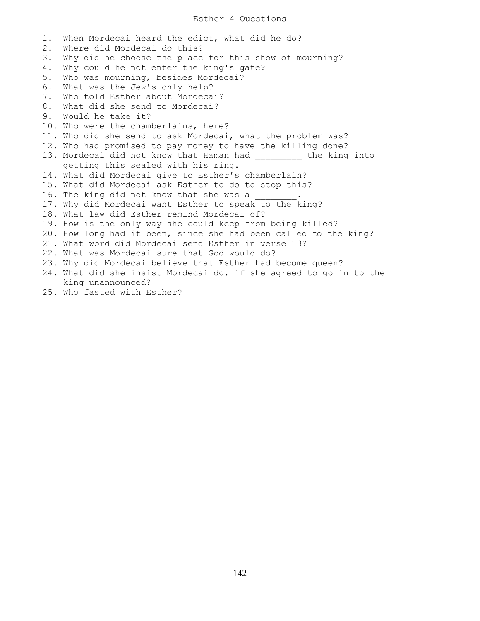## Esther 4 Questions

1. When Mordecai heard the edict, what did he do? 2. Where did Mordecai do this? 3. Why did he choose the place for this show of mourning? 4. Why could he not enter the king's gate? 5. Who was mourning, besides Mordecai? 6. What was the Jew's only help? 7. Who told Esther about Mordecai? 8. What did she send to Mordecai? 9. Would he take it? 10. Who were the chamberlains, here? 11. Who did she send to ask Mordecai, what the problem was? 12. Who had promised to pay money to have the killing done? 13. Mordecai did not know that Haman had \_\_\_\_\_\_\_\_\_ the king into getting this sealed with his ring. 14. What did Mordecai give to Esther's chamberlain? 15. What did Mordecai ask Esther to do to stop this? 16. The king did not know that she was a 17. Why did Mordecai want Esther to speak to the king? 18. What law did Esther remind Mordecai of? 19. How is the only way she could keep from being killed? 20. How long had it been, since she had been called to the king? 21. What word did Mordecai send Esther in verse 13? 22. What was Mordecai sure that God would do? 23. Why did Mordecai believe that Esther had become queen? 24. What did she insist Mordecai do. if she agreed to go in to the king unannounced? 25. Who fasted with Esther?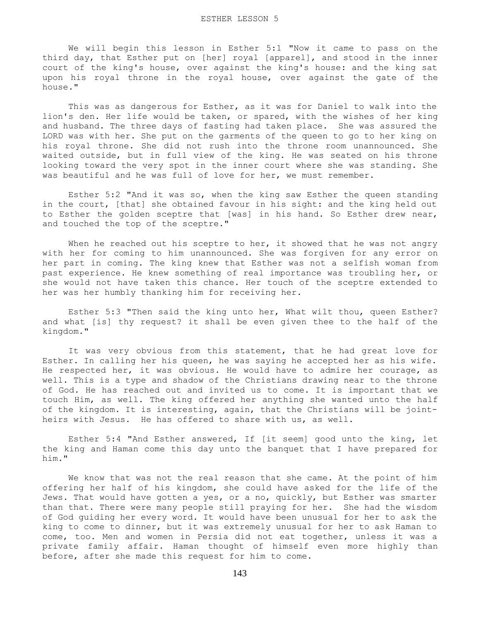We will begin this lesson in Esther 5:1 "Now it came to pass on the third day, that Esther put on [her] royal [apparel], and stood in the inner court of the king's house, over against the king's house: and the king sat upon his royal throne in the royal house, over against the gate of the house."

 This was as dangerous for Esther, as it was for Daniel to walk into the lion's den. Her life would be taken, or spared, with the wishes of her king and husband. The three days of fasting had taken place. She was assured the LORD was with her. She put on the garments of the queen to go to her king on his royal throne. She did not rush into the throne room unannounced. She waited outside, but in full view of the king. He was seated on his throne looking toward the very spot in the inner court where she was standing. She was beautiful and he was full of love for her, we must remember.

 Esther 5:2 "And it was so, when the king saw Esther the queen standing in the court, [that] she obtained favour in his sight: and the king held out to Esther the golden sceptre that [was] in his hand. So Esther drew near, and touched the top of the sceptre."

When he reached out his sceptre to her, it showed that he was not angry with her for coming to him unannounced. She was forgiven for any error on her part in coming. The king knew that Esther was not a selfish woman from past experience. He knew something of real importance was troubling her, or she would not have taken this chance. Her touch of the sceptre extended to her was her humbly thanking him for receiving her.

 Esther 5:3 "Then said the king unto her, What wilt thou, queen Esther? and what [is] thy request? it shall be even given thee to the half of the kingdom."

 It was very obvious from this statement, that he had great love for Esther. In calling her his queen, he was saying he accepted her as his wife. He respected her, it was obvious. He would have to admire her courage, as well. This is a type and shadow of the Christians drawing near to the throne of God. He has reached out and invited us to come. It is important that we touch Him, as well. The king offered her anything she wanted unto the half of the kingdom. It is interesting, again, that the Christians will be jointheirs with Jesus. He has offered to share with us, as well.

 Esther 5:4 "And Esther answered, If [it seem] good unto the king, let the king and Haman come this day unto the banquet that I have prepared for him."

 We know that was not the real reason that she came. At the point of him offering her half of his kingdom, she could have asked for the life of the Jews. That would have gotten a yes, or a no, quickly, but Esther was smarter than that. There were many people still praying for her. She had the wisdom of God guiding her every word. It would have been unusual for her to ask the king to come to dinner, but it was extremely unusual for her to ask Haman to come, too. Men and women in Persia did not eat together, unless it was a private family affair. Haman thought of himself even more highly than before, after she made this request for him to come.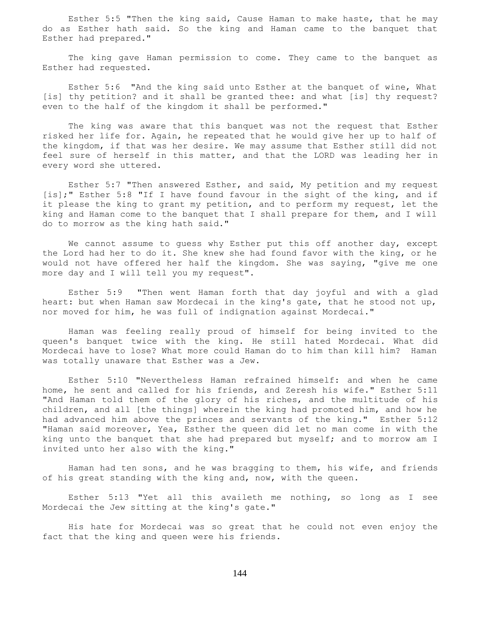Esther 5:5 "Then the king said, Cause Haman to make haste, that he may do as Esther hath said. So the king and Haman came to the banquet that Esther had prepared."

 The king gave Haman permission to come. They came to the banquet as Esther had requested.

 Esther 5:6 "And the king said unto Esther at the banquet of wine, What [is] thy petition? and it shall be granted thee: and what [is] thy request? even to the half of the kingdom it shall be performed."

 The king was aware that this banquet was not the request that Esther risked her life for. Again, he repeated that he would give her up to half of the kingdom, if that was her desire. We may assume that Esther still did not feel sure of herself in this matter, and that the LORD was leading her in every word she uttered.

 Esther 5:7 "Then answered Esther, and said, My petition and my request [is];" Esther 5:8 "If I have found favour in the sight of the king, and if it please the king to grant my petition, and to perform my request, let the king and Haman come to the banquet that I shall prepare for them, and I will do to morrow as the king hath said."

We cannot assume to guess why Esther put this off another day, except the Lord had her to do it. She knew she had found favor with the king, or he would not have offered her half the kingdom. She was saying, "give me one more day and I will tell you my request".

 Esther 5:9 "Then went Haman forth that day joyful and with a glad heart: but when Haman saw Mordecai in the king's gate, that he stood not up, nor moved for him, he was full of indignation against Mordecai."

 Haman was feeling really proud of himself for being invited to the queen's banquet twice with the king. He still hated Mordecai. What did Mordecai have to lose? What more could Haman do to him than kill him? Haman was totally unaware that Esther was a Jew.

 Esther 5:10 "Nevertheless Haman refrained himself: and when he came home, he sent and called for his friends, and Zeresh his wife." Esther 5:11 "And Haman told them of the glory of his riches, and the multitude of his children, and all [the things] wherein the king had promoted him, and how he had advanced him above the princes and servants of the king." Esther 5:12 "Haman said moreover, Yea, Esther the queen did let no man come in with the king unto the banquet that she had prepared but myself; and to morrow am I invited unto her also with the king."

 Haman had ten sons, and he was bragging to them, his wife, and friends of his great standing with the king and, now, with the queen.

 Esther 5:13 "Yet all this availeth me nothing, so long as I see Mordecai the Jew sitting at the king's gate."

 His hate for Mordecai was so great that he could not even enjoy the fact that the king and queen were his friends.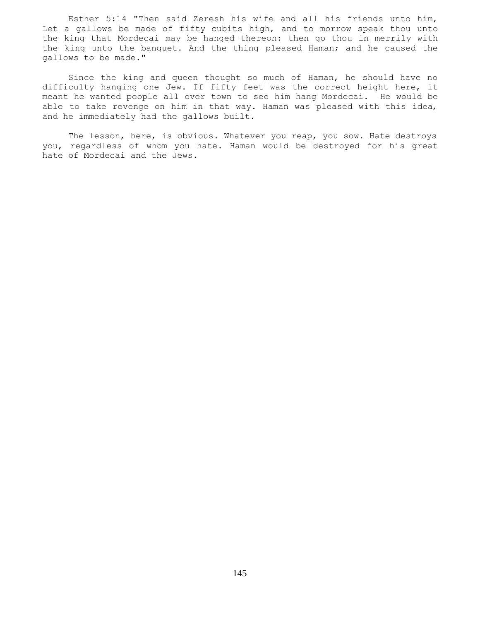Esther 5:14 "Then said Zeresh his wife and all his friends unto him, Let a gallows be made of fifty cubits high, and to morrow speak thou unto the king that Mordecai may be hanged thereon: then go thou in merrily with the king unto the banquet. And the thing pleased Haman; and he caused the gallows to be made."

 Since the king and queen thought so much of Haman, he should have no difficulty hanging one Jew. If fifty feet was the correct height here, it meant he wanted people all over town to see him hang Mordecai. He would be able to take revenge on him in that way. Haman was pleased with this idea, and he immediately had the gallows built.

 The lesson, here, is obvious. Whatever you reap, you sow. Hate destroys you, regardless of whom you hate. Haman would be destroyed for his great hate of Mordecai and the Jews.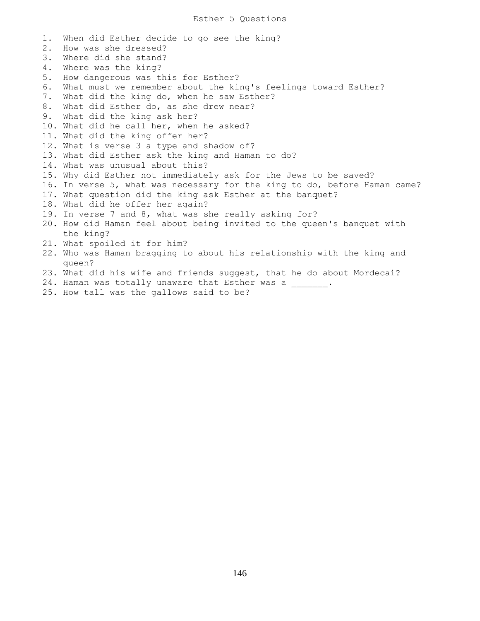1. When did Esther decide to go see the king? 2. How was she dressed? 3. Where did she stand? 4. Where was the king? 5. How dangerous was this for Esther? 6. What must we remember about the king's feelings toward Esther? 7. What did the king do, when he saw Esther? 8. What did Esther do, as she drew near? 9. What did the king ask her? 10. What did he call her, when he asked? 11. What did the king offer her? 12. What is verse 3 a type and shadow of? 13. What did Esther ask the king and Haman to do? 14. What was unusual about this? 15. Why did Esther not immediately ask for the Jews to be saved? 16. In verse 5, what was necessary for the king to do, before Haman came? 17. What question did the king ask Esther at the banquet? 18. What did he offer her again? 19. In verse 7 and 8, what was she really asking for? 20. How did Haman feel about being invited to the queen's banquet with the king? 21. What spoiled it for him? 22. Who was Haman bragging to about his relationship with the king and queen? 23. What did his wife and friends suggest, that he do about Mordecai? 24. Haman was totally unaware that Esther was a  $\qquad \qquad$ 25. How tall was the gallows said to be?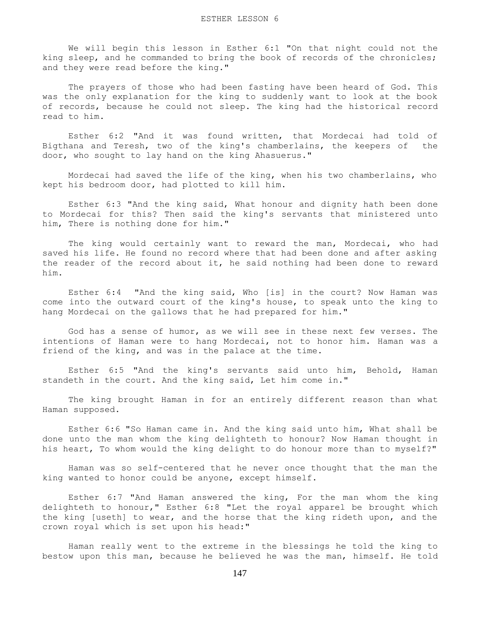We will begin this lesson in Esther 6:1 "On that night could not the king sleep, and he commanded to bring the book of records of the chronicles; and they were read before the king."

 The prayers of those who had been fasting have been heard of God. This was the only explanation for the king to suddenly want to look at the book of records, because he could not sleep. The king had the historical record read to him.

 Esther 6:2 "And it was found written, that Mordecai had told of Bigthana and Teresh, two of the king's chamberlains, the keepers of the door, who sought to lay hand on the king Ahasuerus."

 Mordecai had saved the life of the king, when his two chamberlains, who kept his bedroom door, had plotted to kill him.

 Esther 6:3 "And the king said, What honour and dignity hath been done to Mordecai for this? Then said the king's servants that ministered unto him, There is nothing done for him."

 The king would certainly want to reward the man, Mordecai, who had saved his life. He found no record where that had been done and after asking the reader of the record about it, he said nothing had been done to reward him.

 Esther 6:4 "And the king said, Who [is] in the court? Now Haman was come into the outward court of the king's house, to speak unto the king to hang Mordecai on the gallows that he had prepared for him."

 God has a sense of humor, as we will see in these next few verses. The intentions of Haman were to hang Mordecai, not to honor him. Haman was a friend of the king, and was in the palace at the time.

 Esther 6:5 "And the king's servants said unto him, Behold, Haman standeth in the court. And the king said, Let him come in."

 The king brought Haman in for an entirely different reason than what Haman supposed.

 Esther 6:6 "So Haman came in. And the king said unto him, What shall be done unto the man whom the king delighteth to honour? Now Haman thought in his heart, To whom would the king delight to do honour more than to myself?"

 Haman was so self-centered that he never once thought that the man the king wanted to honor could be anyone, except himself.

 Esther 6:7 "And Haman answered the king, For the man whom the king delighteth to honour," Esther 6:8 "Let the royal apparel be brought which the king [useth] to wear, and the horse that the king rideth upon, and the crown royal which is set upon his head:"

 Haman really went to the extreme in the blessings he told the king to bestow upon this man, because he believed he was the man, himself. He told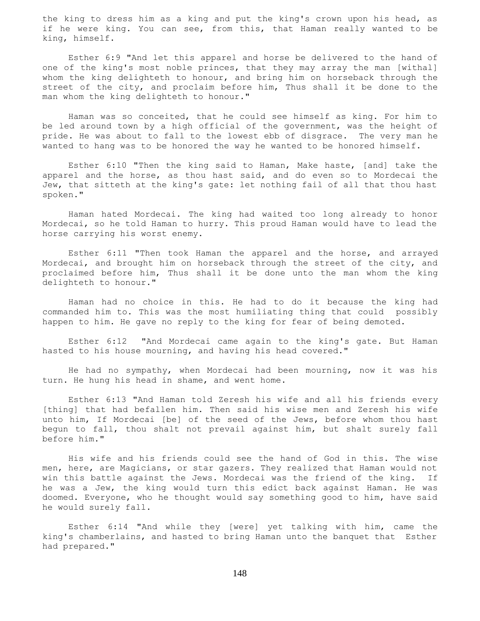the king to dress him as a king and put the king's crown upon his head, as if he were king. You can see, from this, that Haman really wanted to be king, himself.

 Esther 6:9 "And let this apparel and horse be delivered to the hand of one of the king's most noble princes, that they may array the man [withal] whom the king delighteth to honour, and bring him on horseback through the street of the city, and proclaim before him, Thus shall it be done to the man whom the king delighteth to honour."

 Haman was so conceited, that he could see himself as king. For him to be led around town by a high official of the government, was the height of pride. He was about to fall to the lowest ebb of disgrace. The very man he wanted to hang was to be honored the way he wanted to be honored himself.

 Esther 6:10 "Then the king said to Haman, Make haste, [and] take the apparel and the horse, as thou hast said, and do even so to Mordecai the Jew, that sitteth at the king's gate: let nothing fail of all that thou hast spoken."

 Haman hated Mordecai. The king had waited too long already to honor Mordecai, so he told Haman to hurry. This proud Haman would have to lead the horse carrying his worst enemy.

 Esther 6:11 "Then took Haman the apparel and the horse, and arrayed Mordecai, and brought him on horseback through the street of the city, and proclaimed before him, Thus shall it be done unto the man whom the king delighteth to honour."

 Haman had no choice in this. He had to do it because the king had commanded him to. This was the most humiliating thing that could possibly happen to him. He gave no reply to the king for fear of being demoted.

 Esther 6:12 "And Mordecai came again to the king's gate. But Haman hasted to his house mourning, and having his head covered."

 He had no sympathy, when Mordecai had been mourning, now it was his turn. He hung his head in shame, and went home.

 Esther 6:13 "And Haman told Zeresh his wife and all his friends every [thing] that had befallen him. Then said his wise men and Zeresh his wife unto him, If Mordecai [be] of the seed of the Jews, before whom thou hast begun to fall, thou shalt not prevail against him, but shalt surely fall before him."

 His wife and his friends could see the hand of God in this. The wise men, here, are Magicians, or star gazers. They realized that Haman would not win this battle against the Jews. Mordecai was the friend of the king. If he was a Jew, the king would turn this edict back against Haman. He was doomed. Everyone, who he thought would say something good to him, have said he would surely fall.

 Esther 6:14 "And while they [were] yet talking with him, came the king's chamberlains, and hasted to bring Haman unto the banquet that Esther had prepared."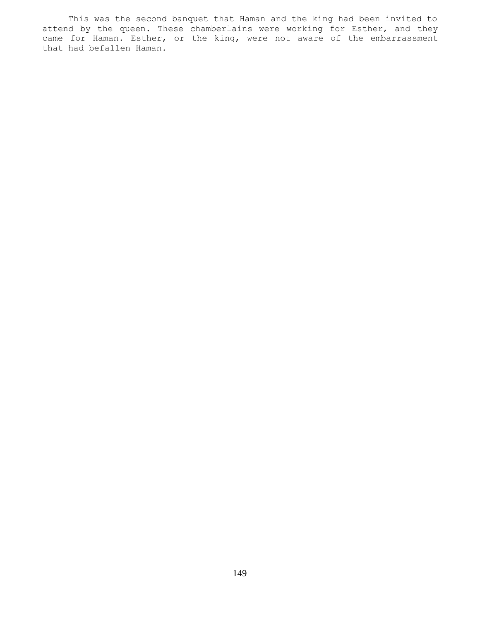This was the second banquet that Haman and the king had been invited to attend by the queen. These chamberlains were working for Esther, and they came for Haman. Esther, or the king, were not aware of the embarrassment that had befallen Haman.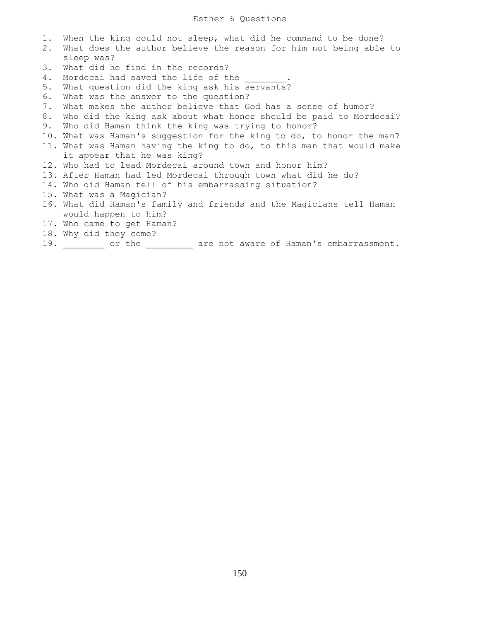1. When the king could not sleep, what did he command to be done? 2. What does the author believe the reason for him not being able to sleep was? 3. What did he find in the records? 4. Mordecai had saved the life of the 5. What question did the king ask his servants? 6. What was the answer to the question? 7. What makes the author believe that God has a sense of humor? 8. Who did the king ask about what honor should be paid to Mordecai? 9. Who did Haman think the king was trying to honor? 10. What was Haman's suggestion for the king to do, to honor the man? 11. What was Haman having the king to do, to this man that would make it appear that he was king? 12. Who had to lead Mordecai around town and honor him? 13. After Haman had led Mordecai through town what did he do? 14. Who did Haman tell of his embarrassing situation? 15. What was a Magician? 16. What did Haman's family and friends and the Magicians tell Haman would happen to him? 17. Who came to get Haman? 18. Why did they come? 19. \_\_\_\_\_\_\_\_ or the \_\_\_\_\_\_\_\_\_ are not aware of Haman's embarrassment.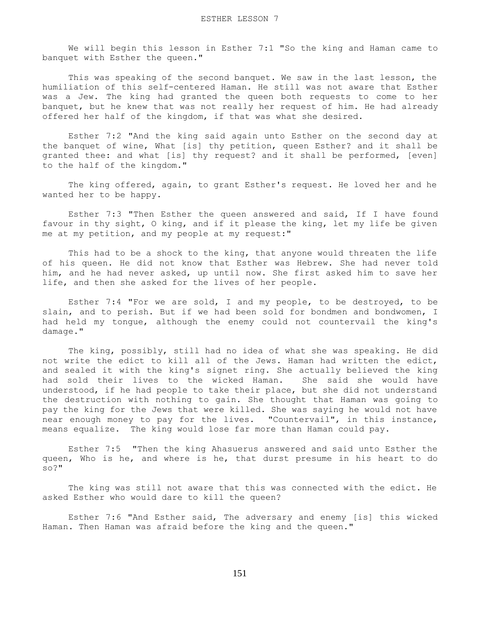We will begin this lesson in Esther 7:1 "So the king and Haman came to banquet with Esther the queen."

 This was speaking of the second banquet. We saw in the last lesson, the humiliation of this self-centered Haman. He still was not aware that Esther was a Jew. The king had granted the queen both requests to come to her banquet, but he knew that was not really her request of him. He had already offered her half of the kingdom, if that was what she desired.

 Esther 7:2 "And the king said again unto Esther on the second day at the banquet of wine, What [is] thy petition, queen Esther? and it shall be granted thee: and what [is] thy request? and it shall be performed, [even] to the half of the kingdom."

 The king offered, again, to grant Esther's request. He loved her and he wanted her to be happy.

 Esther 7:3 "Then Esther the queen answered and said, If I have found favour in thy sight, O king, and if it please the king, let my life be given me at my petition, and my people at my request:"

 This had to be a shock to the king, that anyone would threaten the life of his queen. He did not know that Esther was Hebrew. She had never told him, and he had never asked, up until now. She first asked him to save her life, and then she asked for the lives of her people.

 Esther 7:4 "For we are sold, I and my people, to be destroyed, to be slain, and to perish. But if we had been sold for bondmen and bondwomen, I had held my tongue, although the enemy could not countervail the king's damage."

 The king, possibly, still had no idea of what she was speaking. He did not write the edict to kill all of the Jews. Haman had written the edict, and sealed it with the king's signet ring. She actually believed the king had sold their lives to the wicked Haman. She said she would have understood, if he had people to take their place, but she did not understand the destruction with nothing to gain. She thought that Haman was going to pay the king for the Jews that were killed. She was saying he would not have near enough money to pay for the lives. "Countervail", in this instance, means equalize. The king would lose far more than Haman could pay.

 Esther 7:5 "Then the king Ahasuerus answered and said unto Esther the queen, Who is he, and where is he, that durst presume in his heart to do so?"

 The king was still not aware that this was connected with the edict. He asked Esther who would dare to kill the queen?

 Esther 7:6 "And Esther said, The adversary and enemy [is] this wicked Haman. Then Haman was afraid before the king and the queen."

151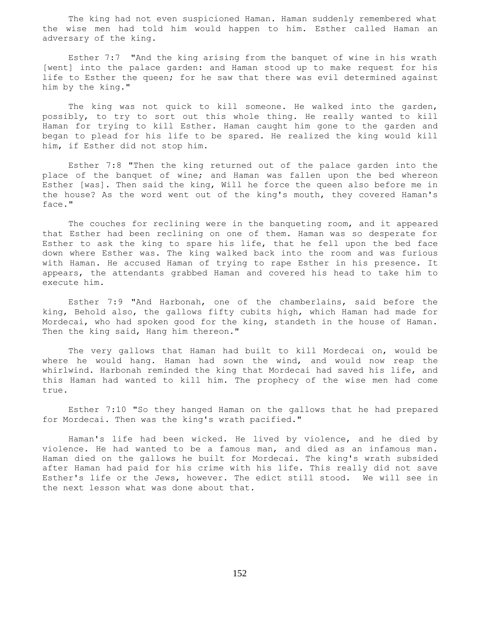The king had not even suspicioned Haman. Haman suddenly remembered what the wise men had told him would happen to him. Esther called Haman an adversary of the king.

 Esther 7:7 "And the king arising from the banquet of wine in his wrath [went] into the palace garden: and Haman stood up to make request for his life to Esther the queen; for he saw that there was evil determined against him by the king."

 The king was not quick to kill someone. He walked into the garden, possibly, to try to sort out this whole thing. He really wanted to kill Haman for trying to kill Esther. Haman caught him gone to the garden and began to plead for his life to be spared. He realized the king would kill him, if Esther did not stop him.

 Esther 7:8 "Then the king returned out of the palace garden into the place of the banquet of wine; and Haman was fallen upon the bed whereon Esther [was]. Then said the king, Will he force the queen also before me in the house? As the word went out of the king's mouth, they covered Haman's face."

 The couches for reclining were in the banqueting room, and it appeared that Esther had been reclining on one of them. Haman was so desperate for Esther to ask the king to spare his life, that he fell upon the bed face down where Esther was. The king walked back into the room and was furious with Haman. He accused Haman of trying to rape Esther in his presence. It appears, the attendants grabbed Haman and covered his head to take him to execute him.

 Esther 7:9 "And Harbonah, one of the chamberlains, said before the king, Behold also, the gallows fifty cubits high, which Haman had made for Mordecai, who had spoken good for the king, standeth in the house of Haman. Then the king said, Hang him thereon."

 The very gallows that Haman had built to kill Mordecai on, would be where he would hang. Haman had sown the wind, and would now reap the whirlwind. Harbonah reminded the king that Mordecai had saved his life, and this Haman had wanted to kill him. The prophecy of the wise men had come true.

 Esther 7:10 "So they hanged Haman on the gallows that he had prepared for Mordecai. Then was the king's wrath pacified."

 Haman's life had been wicked. He lived by violence, and he died by violence. He had wanted to be a famous man, and died as an infamous man. Haman died on the gallows he built for Mordecai. The king's wrath subsided after Haman had paid for his crime with his life. This really did not save Esther's life or the Jews, however. The edict still stood. We will see in the next lesson what was done about that.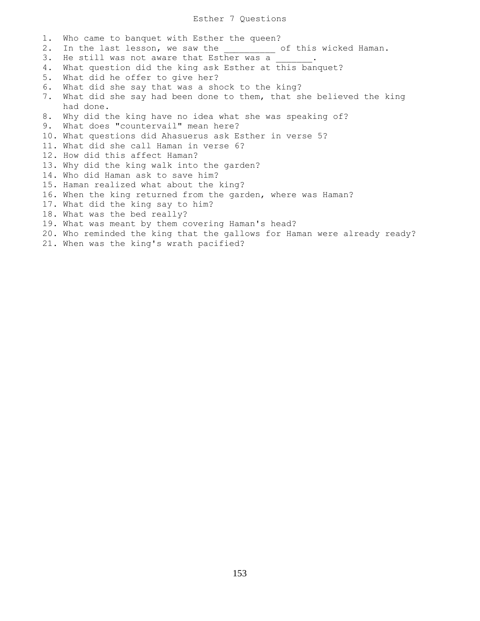## Esther 7 Questions

1. Who came to banquet with Esther the queen? 2. In the last lesson, we saw the \_\_\_\_\_\_\_\_\_ of this wicked Haman. 3. He still was not aware that Esther was a 4. What question did the king ask Esther at this banquet? 5. What did he offer to give her? 6. What did she say that was a shock to the king? 7. What did she say had been done to them, that she believed the king had done. 8. Why did the king have no idea what she was speaking of? 9. What does "countervail" mean here? 10. What questions did Ahasuerus ask Esther in verse 5? 11. What did she call Haman in verse 6? 12. How did this affect Haman? 13. Why did the king walk into the garden? 14. Who did Haman ask to save him? 15. Haman realized what about the king? 16. When the king returned from the garden, where was Haman? 17. What did the king say to him? 18. What was the bed really? 19. What was meant by them covering Haman's head? 20. Who reminded the king that the gallows for Haman were already ready? 21. When was the king's wrath pacified?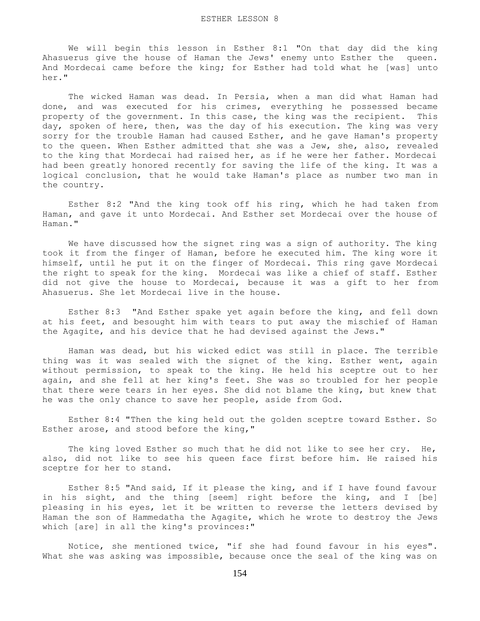We will begin this lesson in Esther 8:1 "On that day did the king Ahasuerus give the house of Haman the Jews' enemy unto Esther the queen. And Mordecai came before the king; for Esther had told what he [was] unto her."

 The wicked Haman was dead. In Persia, when a man did what Haman had done, and was executed for his crimes, everything he possessed became property of the government. In this case, the king was the recipient. This day, spoken of here, then, was the day of his execution. The king was very sorry for the trouble Haman had caused Esther, and he gave Haman's property to the queen. When Esther admitted that she was a Jew, she, also, revealed to the king that Mordecai had raised her, as if he were her father. Mordecai had been greatly honored recently for saving the life of the king. It was a logical conclusion, that he would take Haman's place as number two man in the country.

 Esther 8:2 "And the king took off his ring, which he had taken from Haman, and gave it unto Mordecai. And Esther set Mordecai over the house of Haman."

 We have discussed how the signet ring was a sign of authority. The king took it from the finger of Haman, before he executed him. The king wore it himself, until he put it on the finger of Mordecai. This ring gave Mordecai the right to speak for the king. Mordecai was like a chief of staff. Esther did not give the house to Mordecai, because it was a gift to her from Ahasuerus. She let Mordecai live in the house.

 Esther 8:3 "And Esther spake yet again before the king, and fell down at his feet, and besought him with tears to put away the mischief of Haman the Agagite, and his device that he had devised against the Jews."

 Haman was dead, but his wicked edict was still in place. The terrible thing was it was sealed with the signet of the king. Esther went, again without permission, to speak to the king. He held his sceptre out to her again, and she fell at her king's feet. She was so troubled for her people that there were tears in her eyes. She did not blame the king, but knew that he was the only chance to save her people, aside from God.

 Esther 8:4 "Then the king held out the golden sceptre toward Esther. So Esther arose, and stood before the king,"

The king loved Esther so much that he did not like to see her cry. He, also, did not like to see his queen face first before him. He raised his sceptre for her to stand.

 Esther 8:5 "And said, If it please the king, and if I have found favour in his sight, and the thing [seem] right before the king, and I [be] pleasing in his eyes, let it be written to reverse the letters devised by Haman the son of Hammedatha the Agagite, which he wrote to destroy the Jews which [are] in all the king's provinces:"

 Notice, she mentioned twice, "if she had found favour in his eyes". What she was asking was impossible, because once the seal of the king was on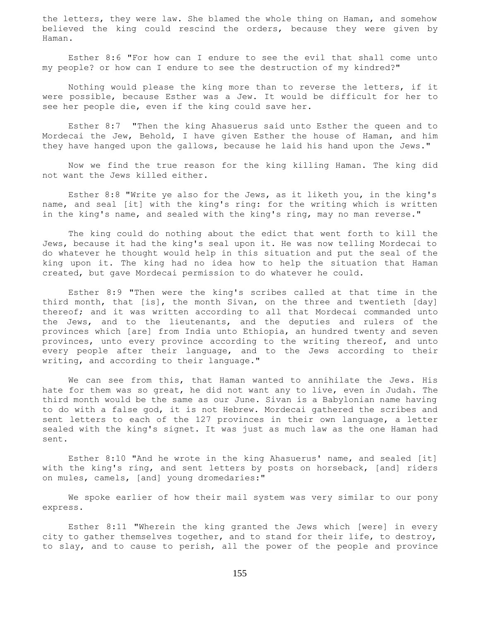the letters, they were law. She blamed the whole thing on Haman, and somehow believed the king could rescind the orders, because they were given by Haman.

 Esther 8:6 "For how can I endure to see the evil that shall come unto my people? or how can I endure to see the destruction of my kindred?"

 Nothing would please the king more than to reverse the letters, if it were possible, because Esther was a Jew. It would be difficult for her to see her people die, even if the king could save her.

 Esther 8:7 "Then the king Ahasuerus said unto Esther the queen and to Mordecai the Jew, Behold, I have given Esther the house of Haman, and him they have hanged upon the gallows, because he laid his hand upon the Jews."

 Now we find the true reason for the king killing Haman. The king did not want the Jews killed either.

 Esther 8:8 "Write ye also for the Jews, as it liketh you, in the king's name, and seal [it] with the king's ring: for the writing which is written in the king's name, and sealed with the king's ring, may no man reverse."

 The king could do nothing about the edict that went forth to kill the Jews, because it had the king's seal upon it. He was now telling Mordecai to do whatever he thought would help in this situation and put the seal of the king upon it. The king had no idea how to help the situation that Haman created, but gave Mordecai permission to do whatever he could.

 Esther 8:9 "Then were the king's scribes called at that time in the third month, that [is], the month Sivan, on the three and twentieth [day] thereof; and it was written according to all that Mordecai commanded unto the Jews, and to the lieutenants, and the deputies and rulers of the provinces which [are] from India unto Ethiopia, an hundred twenty and seven provinces, unto every province according to the writing thereof, and unto every people after their language, and to the Jews according to their writing, and according to their language."

 We can see from this, that Haman wanted to annihilate the Jews. His hate for them was so great, he did not want any to live, even in Judah. The third month would be the same as our June. Sivan is a Babylonian name having to do with a false god, it is not Hebrew. Mordecai gathered the scribes and sent letters to each of the 127 provinces in their own language, a letter sealed with the king's signet. It was just as much law as the one Haman had sent.

 Esther 8:10 "And he wrote in the king Ahasuerus' name, and sealed [it] with the king's ring, and sent letters by posts on horseback, [and] riders on mules, camels, [and] young dromedaries:"

 We spoke earlier of how their mail system was very similar to our pony express.

 Esther 8:11 "Wherein the king granted the Jews which [were] in every city to gather themselves together, and to stand for their life, to destroy, to slay, and to cause to perish, all the power of the people and province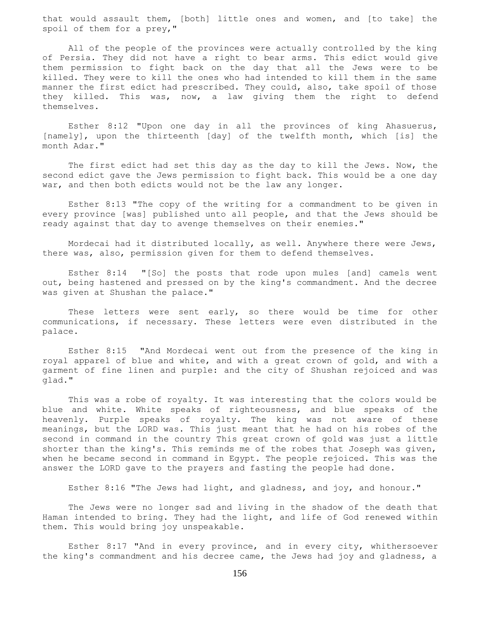that would assault them, [both] little ones and women, and [to take] the spoil of them for a prey,"

 All of the people of the provinces were actually controlled by the king of Persia. They did not have a right to bear arms. This edict would give them permission to fight back on the day that all the Jews were to be killed. They were to kill the ones who had intended to kill them in the same manner the first edict had prescribed. They could, also, take spoil of those they killed. This was, now, a law giving them the right to defend themselves.

 Esther 8:12 "Upon one day in all the provinces of king Ahasuerus, [namely], upon the thirteenth [day] of the twelfth month, which [is] the month Adar."

 The first edict had set this day as the day to kill the Jews. Now, the second edict gave the Jews permission to fight back. This would be a one day war, and then both edicts would not be the law any longer.

 Esther 8:13 "The copy of the writing for a commandment to be given in every province [was] published unto all people, and that the Jews should be ready against that day to avenge themselves on their enemies."

 Mordecai had it distributed locally, as well. Anywhere there were Jews, there was, also, permission given for them to defend themselves.

 Esther 8:14 "[So] the posts that rode upon mules [and] camels went out, being hastened and pressed on by the king's commandment. And the decree was given at Shushan the palace."

 These letters were sent early, so there would be time for other communications, if necessary. These letters were even distributed in the palace.

 Esther 8:15 "And Mordecai went out from the presence of the king in royal apparel of blue and white, and with a great crown of gold, and with a garment of fine linen and purple: and the city of Shushan rejoiced and was glad."

 This was a robe of royalty. It was interesting that the colors would be blue and white. White speaks of righteousness, and blue speaks of the heavenly. Purple speaks of royalty. The king was not aware of these meanings, but the LORD was. This just meant that he had on his robes of the second in command in the country This great crown of gold was just a little shorter than the king's. This reminds me of the robes that Joseph was given, when he became second in command in Egypt. The people rejoiced. This was the answer the LORD gave to the prayers and fasting the people had done.

Esther 8:16 "The Jews had light, and gladness, and joy, and honour."

 The Jews were no longer sad and living in the shadow of the death that Haman intended to bring. They had the light, and life of God renewed within them. This would bring joy unspeakable.

 Esther 8:17 "And in every province, and in every city, whithersoever the king's commandment and his decree came, the Jews had joy and gladness, a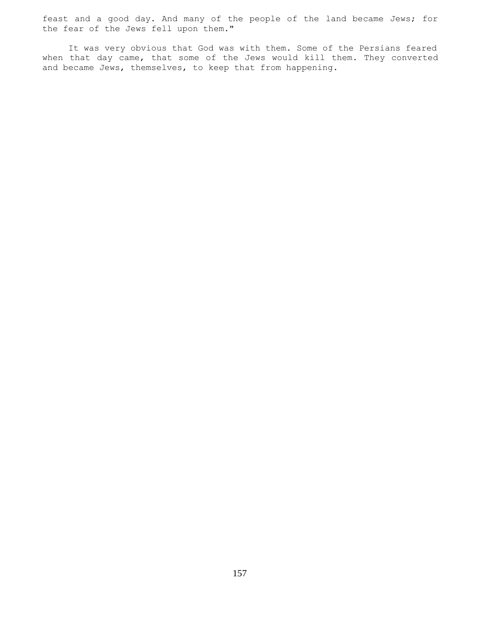feast and a good day. And many of the people of the land became Jews; for the fear of the Jews fell upon them."

 It was very obvious that God was with them. Some of the Persians feared when that day came, that some of the Jews would kill them. They converted and became Jews, themselves, to keep that from happening.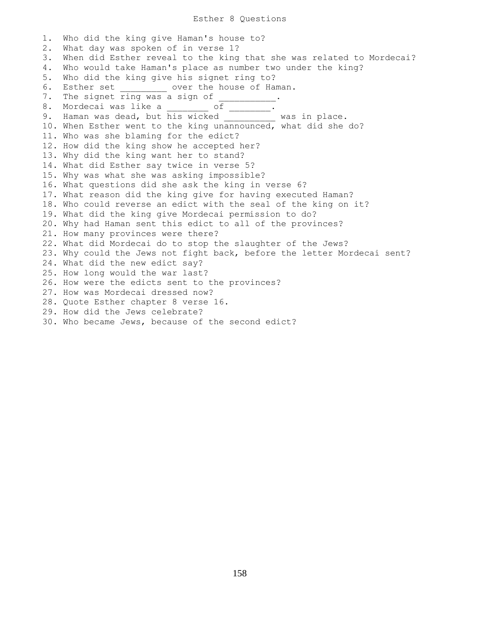## Esther 8 Questions

1. Who did the king give Haman's house to? 2. What day was spoken of in verse 1? 3. When did Esther reveal to the king that she was related to Mordecai? 4. Who would take Haman's place as number two under the king? 5. Who did the king give his signet ring to? 6. Esther set \_\_\_\_\_\_\_\_\_ over the house of Haman. 7. The signet ring was a sign of 8. Mordecai was like a \_\_\_\_\_\_\_\_ of \_\_\_\_\_\_\_\_. 9. Haman was dead, but his wicked \_\_\_\_\_\_\_\_\_ was in place. 10. When Esther went to the king unannounced, what did she do? 11. Who was she blaming for the edict? 12. How did the king show he accepted her? 13. Why did the king want her to stand? 14. What did Esther say twice in verse 5? 15. Why was what she was asking impossible? 16. What questions did she ask the king in verse 6? 17. What reason did the king give for having executed Haman? 18. Who could reverse an edict with the seal of the king on it? 19. What did the king give Mordecai permission to do? 20. Why had Haman sent this edict to all of the provinces? 21. How many provinces were there? 22. What did Mordecai do to stop the slaughter of the Jews? 23. Why could the Jews not fight back, before the letter Mordecai sent? 24. What did the new edict say? 25. How long would the war last? 26. How were the edicts sent to the provinces? 27. How was Mordecai dressed now? 28. Quote Esther chapter 8 verse 16. 29. How did the Jews celebrate? 30. Who became Jews, because of the second edict?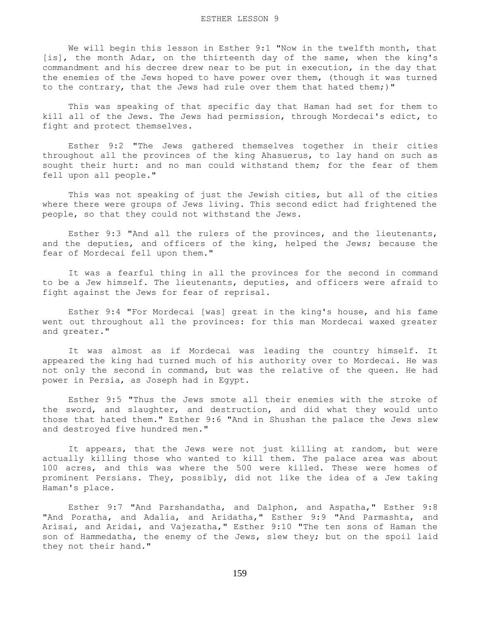We will begin this lesson in Esther 9:1 "Now in the twelfth month, that [is], the month Adar, on the thirteenth day of the same, when the king's commandment and his decree drew near to be put in execution, in the day that the enemies of the Jews hoped to have power over them, (though it was turned to the contrary, that the Jews had rule over them that hated them;)"

 This was speaking of that specific day that Haman had set for them to kill all of the Jews. The Jews had permission, through Mordecai's edict, to fight and protect themselves.

 Esther 9:2 "The Jews gathered themselves together in their cities throughout all the provinces of the king Ahasuerus, to lay hand on such as sought their hurt: and no man could withstand them; for the fear of them fell upon all people."

 This was not speaking of just the Jewish cities, but all of the cities where there were groups of Jews living. This second edict had frightened the people, so that they could not withstand the Jews.

 Esther 9:3 "And all the rulers of the provinces, and the lieutenants, and the deputies, and officers of the king, helped the Jews; because the fear of Mordecai fell upon them."

 It was a fearful thing in all the provinces for the second in command to be a Jew himself. The lieutenants, deputies, and officers were afraid to fight against the Jews for fear of reprisal.

 Esther 9:4 "For Mordecai [was] great in the king's house, and his fame went out throughout all the provinces: for this man Mordecai waxed greater and greater."

 It was almost as if Mordecai was leading the country himself. It appeared the king had turned much of his authority over to Mordecai. He was not only the second in command, but was the relative of the queen. He had power in Persia, as Joseph had in Egypt.

 Esther 9:5 "Thus the Jews smote all their enemies with the stroke of the sword, and slaughter, and destruction, and did what they would unto those that hated them." Esther 9:6 "And in Shushan the palace the Jews slew and destroyed five hundred men."

It appears, that the Jews were not just killing at random, but were actually killing those who wanted to kill them. The palace area was about 100 acres, and this was where the 500 were killed. These were homes of prominent Persians. They, possibly, did not like the idea of a Jew taking Haman's place.

 Esther 9:7 "And Parshandatha, and Dalphon, and Aspatha," Esther 9:8 "And Poratha, and Adalia, and Aridatha," Esther 9:9 "And Parmashta, and Arisai, and Aridai, and Vajezatha," Esther 9:10 "The ten sons of Haman the son of Hammedatha, the enemy of the Jews, slew they; but on the spoil laid they not their hand."

159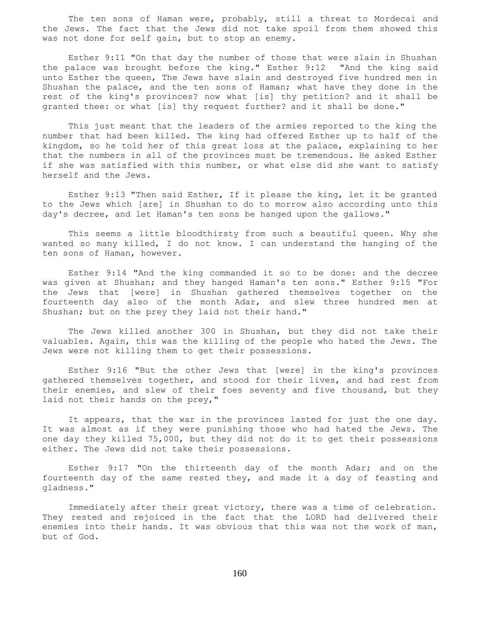The ten sons of Haman were, probably, still a threat to Mordecai and the Jews. The fact that the Jews did not take spoil from them showed this was not done for self gain, but to stop an enemy.

 Esther 9:11 "On that day the number of those that were slain in Shushan the palace was brought before the king." Esther 9:12 "And the king said unto Esther the queen, The Jews have slain and destroyed five hundred men in Shushan the palace, and the ten sons of Haman; what have they done in the rest of the king's provinces? now what [is] thy petition? and it shall be granted thee: or what [is] thy request further? and it shall be done."

 This just meant that the leaders of the armies reported to the king the number that had been killed. The king had offered Esther up to half of the kingdom, so he told her of this great loss at the palace, explaining to her that the numbers in all of the provinces must be tremendous. He asked Esther if she was satisfied with this number, or what else did she want to satisfy herself and the Jews.

 Esther 9:13 "Then said Esther, If it please the king, let it be granted to the Jews which [are] in Shushan to do to morrow also according unto this day's decree, and let Haman's ten sons be hanged upon the gallows."

 This seems a little bloodthirsty from such a beautiful queen. Why she wanted so many killed, I do not know. I can understand the hanging of the ten sons of Haman, however.

 Esther 9:14 "And the king commanded it so to be done: and the decree was given at Shushan; and they hanged Haman's ten sons." Esther 9:15 "For the Jews that [were] in Shushan gathered themselves together on the fourteenth day also of the month Adar, and slew three hundred men at Shushan; but on the prey they laid not their hand."

 The Jews killed another 300 in Shushan, but they did not take their valuables. Again, this was the killing of the people who hated the Jews. The Jews were not killing them to get their possessions.

 Esther 9:16 "But the other Jews that [were] in the king's provinces gathered themselves together, and stood for their lives, and had rest from their enemies, and slew of their foes seventy and five thousand, but they laid not their hands on the prey,"

 It appears, that the war in the provinces lasted for just the one day. It was almost as if they were punishing those who had hated the Jews. The one day they killed 75,000, but they did not do it to get their possessions either. The Jews did not take their possessions.

 Esther 9:17 "On the thirteenth day of the month Adar; and on the fourteenth day of the same rested they, and made it a day of feasting and gladness."

 Immediately after their great victory, there was a time of celebration. They rested and rejoiced in the fact that the LORD had delivered their enemies into their hands. It was obvious that this was not the work of man, but of God.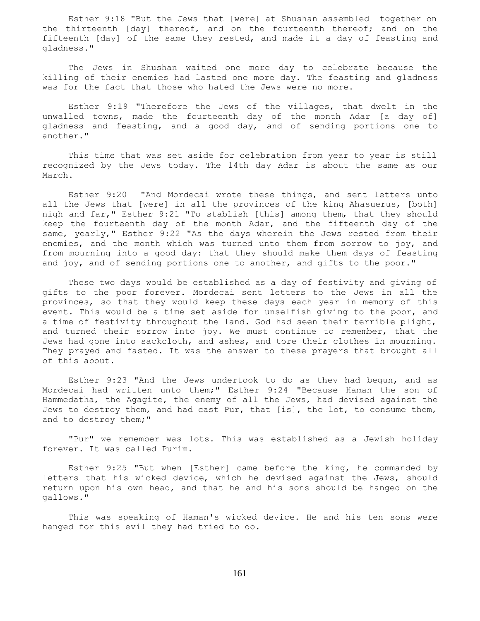Esther 9:18 "But the Jews that [were] at Shushan assembled together on the thirteenth [day] thereof, and on the fourteenth thereof; and on the fifteenth [day] of the same they rested, and made it a day of feasting and gladness."

 The Jews in Shushan waited one more day to celebrate because the killing of their enemies had lasted one more day. The feasting and gladness was for the fact that those who hated the Jews were no more.

 Esther 9:19 "Therefore the Jews of the villages, that dwelt in the unwalled towns, made the fourteenth day of the month Adar [a day of] gladness and feasting, and a good day, and of sending portions one to another."

 This time that was set aside for celebration from year to year is still recognized by the Jews today. The 14th day Adar is about the same as our March.

 Esther 9:20 "And Mordecai wrote these things, and sent letters unto all the Jews that [were] in all the provinces of the king Ahasuerus, [both] nigh and far," Esther 9:21 "To stablish [this] among them, that they should keep the fourteenth day of the month Adar, and the fifteenth day of the same, yearly," Esther 9:22 "As the days wherein the Jews rested from their enemies, and the month which was turned unto them from sorrow to joy, and from mourning into a good day: that they should make them days of feasting and joy, and of sending portions one to another, and gifts to the poor."

 These two days would be established as a day of festivity and giving of gifts to the poor forever. Mordecai sent letters to the Jews in all the provinces, so that they would keep these days each year in memory of this event. This would be a time set aside for unselfish giving to the poor, and a time of festivity throughout the land. God had seen their terrible plight, and turned their sorrow into joy. We must continue to remember, that the Jews had gone into sackcloth, and ashes, and tore their clothes in mourning. They prayed and fasted. It was the answer to these prayers that brought all of this about.

 Esther 9:23 "And the Jews undertook to do as they had begun, and as Mordecai had written unto them;" Esther 9:24 "Because Haman the son of Hammedatha, the Agagite, the enemy of all the Jews, had devised against the Jews to destroy them, and had cast Pur, that [is], the lot, to consume them, and to destroy them;"

 "Pur" we remember was lots. This was established as a Jewish holiday forever. It was called Purim.

 Esther 9:25 "But when [Esther] came before the king, he commanded by letters that his wicked device, which he devised against the Jews, should return upon his own head, and that he and his sons should be hanged on the gallows."

 This was speaking of Haman's wicked device. He and his ten sons were hanged for this evil they had tried to do.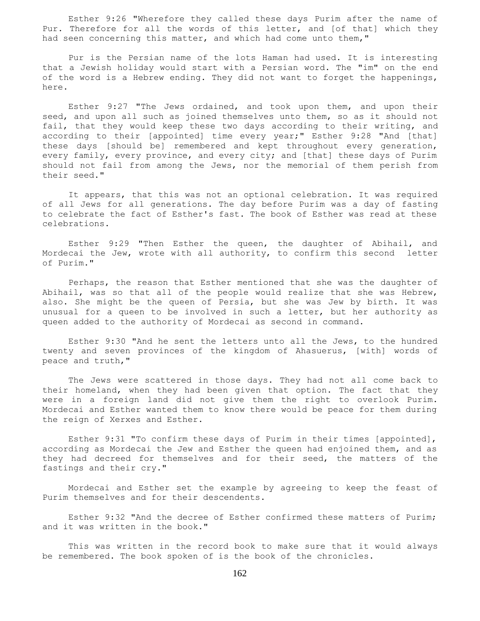Esther 9:26 "Wherefore they called these days Purim after the name of Pur. Therefore for all the words of this letter, and [of that] which they had seen concerning this matter, and which had come unto them,"

 Pur is the Persian name of the lots Haman had used. It is interesting that a Jewish holiday would start with a Persian word. The "im" on the end of the word is a Hebrew ending. They did not want to forget the happenings, here.

 Esther 9:27 "The Jews ordained, and took upon them, and upon their seed, and upon all such as joined themselves unto them, so as it should not fail, that they would keep these two days according to their writing, and according to their [appointed] time every year;" Esther 9:28 "And [that] these days [should be] remembered and kept throughout every generation, every family, every province, and every city; and [that] these days of Purim should not fail from among the Jews, nor the memorial of them perish from their seed."

 It appears, that this was not an optional celebration. It was required of all Jews for all generations. The day before Purim was a day of fasting to celebrate the fact of Esther's fast. The book of Esther was read at these celebrations.

 Esther 9:29 "Then Esther the queen, the daughter of Abihail, and Mordecai the Jew, wrote with all authority, to confirm this second letter of Purim."

 Perhaps, the reason that Esther mentioned that she was the daughter of Abihail, was so that all of the people would realize that she was Hebrew, also. She might be the queen of Persia, but she was Jew by birth. It was unusual for a queen to be involved in such a letter, but her authority as queen added to the authority of Mordecai as second in command.

 Esther 9:30 "And he sent the letters unto all the Jews, to the hundred twenty and seven provinces of the kingdom of Ahasuerus, [with] words of peace and truth,"

 The Jews were scattered in those days. They had not all come back to their homeland, when they had been given that option. The fact that they were in a foreign land did not give them the right to overlook Purim. Mordecai and Esther wanted them to know there would be peace for them during the reign of Xerxes and Esther.

 Esther 9:31 "To confirm these days of Purim in their times [appointed], according as Mordecai the Jew and Esther the queen had enjoined them, and as they had decreed for themselves and for their seed, the matters of the fastings and their cry."

 Mordecai and Esther set the example by agreeing to keep the feast of Purim themselves and for their descendents.

 Esther 9:32 "And the decree of Esther confirmed these matters of Purim; and it was written in the book."

 This was written in the record book to make sure that it would always be remembered. The book spoken of is the book of the chronicles.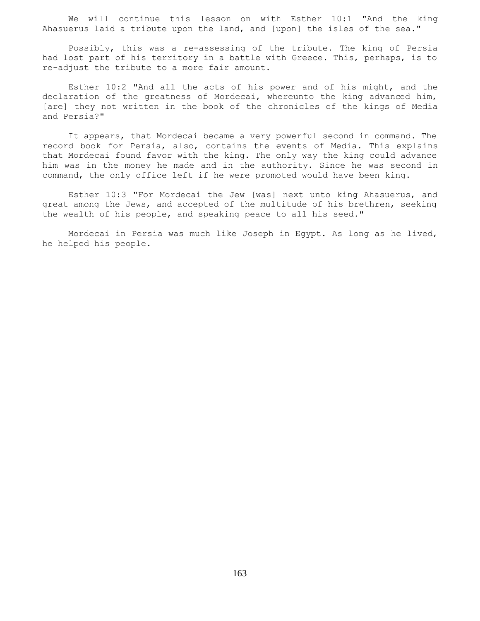We will continue this lesson on with Esther 10:1 "And the king Ahasuerus laid a tribute upon the land, and [upon] the isles of the sea."

 Possibly, this was a re-assessing of the tribute. The king of Persia had lost part of his territory in a battle with Greece. This, perhaps, is to re-adjust the tribute to a more fair amount.

 Esther 10:2 "And all the acts of his power and of his might, and the declaration of the greatness of Mordecai, whereunto the king advanced him, [are] they not written in the book of the chronicles of the kings of Media and Persia?"

 It appears, that Mordecai became a very powerful second in command. The record book for Persia, also, contains the events of Media. This explains that Mordecai found favor with the king. The only way the king could advance him was in the money he made and in the authority. Since he was second in command, the only office left if he were promoted would have been king.

 Esther 10:3 "For Mordecai the Jew [was] next unto king Ahasuerus, and great among the Jews, and accepted of the multitude of his brethren, seeking the wealth of his people, and speaking peace to all his seed."

 Mordecai in Persia was much like Joseph in Egypt. As long as he lived, he helped his people.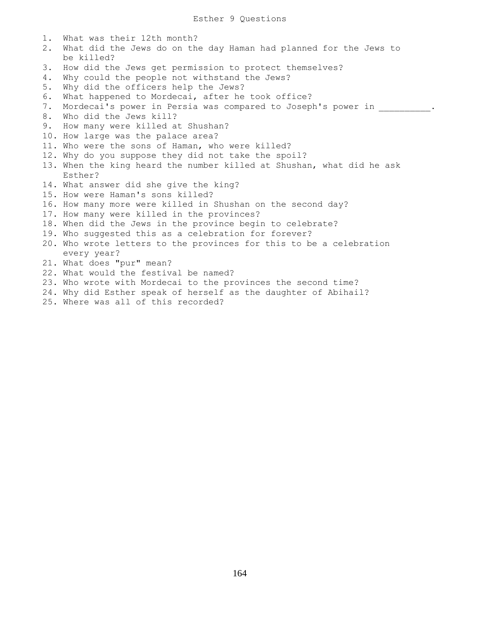1. What was their 12th month? 2. What did the Jews do on the day Haman had planned for the Jews to be killed? 3. How did the Jews get permission to protect themselves? 4. Why could the people not withstand the Jews? 5. Why did the officers help the Jews? 6. What happened to Mordecai, after he took office? 7. Mordecai's power in Persia was compared to Joseph's power in  $\hspace{1.5cm}$ . 8. Who did the Jews kill? 9. How many were killed at Shushan? 10. How large was the palace area? 11. Who were the sons of Haman, who were killed? 12. Why do you suppose they did not take the spoil? 13. When the king heard the number killed at Shushan, what did he ask Esther? 14. What answer did she give the king? 15. How were Haman's sons killed? 16. How many more were killed in Shushan on the second day? 17. How many were killed in the provinces? 18. When did the Jews in the province begin to celebrate? 19. Who suggested this as a celebration for forever? 20. Who wrote letters to the provinces for this to be a celebration every year? 21. What does "pur" mean? 22. What would the festival be named? 23. Who wrote with Mordecai to the provinces the second time? 24. Why did Esther speak of herself as the daughter of Abihail? 25. Where was all of this recorded?